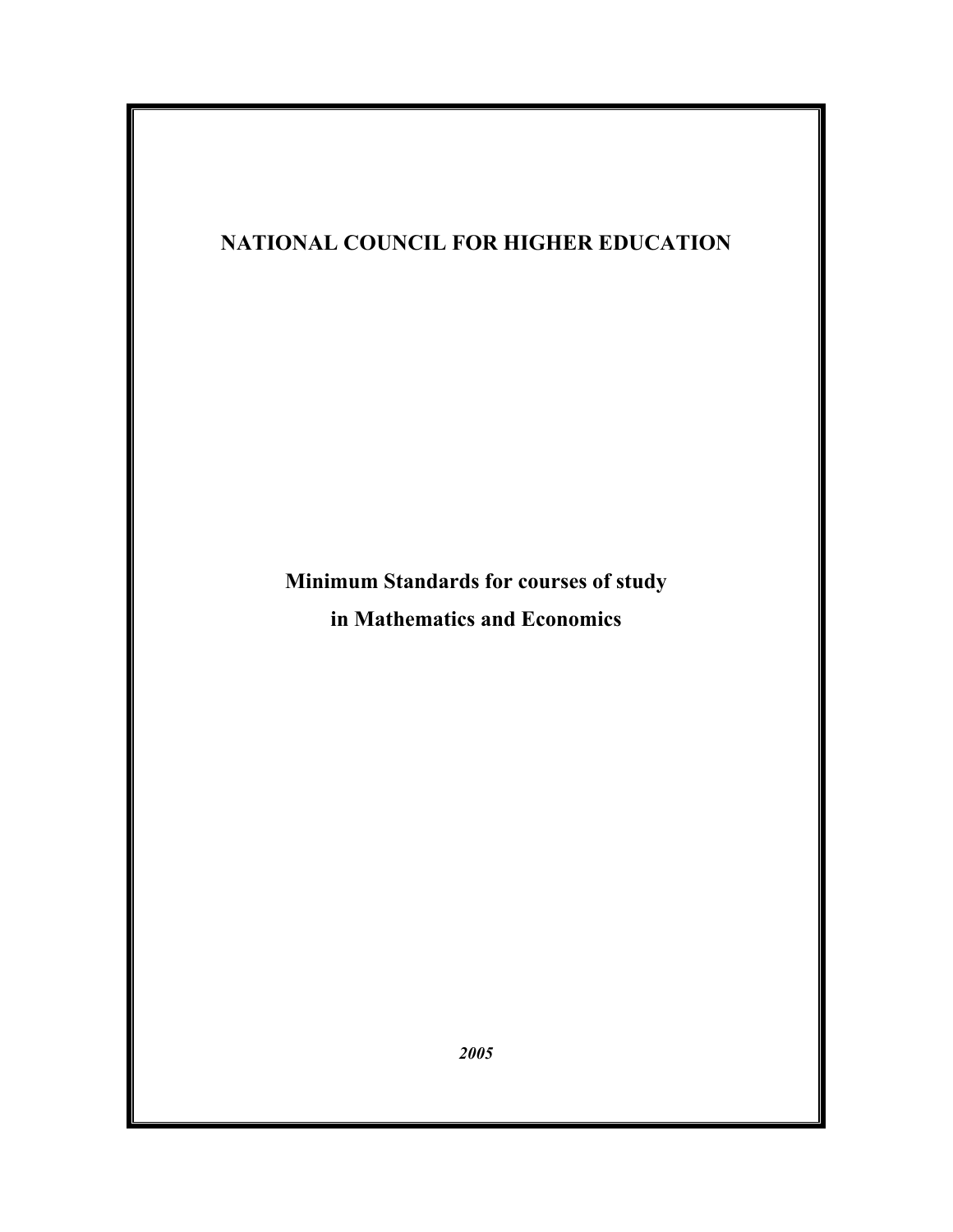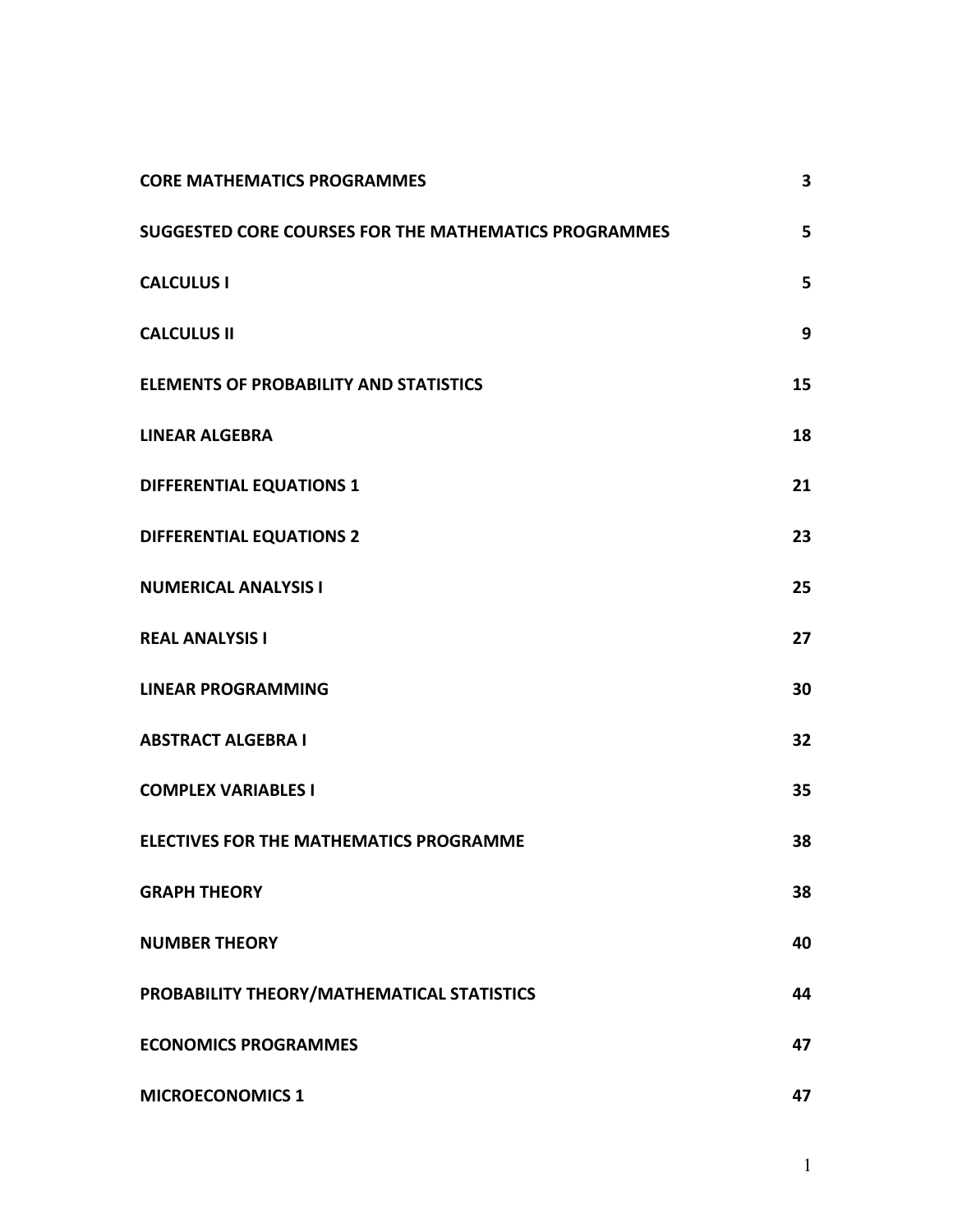| <b>CORE MATHEMATICS PROGRAMMES</b>                    | 3  |
|-------------------------------------------------------|----|
| SUGGESTED CORE COURSES FOR THE MATHEMATICS PROGRAMMES | 5  |
| <b>CALCULUS I</b>                                     | 5  |
| <b>CALCULUS II</b>                                    | 9  |
| <b>ELEMENTS OF PROBABILITY AND STATISTICS</b>         | 15 |
| <b>LINEAR ALGEBRA</b>                                 | 18 |
| DIFFERENTIAL EQUATIONS 1                              | 21 |
| <b>DIFFERENTIAL EQUATIONS 2</b>                       | 23 |
| <b>NUMERICAL ANALYSIS I</b>                           | 25 |
| <b>REAL ANALYSIS I</b>                                | 27 |
| <b>LINEAR PROGRAMMING</b>                             | 30 |
| <b>ABSTRACT ALGEBRA I</b>                             | 32 |
| <b>COMPLEX VARIABLES I</b>                            | 35 |
| <b>ELECTIVES FOR THE MATHEMATICS PROGRAMME</b>        | 38 |
| <b>GRAPH THEORY</b>                                   | 38 |
| <b>NUMBER THEORY</b>                                  | 40 |
| PROBABILITY THEORY/MATHEMATICAL STATISTICS            | 44 |
| <b>ECONOMICS PROGRAMMES</b>                           | 47 |
| <b>MICROECONOMICS 1</b>                               | 47 |

1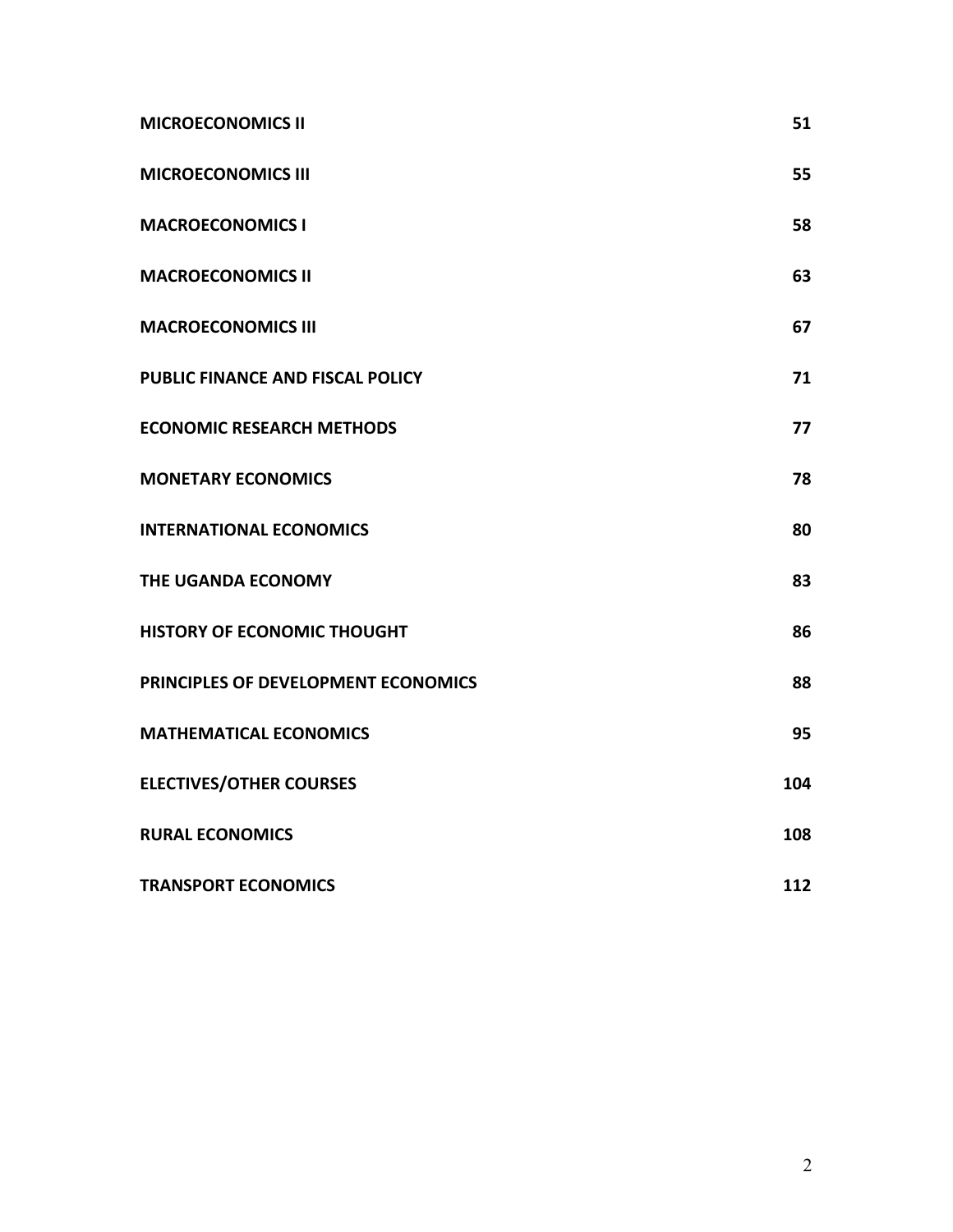| <b>MICROECONOMICS II</b>            | 51  |
|-------------------------------------|-----|
| <b>MICROECONOMICS III</b>           | 55  |
| <b>MACROECONOMICS I</b>             | 58  |
| <b>MACROECONOMICS II</b>            | 63  |
| <b>MACROECONOMICS III</b>           | 67  |
| PUBLIC FINANCE AND FISCAL POLICY    | 71  |
| <b>ECONOMIC RESEARCH METHODS</b>    | 77  |
| <b>MONETARY ECONOMICS</b>           | 78  |
| <b>INTERNATIONAL ECONOMICS</b>      | 80  |
| THE UGANDA ECONOMY                  | 83  |
| HISTORY OF ECONOMIC THOUGHT         | 86  |
| PRINCIPLES OF DEVELOPMENT ECONOMICS | 88  |
| <b>MATHEMATICAL ECONOMICS</b>       | 95  |
| <b>ELECTIVES/OTHER COURSES</b>      | 104 |
| <b>RURAL ECONOMICS</b>              | 108 |
| <b>TRANSPORT ECONOMICS</b>          | 112 |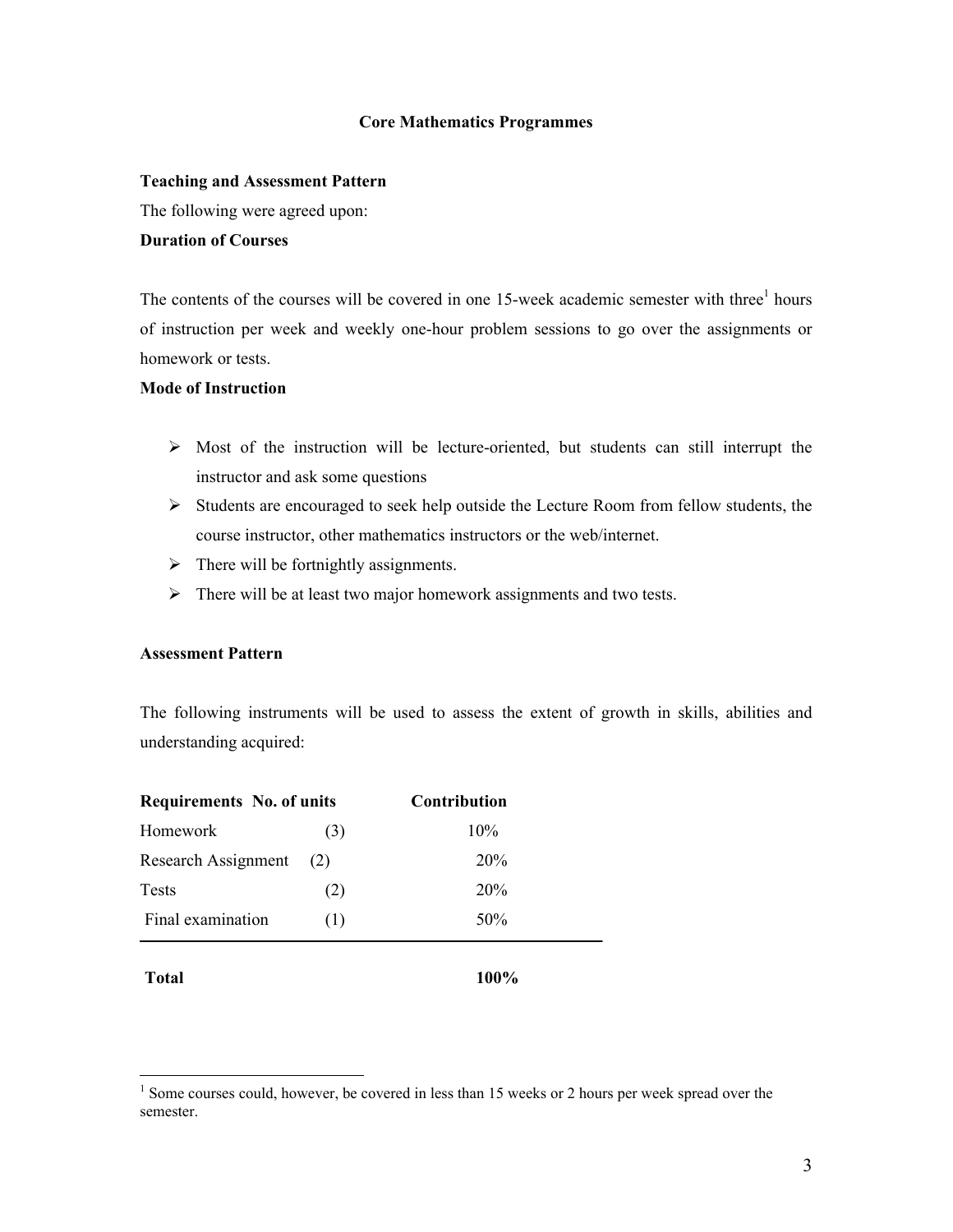#### **Core Mathematics Programmes**

#### **Teaching and Assessment Pattern**

The following were agreed upon:

#### **Duration of Courses**

The contents of the courses will be covered in one 15-week academic semester with three<sup>1</sup> hours of instruction per week and weekly one-hour problem sessions to go over the assignments or homework or tests.

#### **Mode of Instruction**

- $\triangleright$  Most of the instruction will be lecture-oriented, but students can still interrupt the instructor and ask some questions
- $\triangleright$  Students are encouraged to seek help outside the Lecture Room from fellow students, the course instructor, other mathematics instructors or the web/internet.
- $\triangleright$  There will be fortnightly assignments.
- $\triangleright$  There will be at least two major homework assignments and two tests.

#### **Assessment Pattern**

The following instruments will be used to assess the extent of growth in skills, abilities and understanding acquired:

| <b>Requirements No. of units</b> |     | <b>Contribution</b> |  |
|----------------------------------|-----|---------------------|--|
| Homework                         | (3) | 10%                 |  |
| Research Assignment              | (2) | <b>20%</b>          |  |
| Tests                            | (2) | <b>20%</b>          |  |
| Final examination                | (1) | 50%                 |  |
|                                  |     |                     |  |

**Total 100%**

 $\frac{1}{1}$  $1$  Some courses could, however, be covered in less than 15 weeks or 2 hours per week spread over the semester.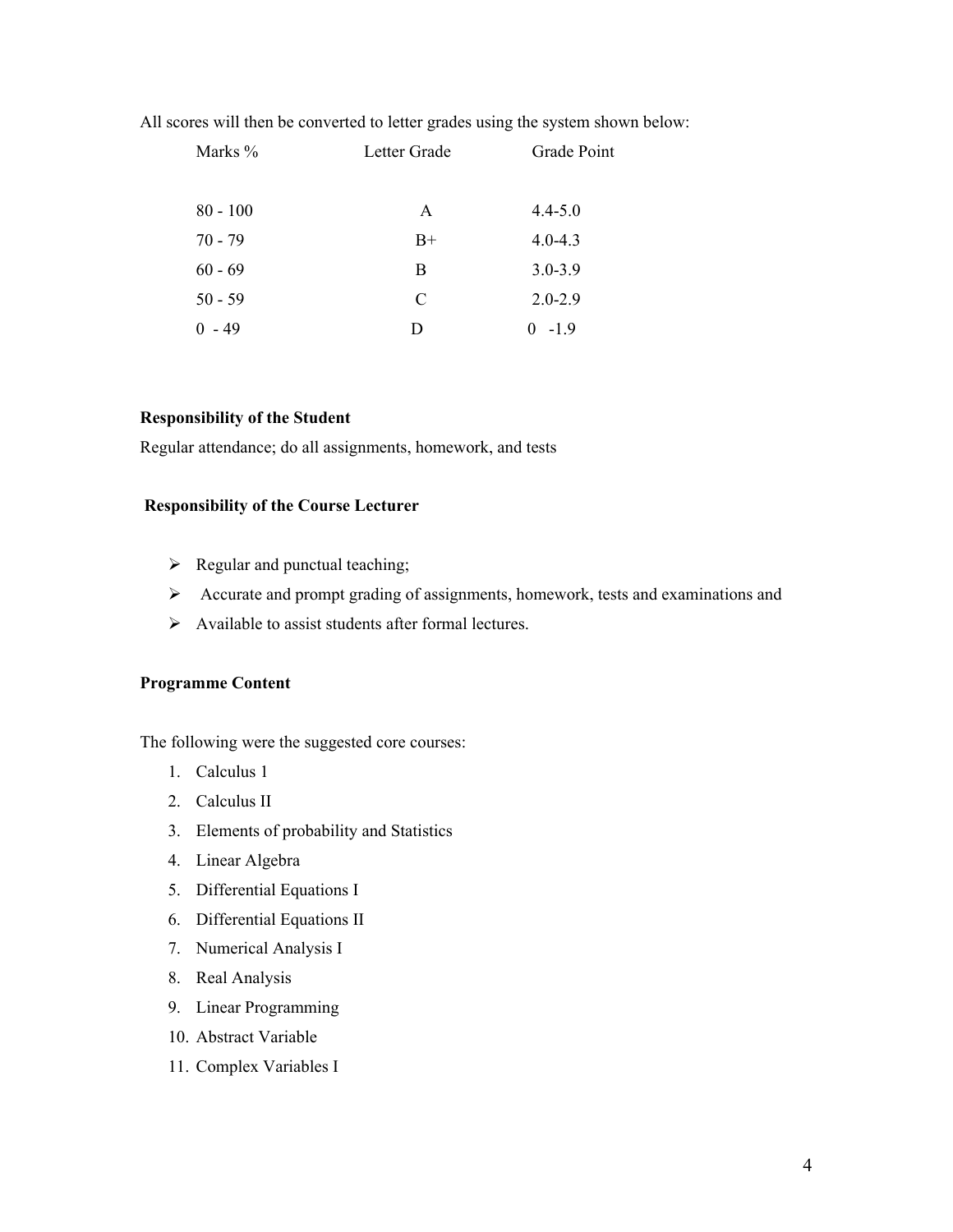All scores will then be converted to letter grades using the system shown below:

| Marks %    | Letter Grade | Grade Point |
|------------|--------------|-------------|
| $80 - 100$ | A            | $4.4 - 5.0$ |
| $70 - 79$  | $B+$         | $4.0 - 4.3$ |
| $60 - 69$  | B            | $3.0 - 3.9$ |
| $50 - 59$  | C            | $2.0 - 2.9$ |
| - 49       | D            | $-1.9$<br>0 |

#### **Responsibility of the Student**

Regular attendance; do all assignments, homework, and tests

#### **Responsibility of the Course Lecturer**

- $\triangleright$  Regular and punctual teaching;
- Accurate and prompt grading of assignments, homework, tests and examinations and
- $\triangleright$  Available to assist students after formal lectures.

#### **Programme Content**

The following were the suggested core courses:

- 1. Calculus 1
- 2. Calculus II
- 3. Elements of probability and Statistics
- 4. Linear Algebra
- 5. Differential Equations I
- 6. Differential Equations II
- 7. Numerical Analysis I
- 8. Real Analysis
- 9. Linear Programming
- 10. Abstract Variable
- 11. Complex Variables I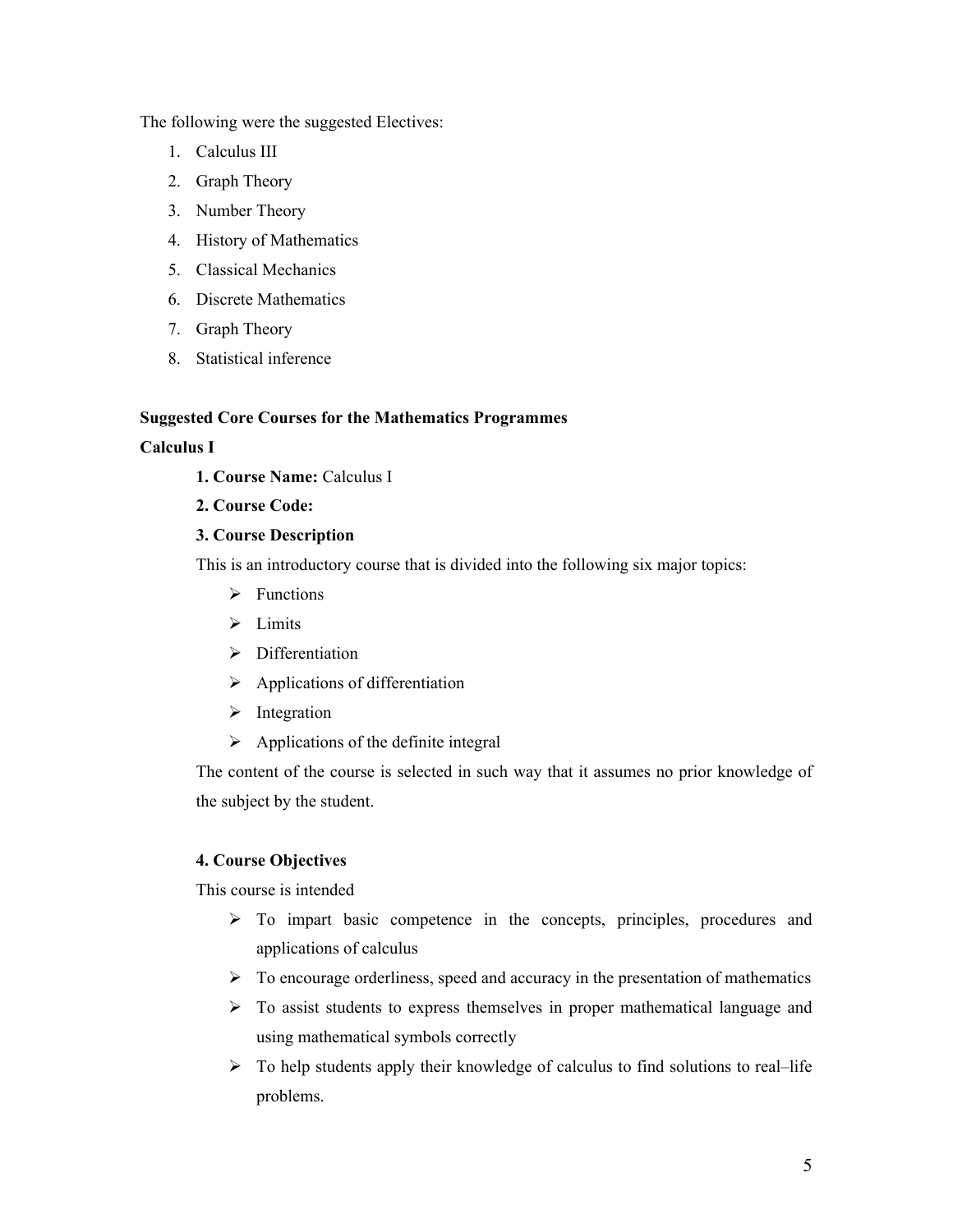The following were the suggested Electives:

- 1. Calculus III
- 2. Graph Theory
- 3. Number Theory
- 4. History of Mathematics
- 5. Classical Mechanics
- 6. Discrete Mathematics
- 7. Graph Theory
- 8. Statistical inference

#### **Suggested Core Courses for the Mathematics Programmes**

#### **Calculus I**

- **1. Course Name:** Calculus I
- **2. Course Code:**

# **3. Course Description**

This is an introductory course that is divided into the following six major topics:

- $\triangleright$  Functions
- $\triangleright$  Limits
- $\triangleright$  Differentiation
- $\triangleright$  Applications of differentiation
- $\triangleright$  Integration
- $\triangleright$  Applications of the definite integral

The content of the course is selected in such way that it assumes no prior knowledge of the subject by the student.

#### **4. Course Objectives**

This course is intended

- $\triangleright$  To impart basic competence in the concepts, principles, procedures and applications of calculus
- $\triangleright$  To encourage orderliness, speed and accuracy in the presentation of mathematics
- $\triangleright$  To assist students to express themselves in proper mathematical language and using mathematical symbols correctly
- $\triangleright$  To help students apply their knowledge of calculus to find solutions to real–life problems.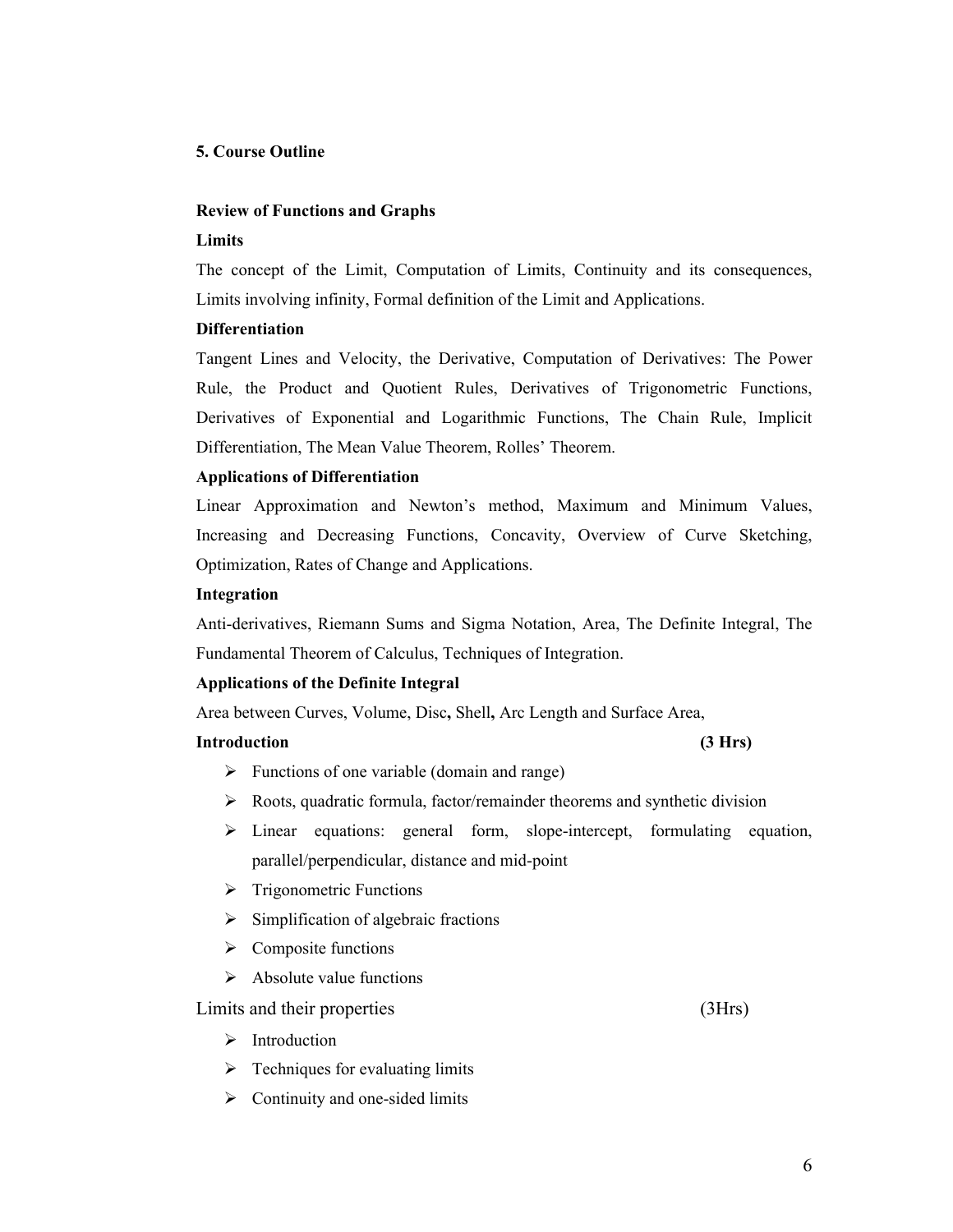#### **5. Course Outline**

#### **Review of Functions and Graphs**

#### **Limits**

The concept of the Limit, Computation of Limits, Continuity and its consequences, Limits involving infinity, Formal definition of the Limit and Applications.

#### **Differentiation**

Tangent Lines and Velocity, the Derivative, Computation of Derivatives: The Power Rule, the Product and Quotient Rules, Derivatives of Trigonometric Functions, Derivatives of Exponential and Logarithmic Functions, The Chain Rule, Implicit Differentiation, The Mean Value Theorem, Rolles' Theorem.

#### **Applications of Differentiation**

Linear Approximation and Newton's method, Maximum and Minimum Values, Increasing and Decreasing Functions, Concavity, Overview of Curve Sketching, Optimization, Rates of Change and Applications.

#### **Integration**

Anti-derivatives, Riemann Sums and Sigma Notation, Area, The Definite Integral, The Fundamental Theorem of Calculus, Techniques of Integration.

#### **Applications of the Definite Integral**

Area between Curves, Volume, Disc**,** Shell**,** Arc Length and Surface Area,

#### **Introduction (3 Hrs)**

- $\triangleright$  Functions of one variable (domain and range)
- $\triangleright$  Roots, quadratic formula, factor/remainder theorems and synthetic division
- $\triangleright$  Linear equations: general form, slope-intercept, formulating equation, parallel/perpendicular, distance and mid-point
- $\triangleright$  Trigonometric Functions
- $\triangleright$  Simplification of algebraic fractions
- $\triangleright$  Composite functions
- $\triangleright$  Absolute value functions

Limits and their properties (3Hrs)

- $\triangleright$  Introduction
- $\triangleright$  Techniques for evaluating limits
- $\triangleright$  Continuity and one-sided limits

6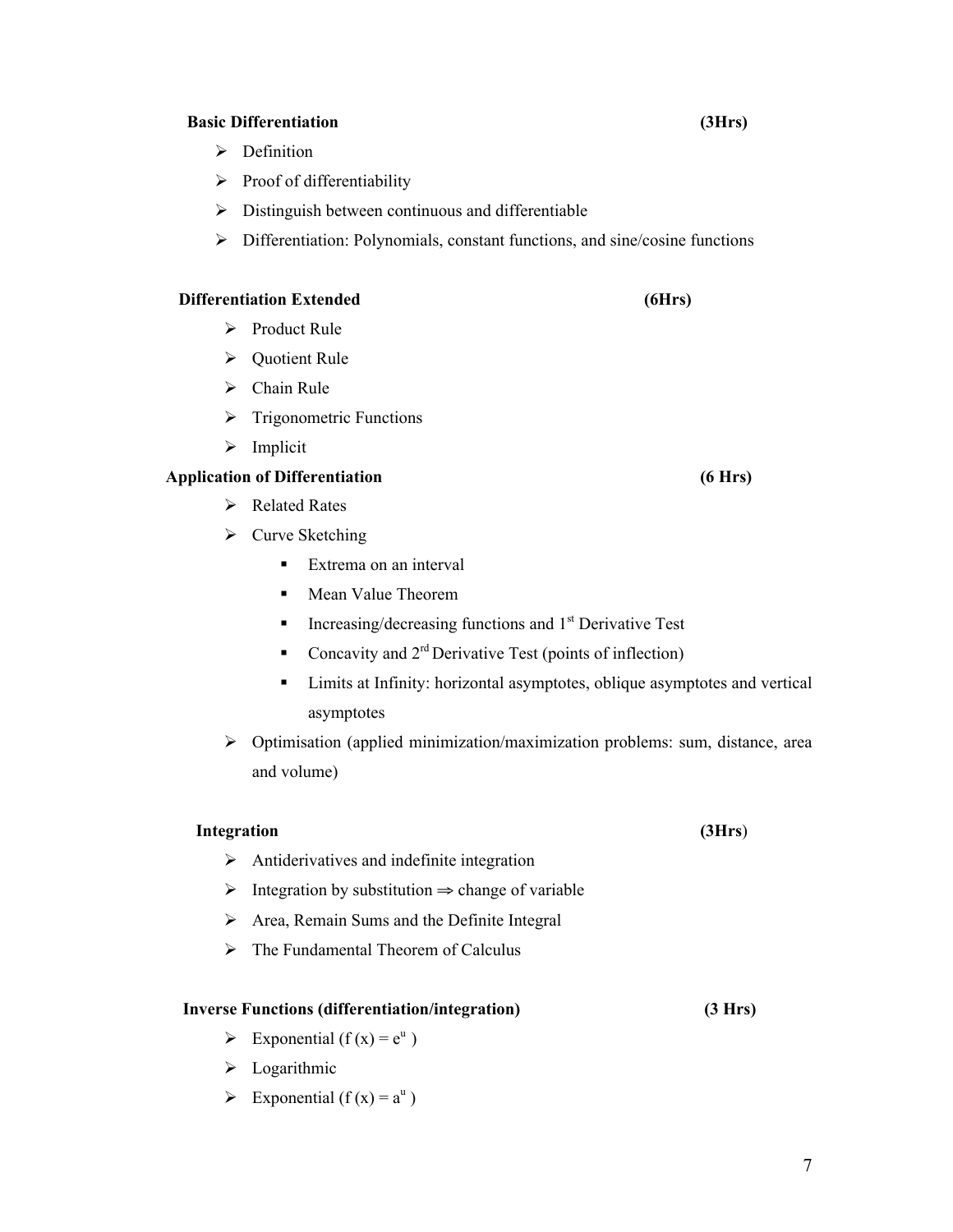#### **Basic Differentiation (3Hrs)**

- $\triangleright$  Definition
- $\triangleright$  Proof of differentiability
- $\triangleright$  Distinguish between continuous and differentiable
- $\triangleright$  Differentiation: Polynomials, constant functions, and sine/cosine functions

# **Differentiation Extended (6Hrs)**

- $\triangleright$  Product Rule
- **►** Quotient Rule
- $\triangleright$  Chain Rule
- $\triangleright$  Trigonometric Functions
- $\triangleright$  Implicit

# **Application of Differentiation (6 Hrs)**

- **►** Related Rates
- $\triangleright$  Curve Sketching
	- **Extrema on an interval**
	- **Mean Value Theorem**
	- Increasing/decreasing functions and  $1<sup>st</sup>$  Derivative Test
	- Concavity and  $2<sup>rd</sup>$  Derivative Test (points of inflection)
	- **EXECUTE:** Limits at Infinity: horizontal asymptotes, oblique asymptotes and vertical asymptotes
- $\triangleright$  Optimisation (applied minimization/maximization problems: sum, distance, area and volume)

#### **Integration (3Hrs**)

- $\triangleright$  Antiderivatives and indefinite integration
- $\triangleright$  Integration by substitution  $\Rightarrow$  change of variable
- $\triangleright$  Area, Remain Sums and the Definite Integral
- $\triangleright$  The Fundamental Theorem of Calculus

#### **Inverse Functions (differentiation/integration) (3 Hrs)**

- $\triangleright$  Exponential (f(x) =  $e^u$ )
- $\blacktriangleright$  Logarithmic
- Exponential ( $f(x) = a^u$ )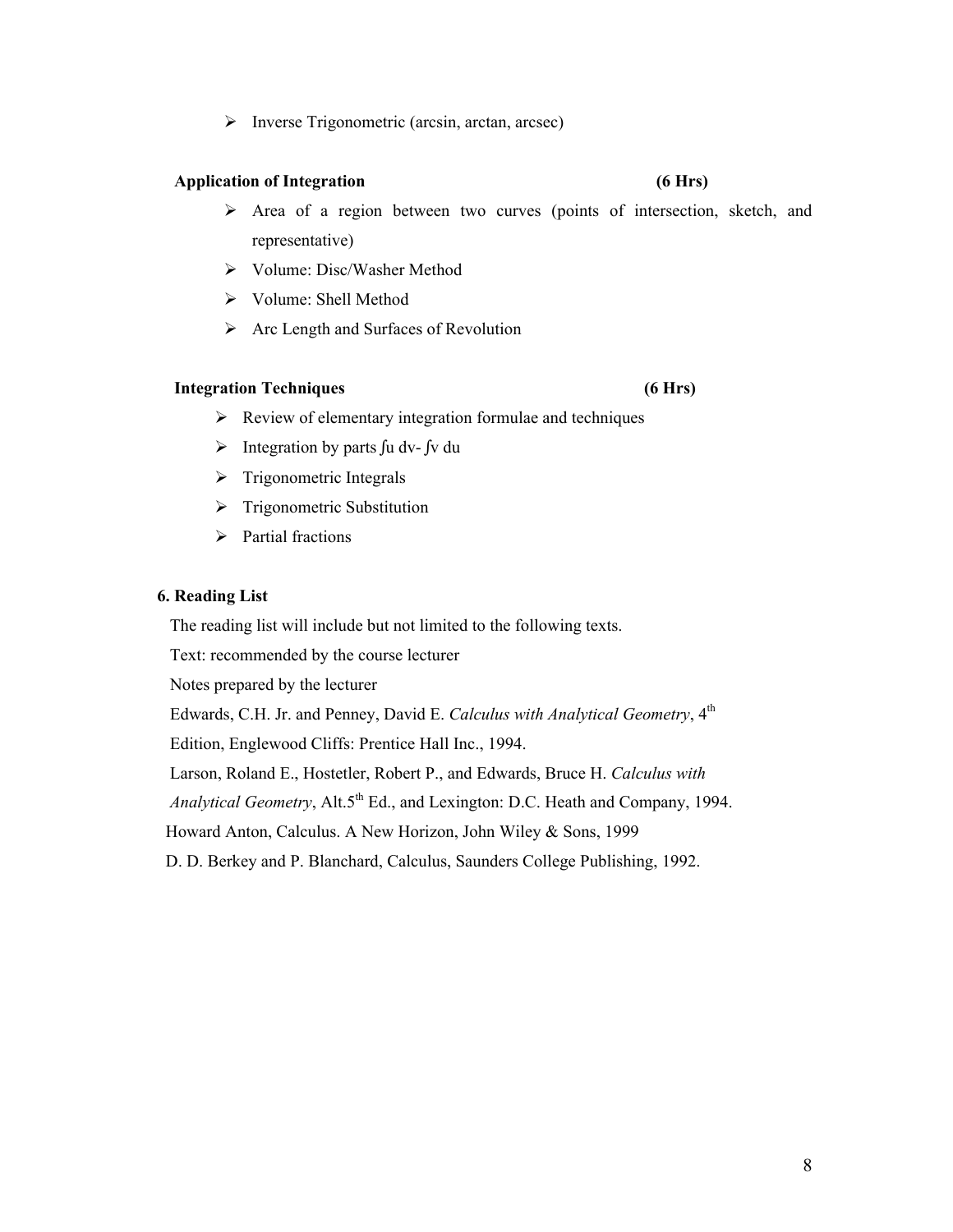$\triangleright$  Inverse Trigonometric (arcsin, arctan, arcsec)

#### **Application of Integration (6 Hrs)**

- Area of a region between two curves (points of intersection, sketch, and representative)
- Volume: Disc/Washer Method
- Volume: Shell Method
- Arc Length and Surfaces of Revolution

#### **Integration Techniques (6 Hrs)**

- $\triangleright$  Review of elementary integration formulae and techniques
- Integration by parts ∫u dv- ∫v du
- $\triangleright$  Trigonometric Integrals
- $\triangleright$  Trigonometric Substitution
- > Partial fractions

#### **6. Reading List**

The reading list will include but not limited to the following texts.

Text: recommended by the course lecturer

Notes prepared by the lecturer

Edwards, C.H. Jr. and Penney, David E. *Calculus with Analytical Geometry*, 4th

Edition, Englewood Cliffs: Prentice Hall Inc., 1994.

Larson, Roland E., Hostetler, Robert P., and Edwards, Bruce H. *Calculus with* 

*Analytical Geometry*, Alt.5<sup>th</sup> Ed., and Lexington: D.C. Heath and Company, 1994.

Howard Anton, Calculus. A New Horizon, John Wiley & Sons, 1999

D. D. Berkey and P. Blanchard, Calculus, Saunders College Publishing, 1992.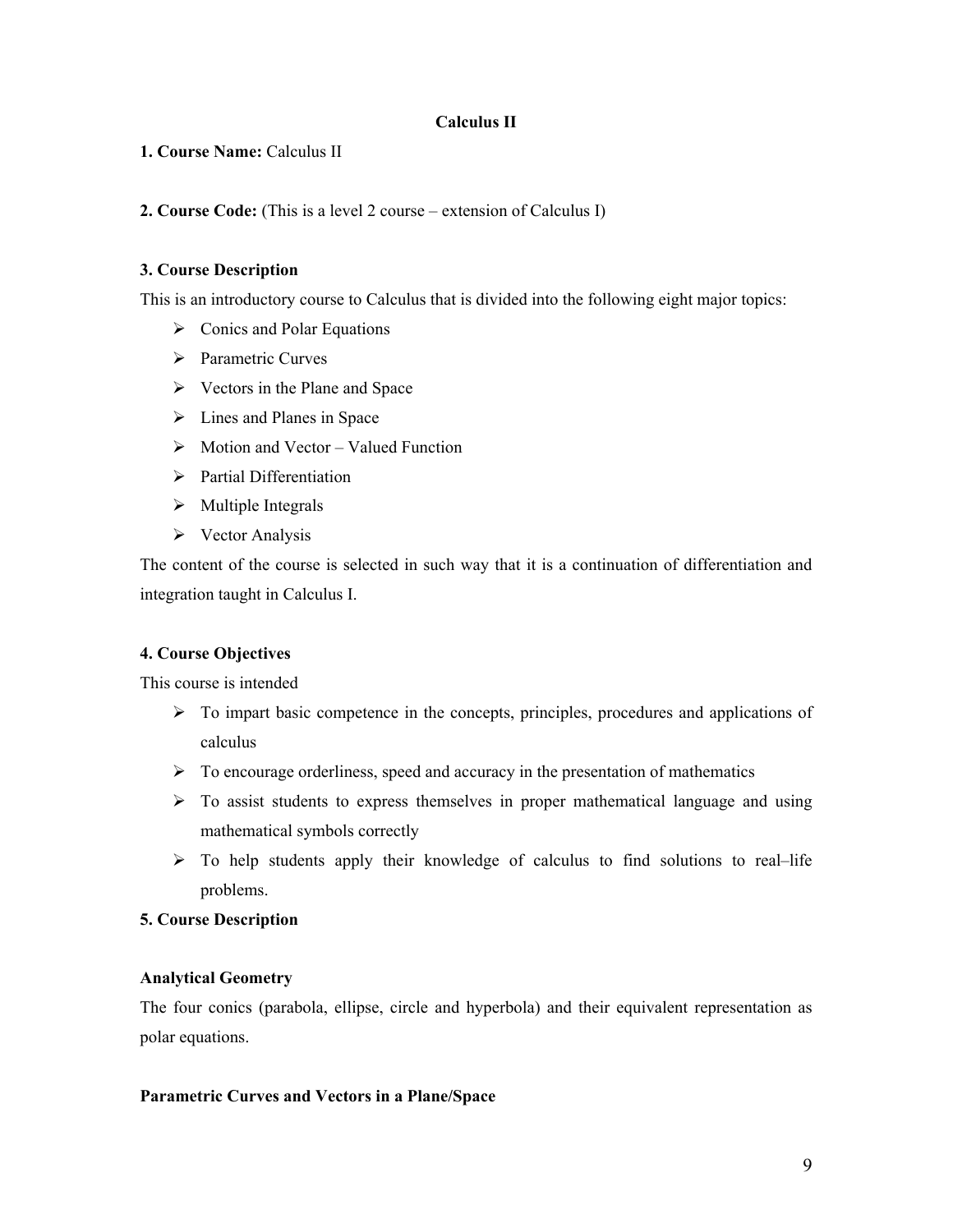#### **Calculus II**

**1. Course Name:** Calculus II

**2. Course Code:** (This is a level 2 course – extension of Calculus I)

# **3. Course Description**

This is an introductory course to Calculus that is divided into the following eight major topics:

- $\triangleright$  Conics and Polar Equations
- $\triangleright$  Parametric Curves
- $\triangleright$  Vectors in the Plane and Space
- $\triangleright$  Lines and Planes in Space
- $\triangleright$  Motion and Vector Valued Function
- $\triangleright$  Partial Differentiation
- $\triangleright$  Multiple Integrals
- $\triangleright$  Vector Analysis

The content of the course is selected in such way that it is a continuation of differentiation and integration taught in Calculus I.

#### **4. Course Objectives**

This course is intended

- $\triangleright$  To impart basic competence in the concepts, principles, procedures and applications of calculus
- $\triangleright$  To encourage orderliness, speed and accuracy in the presentation of mathematics
- $\triangleright$  To assist students to express themselves in proper mathematical language and using mathematical symbols correctly
- $\triangleright$  To help students apply their knowledge of calculus to find solutions to real–life problems.

# **5. Course Description**

#### **Analytical Geometry**

The four conics (parabola, ellipse, circle and hyperbola) and their equivalent representation as polar equations.

#### **Parametric Curves and Vectors in a Plane/Space**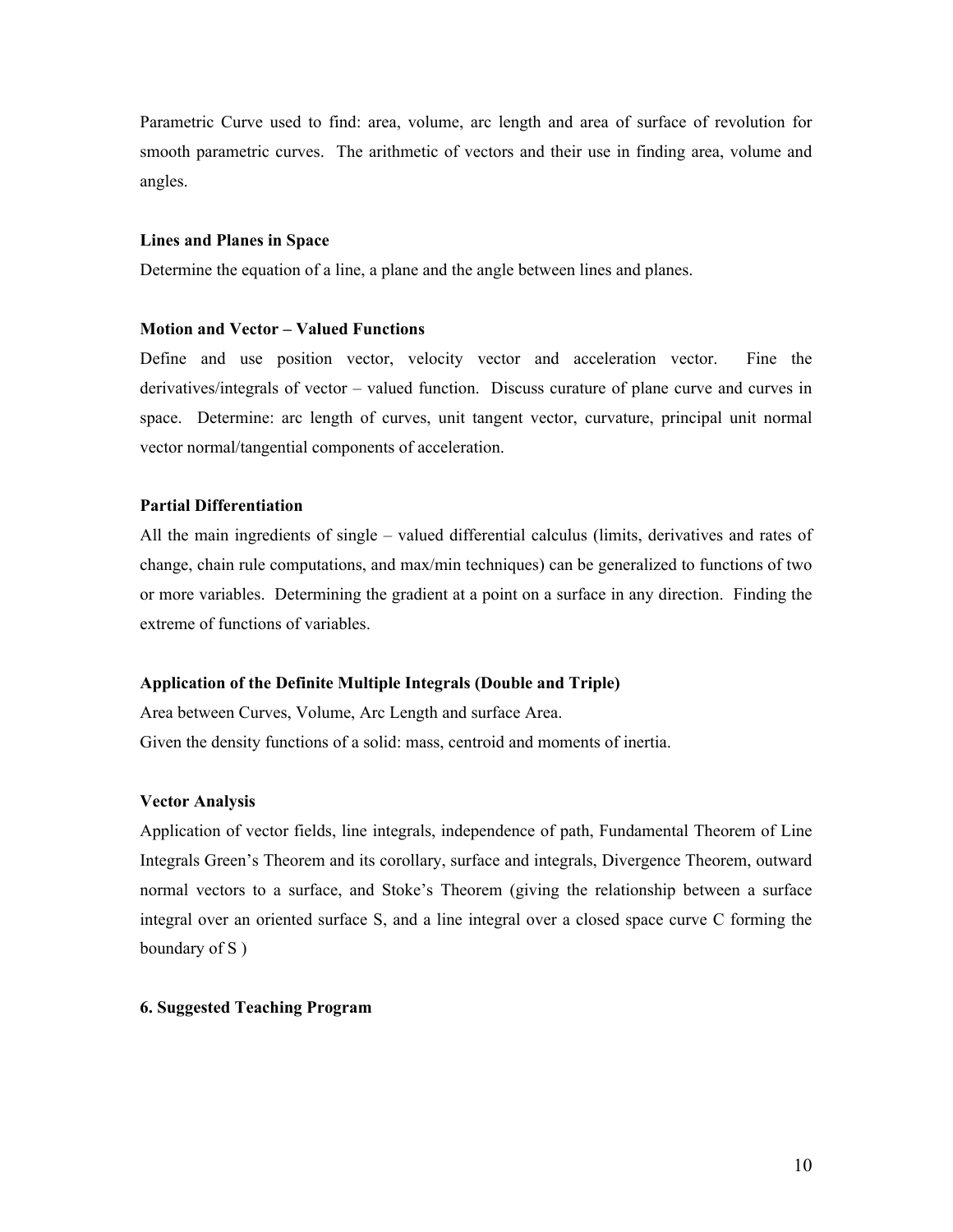Parametric Curve used to find: area, volume, arc length and area of surface of revolution for smooth parametric curves. The arithmetic of vectors and their use in finding area, volume and angles.

#### **Lines and Planes in Space**

Determine the equation of a line, a plane and the angle between lines and planes.

#### **Motion and Vector – Valued Functions**

Define and use position vector, velocity vector and acceleration vector. Fine the derivatives/integrals of vector – valued function. Discuss curature of plane curve and curves in space. Determine: arc length of curves, unit tangent vector, curvature, principal unit normal vector normal/tangential components of acceleration.

#### **Partial Differentiation**

All the main ingredients of single – valued differential calculus (limits, derivatives and rates of change, chain rule computations, and max/min techniques) can be generalized to functions of two or more variables. Determining the gradient at a point on a surface in any direction. Finding the extreme of functions of variables.

#### **Application of the Definite Multiple Integrals (Double and Triple)**

Area between Curves, Volume, Arc Length and surface Area. Given the density functions of a solid: mass, centroid and moments of inertia.

#### **Vector Analysis**

Application of vector fields, line integrals, independence of path, Fundamental Theorem of Line Integrals Green's Theorem and its corollary, surface and integrals, Divergence Theorem, outward normal vectors to a surface, and Stoke's Theorem (giving the relationship between a surface integral over an oriented surface S, and a line integral over a closed space curve C forming the boundary of S )

#### **6. Suggested Teaching Program**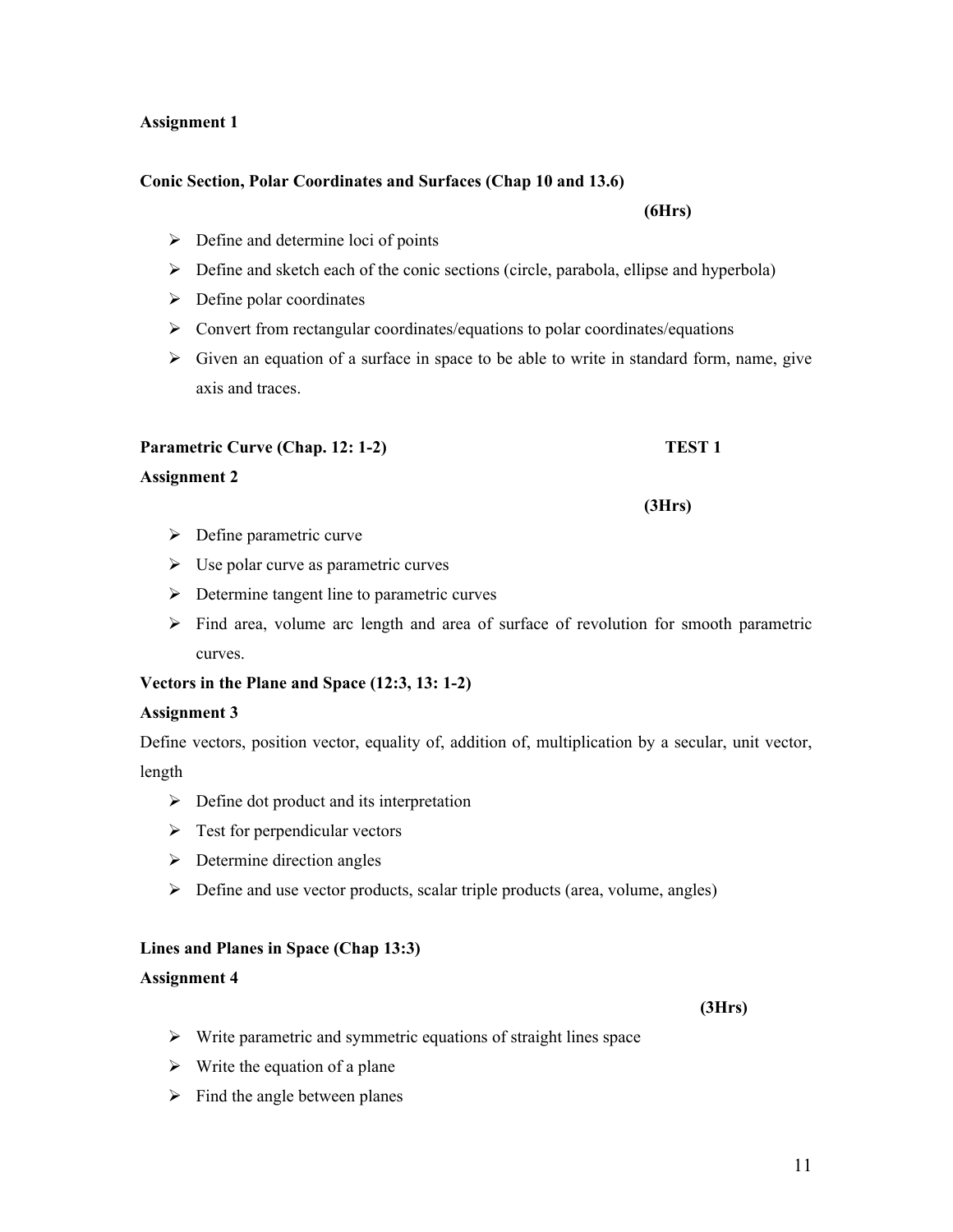# **Assignment 1**

# **Conic Section, Polar Coordinates and Surfaces (Chap 10 and 13.6)**

- $\triangleright$  Define and determine loci of points
- $\triangleright$  Define and sketch each of the conic sections (circle, parabola, ellipse and hyperbola)
- $\triangleright$  Define polar coordinates
- $\triangleright$  Convert from rectangular coordinates/equations to polar coordinates/equations
- $\triangleright$  Given an equation of a surface in space to be able to write in standard form, name, give axis and traces.

# **Parametric Curve (Chap. 12: 1-2)** TEST 1

# **Assignment 2**

- $\triangleright$  Define parametric curve
- $\triangleright$  Use polar curve as parametric curves
- $\triangleright$  Determine tangent line to parametric curves
- $\triangleright$  Find area, volume arc length and area of surface of revolution for smooth parametric curves.

# **Vectors in the Plane and Space (12:3, 13: 1-2)**

# **Assignment 3**

Define vectors, position vector, equality of, addition of, multiplication by a secular, unit vector, length

- $\triangleright$  Define dot product and its interpretation
- $\triangleright$  Test for perpendicular vectors
- $\triangleright$  Determine direction angles
- $\triangleright$  Define and use vector products, scalar triple products (area, volume, angles)

# **Lines and Planes in Space (Chap 13:3)**

#### **Assignment 4**

- $\triangleright$  Write parametric and symmetric equations of straight lines space
- $\triangleright$  Write the equation of a plane
- $\triangleright$  Find the angle between planes

#### **(3Hrs)**

**(3Hrs)**

**(6Hrs)**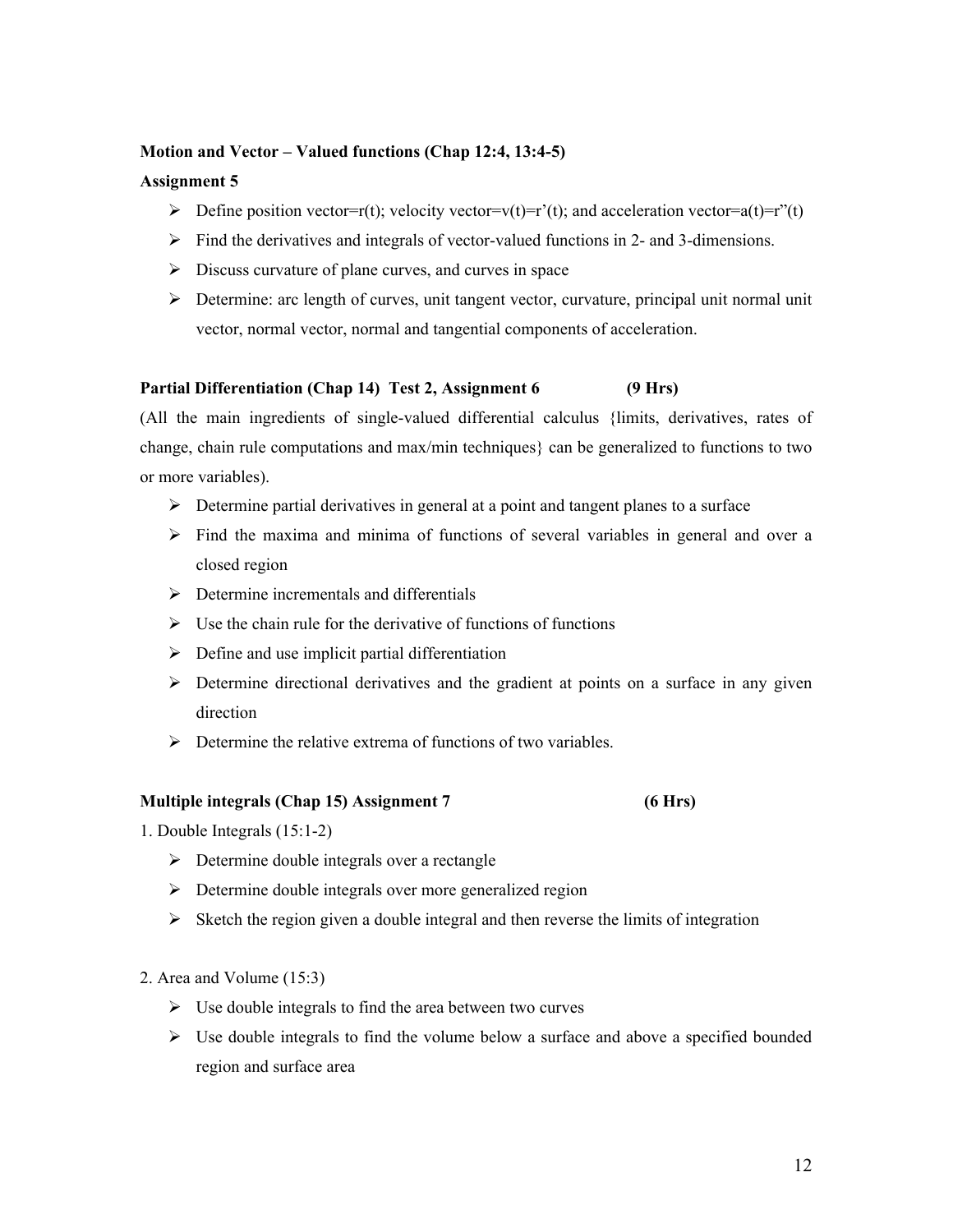#### **Motion and Vector – Valued functions (Chap 12:4, 13:4-5)**

#### **Assignment 5**

- $\triangleright$  Define position vector=r(t); velocity vector=v(t)=r'(t); and acceleration vector=a(t)=r''(t)
- $\triangleright$  Find the derivatives and integrals of vector-valued functions in 2- and 3-dimensions.
- $\triangleright$  Discuss curvature of plane curves, and curves in space
- $\triangleright$  Determine: arc length of curves, unit tangent vector, curvature, principal unit normal unit vector, normal vector, normal and tangential components of acceleration.

# **Partial Differentiation (Chap 14) Test 2, Assignment 6 (9 Hrs)**

(All the main ingredients of single-valued differential calculus {limits, derivatives, rates of change, chain rule computations and max/min techniques} can be generalized to functions to two or more variables).

- $\triangleright$  Determine partial derivatives in general at a point and tangent planes to a surface
- $\triangleright$  Find the maxima and minima of functions of several variables in general and over a closed region
- $\triangleright$  Determine incrementals and differentials
- $\triangleright$  Use the chain rule for the derivative of functions of functions
- $\triangleright$  Define and use implicit partial differentiation
- $\triangleright$  Determine directional derivatives and the gradient at points on a surface in any given direction
- $\triangleright$  Determine the relative extrema of functions of two variables.

#### **Multiple integrals (Chap 15) Assignment 7 (6 Hrs)**

- 1. Double Integrals (15:1-2)
	- $\triangleright$  Determine double integrals over a rectangle
	- $\triangleright$  Determine double integrals over more generalized region
	- $\triangleright$  Sketch the region given a double integral and then reverse the limits of integration
- 2. Area and Volume (15:3)
	- $\triangleright$  Use double integrals to find the area between two curves
	- $\triangleright$  Use double integrals to find the volume below a surface and above a specified bounded region and surface area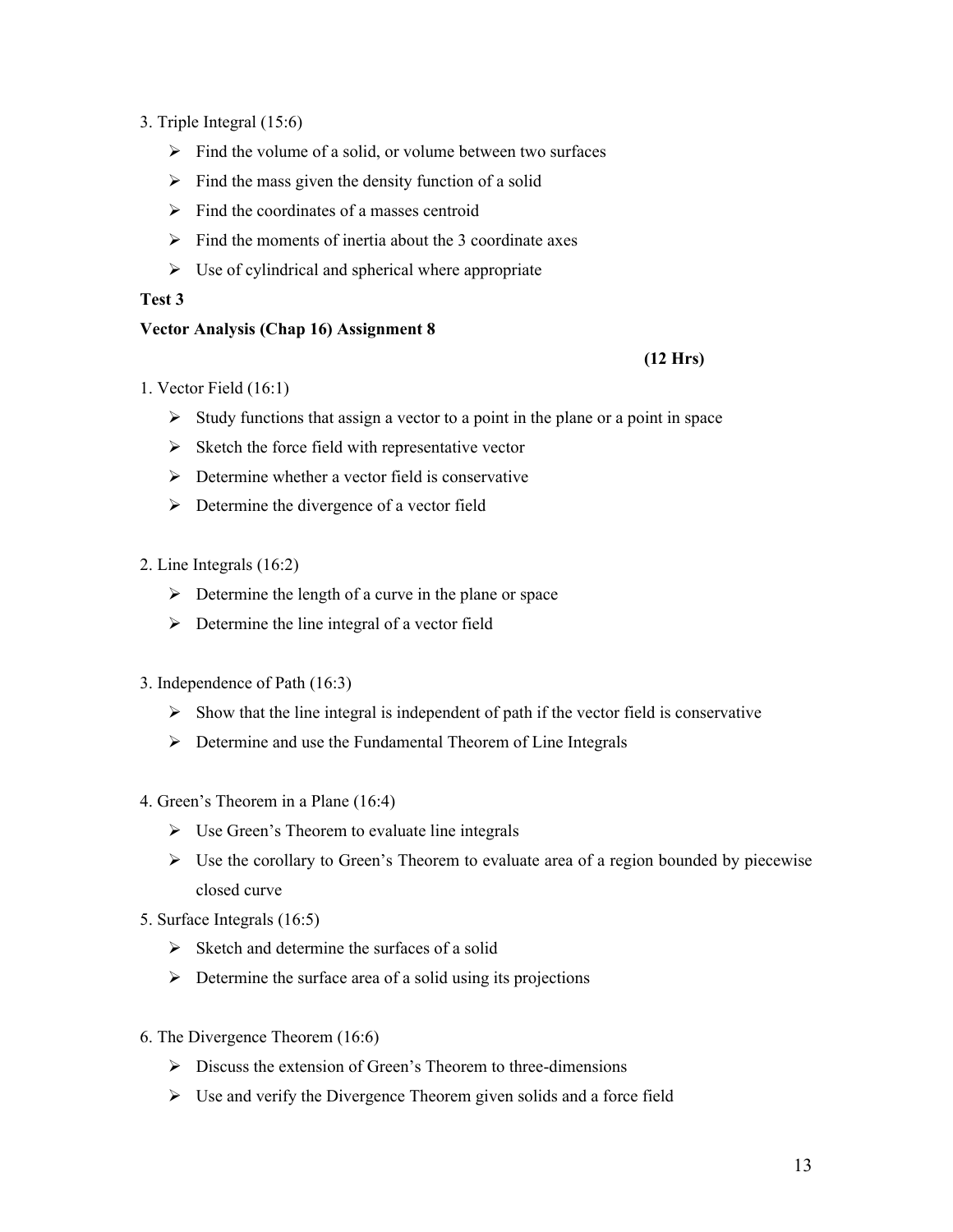- 3. Triple Integral (15:6)
	- $\triangleright$  Find the volume of a solid, or volume between two surfaces
	- $\triangleright$  Find the mass given the density function of a solid
	- $\triangleright$  Find the coordinates of a masses centroid
	- $\triangleright$  Find the moments of inertia about the 3 coordinate axes
	- $\triangleright$  Use of cylindrical and spherical where appropriate

#### **Test 3**

# **Vector Analysis (Chap 16) Assignment 8**

# **(12 Hrs)**

- 1. Vector Field (16:1)
	- $\triangleright$  Study functions that assign a vector to a point in the plane or a point in space
	- $\triangleright$  Sketch the force field with representative vector
	- $\triangleright$  Determine whether a vector field is conservative
	- $\triangleright$  Determine the divergence of a vector field
- 2. Line Integrals (16:2)
	- $\triangleright$  Determine the length of a curve in the plane or space
	- $\triangleright$  Determine the line integral of a vector field
- 3. Independence of Path (16:3)
	- $\triangleright$  Show that the line integral is independent of path if the vector field is conservative
	- $\triangleright$  Determine and use the Fundamental Theorem of Line Integrals
- 4. Green's Theorem in a Plane (16:4)
	- $\triangleright$  Use Green's Theorem to evaluate line integrals
	- $\triangleright$  Use the corollary to Green's Theorem to evaluate area of a region bounded by piecewise closed curve
- 5. Surface Integrals (16:5)
	- $\triangleright$  Sketch and determine the surfaces of a solid
	- $\triangleright$  Determine the surface area of a solid using its projections
- 6. The Divergence Theorem (16:6)
	- $\triangleright$  Discuss the extension of Green's Theorem to three-dimensions
	- $\triangleright$  Use and verify the Divergence Theorem given solids and a force field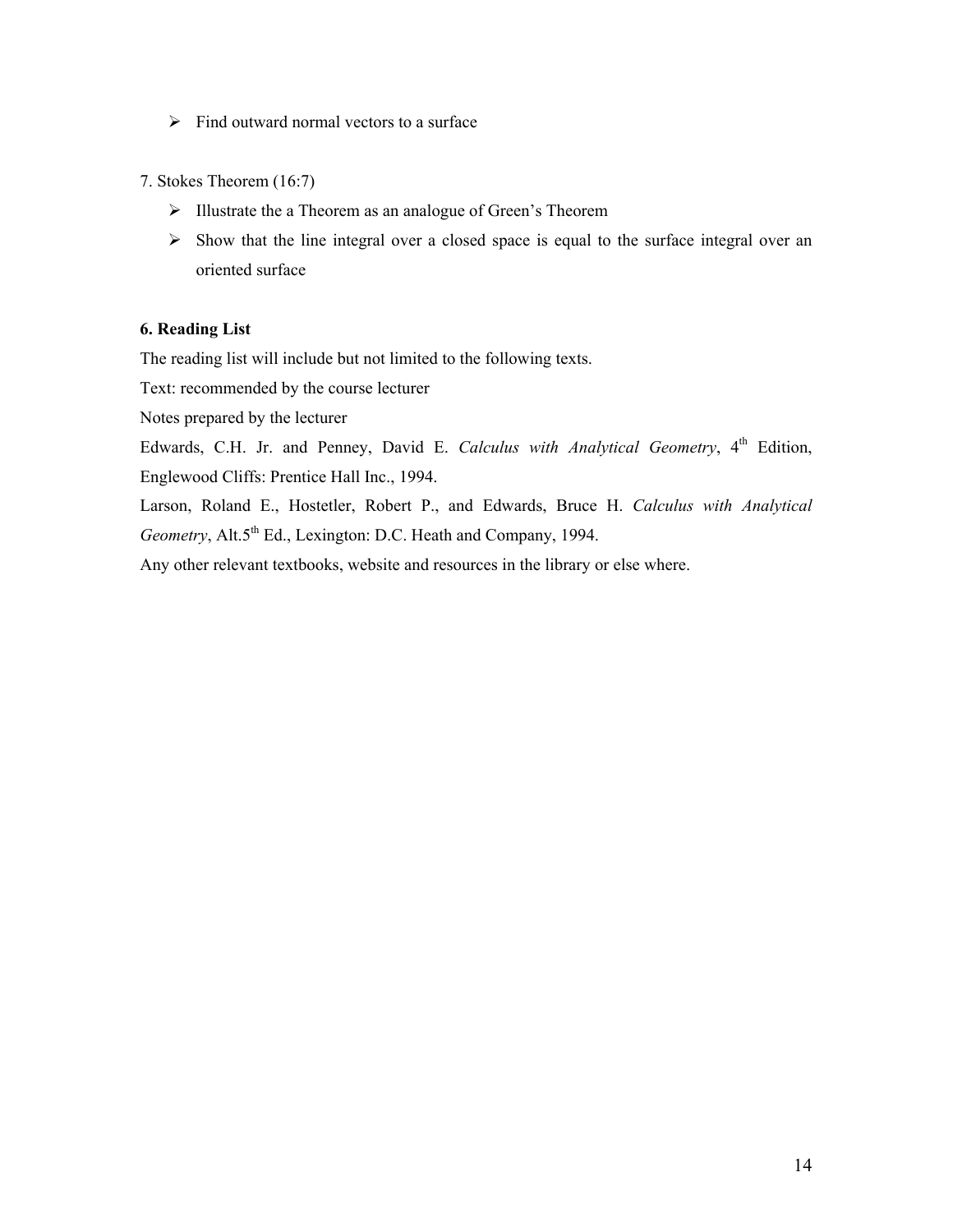- $\triangleright$  Find outward normal vectors to a surface
- 7. Stokes Theorem (16:7)
	- Illustrate the a Theorem as an analogue of Green's Theorem
	- $\triangleright$  Show that the line integral over a closed space is equal to the surface integral over an oriented surface

#### **6. Reading List**

The reading list will include but not limited to the following texts.

Text: recommended by the course lecturer

Notes prepared by the lecturer

Edwards, C.H. Jr. and Penney, David E. *Calculus with Analytical Geometry*, 4<sup>th</sup> Edition, Englewood Cliffs: Prentice Hall Inc., 1994.

Larson, Roland E., Hostetler, Robert P., and Edwards, Bruce H. *Calculus with Analytical Geometry*, Alt.5<sup>th</sup> Ed., Lexington: D.C. Heath and Company, 1994.

Any other relevant textbooks, website and resources in the library or else where.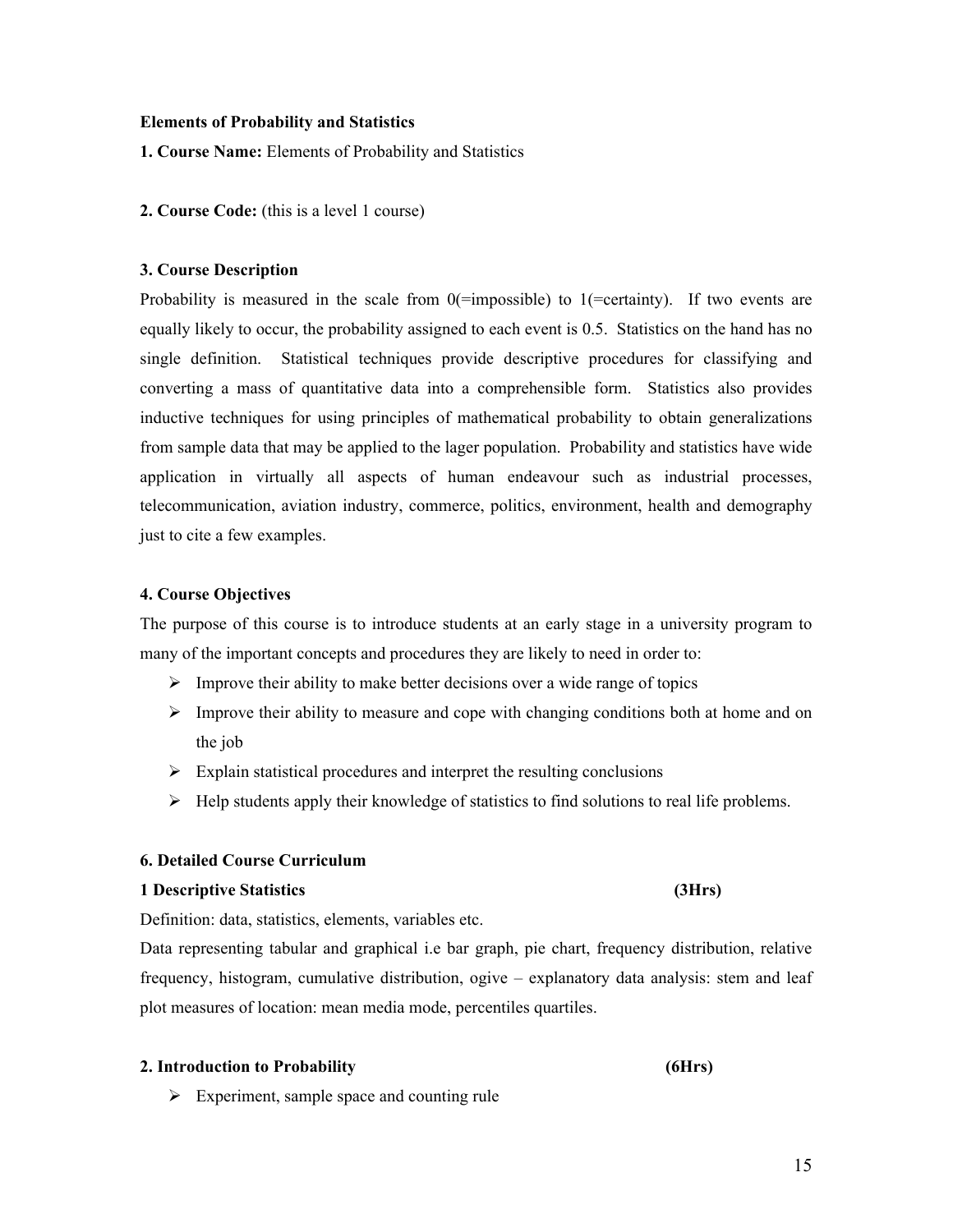#### **2. Course Code:** (this is a level 1 course)

**Elements of Probability and Statistics**

**1. Course Name:** Elements of Probability and Statistics

#### **3. Course Description**

Probability is measured in the scale from  $0$ (=impossible) to 1(=certainty). If two events are equally likely to occur, the probability assigned to each event is 0.5. Statistics on the hand has no single definition. Statistical techniques provide descriptive procedures for classifying and converting a mass of quantitative data into a comprehensible form. Statistics also provides inductive techniques for using principles of mathematical probability to obtain generalizations from sample data that may be applied to the lager population. Probability and statistics have wide application in virtually all aspects of human endeavour such as industrial processes, telecommunication, aviation industry, commerce, politics, environment, health and demography just to cite a few examples.

#### **4. Course Objectives**

The purpose of this course is to introduce students at an early stage in a university program to many of the important concepts and procedures they are likely to need in order to:

- $\triangleright$  Improve their ability to make better decisions over a wide range of topics
- $\triangleright$  Improve their ability to measure and cope with changing conditions both at home and on the job
- $\triangleright$  Explain statistical procedures and interpret the resulting conclusions
- $\triangleright$  Help students apply their knowledge of statistics to find solutions to real life problems.

# **6. Detailed Course Curriculum**

#### **1 Descriptive Statistics (3Hrs)**

Definition: data, statistics, elements, variables etc.

Data representing tabular and graphical i.e bar graph, pie chart, frequency distribution, relative frequency, histogram, cumulative distribution, ogive – explanatory data analysis: stem and leaf plot measures of location: mean media mode, percentiles quartiles.

#### **2. Introduction to Probability (6Hrs)**

 $\triangleright$  Experiment, sample space and counting rule

#### 15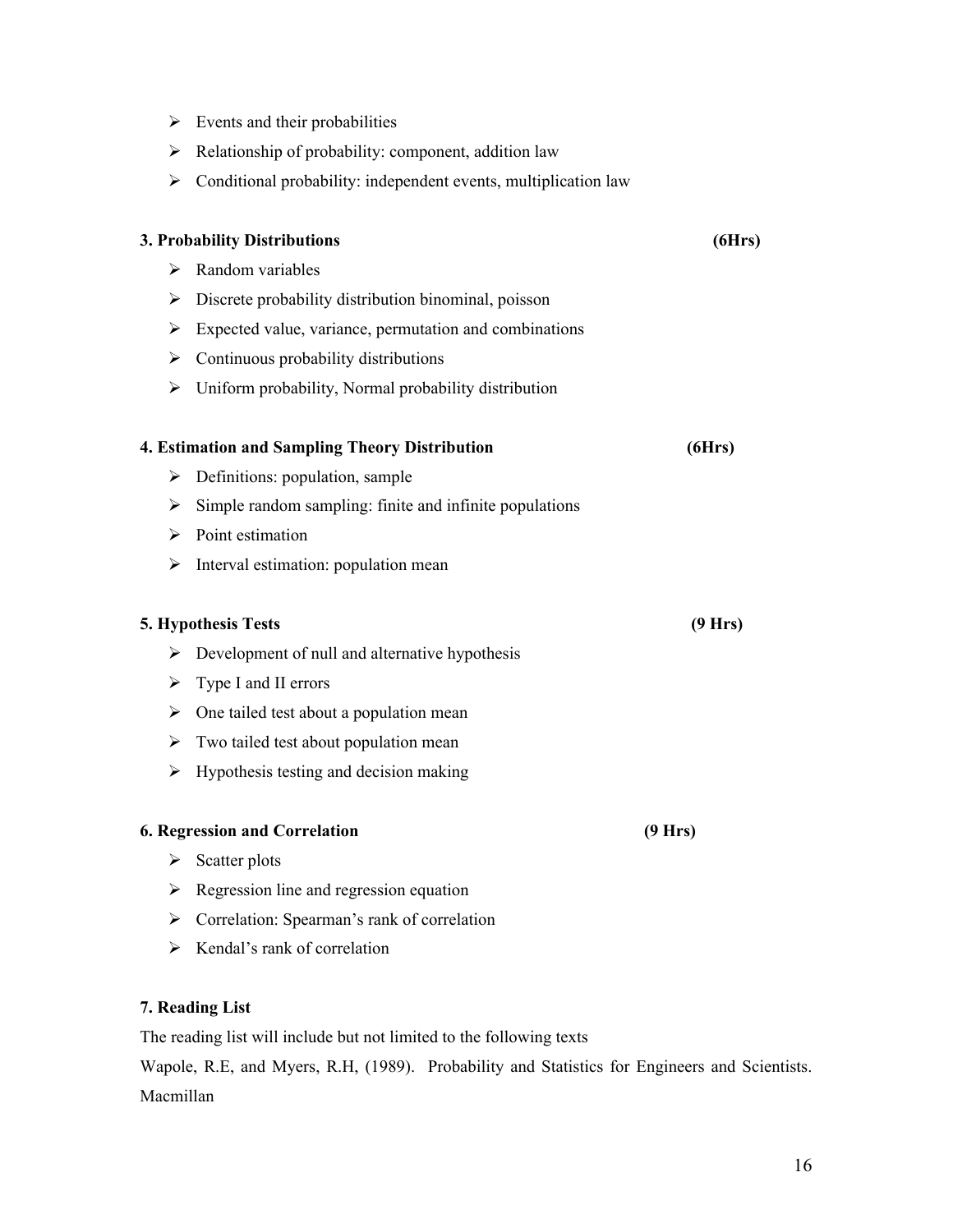- $\triangleright$  Events and their probabilities
- $\triangleright$  Relationship of probability: component, addition law
- $\triangleright$  Conditional probability: independent events, multiplication law

|                       | 3. Probability Distributions                            | (6Hrs)  |
|-----------------------|---------------------------------------------------------|---------|
| ⋗                     | Random variables                                        |         |
| ⋗                     | Discrete probability distribution binominal, poisson    |         |
| ➤                     | Expected value, variance, permutation and combinations  |         |
| ➤                     | Continuous probability distributions                    |         |
| ➤                     | Uniform probability, Normal probability distribution    |         |
|                       | 4. Estimation and Sampling Theory Distribution          | (6Hrs)  |
| ➤                     | Definitions: population, sample                         |         |
| ≻                     | Simple random sampling: finite and infinite populations |         |
| ➤                     | Point estimation                                        |         |
| ➤                     | Interval estimation: population mean                    |         |
|                       | 5. Hypothesis Tests                                     | (9 Hrs) |
| ➤                     | Development of null and alternative hypothesis          |         |
| ➤                     | Type I and II errors                                    |         |
| ➤                     | One tailed test about a population mean                 |         |
| ➤                     | Two tailed test about population mean                   |         |
| $\blacktriangleright$ | Hypothesis testing and decision making                  |         |
|                       | <b>6. Regression and Correlation</b>                    | (9 Hrs) |
| ➤                     | Scatter plots                                           |         |
| ➤                     | Regression line and regression equation                 |         |
| ➤                     | Correlation: Spearman's rank of correlation             |         |

 $\triangleright$  Kendal's rank of correlation

# **7. Reading List**

The reading list will include but not limited to the following texts

Wapole, R.E, and Myers, R.H, (1989). Probability and Statistics for Engineers and Scientists. Macmillan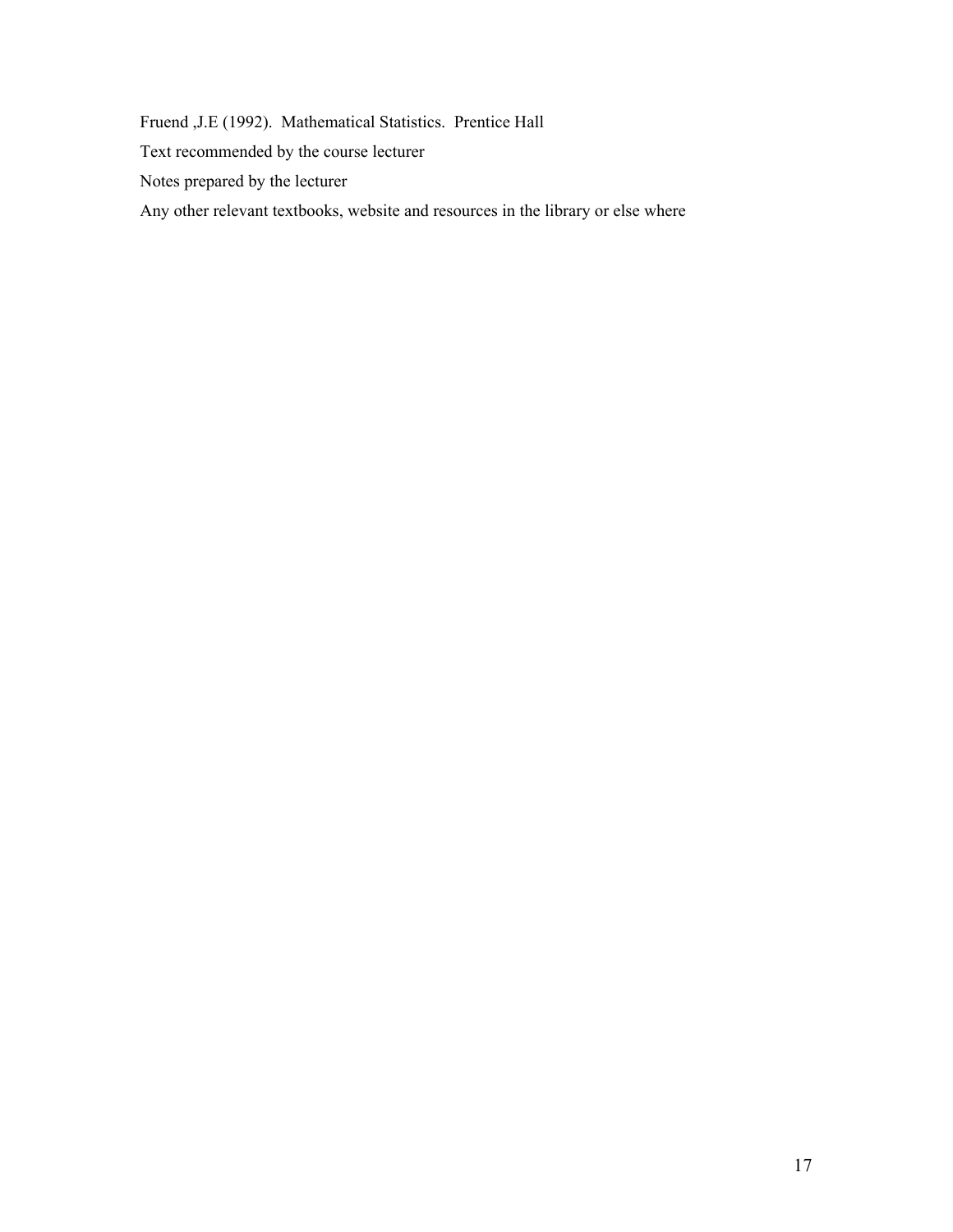Fruend ,J.E (1992). Mathematical Statistics. Prentice Hall Text recommended by the course lecturer Notes prepared by the lecturer Any other relevant textbooks, website and resources in the library or else where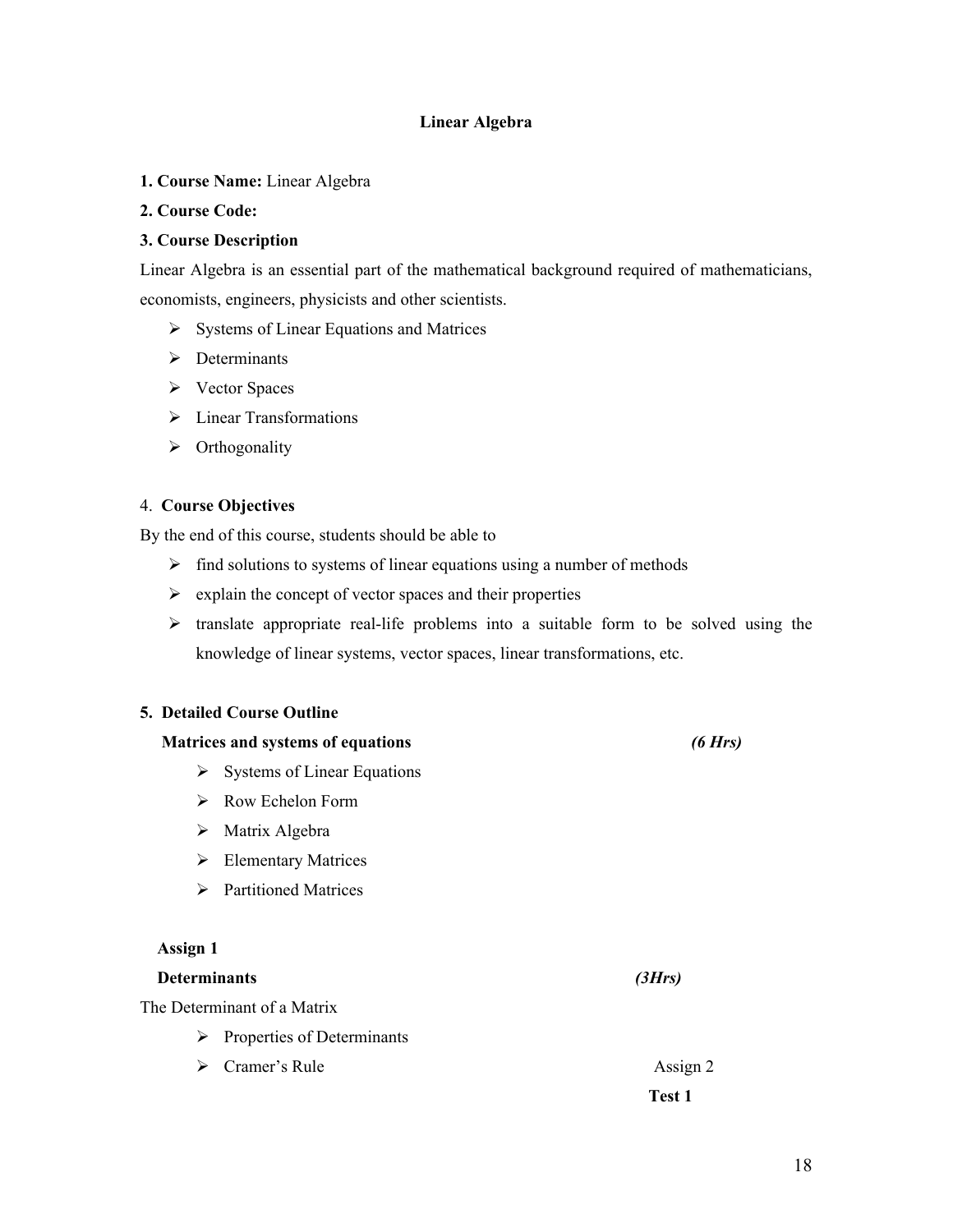#### **Linear Algebra**

**1. Course Name:** Linear Algebra

#### **2. Course Code:**

#### **3. Course Description**

Linear Algebra is an essential part of the mathematical background required of mathematicians, economists, engineers, physicists and other scientists.

- $\triangleright$  Systems of Linear Equations and Matrices
- $\triangleright$  Determinants
- $\triangleright$  Vector Spaces
- > Linear Transformations
- $\triangleright$  Orthogonality

#### 4. **Course Objectives**

By the end of this course, students should be able to

- $\triangleright$  find solutions to systems of linear equations using a number of methods
- $\triangleright$  explain the concept of vector spaces and their properties
- $\triangleright$  translate appropriate real-life problems into a suitable form to be solved using the knowledge of linear systems, vector spaces, linear transformations, etc.

#### **5. Detailed Course Outline**

# **Matrices and systems of equations** *(6 Hrs)*  $\triangleright$  Systems of Linear Equations Row Echelon Form  $\triangleright$  Matrix Algebra Elementary Matrices > Partitioned Matrices  **Assign 1 Determinants** *(3Hrs)* The Determinant of a Matrix  $\triangleright$  Properties of Determinants ► Cramer's Rule Assign 2  **Test 1**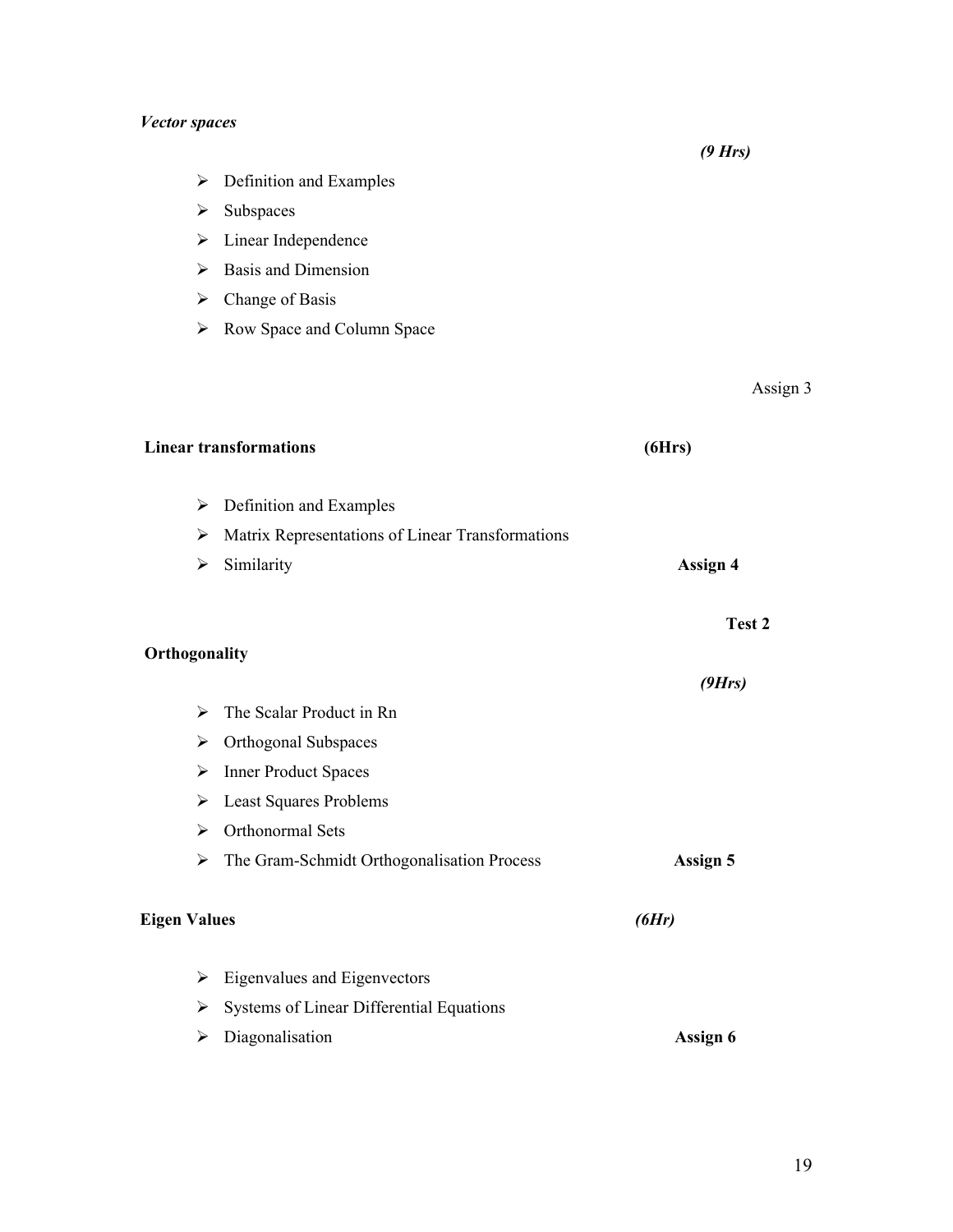# *Vector spaces*

 *(9 Hrs)*

- $\triangleright$  Definition and Examples
- $\triangleright$  Subspaces
- > Linear Independence
- $\triangleright$  Basis and Dimension
- $\triangleright$  Change of Basis
- Row Space and Column Space

Assign 3

|                     | <b>Linear transformations</b>                               | (6Hrs)   |
|---------------------|-------------------------------------------------------------|----------|
| ➤                   | Definition and Examples                                     |          |
| ➤                   | Matrix Representations of Linear Transformations            |          |
| ➤                   | Similarity                                                  | Assign 4 |
|                     |                                                             | Test 2   |
| Orthogonality       |                                                             |          |
|                     |                                                             | (9Hrs)   |
| ➤                   | The Scalar Product in Rn                                    |          |
| ≻                   | Orthogonal Subspaces                                        |          |
| ➤                   | <b>Inner Product Spaces</b>                                 |          |
| ➤                   | <b>Least Squares Problems</b>                               |          |
| ➤                   | Orthonormal Sets                                            |          |
|                     | $\triangleright$ The Gram-Schmidt Orthogonalisation Process | Assign 5 |
| <b>Eigen Values</b> |                                                             | (6Hr)    |
| ➤                   | Eigenvalues and Eigenvectors                                |          |
| ➤                   | Systems of Linear Differential Equations                    |          |
| ➤                   | Diagonalisation                                             | Assign 6 |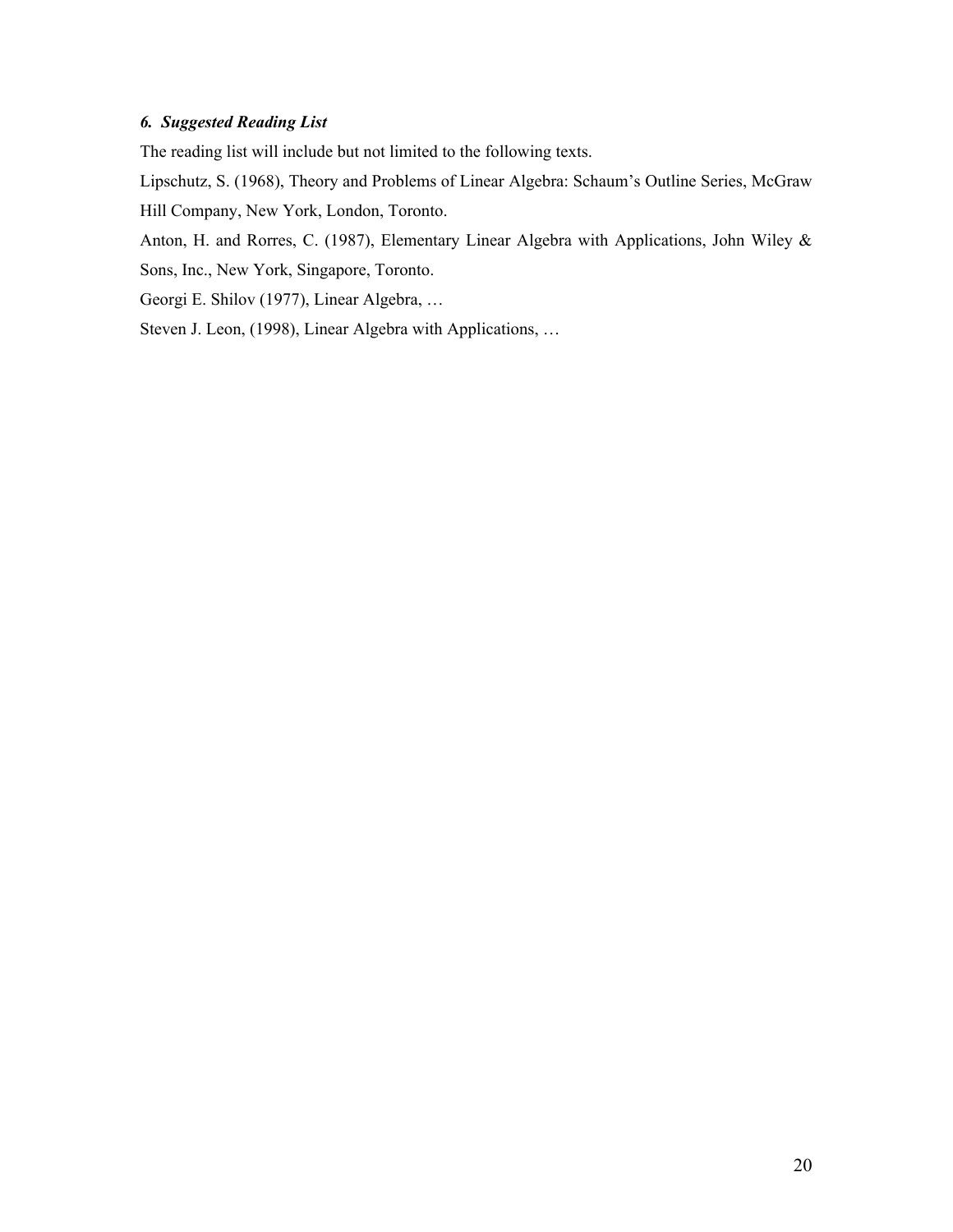# *6. Suggested Reading List*

The reading list will include but not limited to the following texts.

Lipschutz, S. (1968), Theory and Problems of Linear Algebra: Schaum's Outline Series, McGraw Hill Company, New York, London, Toronto.

Anton, H. and Rorres, C. (1987), Elementary Linear Algebra with Applications, John Wiley & Sons, Inc., New York, Singapore, Toronto.

Georgi E. Shilov (1977), Linear Algebra, …

Steven J. Leon, (1998), Linear Algebra with Applications, …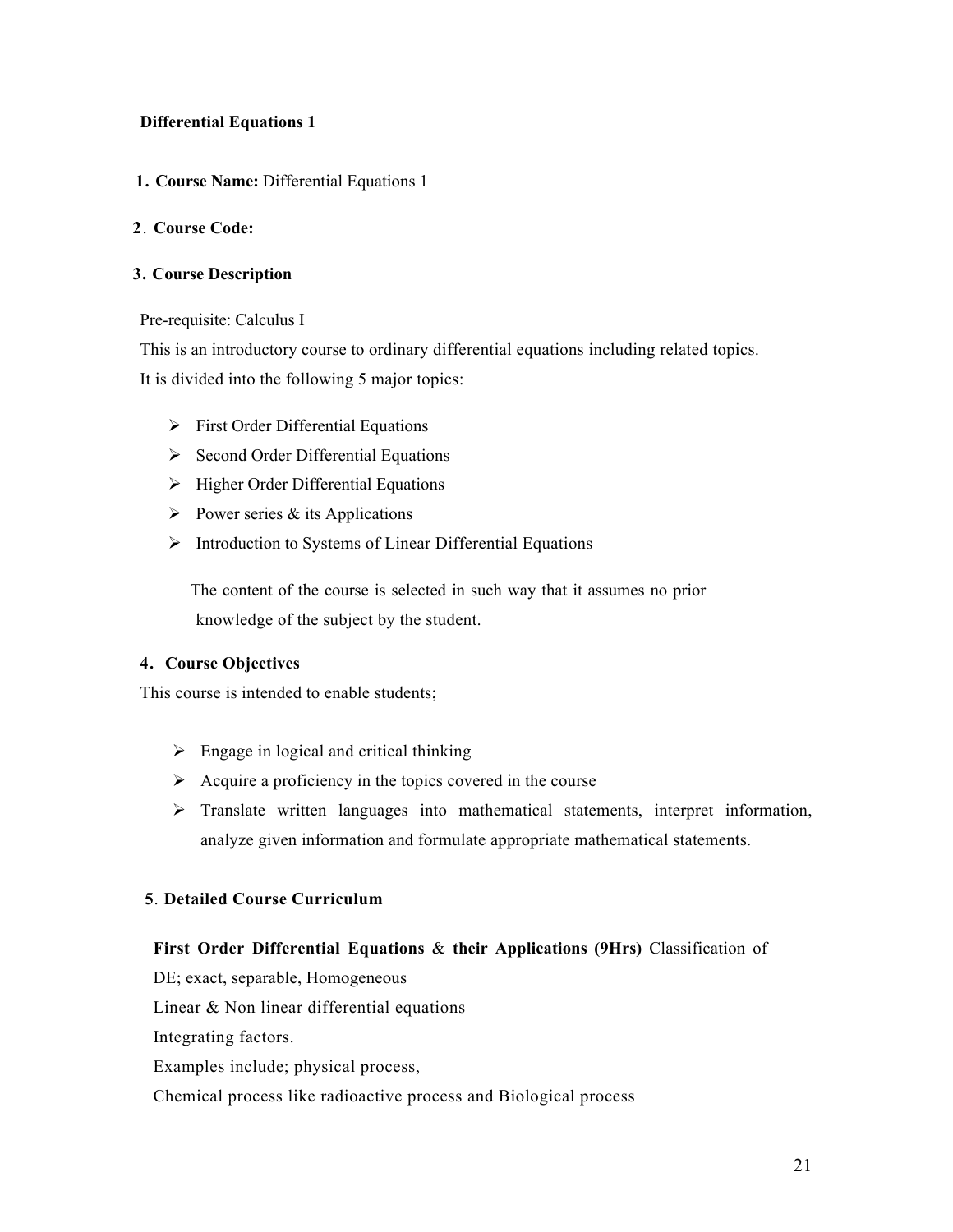# **Differential Equations 1**

**1. Course Name:** Differential Equations 1

# **2**. **Course Code:**

# **3. Course Description**

# Pre-requisite: Calculus I

This is an introductory course to ordinary differential equations including related topics. It is divided into the following 5 major topics:

- $\triangleright$  First Order Differential Equations
- $\triangleright$  Second Order Differential Equations
- $\triangleright$  Higher Order Differential Equations
- $\triangleright$  Power series & its Applications
- $\triangleright$  Introduction to Systems of Linear Differential Equations

The content of the course is selected in such way that it assumes no prior knowledge of the subject by the student.

# **4. Course Objectives**

This course is intended to enable students;

- $\triangleright$  Engage in logical and critical thinking
- $\triangleright$  Acquire a proficiency in the topics covered in the course
- $\triangleright$  Translate written languages into mathematical statements, interpret information, analyze given information and formulate appropriate mathematical statements.

# **5**. **Detailed Course Curriculum**

# **First Order Differential Equations** & **their Applications (9Hrs)** Classification of

DE; exact, separable, Homogeneous

Linear & Non linear differential equations

Integrating factors.

Examples include; physical process,

Chemical process like radioactive process and Biological process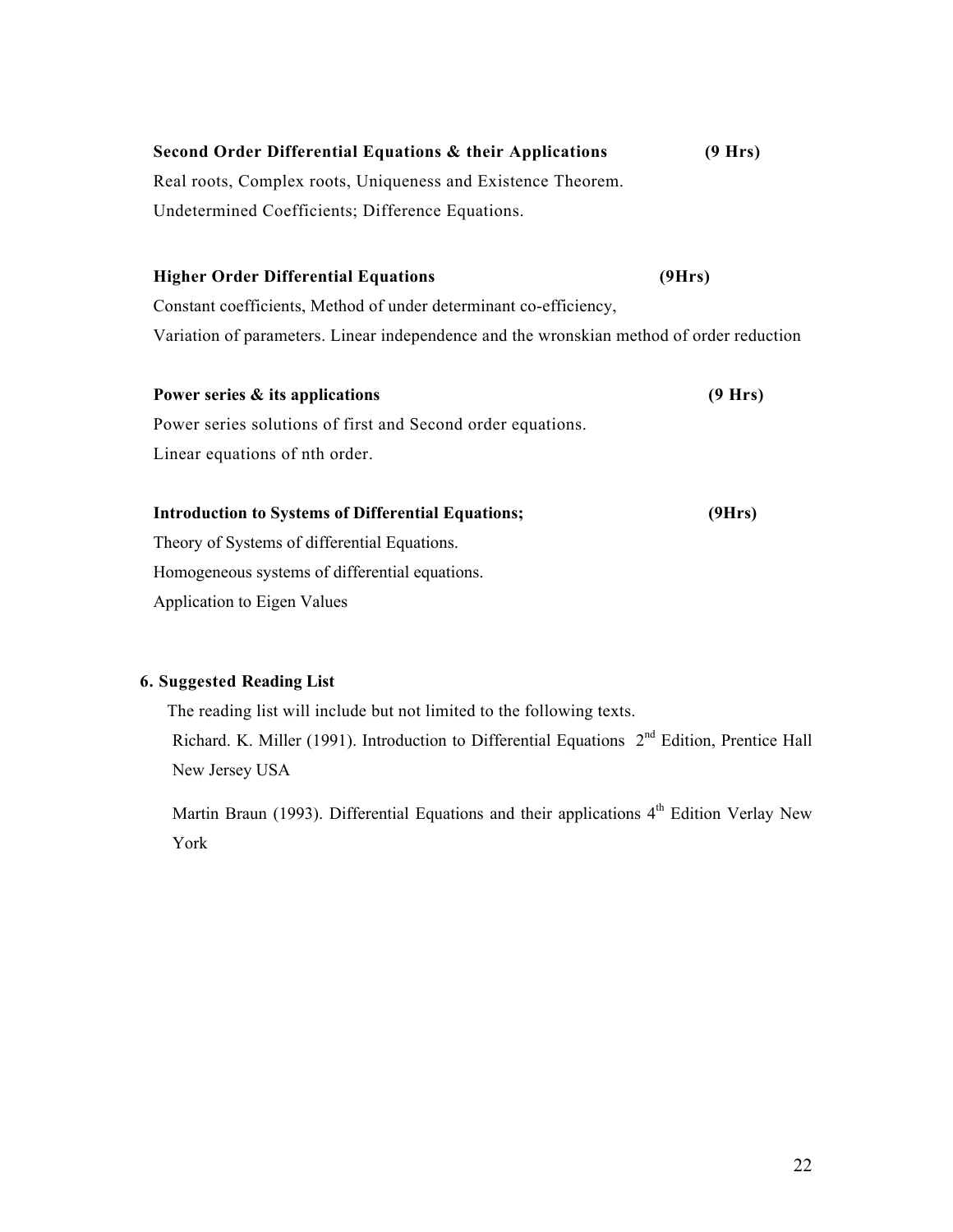| Second Order Differential Equations & their Applications     | (9 Hrs) |
|--------------------------------------------------------------|---------|
| Real roots, Complex roots, Uniqueness and Existence Theorem. |         |
| Undetermined Coefficients; Difference Equations.             |         |

# **Higher Order Differential Equations (9Hrs)** Constant coefficients, Method of under determinant co-efficiency,

Variation of parameters. Linear independence and the wronskian method of order reduction

| Power series & its applications                             | (9 Hrs) |
|-------------------------------------------------------------|---------|
| Power series solutions of first and Second order equations. |         |
| Linear equations of nth order.                              |         |
| <b>Introduction to Systems of Differential Equations;</b>   | (9Hrs)  |

# Theory of Systems of differential Equations. Homogeneous systems of differential equations. Application to Eigen Values

# **6. Suggested Reading List**

 The reading list will include but not limited to the following texts. Richard. K. Miller (1991). Introduction to Differential Equations  $2<sup>nd</sup>$  Edition, Prentice Hall New Jersey USA

Martin Braun (1993). Differential Equations and their applications  $4<sup>th</sup>$  Edition Verlay New York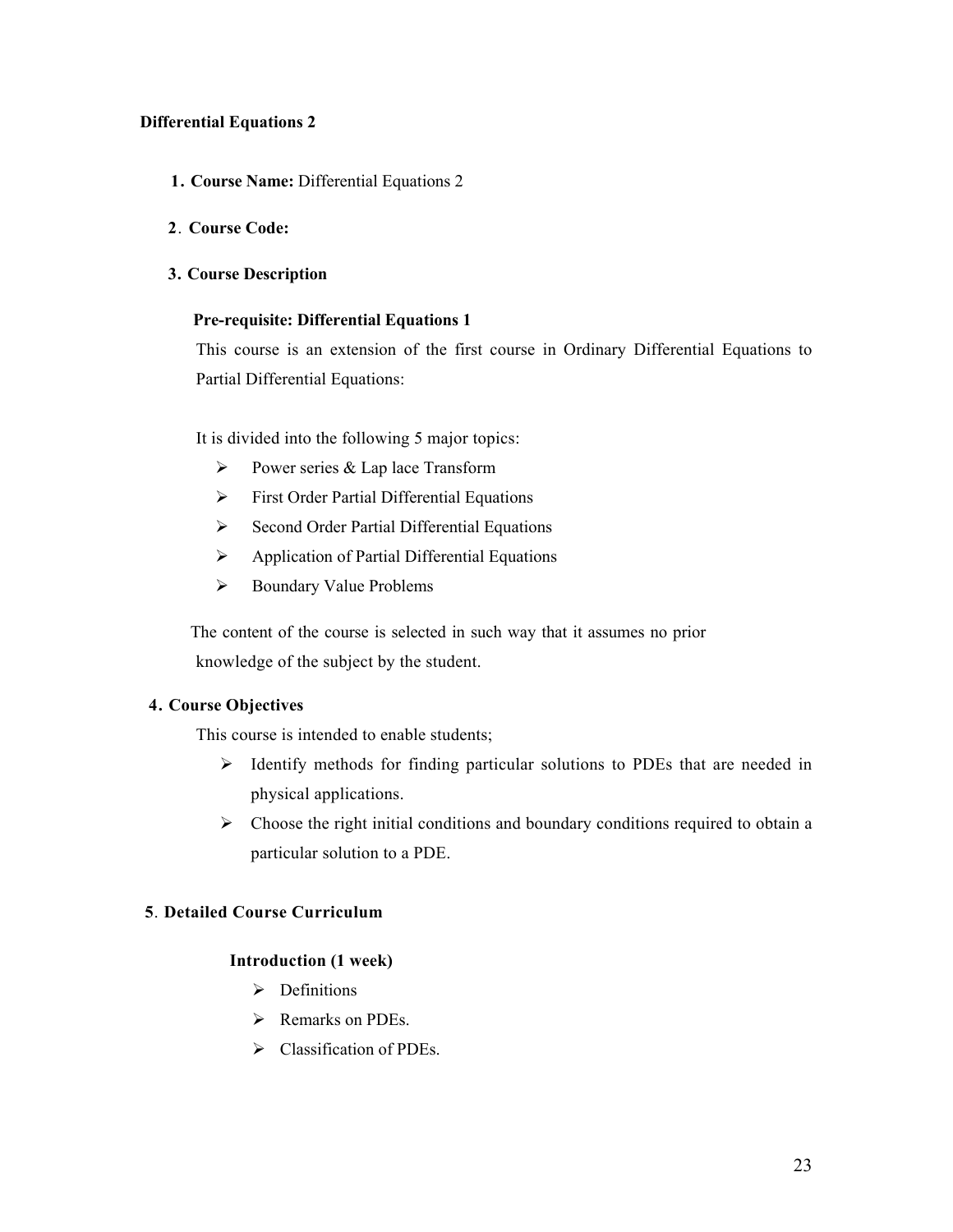# **Differential Equations 2**

- **1. Course Name:** Differential Equations 2
- **2**. **Course Code:**

#### **3. Course Description**

# **Pre-requisite: Differential Equations 1**

This course is an extension of the first course in Ordinary Differential Equations to Partial Differential Equations:

It is divided into the following 5 major topics:

- Power series  $& \text{Lap}$  lace Transform
- **First Order Partial Differential Equations**
- $\triangleright$  Second Order Partial Differential Equations
- $\triangleright$  Application of Partial Differential Equations
- > Boundary Value Problems

The content of the course is selected in such way that it assumes no prior knowledge of the subject by the student.

#### **4. Course Objectives**

This course is intended to enable students;

- $\triangleright$  Identify methods for finding particular solutions to PDEs that are needed in physical applications.
- $\triangleright$  Choose the right initial conditions and boundary conditions required to obtain a particular solution to a PDE.

# **5**. **Detailed Course Curriculum**

#### **Introduction (1 week)**

- $\triangleright$  Definitions
- $\triangleright$  Remarks on PDEs.
- $\triangleright$  Classification of PDEs.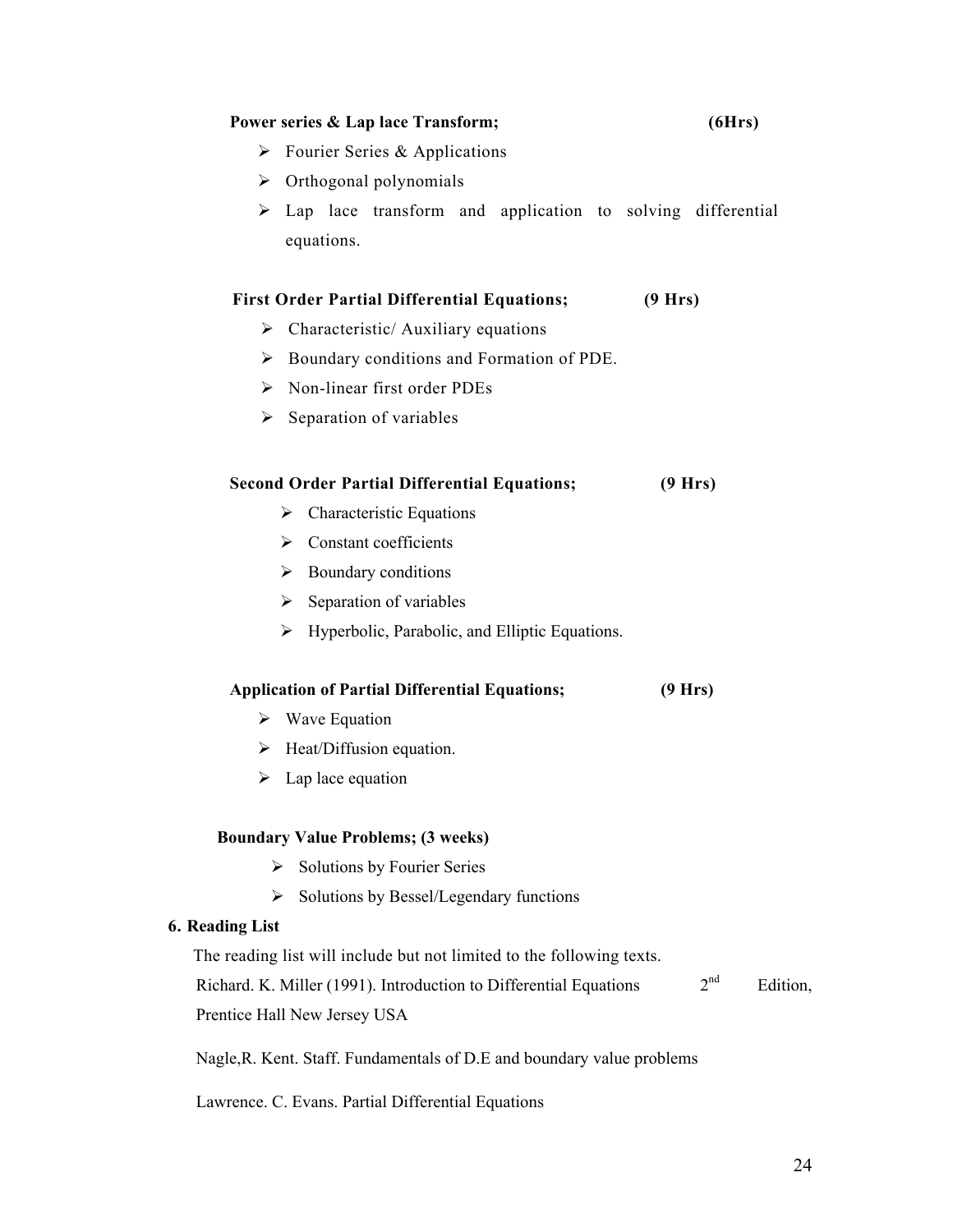#### **Power series & Lap lace Transform; (6Hrs)**

- $\triangleright$  Fourier Series & Applications
- $\triangleright$  Orthogonal polynomials
- $\triangleright$  Lap lace transform and application to solving differential equations.

# **First Order Partial Differential Equations; (9 Hrs)**

- $\triangleright$  Characteristic/ Auxiliary equations
- Boundary conditions and Formation of PDE.
- $\triangleright$  Non-linear first order PDEs
- $\triangleright$  Separation of variables

# **Second Order Partial Differential Equations; (9 Hrs)**

- $\triangleright$  Characteristic Equations
- $\triangleright$  Constant coefficients
- $\triangleright$  Boundary conditions
- $\triangleright$  Separation of variables
- $\triangleright$  Hyperbolic, Parabolic, and Elliptic Equations.

#### **Application of Partial Differential Equations; (9 Hrs)**

- $\triangleright$  Wave Equation
- $\triangleright$  Heat/Diffusion equation.
- $\triangleright$  Lap lace equation

#### **Boundary Value Problems; (3 weeks)**

- $\triangleright$  Solutions by Fourier Series
- $\triangleright$  Solutions by Bessel/Legendary functions

#### **6. Reading List**

The reading list will include but not limited to the following texts.

Richard. K. Miller (1991). Introduction to Differential Equations  $2<sup>nd</sup>$  Edition, Prentice Hall New Jersey USA

Nagle,R. Kent. Staff. Fundamentals of D.E and boundary value problems

Lawrence. C. Evans. Partial Differential Equations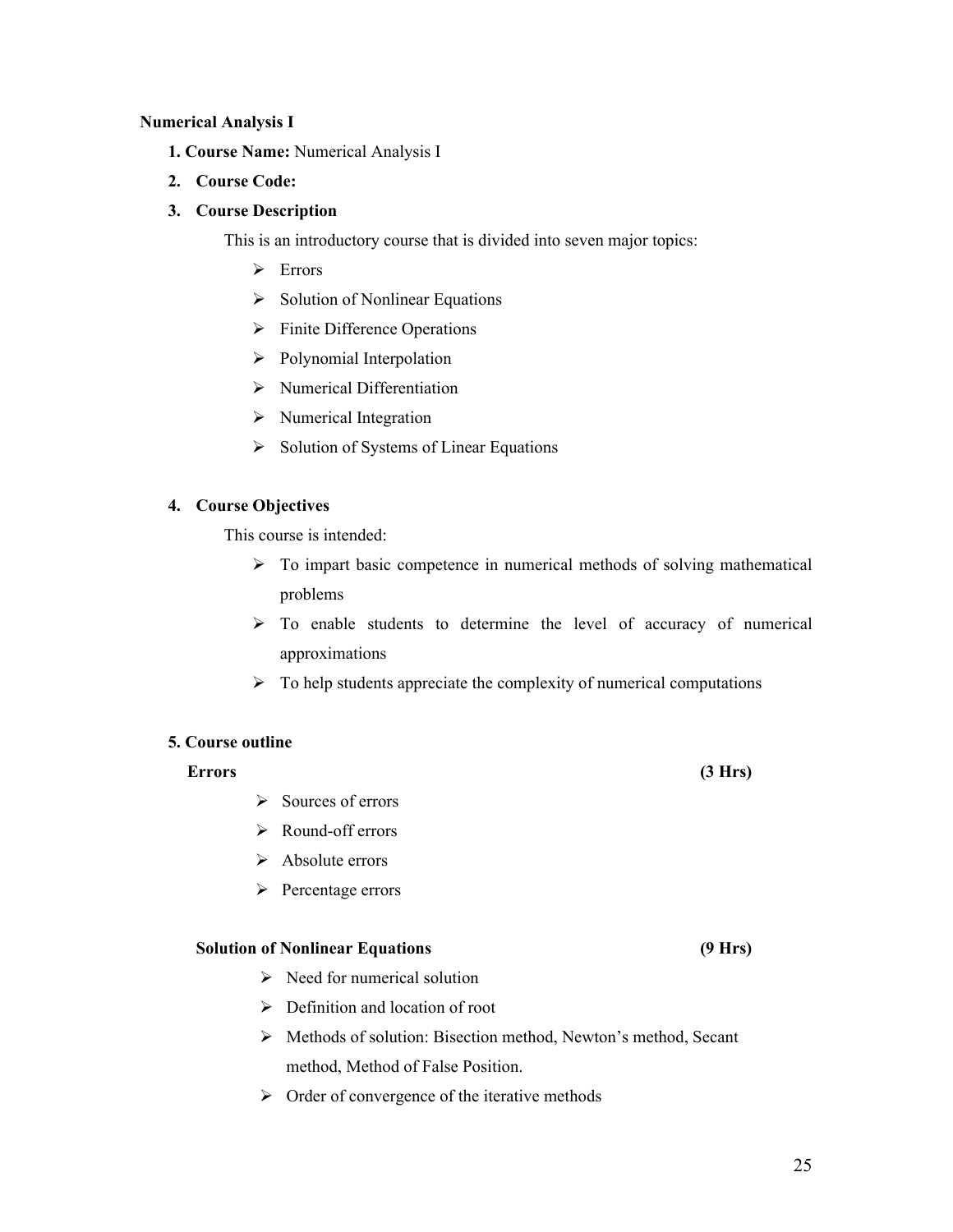#### **Numerical Analysis I**

- **1. Course Name:** Numerical Analysis I
- **2. Course Code:**

#### **3. Course Description**

This is an introductory course that is divided into seven major topics:

- > Errors
- $\triangleright$  Solution of Nonlinear Equations
- $\triangleright$  Finite Difference Operations
- $\triangleright$  Polynomial Interpolation
- $\triangleright$  Numerical Differentiation
- $\triangleright$  Numerical Integration
- $\triangleright$  Solution of Systems of Linear Equations

#### **4. Course Objectives**

This course is intended:

- $\triangleright$  To impart basic competence in numerical methods of solving mathematical problems
- $\triangleright$  To enable students to determine the level of accuracy of numerical approximations
- $\triangleright$  To help students appreciate the complexity of numerical computations

#### **5. Course outline**

#### **Errors (3 Hrs)**

- $\triangleright$  Sources of errors
- Round-off errors
- $\triangleright$  Absolute errors
- $\triangleright$  Percentage errors

#### **Solution of Nonlinear Equations (9 Hrs)**

- $\triangleright$  Need for numerical solution
- $\triangleright$  Definition and location of root
- Methods of solution: Bisection method, Newton's method, Secant method, Method of False Position.
- $\triangleright$  Order of convergence of the iterative methods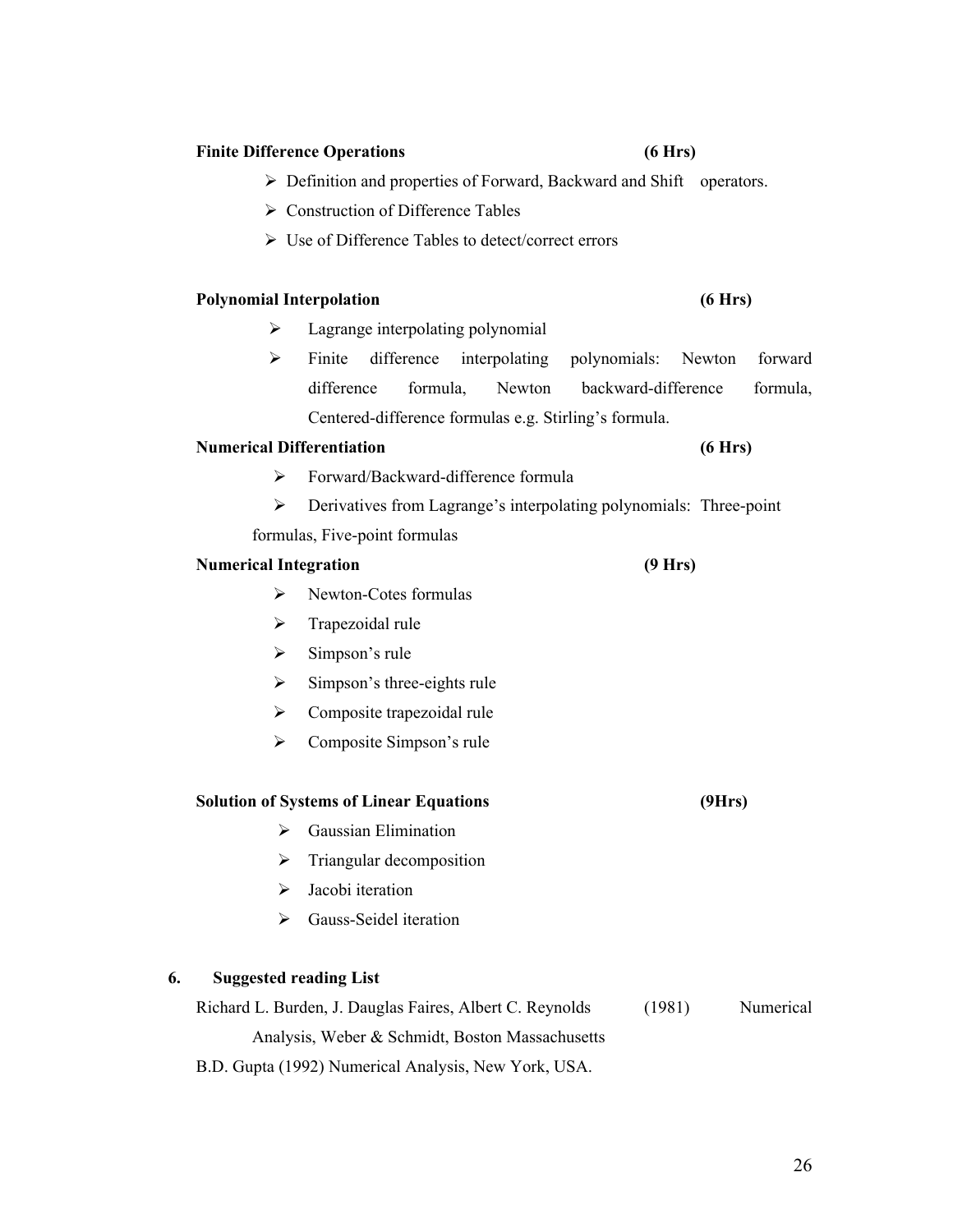#### **Finite Difference Operations (6 Hrs)**

# Definition and properties of Forward, Backward and Shift operators.

- $\triangleright$  Construction of Difference Tables
- Use of Difference Tables to detect/correct errors

#### **Polynomial Interpolation (6 Hrs)**

- $\blacktriangleright$  Lagrange interpolating polynomial
- Finite difference interpolating polynomials: Newton forward difference formula, Newton backward-difference formula, Centered-difference formulas e.g. Stirling's formula.

#### **Numerical Differentiation (6 Hrs)**

- Forward/Backward-difference formula
- Derivatives from Lagrange's interpolating polynomials: Three-point formulas, Five-point formulas

#### **Numerical Integration (9 Hrs)**

- $\triangleright$  Newton-Cotes formulas
- $\triangleright$  Trapezoidal rule
- $\triangleright$  Simpson's rule
- $\triangleright$  Simpson's three-eights rule
- $\triangleright$  Composite trapezoidal rule
- $\triangleright$  Composite Simpson's rule

#### **Solution of Systems of Linear Equations (9Hrs)**

- $\triangleright$  Gaussian Elimination
- $\triangleright$  Triangular decomposition
- $\triangleright$  Jacobi iteration
- **►** Gauss-Seidel iteration

# **6. Suggested reading List**

Richard L. Burden, J. Dauglas Faires, Albert C. Reynolds (1981) Numerical Analysis, Weber & Schmidt, Boston Massachusetts

B.D. Gupta (1992) Numerical Analysis, New York, USA.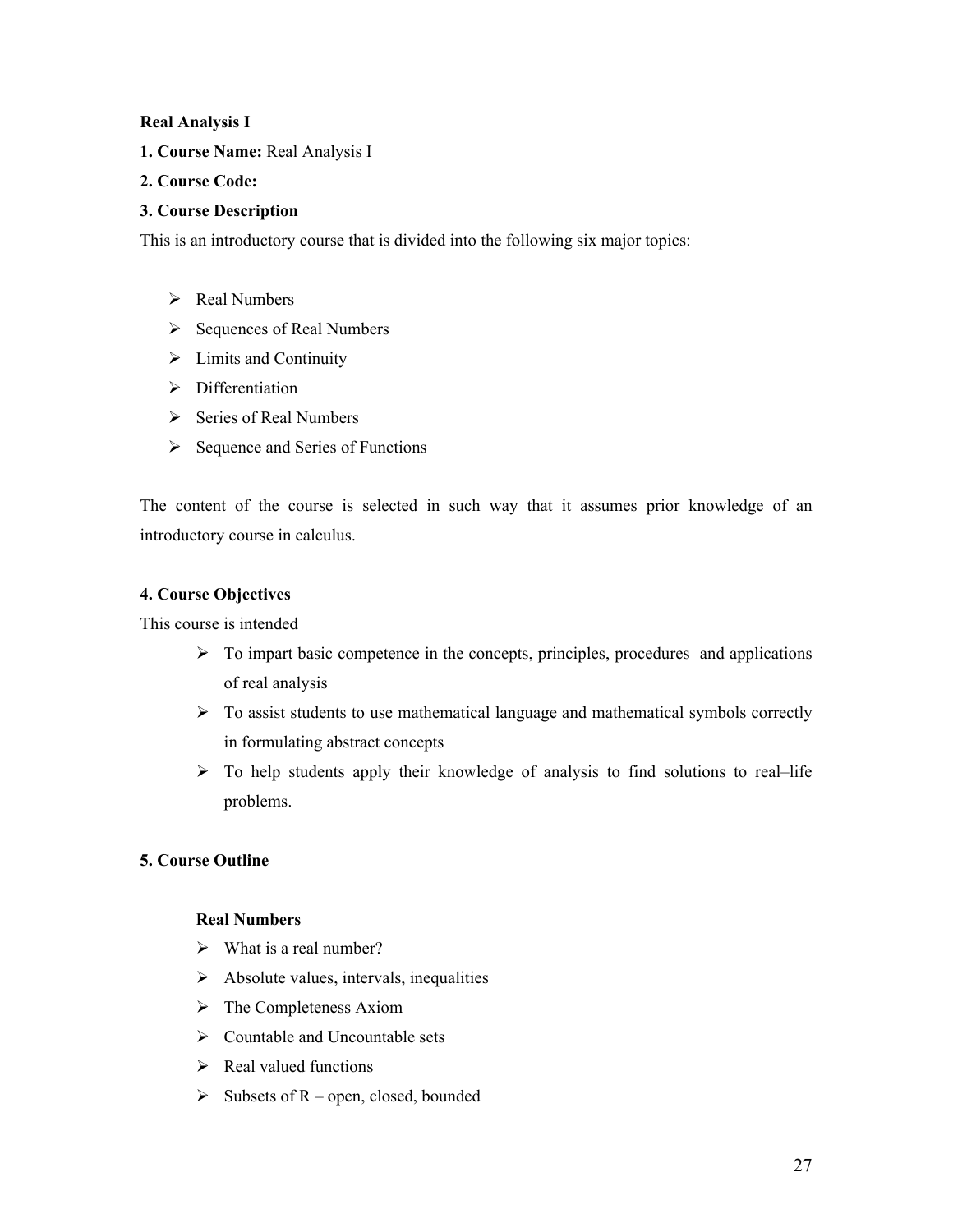#### **Real Analysis I**

**1. Course Name:** Real Analysis I

# **2. Course Code:**

# **3. Course Description**

This is an introductory course that is divided into the following six major topics:

- $\triangleright$  Real Numbers
- $\triangleright$  Sequences of Real Numbers
- $\triangleright$  Limits and Continuity
- $\triangleright$  Differentiation
- $\triangleright$  Series of Real Numbers
- $\triangleright$  Sequence and Series of Functions

The content of the course is selected in such way that it assumes prior knowledge of an introductory course in calculus.

# **4. Course Objectives**

This course is intended

- $\triangleright$  To impart basic competence in the concepts, principles, procedures and applications of real analysis
- $\triangleright$  To assist students to use mathematical language and mathematical symbols correctly in formulating abstract concepts
- $\triangleright$  To help students apply their knowledge of analysis to find solutions to real–life problems.

# **5. Course Outline**

# **Real Numbers**

- $\triangleright$  What is a real number?
- $\triangleright$  Absolute values, intervals, inequalities
- $\triangleright$  The Completeness Axiom
- $\triangleright$  Countable and Uncountable sets
- $\triangleright$  Real valued functions
- $\triangleright$  Subsets of R open, closed, bounded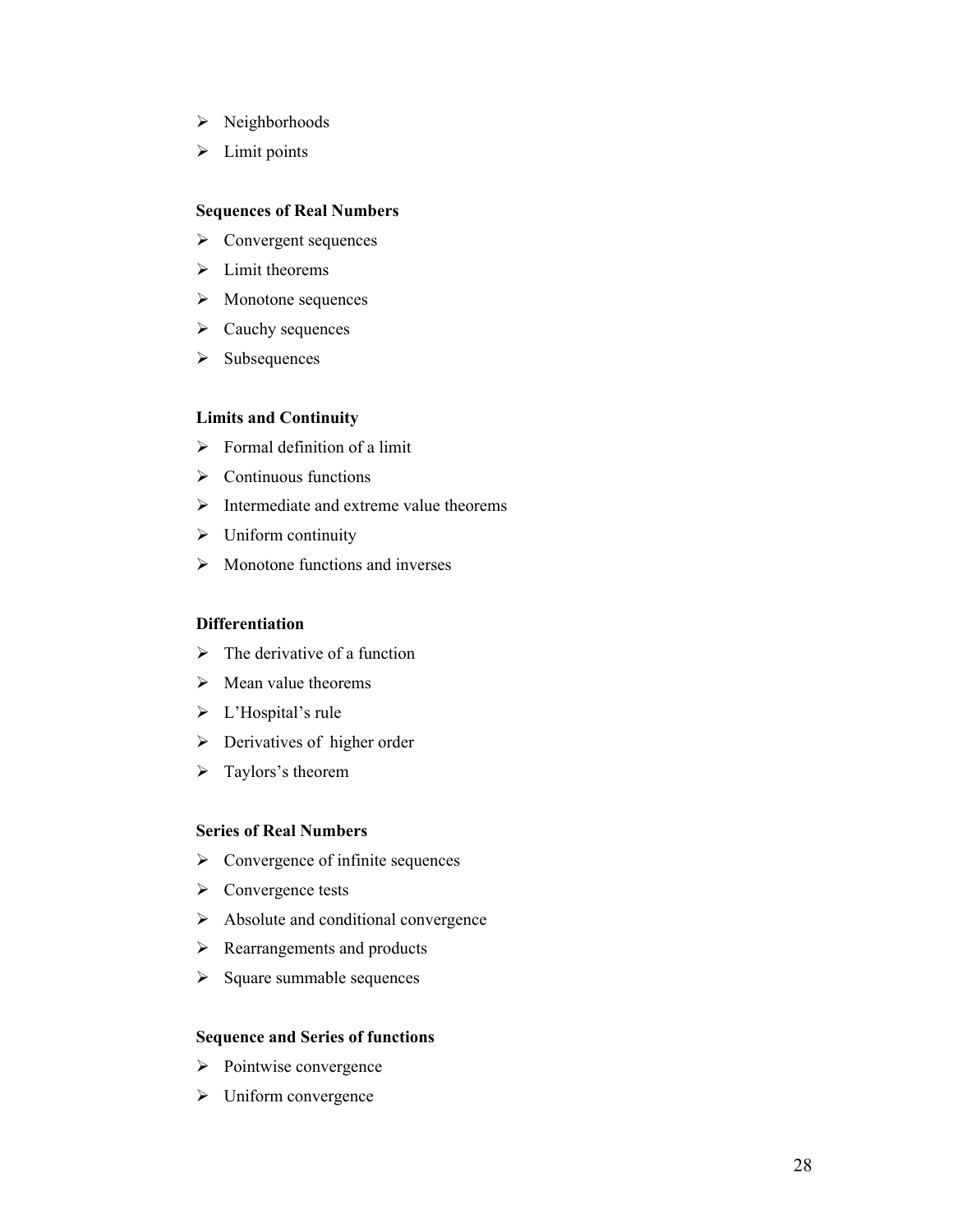- > Neighborhoods
- $\blacktriangleright$  Limit points

#### **Sequences of Real Numbers**

- $\triangleright$  Convergent sequences
- $\triangleright$  Limit theorems
- $\triangleright$  Monotone sequences
- $\triangleright$  Cauchy sequences
- $\triangleright$  Subsequences

#### **Limits and Continuity**

- $\triangleright$  Formal definition of a limit
- $\triangleright$  Continuous functions
- $\triangleright$  Intermediate and extreme value theorems
- $\triangleright$  Uniform continuity
- $\triangleright$  Monotone functions and inverses

#### **Differentiation**

- $\triangleright$  The derivative of a function
- $\triangleright$  Mean value theorems
- > L'Hospital's rule
- $\triangleright$  Derivatives of higher order
- > Taylors's theorem

#### **Series of Real Numbers**

- $\triangleright$  Convergence of infinite sequences
- $\triangleright$  Convergence tests
- $\triangleright$  Absolute and conditional convergence
- $\triangleright$  Rearrangements and products
- $\triangleright$  Square summable sequences

#### **Sequence and Series of functions**

- $\triangleright$  Pointwise convergence
- $\triangleright$  Uniform convergence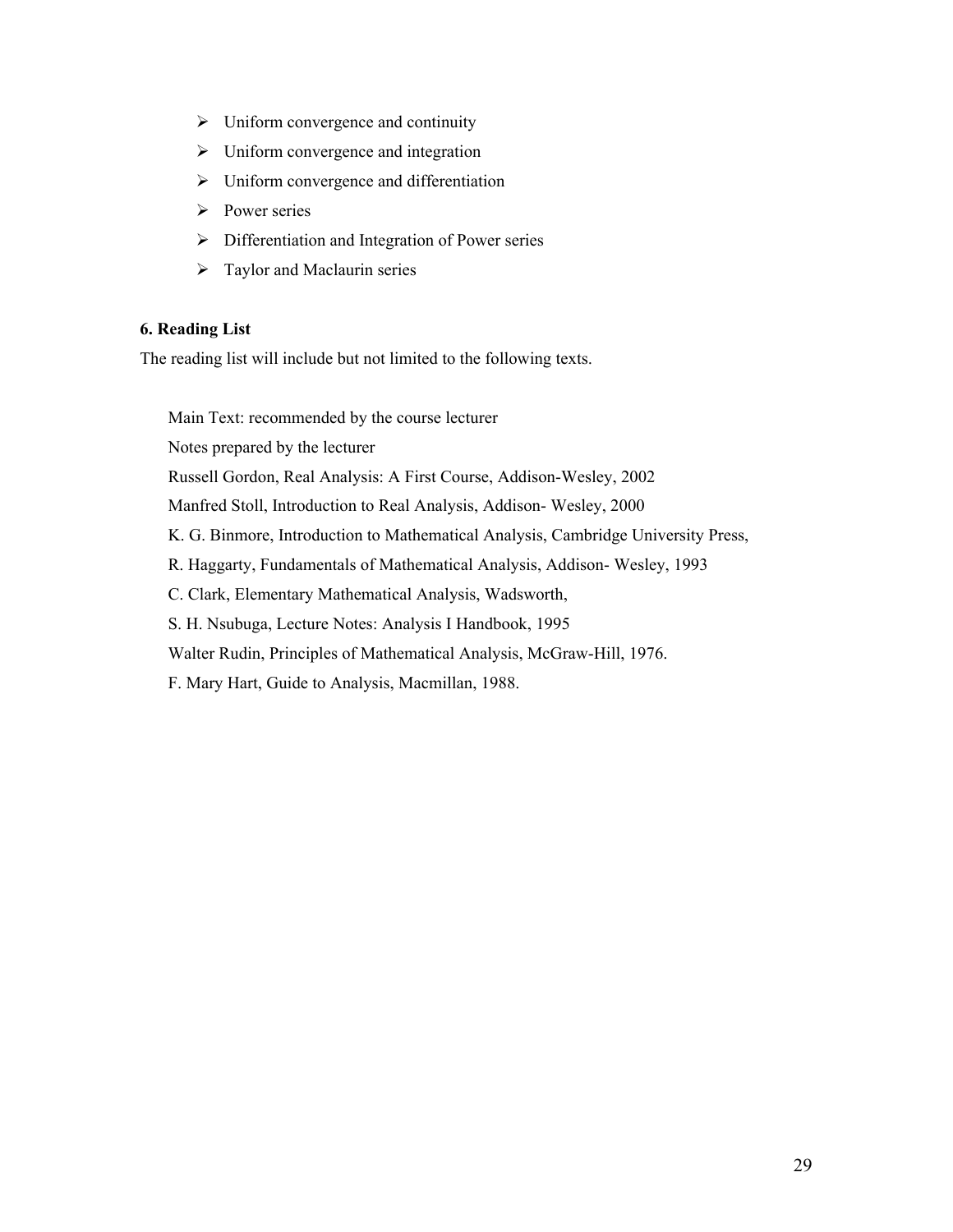- $\triangleright$  Uniform convergence and continuity
- $\triangleright$  Uniform convergence and integration
- $\triangleright$  Uniform convergence and differentiation
- $\triangleright$  Power series
- $\triangleright$  Differentiation and Integration of Power series
- $\triangleright$  Taylor and Maclaurin series

# **6. Reading List**

The reading list will include but not limited to the following texts.

Main Text: recommended by the course lecturer

Notes prepared by the lecturer

Russell Gordon, Real Analysis: A First Course, Addison-Wesley, 2002

Manfred Stoll, Introduction to Real Analysis, Addison- Wesley, 2000

K. G. Binmore, Introduction to Mathematical Analysis, Cambridge University Press,

R. Haggarty, Fundamentals of Mathematical Analysis, Addison- Wesley, 1993

C. Clark, Elementary Mathematical Analysis, Wadsworth,

S. H. Nsubuga, Lecture Notes: Analysis I Handbook, 1995

Walter Rudin, Principles of Mathematical Analysis, McGraw-Hill, 1976.

F. Mary Hart, Guide to Analysis, Macmillan, 1988.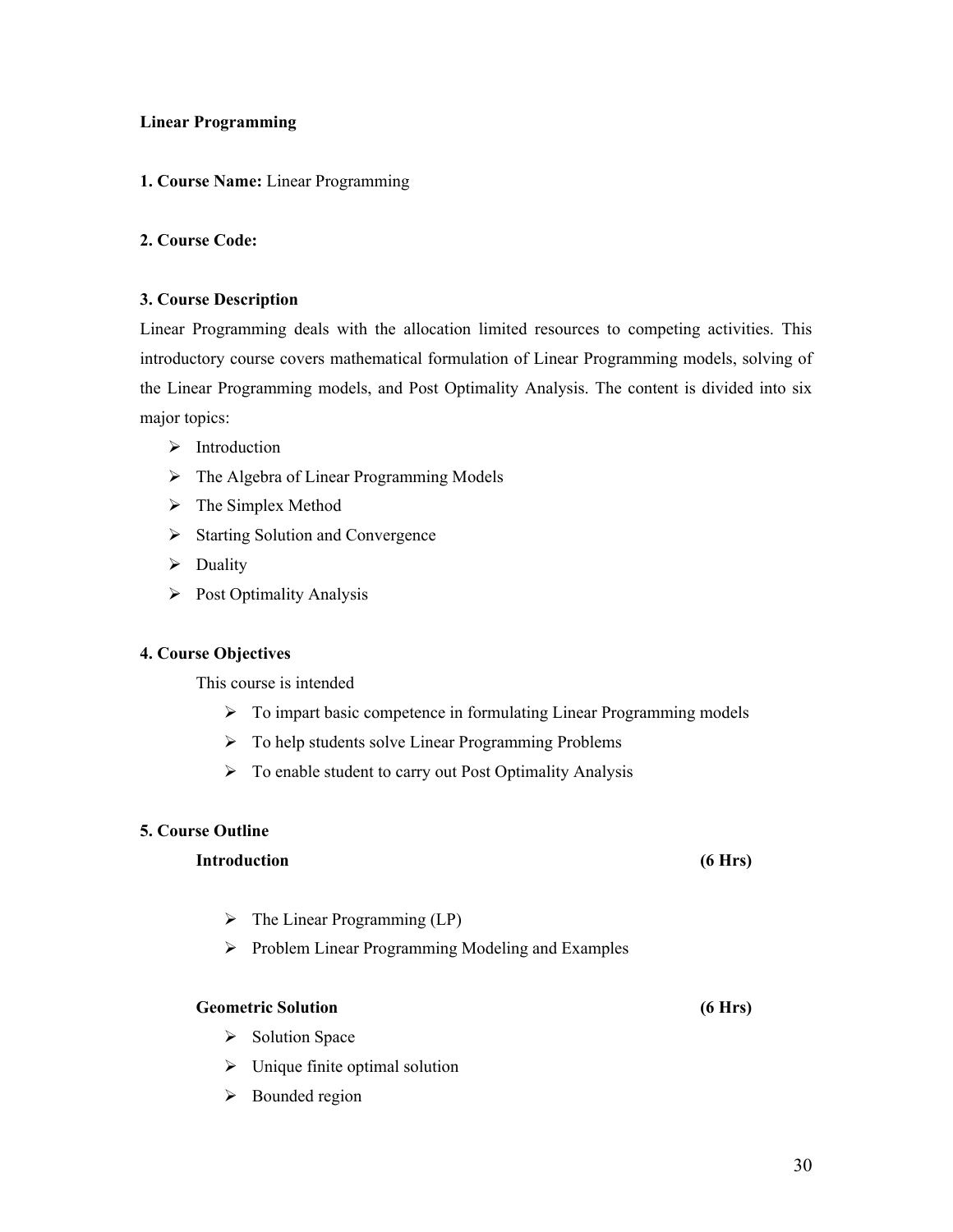#### **Linear Programming**

#### **1. Course Name:** Linear Programming

# **2. Course Code:**

#### **3. Course Description**

Linear Programming deals with the allocation limited resources to competing activities. This introductory course covers mathematical formulation of Linear Programming models, solving of the Linear Programming models, and Post Optimality Analysis. The content is divided into six major topics:

- $\triangleright$  Introduction
- $\triangleright$  The Algebra of Linear Programming Models
- $\triangleright$  The Simplex Method
- $\triangleright$  Starting Solution and Convergence
- $\triangleright$  Duality
- $\triangleright$  Post Optimality Analysis

#### **4. Course Objectives**

This course is intended

- $\triangleright$  To impart basic competence in formulating Linear Programming models
- $\triangleright$  To help students solve Linear Programming Problems
- $\triangleright$  To enable student to carry out Post Optimality Analysis

# **5. Course Outline**

#### **Introduction (6 Hrs)**

- $\triangleright$  The Linear Programming (LP)
- $\triangleright$  Problem Linear Programming Modeling and Examples

#### **Geometric Solution (6 Hrs)**

- $\triangleright$  Solution Space
- $\triangleright$  Unique finite optimal solution
- $\triangleright$  Bounded region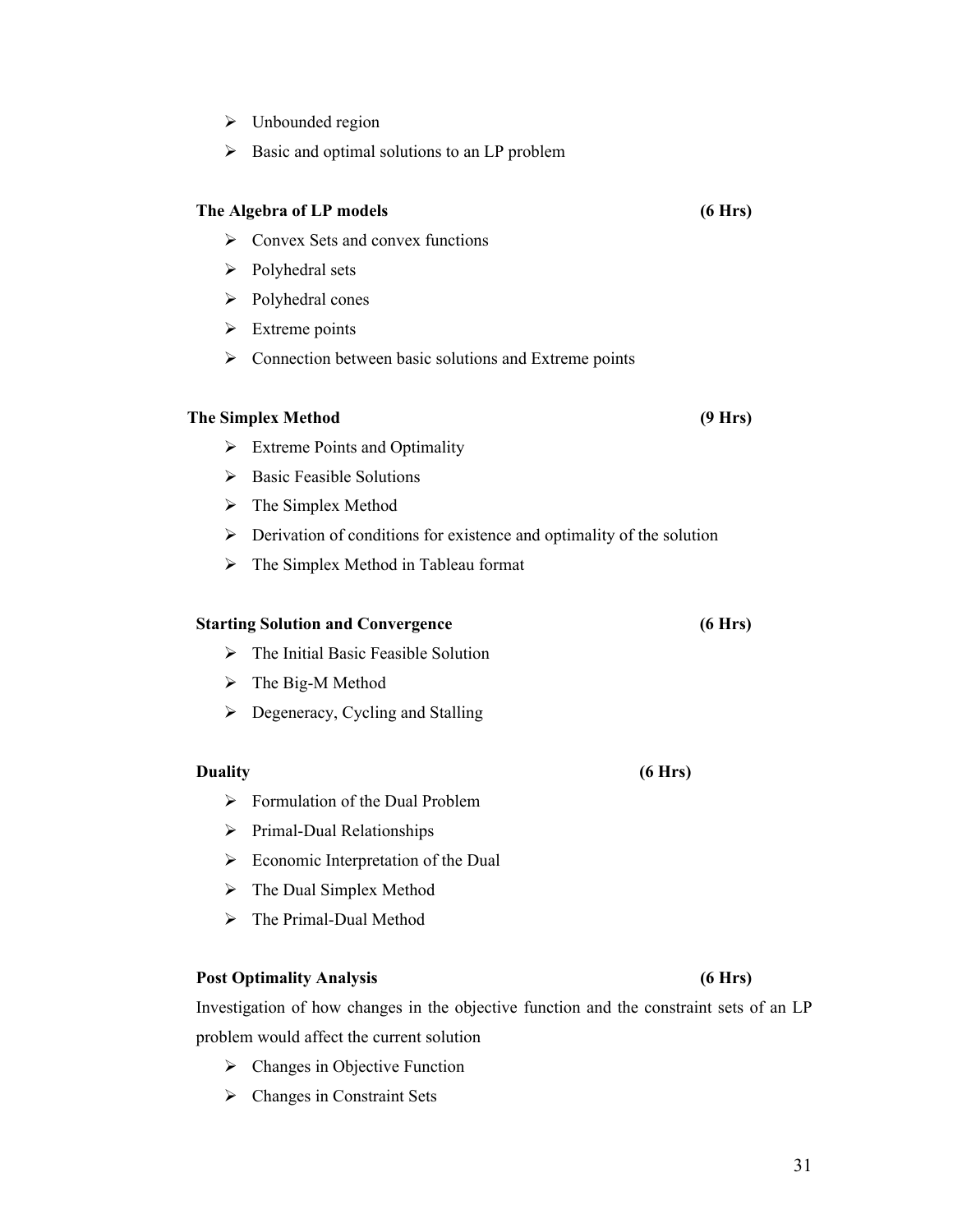# $\triangleright$  Unbounded region

 $\triangleright$  Basic and optimal solutions to an LP problem

#### **The Algebra of LP models (6 Hrs)**

- $\triangleright$  Convex Sets and convex functions
- $\triangleright$  Polyhedral sets
- $\triangleright$  Polyhedral cones
- $\triangleright$  Extreme points
- $\triangleright$  Connection between basic solutions and Extreme points

#### **The Simplex Method (9 Hrs)**

- $\triangleright$  Extreme Points and Optimality
- $\triangleright$  Basic Feasible Solutions
- $\triangleright$  The Simplex Method
- $\triangleright$  Derivation of conditions for existence and optimality of the solution
- $\triangleright$  The Simplex Method in Tableau format

# **Starting Solution and Convergence (6 Hrs)**

- $\triangleright$  The Initial Basic Feasible Solution
- $\triangleright$  The Big-M Method
- $\triangleright$  Degeneracy, Cycling and Stalling

#### **Duality (6 Hrs)**

- $\triangleright$  Formulation of the Dual Problem
- $\triangleright$  Primal-Dual Relationships
- $\triangleright$  Economic Interpretation of the Dual
- > The Dual Simplex Method
- > The Primal-Dual Method

#### **Post Optimality Analysis (6 Hrs)**

Investigation of how changes in the objective function and the constraint sets of an LP problem would affect the current solution

- $\triangleright$  Changes in Objective Function
- $\triangleright$  Changes in Constraint Sets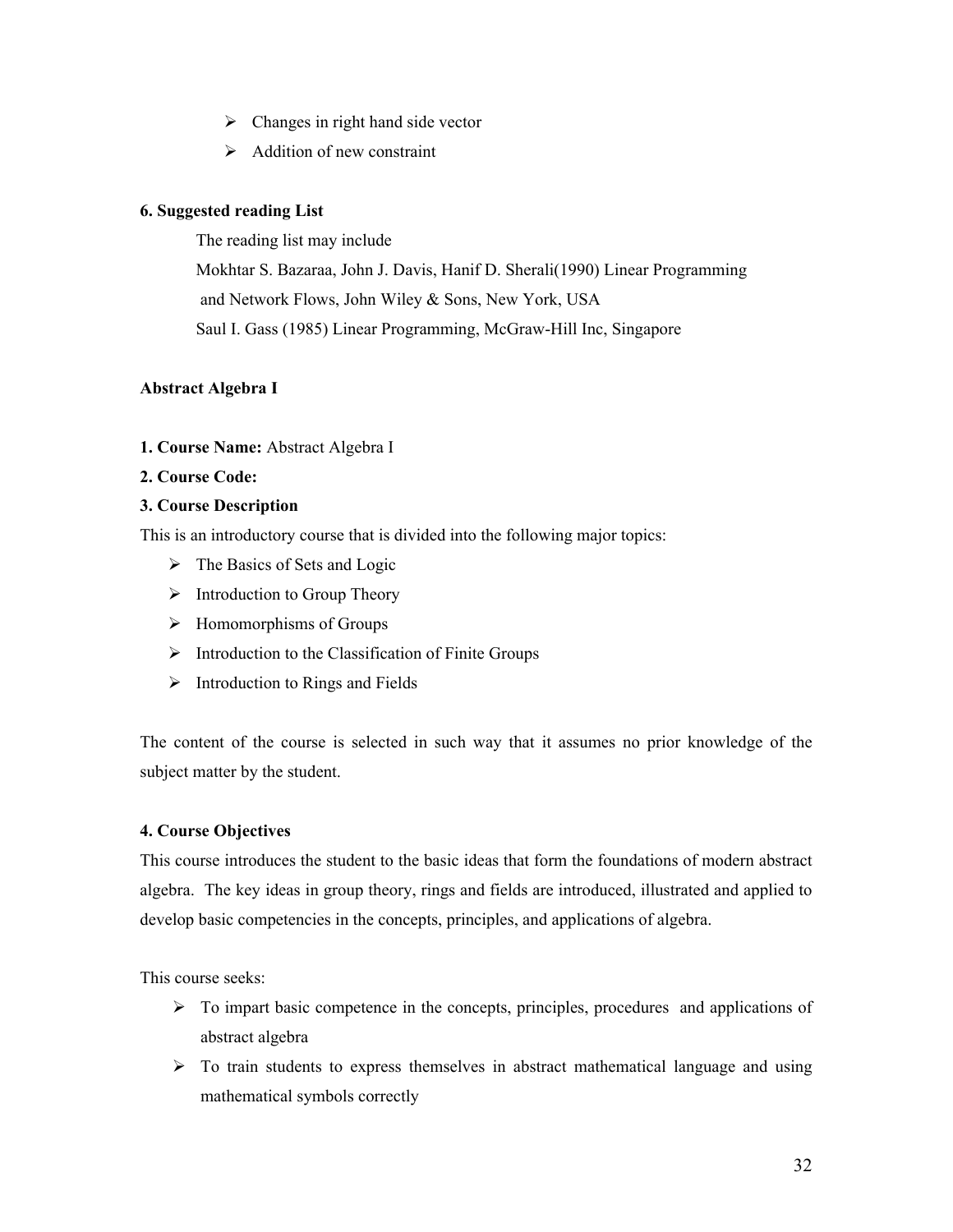- $\triangleright$  Changes in right hand side vector
- $\triangleright$  Addition of new constraint

# **6. Suggested reading List**

The reading list may include

Mokhtar S. Bazaraa, John J. Davis, Hanif D. Sherali(1990) Linear Programming and Network Flows, John Wiley & Sons, New York, USA Saul I. Gass (1985) Linear Programming, McGraw-Hill Inc, Singapore

# **Abstract Algebra I**

#### **1. Course Name:** Abstract Algebra I

#### **2. Course Code:**

#### **3. Course Description**

This is an introductory course that is divided into the following major topics:

- $\triangleright$  The Basics of Sets and Logic
- $\triangleright$  Introduction to Group Theory
- $\triangleright$  Homomorphisms of Groups
- $\triangleright$  Introduction to the Classification of Finite Groups
- $\triangleright$  Introduction to Rings and Fields

The content of the course is selected in such way that it assumes no prior knowledge of the subject matter by the student.

#### **4. Course Objectives**

This course introduces the student to the basic ideas that form the foundations of modern abstract algebra. The key ideas in group theory, rings and fields are introduced, illustrated and applied to develop basic competencies in the concepts, principles, and applications of algebra.

This course seeks:

- $\triangleright$  To impart basic competence in the concepts, principles, procedures and applications of abstract algebra
- $\triangleright$  To train students to express themselves in abstract mathematical language and using mathematical symbols correctly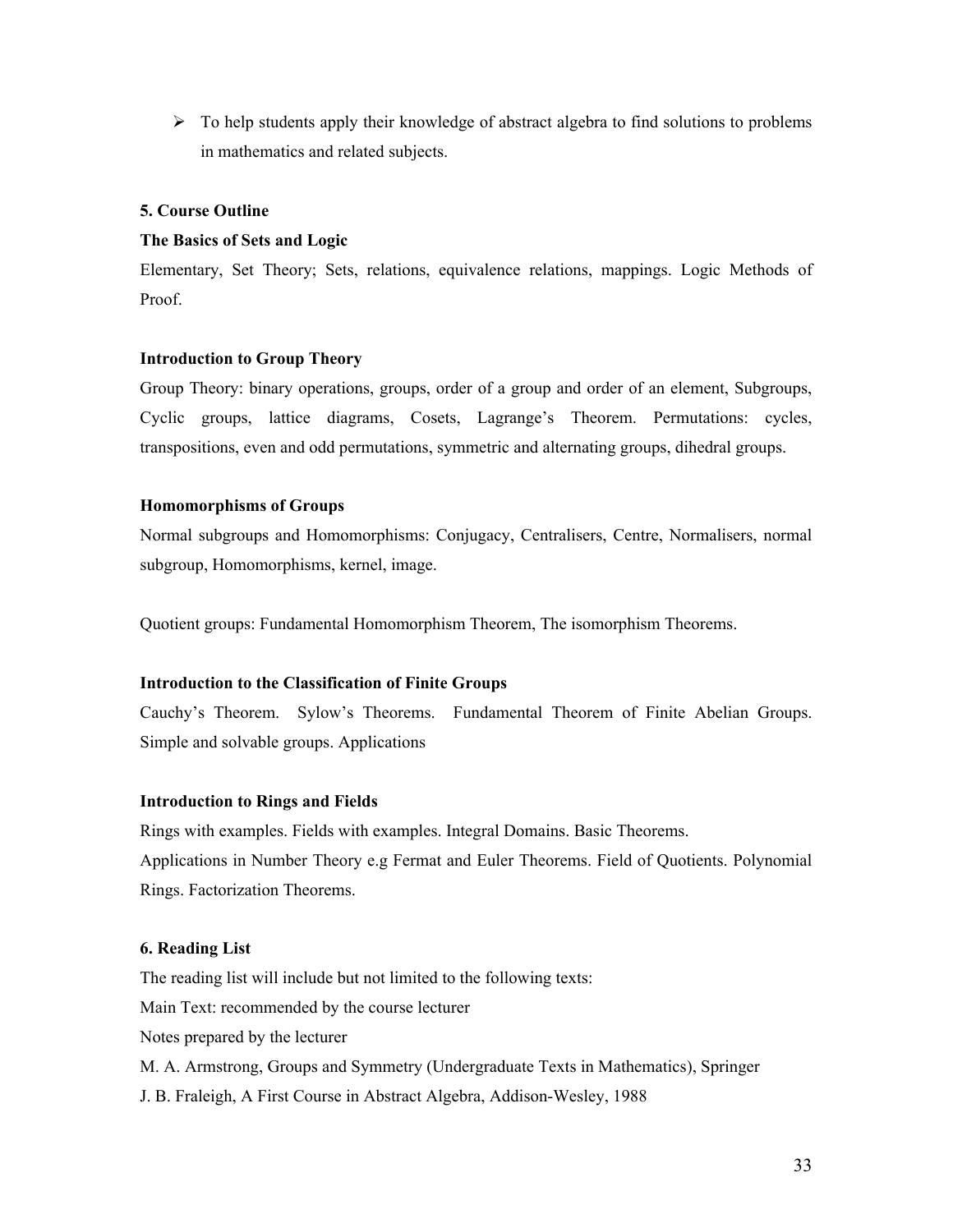$\triangleright$  To help students apply their knowledge of abstract algebra to find solutions to problems in mathematics and related subjects.

#### **5. Course Outline**

#### **The Basics of Sets and Logic**

Elementary, Set Theory; Sets, relations, equivalence relations, mappings. Logic Methods of Proof.

#### **Introduction to Group Theory**

Group Theory: binary operations, groups, order of a group and order of an element, Subgroups, Cyclic groups, lattice diagrams, Cosets, Lagrange's Theorem. Permutations: cycles, transpositions, even and odd permutations, symmetric and alternating groups, dihedral groups.

#### **Homomorphisms of Groups**

Normal subgroups and Homomorphisms: Conjugacy, Centralisers, Centre, Normalisers, normal subgroup, Homomorphisms, kernel, image.

Quotient groups: Fundamental Homomorphism Theorem, The isomorphism Theorems.

#### **Introduction to the Classification of Finite Groups**

Cauchy's Theorem. Sylow's Theorems. Fundamental Theorem of Finite Abelian Groups. Simple and solvable groups. Applications

#### **Introduction to Rings and Fields**

Rings with examples. Fields with examples. Integral Domains. Basic Theorems. Applications in Number Theory e.g Fermat and Euler Theorems. Field of Quotients. Polynomial Rings. Factorization Theorems.

#### **6. Reading List**

The reading list will include but not limited to the following texts: Main Text: recommended by the course lecturer Notes prepared by the lecturer M. A. Armstrong, Groups and Symmetry (Undergraduate Texts in Mathematics), Springer J. B. Fraleigh, A First Course in Abstract Algebra, Addison-Wesley, 1988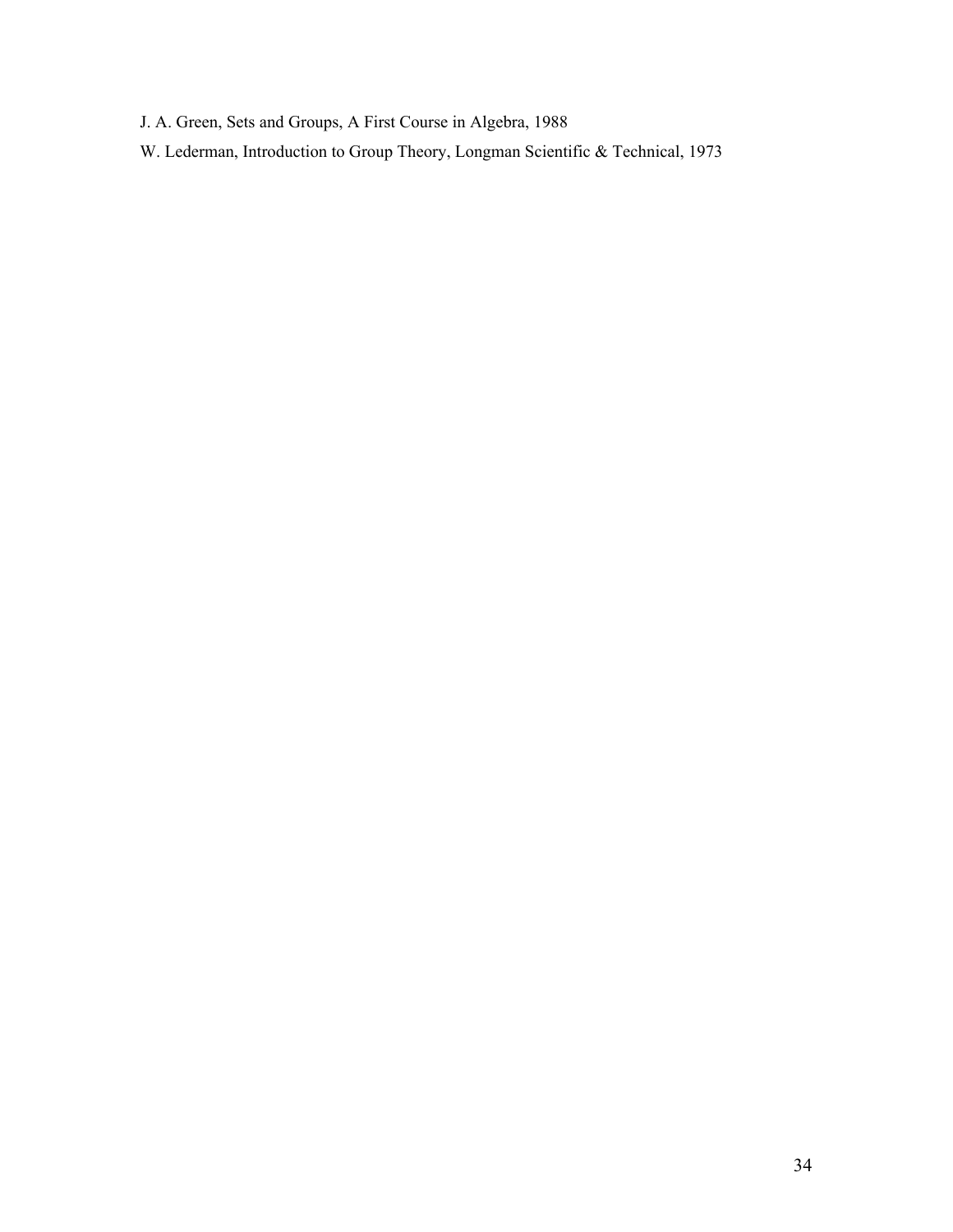- J. A. Green, Sets and Groups, A First Course in Algebra, 1988
- W. Lederman, Introduction to Group Theory, Longman Scientific & Technical, 1973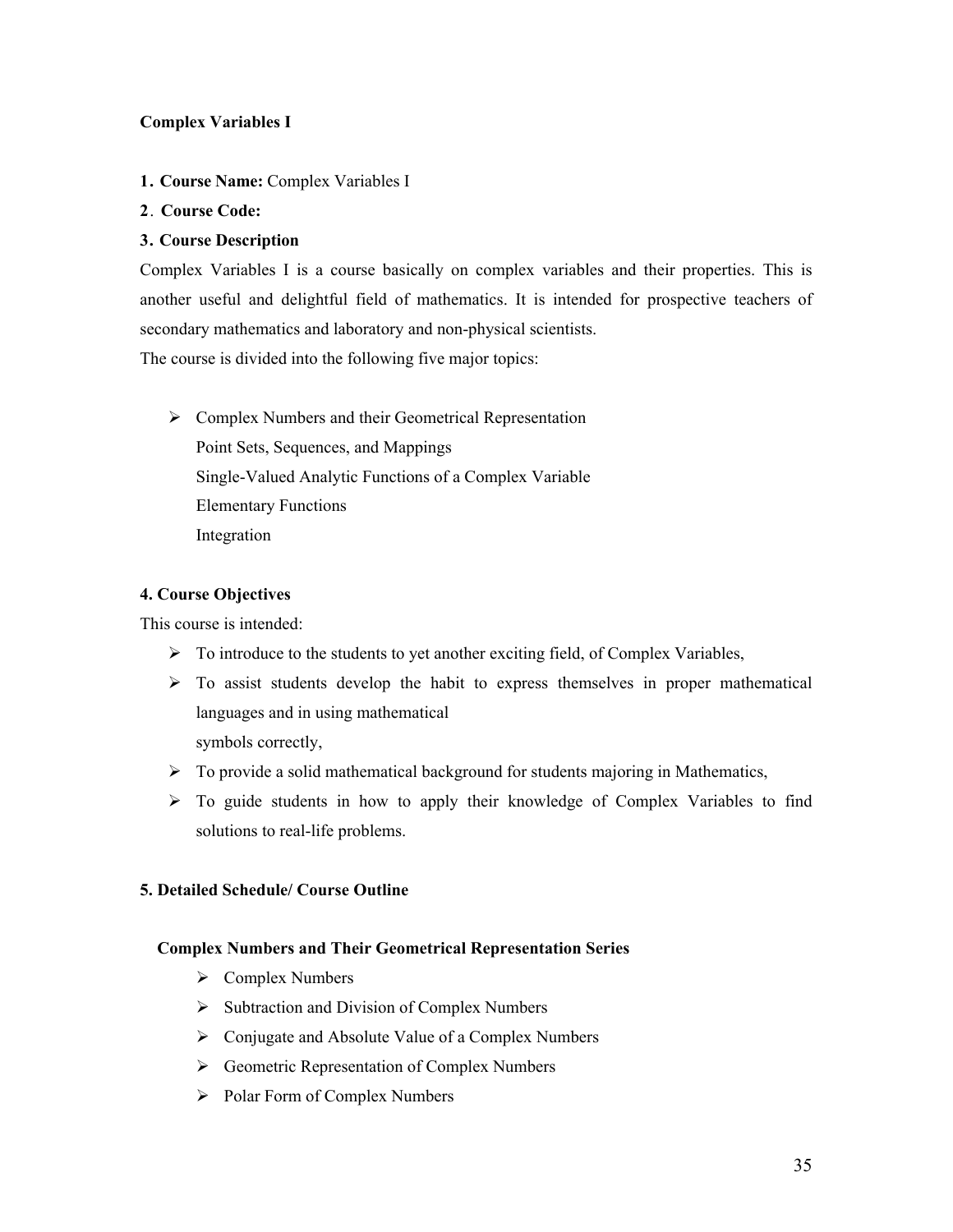# **Complex Variables I**

- **1. Course Name:** Complex Variables I
- **2**. **Course Code:**

# **3. Course Description**

Complex Variables I is a course basically on complex variables and their properties. This is another useful and delightful field of mathematics. It is intended for prospective teachers of secondary mathematics and laboratory and non-physical scientists. The course is divided into the following five major topics:

 $\triangleright$  Complex Numbers and their Geometrical Representation Point Sets, Sequences, and Mappings Single-Valued Analytic Functions of a Complex Variable Elementary Functions Integration

# **4. Course Objectives**

This course is intended:

- $\triangleright$  To introduce to the students to yet another exciting field, of Complex Variables,
- $\triangleright$  To assist students develop the habit to express themselves in proper mathematical languages and in using mathematical

symbols correctly,

- $\triangleright$  To provide a solid mathematical background for students majoring in Mathematics,
- $\triangleright$  To guide students in how to apply their knowledge of Complex Variables to find solutions to real-life problems.

# **5. Detailed Schedule/ Course Outline**

#### **Complex Numbers and Their Geometrical Representation Series**

- $\triangleright$  Complex Numbers
- $\triangleright$  Subtraction and Division of Complex Numbers
- $\triangleright$  Conjugate and Absolute Value of a Complex Numbers
- $\triangleright$  Geometric Representation of Complex Numbers
- $\triangleright$  Polar Form of Complex Numbers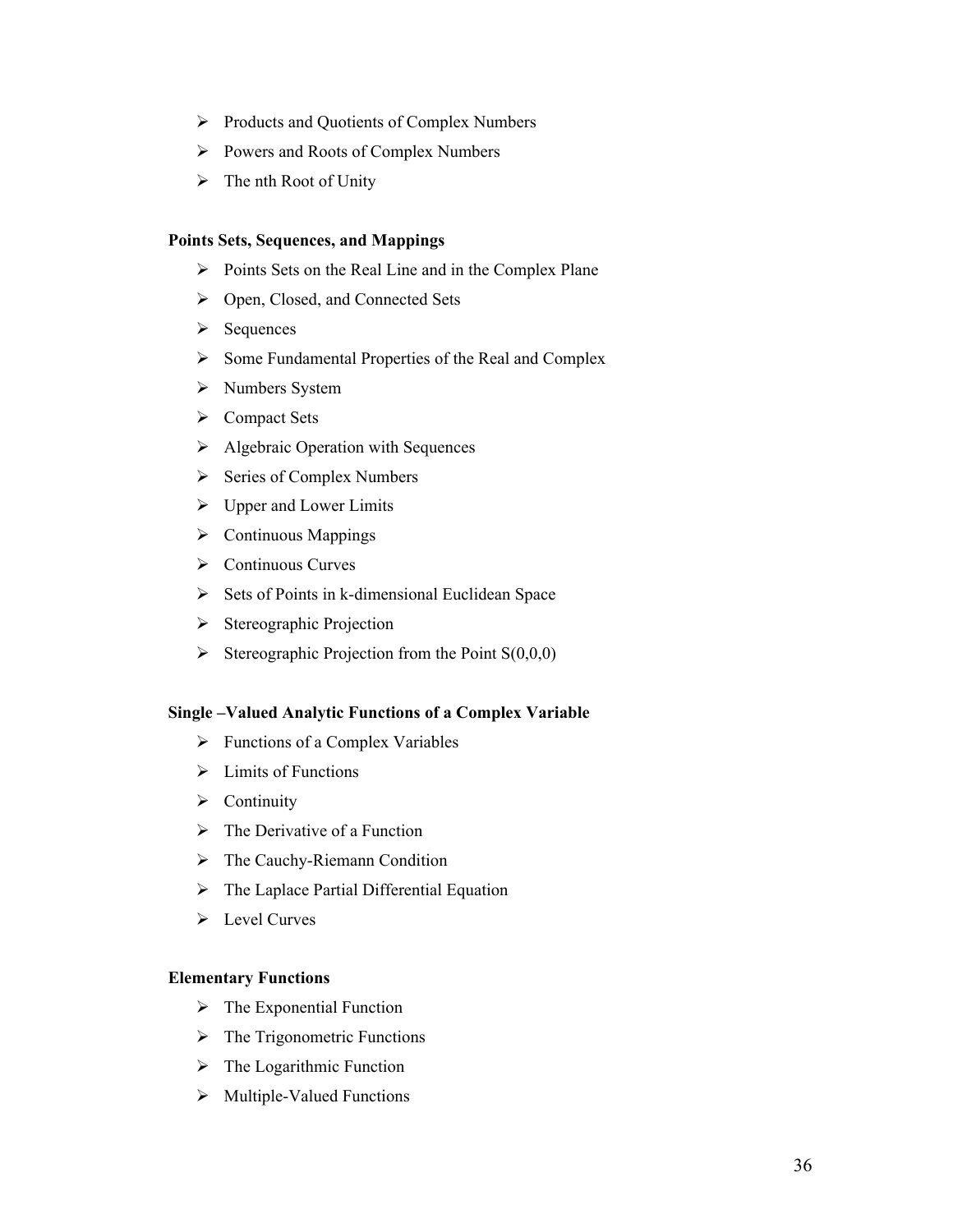- $\triangleright$  Products and Quotients of Complex Numbers
- Powers and Roots of Complex Numbers
- $\triangleright$  The nth Root of Unity

#### **Points Sets, Sequences, and Mappings**

- $\triangleright$  Points Sets on the Real Line and in the Complex Plane
- Open, Closed, and Connected Sets
- $\triangleright$  Sequences
- $\triangleright$  Some Fundamental Properties of the Real and Complex
- > Numbers System
- Compact Sets
- $\triangleright$  Algebraic Operation with Sequences
- $\triangleright$  Series of Complex Numbers
- $\triangleright$  Upper and Lower Limits
- $\triangleright$  Continuous Mappings
- ▶ Continuous Curves
- $\triangleright$  Sets of Points in k-dimensional Euclidean Space
- $\triangleright$  Stereographic Projection
- Stereographic Projection from the Point  $S(0,0,0)$

#### **Single –Valued Analytic Functions of a Complex Variable**

- $\triangleright$  Functions of a Complex Variables
- $\triangleright$  Limits of Functions
- $\triangleright$  Continuity
- $\triangleright$  The Derivative of a Function
- > The Cauchy-Riemann Condition
- $\triangleright$  The Laplace Partial Differential Equation
- $\triangleright$  Level Curves

#### **Elementary Functions**

- $\triangleright$  The Exponential Function
- $\triangleright$  The Trigonometric Functions
- $\triangleright$  The Logarithmic Function
- $\triangleright$  Multiple-Valued Functions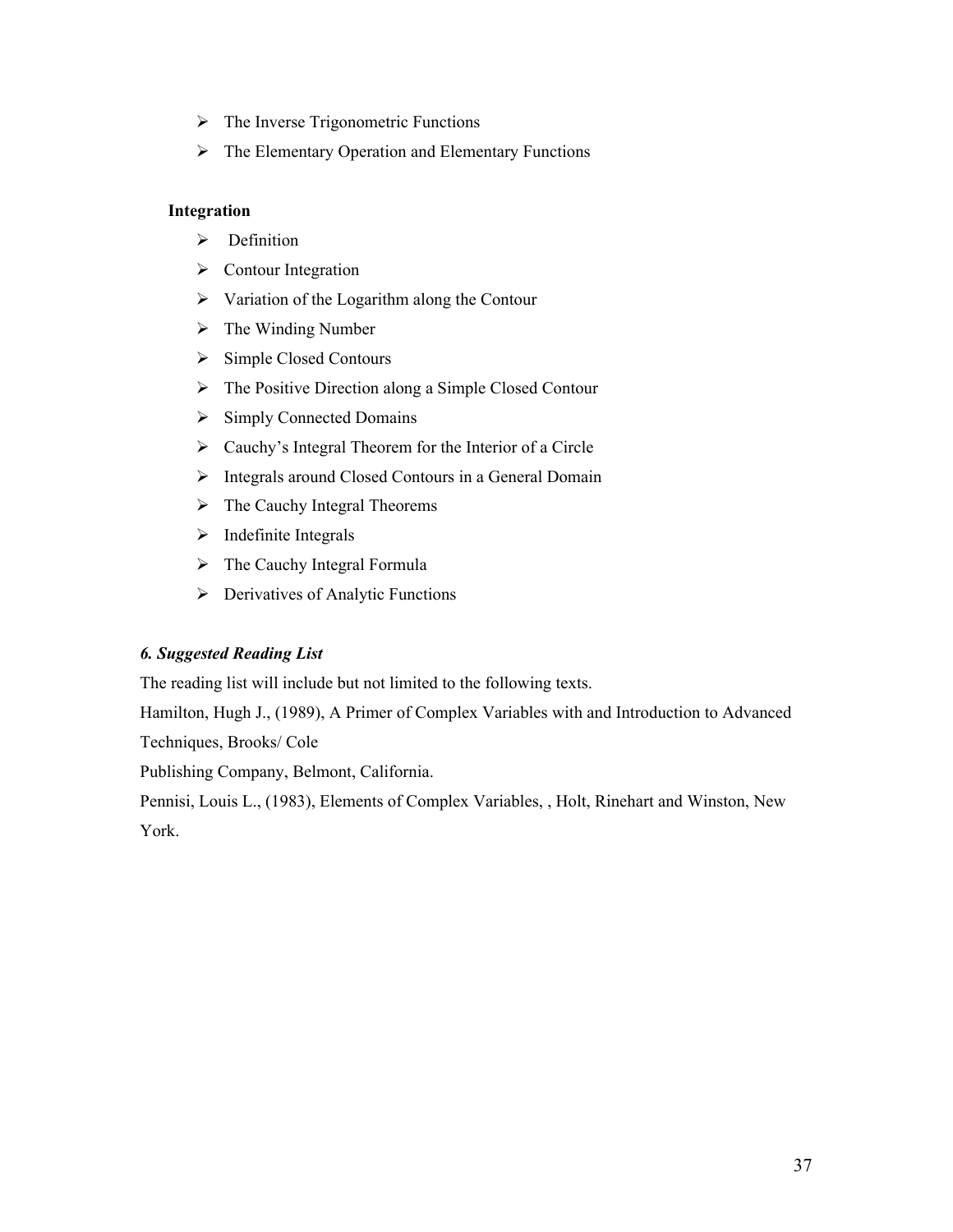- $\triangleright$  The Inverse Trigonometric Functions
- $\triangleright$  The Elementary Operation and Elementary Functions

#### **Integration**

- $\triangleright$  Definition
- $\triangleright$  Contour Integration
- $\triangleright$  Variation of the Logarithm along the Contour
- $\triangleright$  The Winding Number
- $\triangleright$  Simple Closed Contours
- $\triangleright$  The Positive Direction along a Simple Closed Contour
- $\triangleright$  Simply Connected Domains
- $\triangleright$  Cauchy's Integral Theorem for the Interior of a Circle
- $\triangleright$  Integrals around Closed Contours in a General Domain
- $\triangleright$  The Cauchy Integral Theorems
- $\triangleright$  Indefinite Integrals
- $\triangleright$  The Cauchy Integral Formula
- $\triangleright$  Derivatives of Analytic Functions

### *6. Suggested Reading List*

The reading list will include but not limited to the following texts.

Hamilton, Hugh J., (1989), A Primer of Complex Variables with and Introduction to Advanced Techniques, Brooks/ Cole

Publishing Company, Belmont, California.

Pennisi, Louis L., (1983), Elements of Complex Variables, , Holt, Rinehart and Winston, New York.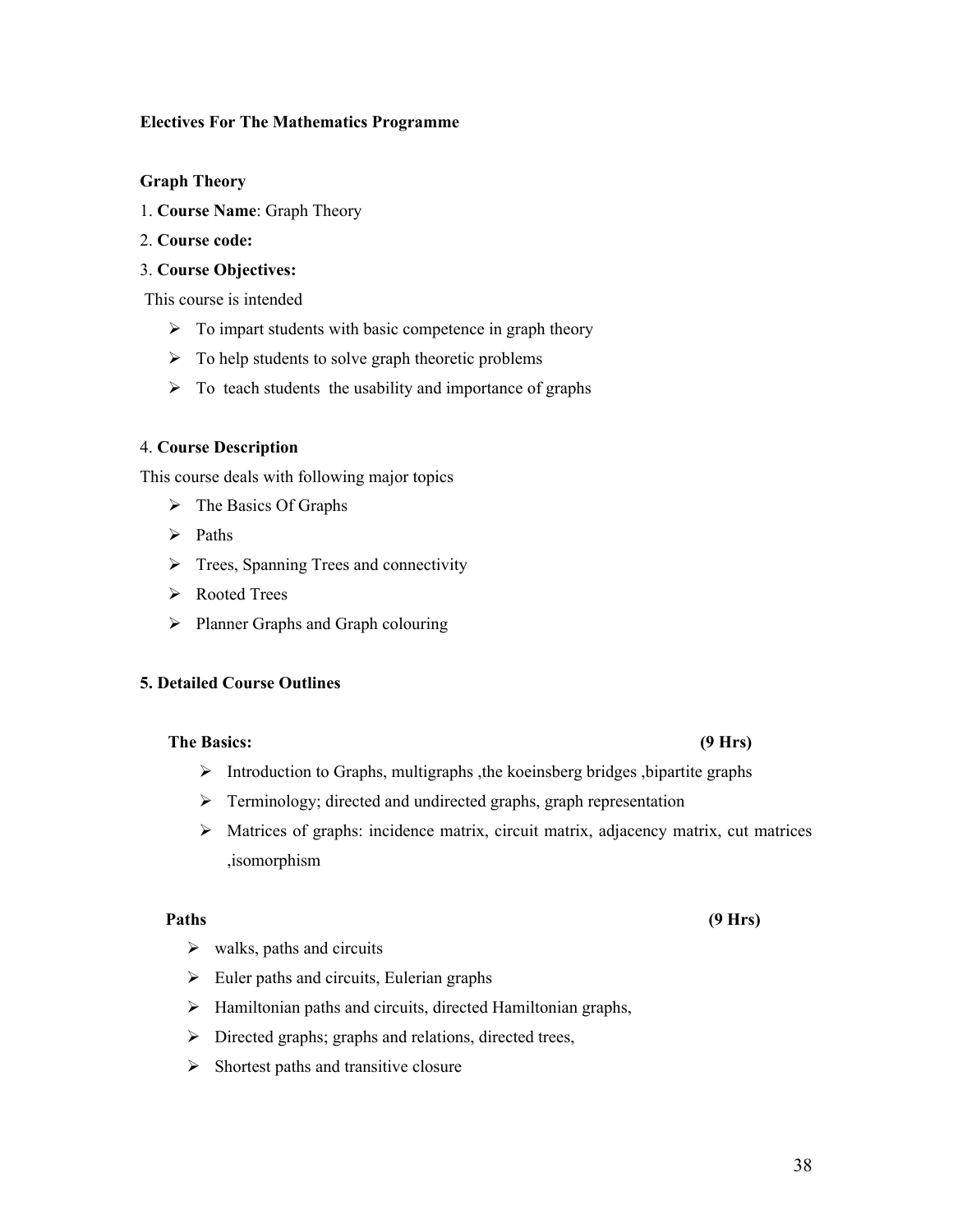#### **Electives For The Mathematics Programme**

#### **Graph Theory**

- 1. **Course Name**: Graph Theory
- 2. **Course code:**

#### 3. **Course Objectives:**

This course is intended

- $\triangleright$  To impart students with basic competence in graph theory
- $\triangleright$  To help students to solve graph theoretic problems
- $\triangleright$  To teach students the usability and importance of graphs

#### 4. **Course Description**

This course deals with following major topics

- $\triangleright$  The Basics Of Graphs
- $\triangleright$  Paths
- $\triangleright$  Trees, Spanning Trees and connectivity
- Rooted Trees
- $\triangleright$  Planner Graphs and Graph colouring

#### **5. Detailed Course Outlines**

#### **The Basics: (9 Hrs)**

- $\triangleright$  Introduction to Graphs, multigraphs , the koeinsberg bridges , bipartite graphs
- > Terminology; directed and undirected graphs, graph representation
- Matrices of graphs: incidence matrix, circuit matrix, adjacency matrix, cut matrices ,isomorphism

#### **Paths (9 Hrs)**

- $\triangleright$  walks, paths and circuits
- $\triangleright$  Euler paths and circuits, Eulerian graphs
- $\triangleright$  Hamiltonian paths and circuits, directed Hamiltonian graphs,
- > Directed graphs; graphs and relations, directed trees,
- $\triangleright$  Shortest paths and transitive closure

#### 38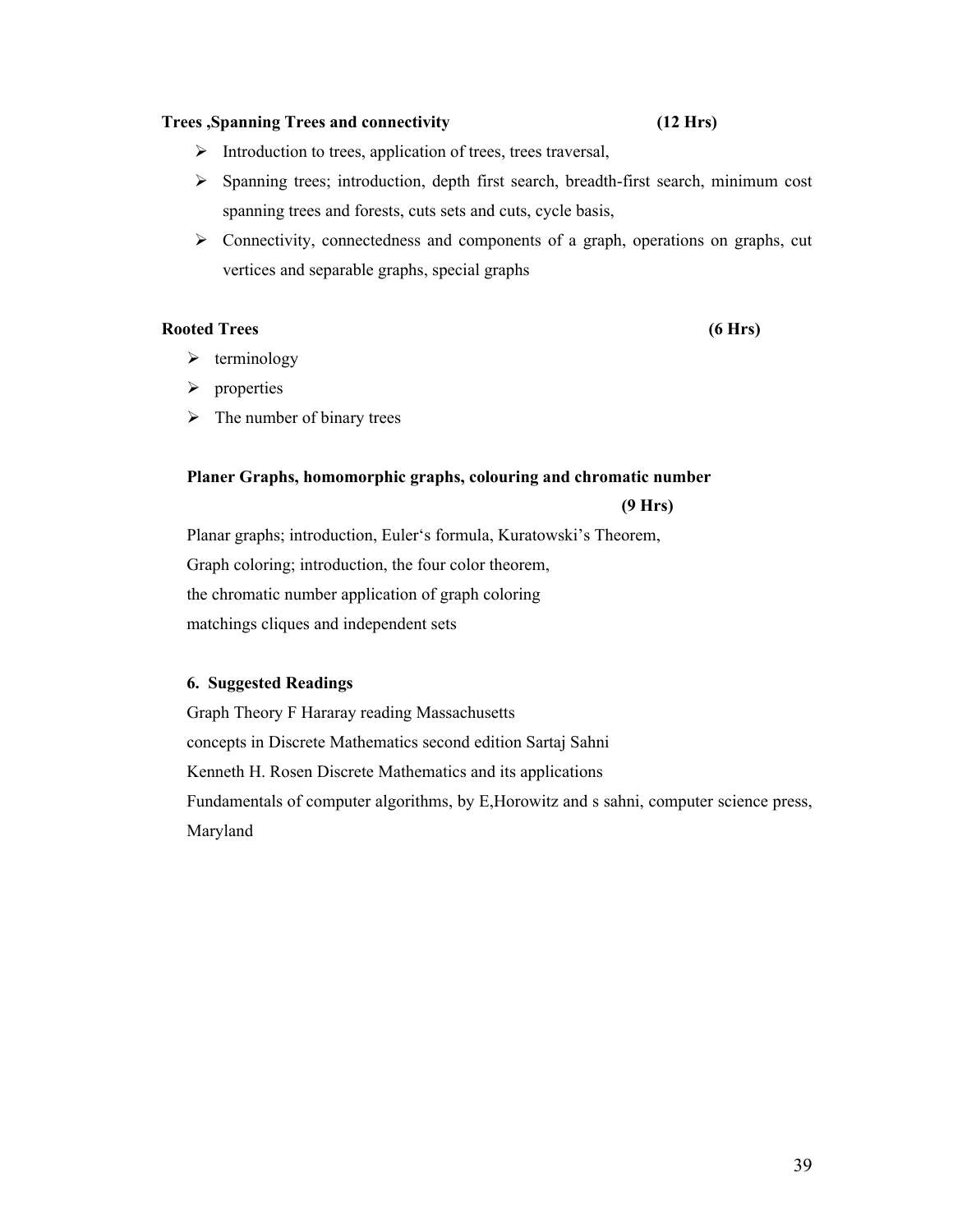#### **Trees ,Spanning Trees and connectivity (12 Hrs)**

- $\triangleright$  Introduction to trees, application of trees, trees traversal,
- Spanning trees; introduction, depth first search, breadth-first search, minimum cost spanning trees and forests, cuts sets and cuts, cycle basis,
- $\triangleright$  Connectivity, connectedness and components of a graph, operations on graphs, cut vertices and separable graphs, special graphs

### **Rooted Trees (6 Hrs)**

- $\blacktriangleright$  terminology
- $\triangleright$  properties
- $\triangleright$  The number of binary trees

### **Planer Graphs, homomorphic graphs, colouring and chromatic number**

 **(9 Hrs)**

Planar graphs; introduction, Euler's formula, Kuratowski's Theorem, Graph coloring; introduction, the four color theorem, the chromatic number application of graph coloring matchings cliques and independent sets

### **6. Suggested Readings**

Graph Theory F Hararay reading Massachusetts concepts in Discrete Mathematics second edition Sartaj Sahni Kenneth H. Rosen Discrete Mathematics and its applications Fundamentals of computer algorithms, by E,Horowitz and s sahni, computer science press, Maryland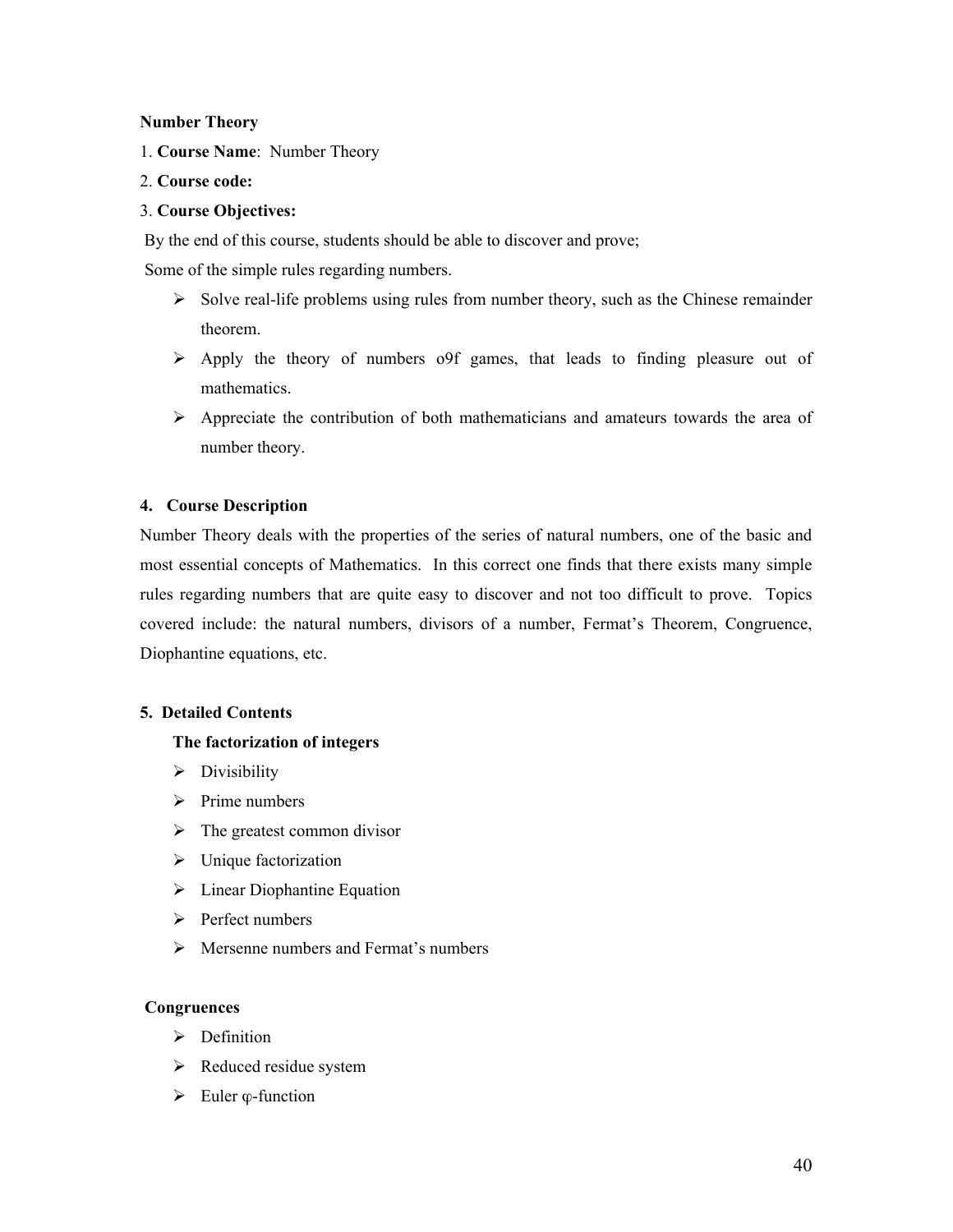#### **Number Theory**

1. **Course Name**: Number Theory

#### 2. **Course code:**

#### 3. **Course Objectives:**

By the end of this course, students should be able to discover and prove;

Some of the simple rules regarding numbers.

- $\triangleright$  Solve real-life problems using rules from number theory, such as the Chinese remainder theorem.
- $\triangleright$  Apply the theory of numbers o9f games, that leads to finding pleasure out of mathematics.
- $\triangleright$  Appreciate the contribution of both mathematicians and amateurs towards the area of number theory.

#### **4. Course Description**

Number Theory deals with the properties of the series of natural numbers, one of the basic and most essential concepts of Mathematics. In this correct one finds that there exists many simple rules regarding numbers that are quite easy to discover and not too difficult to prove. Topics covered include: the natural numbers, divisors of a number, Fermat's Theorem, Congruence, Diophantine equations, etc.

#### **5. Detailed Contents**

#### **The factorization of integers**

- $\triangleright$  Divisibility
- $\triangleright$  Prime numbers
- $\triangleright$  The greatest common divisor
- $\triangleright$  Unique factorization
- $\triangleright$  Linear Diophantine Equation
- $\triangleright$  Perfect numbers
- $\triangleright$  Mersenne numbers and Fermat's numbers

#### **Congruences**

- $\triangleright$  Definition
- $\triangleright$  Reduced residue system
- $\triangleright$  Euler  $\varphi$ -function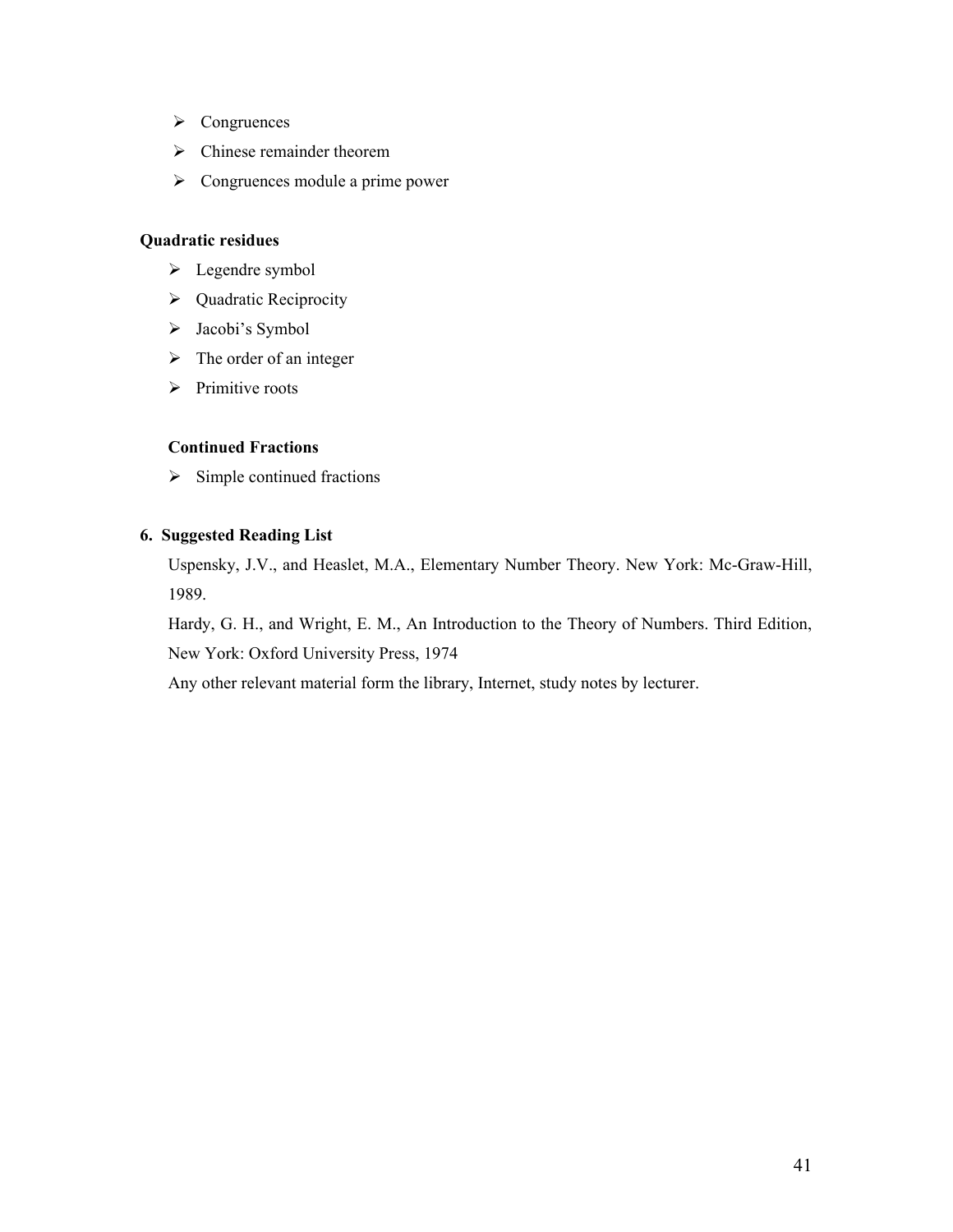- > Congruences
- $\triangleright$  Chinese remainder theorem
- $\triangleright$  Congruences module a prime power

### **Quadratic residues**

- > Legendre symbol
- ▶ Quadratic Reciprocity
- > Jacobi's Symbol
- $\triangleright$  The order of an integer
- $\triangleright$  Primitive roots

### **Continued Fractions**

 $\triangleright$  Simple continued fractions

#### **6. Suggested Reading List**

Uspensky, J.V., and Heaslet, M.A., Elementary Number Theory. New York: Mc-Graw-Hill, 1989.

Hardy, G. H., and Wright, E. M., An Introduction to the Theory of Numbers. Third Edition, New York: Oxford University Press, 1974

Any other relevant material form the library, Internet, study notes by lecturer.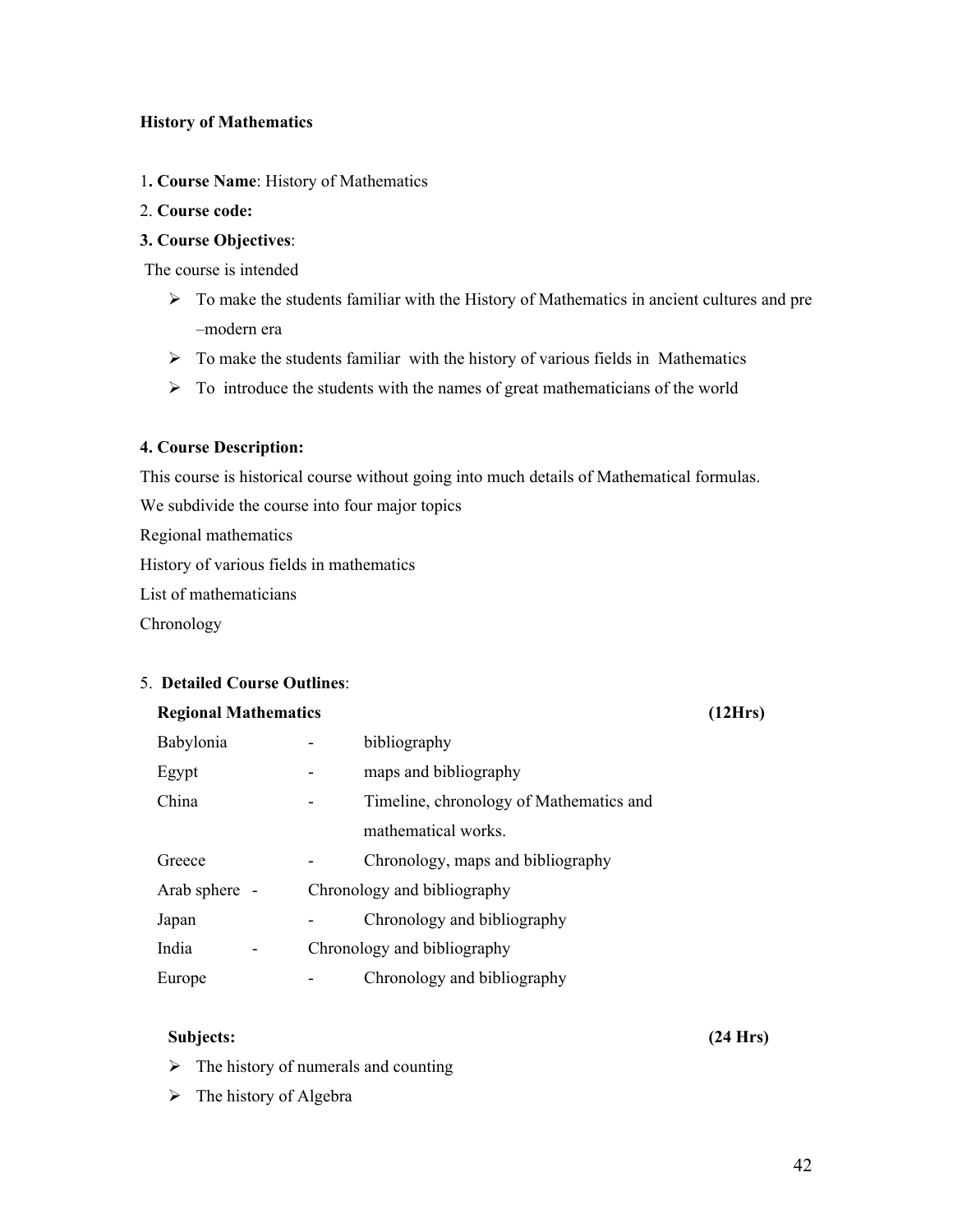#### **History of Mathematics**

- 1**. Course Name**: History of Mathematics
- 2. **Course code:**

### **3. Course Objectives**:

The course is intended

- $\triangleright$  To make the students familiar with the History of Mathematics in ancient cultures and pre –modern era
- $\triangleright$  To make the students familiar with the history of various fields in Mathematics
- $\triangleright$  To introduce the students with the names of great mathematicians of the world

#### **4. Course Description:**

This course is historical course without going into much details of Mathematical formulas.

We subdivide the course into four major topics

Regional mathematics

History of various fields in mathematics

List of mathematicians

**Chronology** 

#### 5. **Detailed Course Outlines**:

#### **Regional Mathematics (12Hrs)**

| Babylonia     | bibliography                                 |
|---------------|----------------------------------------------|
|               |                                              |
| Egypt         | maps and bibliography                        |
| China         | Timeline, chronology of Mathematics and<br>- |
|               | mathematical works.                          |
| Greece        | Chronology, maps and bibliography            |
| Arab sphere - | Chronology and bibliography                  |
| Japan         | Chronology and bibliography                  |
| India         | Chronology and bibliography                  |
| Europe        | Chronology and bibliography                  |

### **Subjects: (24 Hrs)**

- $\triangleright$  The history of numerals and counting
- $\triangleright$  The history of Algebra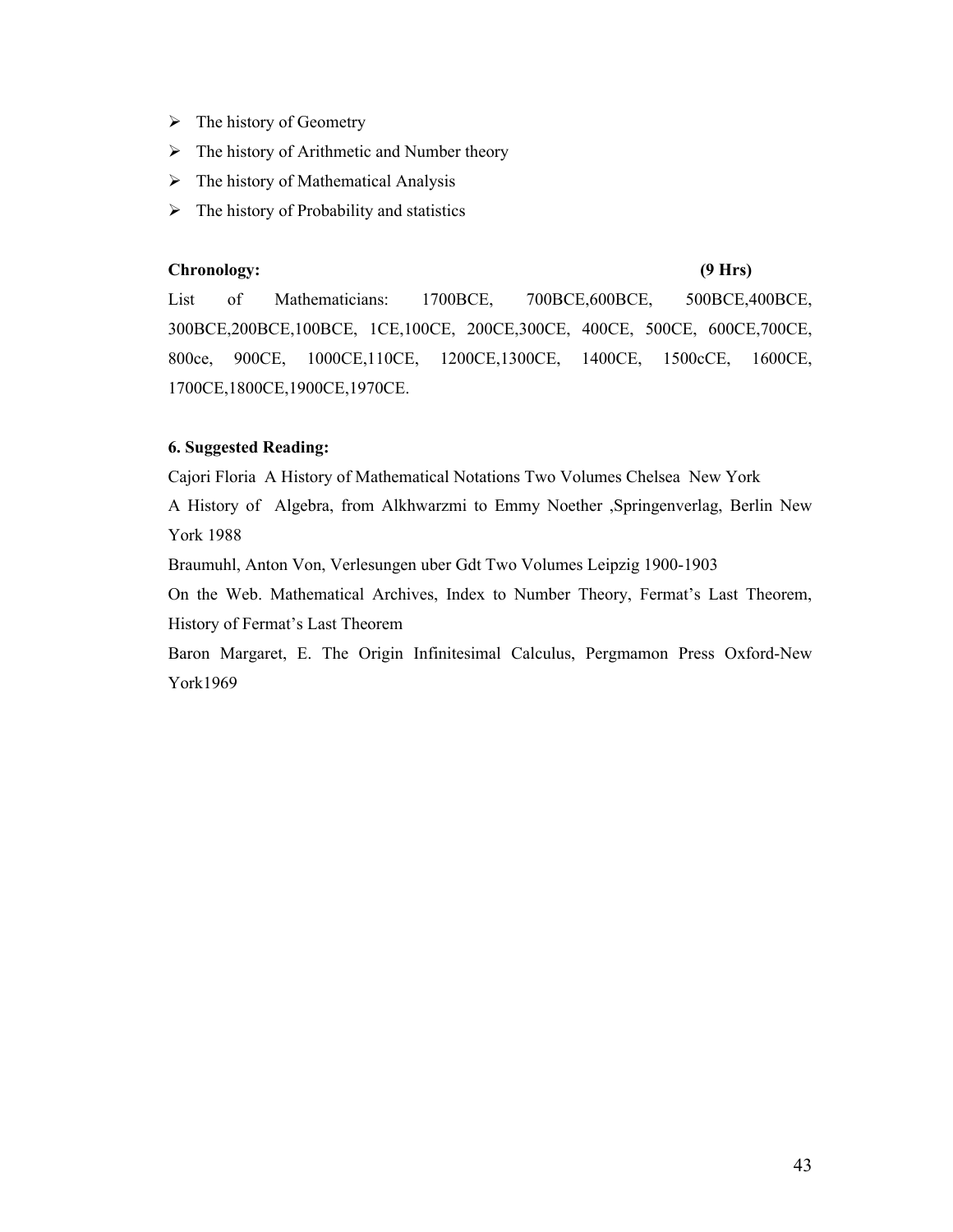- $\triangleright$  The history of Geometry
- $\triangleright$  The history of Arithmetic and Number theory
- $\triangleright$  The history of Mathematical Analysis
- $\triangleright$  The history of Probability and statistics

#### **Chronology: (9 Hrs)**

List of Mathematicians: 1700BCE, 700BCE,600BCE, 500BCE,400BCE, 300BCE,200BCE,100BCE, 1CE,100CE, 200CE,300CE, 400CE, 500CE, 600CE,700CE, 800ce, 900CE, 1000CE,110CE, 1200CE,1300CE, 1400CE, 1500cCE, 1600CE, 1700CE,1800CE,1900CE,1970CE.

#### **6. Suggested Reading:**

Cajori Floria A History of Mathematical Notations Two Volumes Chelsea New York

A History of Algebra, from Alkhwarzmi to Emmy Noether ,Springenverlag, Berlin New York 1988

Braumuhl, Anton Von, Verlesungen uber Gdt Two Volumes Leipzig 1900-1903

On the Web. Mathematical Archives, Index to Number Theory, Fermat's Last Theorem, History of Fermat's Last Theorem

Baron Margaret, E. The Origin Infinitesimal Calculus, Pergmamon Press Oxford-New York1969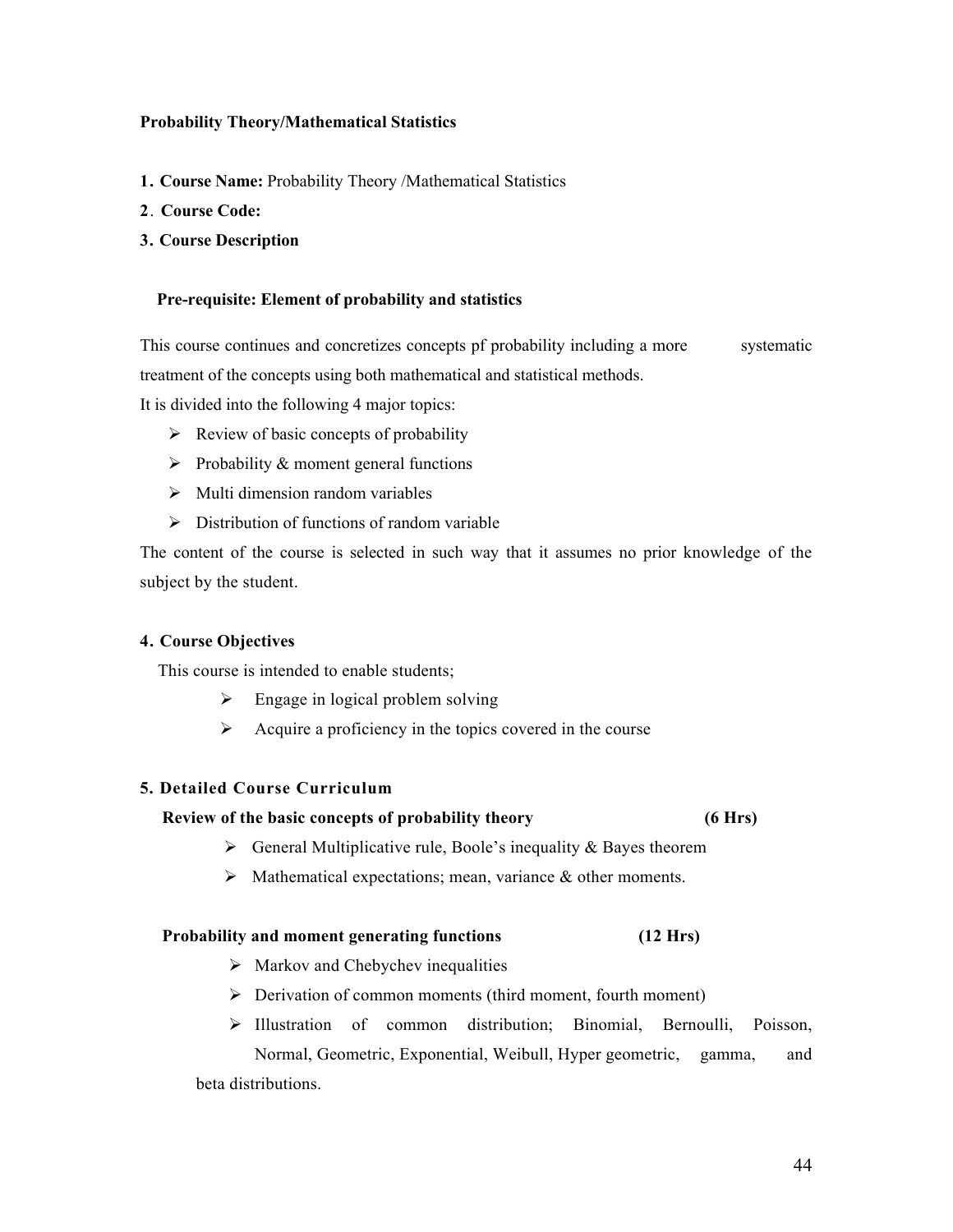#### **Probability Theory/Mathematical Statistics**

- **1. Course Name:** Probability Theory /Mathematical Statistics
- **2**. **Course Code:**
- **3. Course Description**

#### **Pre-requisite: Element of probability and statistics**

This course continues and concretizes concepts pf probability including a more systematic treatment of the concepts using both mathematical and statistical methods.

It is divided into the following 4 major topics:

- $\triangleright$  Review of basic concepts of probability
- $\triangleright$  Probability & moment general functions
- $\triangleright$  Multi dimension random variables
- $\triangleright$  Distribution of functions of random variable

The content of the course is selected in such way that it assumes no prior knowledge of the subject by the student.

#### **4. Course Objectives**

This course is intended to enable students;

- $\triangleright$  Engage in logical problem solving
- $\triangleright$  Acquire a proficiency in the topics covered in the course

#### **5. Detailed Course Curriculum**

#### **Review of the basic concepts of probability theory (6 Hrs)**

- $\triangleright$  General Multiplicative rule, Boole's inequality & Bayes theorem
- $\triangleright$  Mathematical expectations; mean, variance  $\&$  other moments.

#### **Probability and moment generating functions** (12 Hrs)

- $\triangleright$  Markov and Chebychev inequalities
- $\triangleright$  Derivation of common moments (third moment, fourth moment)
- $\triangleright$  Illustration of common distribution; Binomial, Bernoulli, Poisson, Normal, Geometric, Exponential, Weibull, Hyper geometric, gamma, and beta distributions.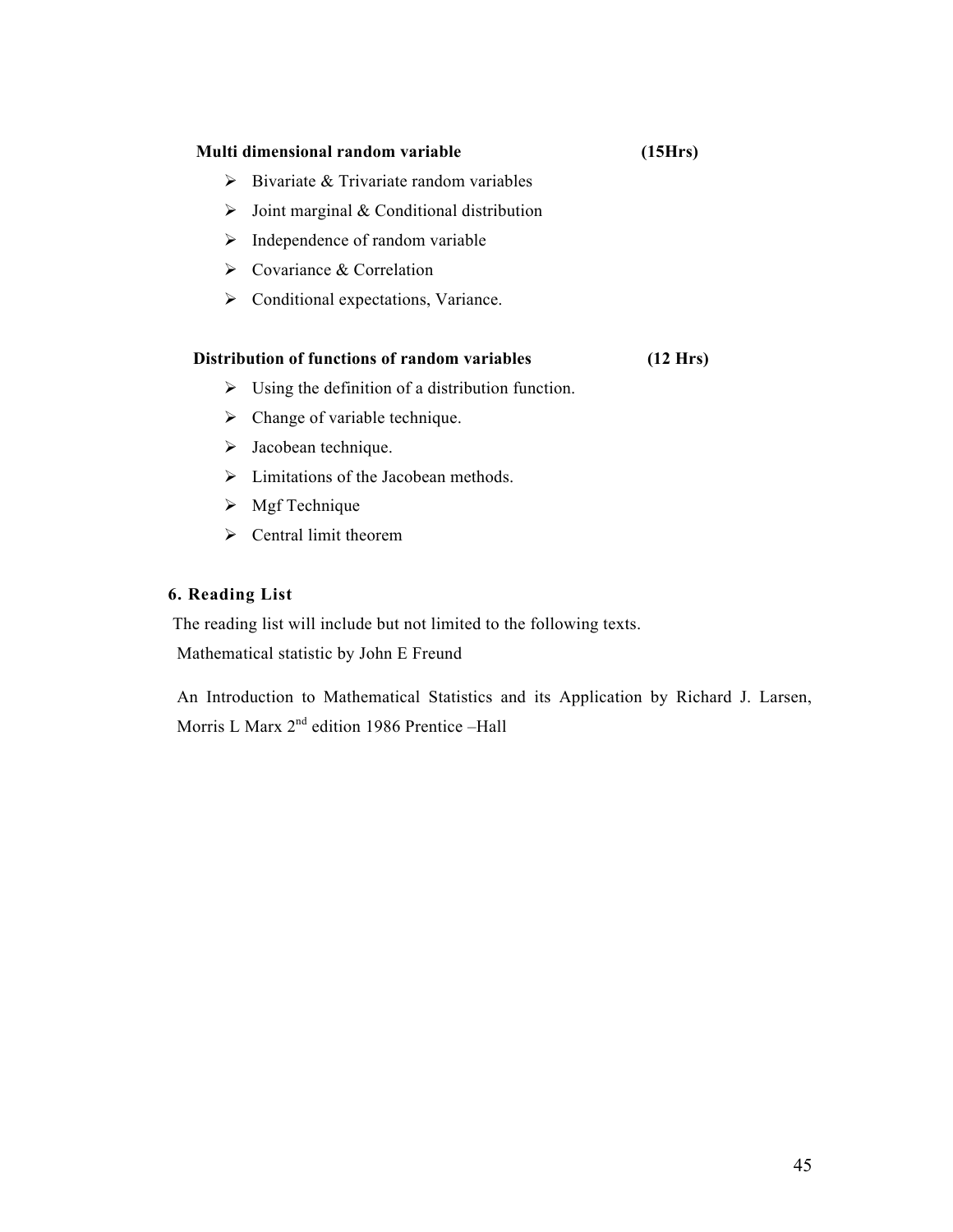# **Multi dimensional random variable (15Hrs)**  $\triangleright$  Bivariate & Trivariate random variables  $\triangleright$  Joint marginal & Conditional distribution  $\triangleright$  Independence of random variable  $\triangleright$  Covariance & Correlation  $\triangleright$  Conditional expectations, Variance.  **Distribution of functions of random variables (12 Hrs)**

- $\triangleright$  Using the definition of a distribution function.
- $\triangleright$  Change of variable technique.
- $\triangleright$  Jacobean technique.
- $\triangleright$  Limitations of the Jacobean methods.
- $\triangleright$  Mgf Technique
- $\triangleright$  Central limit theorem

### **6. Reading List**

 The reading list will include but not limited to the following texts. Mathematical statistic by John E Freund

An Introduction to Mathematical Statistics and its Application by Richard J. Larsen, Morris L Marx 2<sup>nd</sup> edition 1986 Prentice -Hall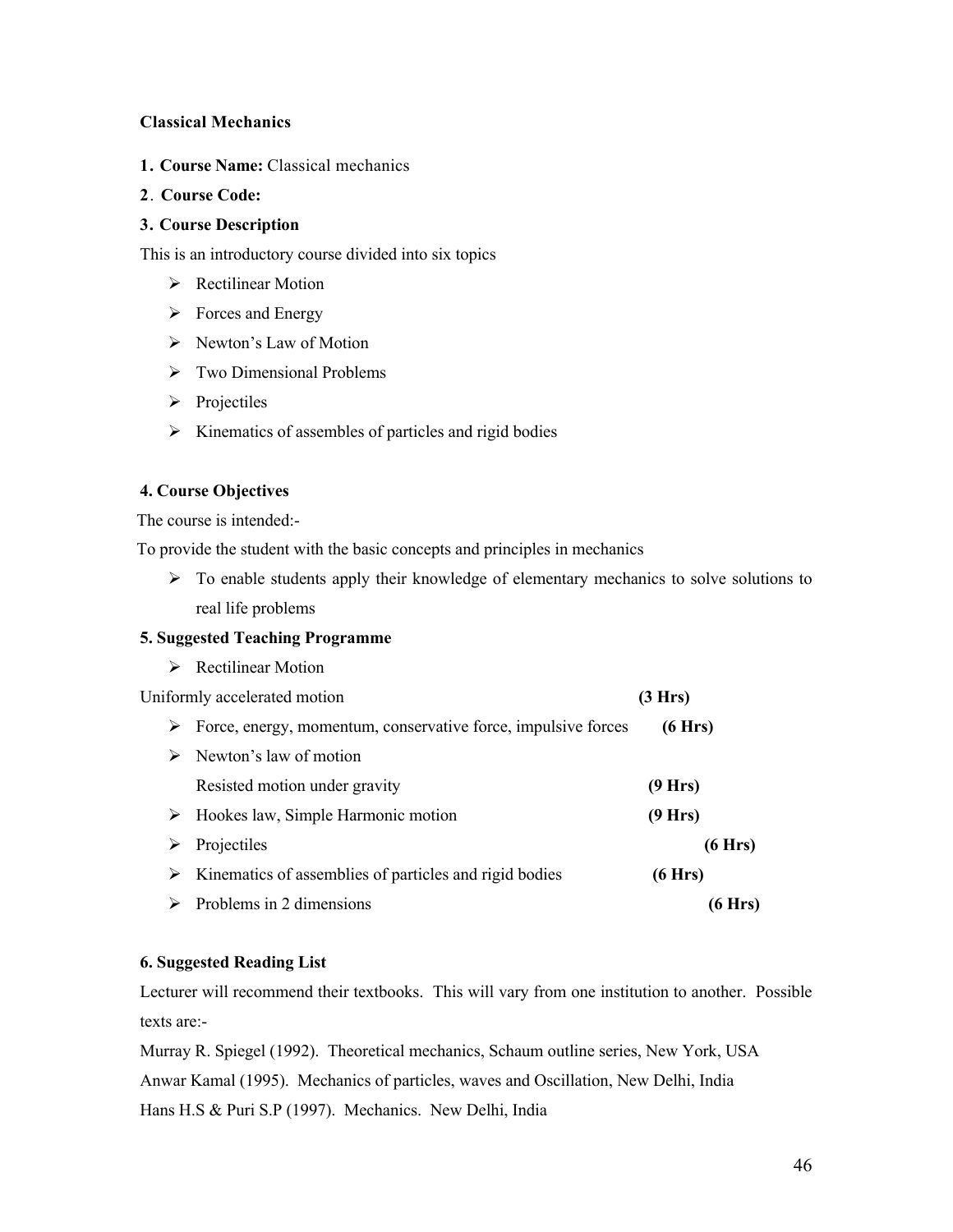#### **Classical Mechanics**

- **1. Course Name:** Classical mechanics
- **2**. **Course Code:**

### **3. Course Description**

This is an introductory course divided into six topics

- **EXECUTE:** Rectilinear Motion
- $\triangleright$  Forces and Energy
- $\triangleright$  Newton's Law of Motion
- $\triangleright$  Two Dimensional Problems
- $\triangleright$  Projectiles
- $\triangleright$  Kinematics of assembles of particles and rigid bodies

#### **4. Course Objectives**

The course is intended:-

To provide the student with the basic concepts and principles in mechanics

 $\triangleright$  To enable students apply their knowledge of elementary mechanics to solve solutions to real life problems

### **5. Suggested Teaching Programme**

**EXECUTE:** Rectilinear Motion

Uniformly accelerated motion **(3 Hrs)** 

| ➤ | Force, energy, momentum, conservative force, impulsive forces | (6 Hrs) |
|---|---------------------------------------------------------------|---------|
| ➤ | Newton's law of motion                                        |         |
|   | Resisted motion under gravity                                 | (9 Hrs) |
| ➤ | Hookes law, Simple Harmonic motion                            | (9 Hrs) |
| ➤ | Projectiles                                                   | (6 Hrs) |
| ➤ | Kinematics of assemblies of particles and rigid bodies        | (6 Hrs) |
| ➤ | Problems in 2 dimensions                                      | (6 Hrs) |

### **6. Suggested Reading List**

Lecturer will recommend their textbooks. This will vary from one institution to another. Possible texts are:-

Murray R. Spiegel (1992). Theoretical mechanics, Schaum outline series, New York, USA Anwar Kamal (1995). Mechanics of particles, waves and Oscillation, New Delhi, India Hans H.S & Puri S.P (1997). Mechanics. New Delhi, India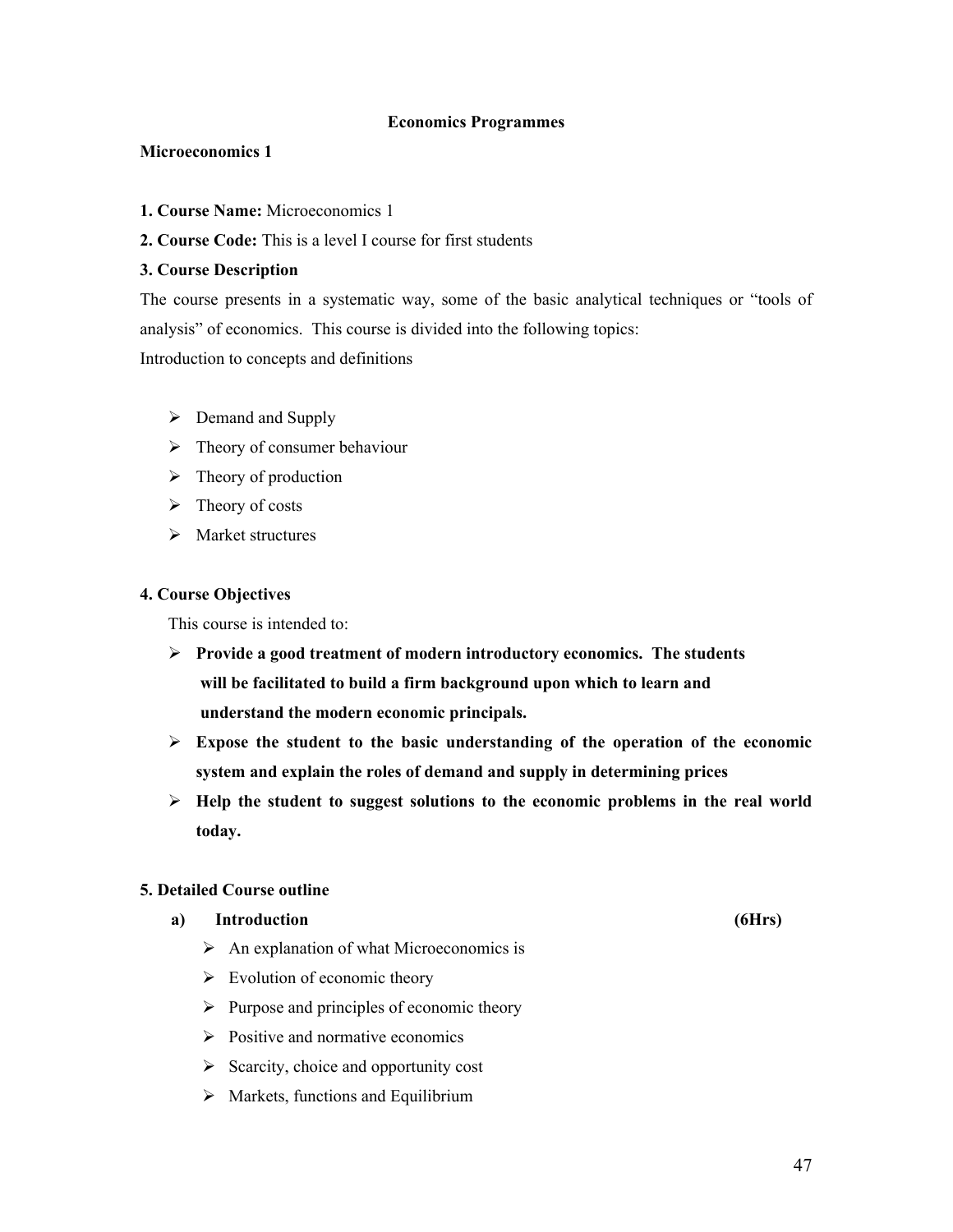#### **Economics Programmes**

#### **Microeconomics 1**

- **1. Course Name:** Microeconomics 1
- **2. Course Code:** This is a level I course for first students

#### **3. Course Description**

The course presents in a systematic way, some of the basic analytical techniques or "tools of analysis" of economics. This course is divided into the following topics: Introduction to concepts and definitions

- $\triangleright$  Demand and Supply
- $\triangleright$  Theory of consumer behaviour
- $\triangleright$  Theory of production
- $\triangleright$  Theory of costs
- $\triangleright$  Market structures

#### **4. Course Objectives**

This course is intended to:

- **Provide a good treatment of modern introductory economics. The students will be facilitated to build a firm background upon which to learn and understand the modern economic principals.**
- $\triangleright$  Expose the student to the basic understanding of the operation of the economic **system and explain the roles of demand and supply in determining prices**
- **Help the student to suggest solutions to the economic problems in the real world today.**

#### **5. Detailed Course outline**

#### **a) Introduction (6Hrs)**

- $\triangleright$  An explanation of what Microeconomics is
- $\triangleright$  Evolution of economic theory
- $\triangleright$  Purpose and principles of economic theory
- $\triangleright$  Positive and normative economics
- $\triangleright$  Scarcity, choice and opportunity cost
- $\triangleright$  Markets, functions and Equilibrium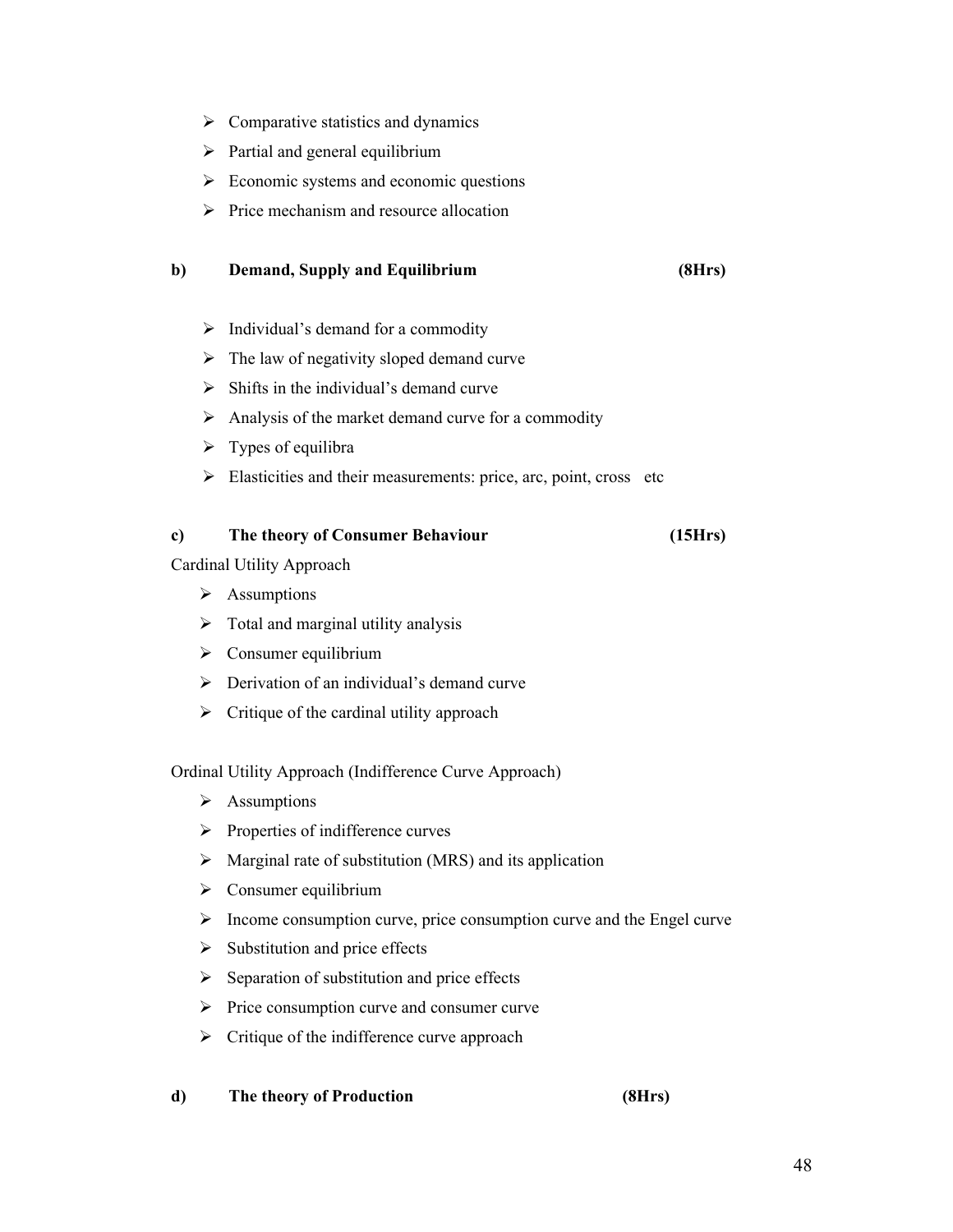- $\triangleright$  Comparative statistics and dynamics
- $\triangleright$  Partial and general equilibrium
- $\triangleright$  Economic systems and economic questions
- $\triangleright$  Price mechanism and resource allocation

### **b) Demand, Supply and Equilibrium (8Hrs)**

- $\triangleright$  Individual's demand for a commodity
- $\triangleright$  The law of negativity sloped demand curve
- $\triangleright$  Shifts in the individual's demand curve
- $\triangleright$  Analysis of the market demand curve for a commodity
- $\triangleright$  Types of equilibra
- $\triangleright$  Elasticities and their measurements: price, arc, point, cross etc

### **c) The theory of Consumer Behaviour (15Hrs)**

Cardinal Utility Approach

- $\triangleright$  Assumptions
- $\triangleright$  Total and marginal utility analysis
- $\triangleright$  Consumer equilibrium
- $\triangleright$  Derivation of an individual's demand curve
- $\triangleright$  Critique of the cardinal utility approach

Ordinal Utility Approach (Indifference Curve Approach)

- $\triangleright$  Assumptions
- $\triangleright$  Properties of indifference curves
- $\triangleright$  Marginal rate of substitution (MRS) and its application
- $\triangleright$  Consumer equilibrium
- $\triangleright$  Income consumption curve, price consumption curve and the Engel curve
- $\triangleright$  Substitution and price effects
- $\triangleright$  Separation of substitution and price effects
- $\triangleright$  Price consumption curve and consumer curve
- $\triangleright$  Critique of the indifference curve approach
- **d) The theory of Production (8Hrs)**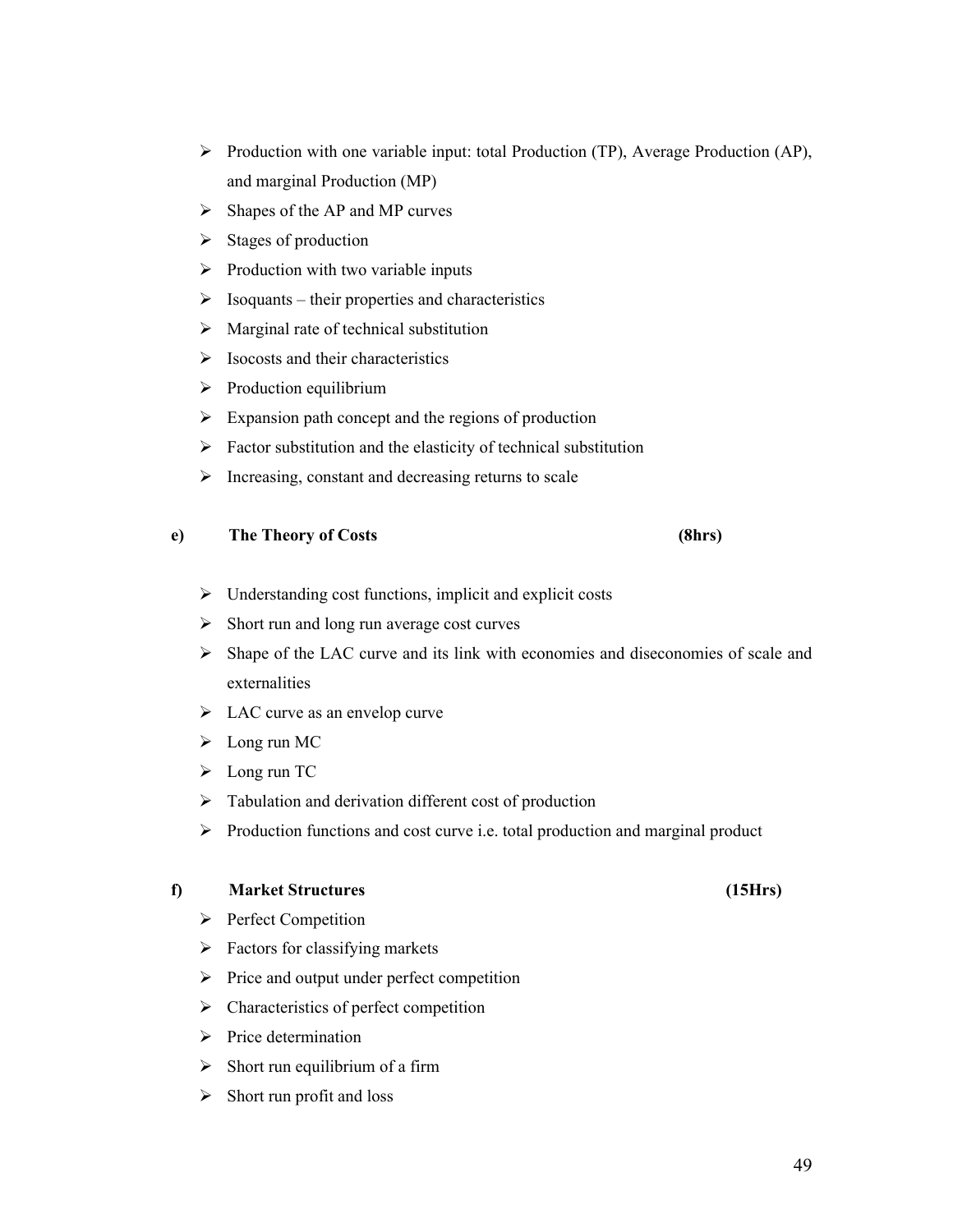- $\triangleright$  Production with one variable input: total Production (TP), Average Production (AP), and marginal Production (MP)
- $\triangleright$  Shapes of the AP and MP curves
- $\triangleright$  Stages of production
- $\triangleright$  Production with two variable inputs
- $\triangleright$  Isoquants their properties and characteristics
- $\triangleright$  Marginal rate of technical substitution
- $\triangleright$  Isocosts and their characteristics
- $\triangleright$  Production equilibrium
- $\triangleright$  Expansion path concept and the regions of production
- $\triangleright$  Factor substitution and the elasticity of technical substitution
- $\triangleright$  Increasing, constant and decreasing returns to scale

#### **e) The Theory of Costs (8hrs)**

- $\triangleright$  Understanding cost functions, implicit and explicit costs
- $\triangleright$  Short run and long run average cost curves
- $\triangleright$  Shape of the LAC curve and its link with economies and diseconomies of scale and externalities
- $\triangleright$  LAC curve as an envelop curve
- $\blacktriangleright$  Long run MC
- > Long run TC
- $\triangleright$  Tabulation and derivation different cost of production
- $\triangleright$  Production functions and cost curve i.e. total production and marginal product

#### **f) Market Structures (15Hrs)**

- $\triangleright$  Perfect Competition
- $\triangleright$  Factors for classifying markets
- $\triangleright$  Price and output under perfect competition
- $\triangleright$  Characteristics of perfect competition
- $\triangleright$  Price determination
- $\triangleright$  Short run equilibrium of a firm
- $\triangleright$  Short run profit and loss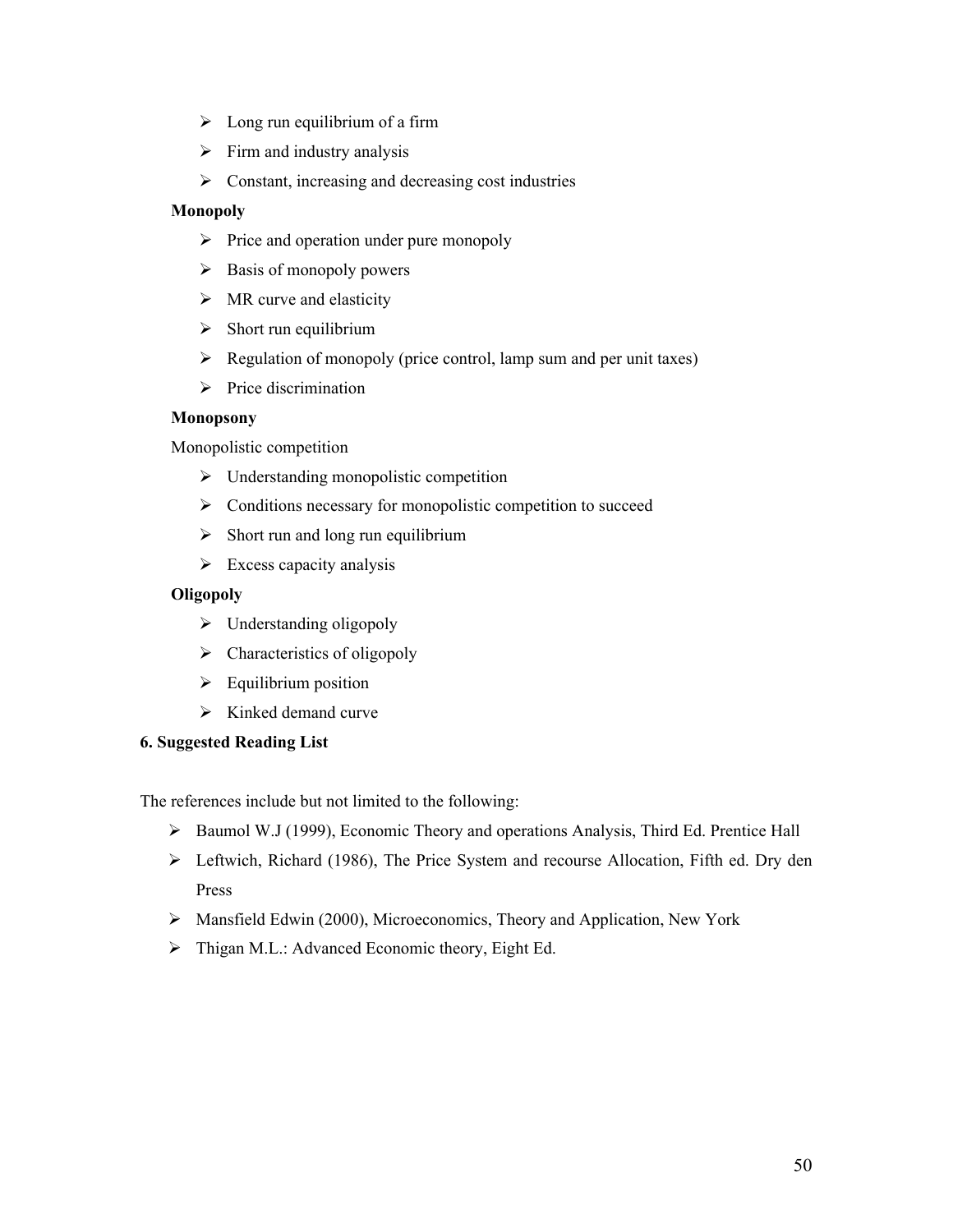- $\triangleright$  Long run equilibrium of a firm
- $\triangleright$  Firm and industry analysis
- $\triangleright$  Constant, increasing and decreasing cost industries

#### **Monopoly**

- $\triangleright$  Price and operation under pure monopoly
- $\triangleright$  Basis of monopoly powers
- $\triangleright$  MR curve and elasticity
- $\triangleright$  Short run equilibrium
- $\triangleright$  Regulation of monopoly (price control, lamp sum and per unit taxes)
- $\triangleright$  Price discrimination

#### **Monopsony**

Monopolistic competition

- $\triangleright$  Understanding monopolistic competition
- $\triangleright$  Conditions necessary for monopolistic competition to succeed
- $\triangleright$  Short run and long run equilibrium
- $\triangleright$  Excess capacity analysis

#### **Oligopoly**

- $\triangleright$  Understanding oligopoly
- $\triangleright$  Characteristics of oligopoly
- $\triangleright$  Equilibrium position
- $\triangleright$  Kinked demand curve

#### **6. Suggested Reading List**

The references include but not limited to the following:

- $\triangleright$  Baumol W.J (1999), Economic Theory and operations Analysis, Third Ed. Prentice Hall
- Leftwich, Richard (1986), The Price System and recourse Allocation, Fifth ed. Dry den Press
- Mansfield Edwin (2000), Microeconomics, Theory and Application, New York
- > Thigan M.L.: Advanced Economic theory, Eight Ed.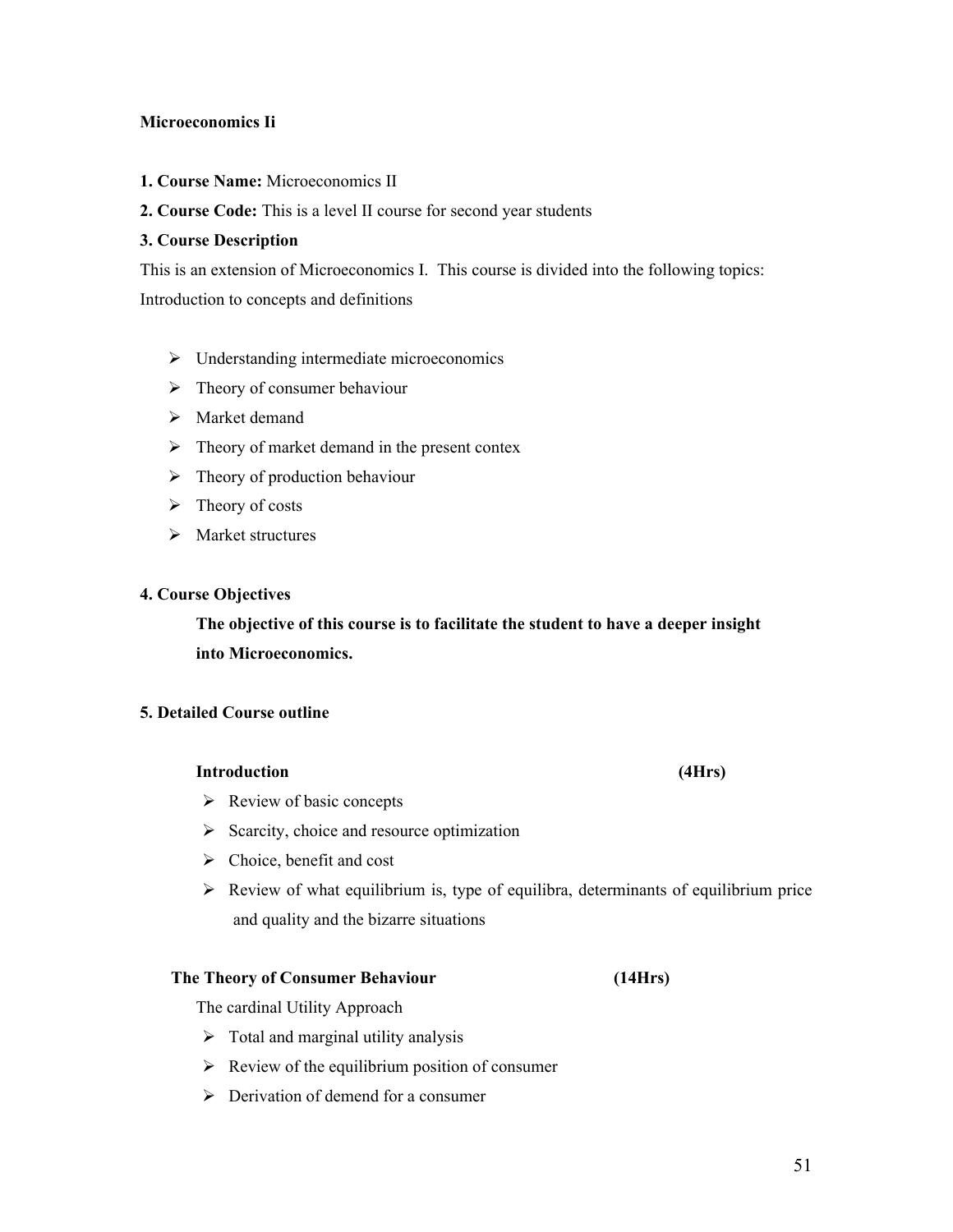#### **Microeconomics Ii**

**1. Course Name:** Microeconomics II

### **2. Course Code:** This is a level II course for second year students

#### **3. Course Description**

This is an extension of Microeconomics I. This course is divided into the following topics: Introduction to concepts and definitions

- Understanding intermediate microeconomics
- $\triangleright$  Theory of consumer behaviour
- > Market demand
- $\triangleright$  Theory of market demand in the present contex
- $\triangleright$  Theory of production behaviour
- $\triangleright$  Theory of costs
- $\triangleright$  Market structures

#### **4. Course Objectives**

**The objective of this course is to facilitate the student to have a deeper insight into Microeconomics.**

#### **5. Detailed Course outline**

#### **Introduction (4Hrs)**

- $\triangleright$  Review of basic concepts
- $\triangleright$  Scarcity, choice and resource optimization
- $\triangleright$  Choice, benefit and cost
- $\triangleright$  Review of what equilibrium is, type of equilibra, determinants of equilibrium price and quality and the bizarre situations

#### **The Theory of Consumer Behaviour (14Hrs)**

The cardinal Utility Approach

- $\triangleright$  Total and marginal utility analysis
- $\triangleright$  Review of the equilibrium position of consumer
- $\triangleright$  Derivation of demend for a consumer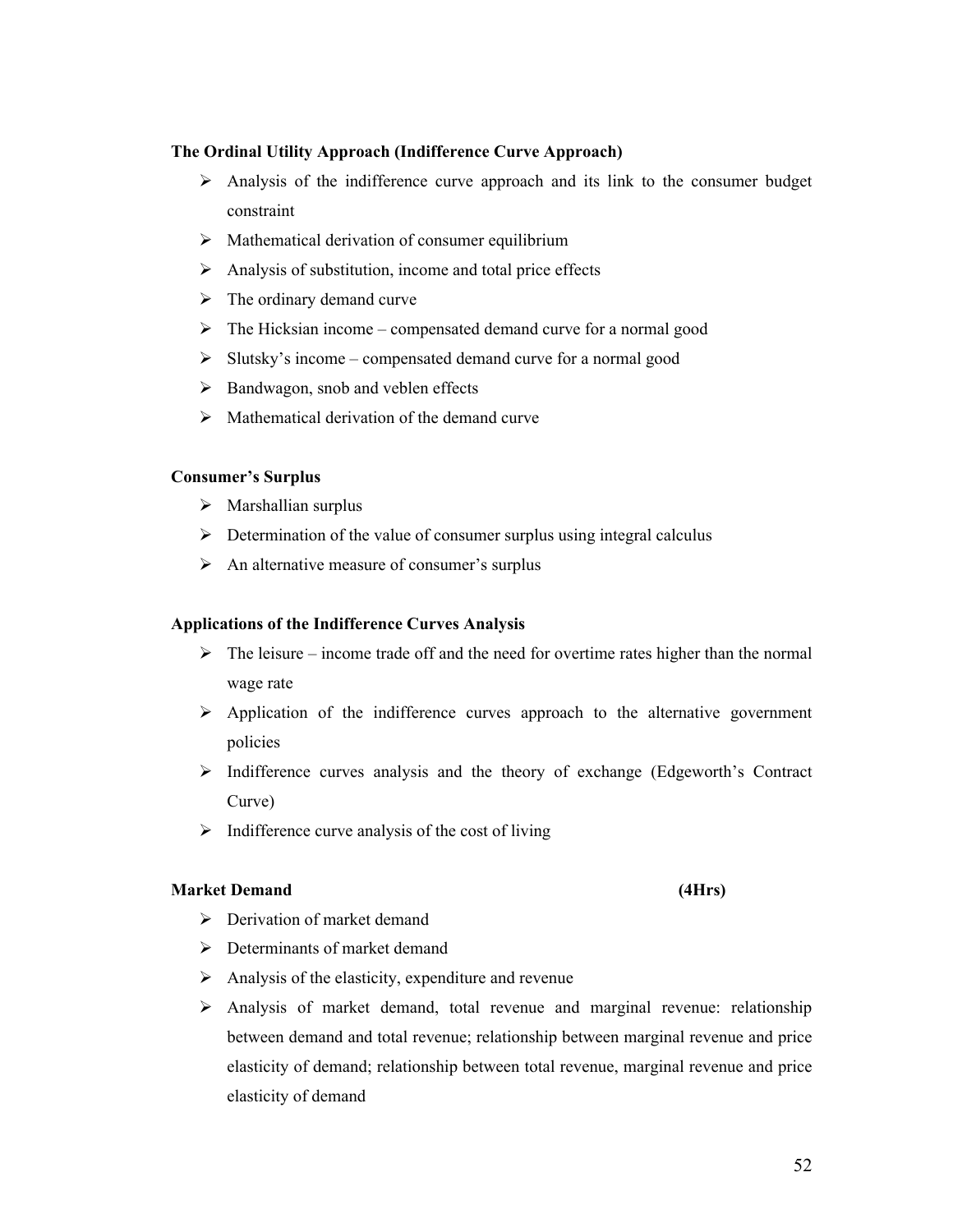# 52

### **The Ordinal Utility Approach (Indifference Curve Approach)**

- Analysis of the indifference curve approach and its link to the consumer budget constraint
- $\triangleright$  Mathematical derivation of consumer equilibrium
- $\triangleright$  Analysis of substitution, income and total price effects
- $\triangleright$  The ordinary demand curve
- $\triangleright$  The Hicksian income compensated demand curve for a normal good
- $\triangleright$  Slutsky's income compensated demand curve for a normal good
- $\triangleright$  Bandwagon, snob and veblen effects
- $\triangleright$  Mathematical derivation of the demand curve

### **Consumer's Surplus**

- $\triangleright$  Marshallian surplus
- $\triangleright$  Determination of the value of consumer surplus using integral calculus
- $\triangleright$  An alternative measure of consumer's surplus

### **Applications of the Indifference Curves Analysis**

- $\triangleright$  The leisure income trade off and the need for overtime rates higher than the normal wage rate
- $\triangleright$  Application of the indifference curves approach to the alternative government policies
- $\triangleright$  Indifference curves analysis and the theory of exchange (Edgeworth's Contract Curve)
- $\triangleright$  Indifference curve analysis of the cost of living

### **Market Demand (4Hrs)**

- $\triangleright$  Derivation of market demand
- $\triangleright$  Determinants of market demand
- $\triangleright$  Analysis of the elasticity, expenditure and revenue
- $\triangleright$  Analysis of market demand, total revenue and marginal revenue: relationship between demand and total revenue; relationship between marginal revenue and price elasticity of demand; relationship between total revenue, marginal revenue and price elasticity of demand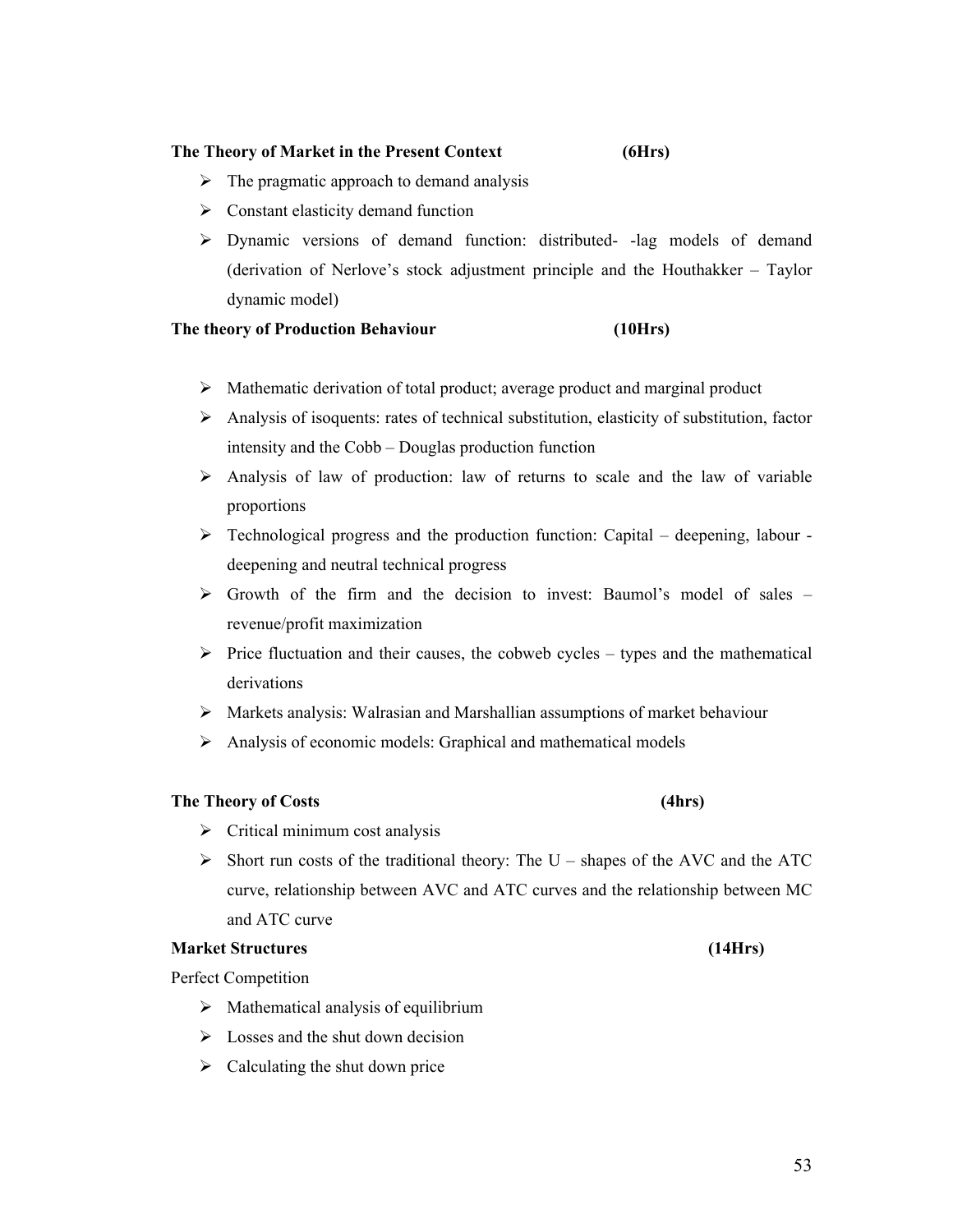#### **The Theory of Market in the Present Context (6Hrs)**

- $\triangleright$  The pragmatic approach to demand analysis
- $\triangleright$  Constant elasticity demand function
- $\triangleright$  Dynamic versions of demand function: distributed- -lag models of demand (derivation of Nerlove's stock adjustment principle and the Houthakker – Taylor dynamic model)

#### **The theory of Production Behaviour (10Hrs)**

- Mathematic derivation of total product; average product and marginal product
- $\triangleright$  Analysis of isoquents: rates of technical substitution, elasticity of substitution, factor intensity and the Cobb – Douglas production function
- $\triangleright$  Analysis of law of production: law of returns to scale and the law of variable proportions
- $\triangleright$  Technological progress and the production function: Capital deepening, labour deepening and neutral technical progress
- $\triangleright$  Growth of the firm and the decision to invest: Baumol's model of sales revenue/profit maximization
- $\triangleright$  Price fluctuation and their causes, the cobweb cycles types and the mathematical derivations
- Markets analysis: Walrasian and Marshallian assumptions of market behaviour
- $\triangleright$  Analysis of economic models: Graphical and mathematical models

#### **The Theory of Costs (4hrs)**

- $\triangleright$  Critical minimum cost analysis
- $\triangleright$  Short run costs of the traditional theory: The U shapes of the AVC and the ATC curve, relationship between AVC and ATC curves and the relationship between MC and ATC curve

#### **Market Structures (14Hrs)**

Perfect Competition

- $\triangleright$  Mathematical analysis of equilibrium
- $\triangleright$  Losses and the shut down decision
- $\triangleright$  Calculating the shut down price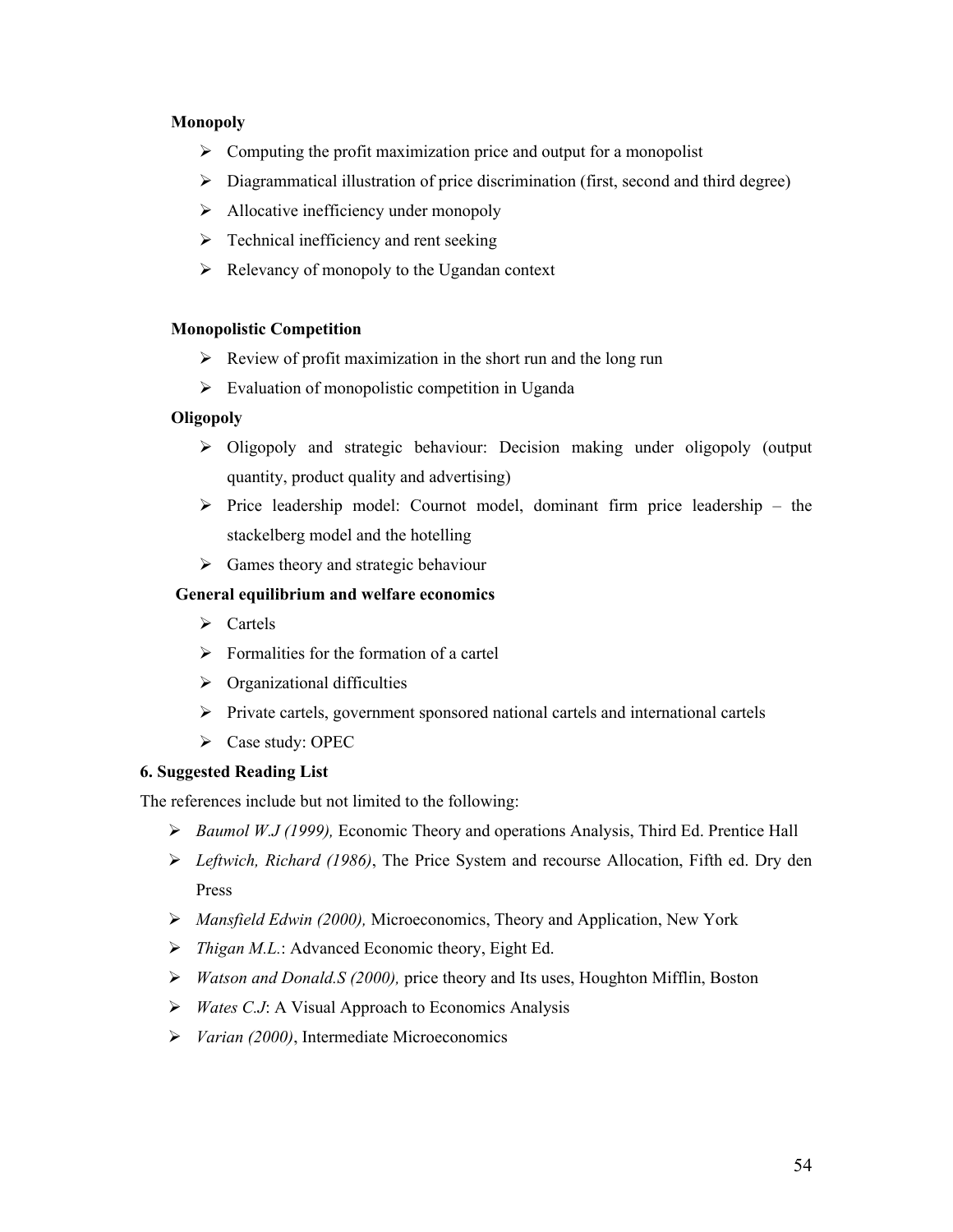#### **Monopoly**

- $\triangleright$  Computing the profit maximization price and output for a monopolist
- $\triangleright$  Diagrammatical illustration of price discrimination (first, second and third degree)
- $\triangleright$  Allocative inefficiency under monopoly
- $\triangleright$  Technical inefficiency and rent seeking
- $\triangleright$  Relevancy of monopoly to the Ugandan context

#### **Monopolistic Competition**

- $\triangleright$  Review of profit maximization in the short run and the long run
- $\triangleright$  Evaluation of monopolistic competition in Uganda

#### **Oligopoly**

- $\triangleright$  Oligopoly and strategic behaviour: Decision making under oligopoly (output quantity, product quality and advertising)
- $\triangleright$  Price leadership model: Cournot model, dominant firm price leadership the stackelberg model and the hotelling
- $\triangleright$  Games theory and strategic behaviour

#### **General equilibrium and welfare economics**

- $\triangleright$  Cartels
- $\triangleright$  Formalities for the formation of a cartel
- $\triangleright$  Organizational difficulties
- $\triangleright$  Private cartels, government sponsored national cartels and international cartels
- $\triangleright$  Case study: OPEC

### **6. Suggested Reading List**

The references include but not limited to the following:

- *Baumol W.J (1999),* Economic Theory and operations Analysis, Third Ed. Prentice Hall
- *Leftwich, Richard (1986)*, The Price System and recourse Allocation, Fifth ed. Dry den Press
- *Mansfield Edwin (2000),* Microeconomics, Theory and Application, New York
- *Thigan M.L.*: Advanced Economic theory, Eight Ed.
- *Watson and Donald.S (2000),* price theory and Its uses, Houghton Mifflin, Boston
- *Wates C.J*: A Visual Approach to Economics Analysis
- *Varian (2000)*, Intermediate Microeconomics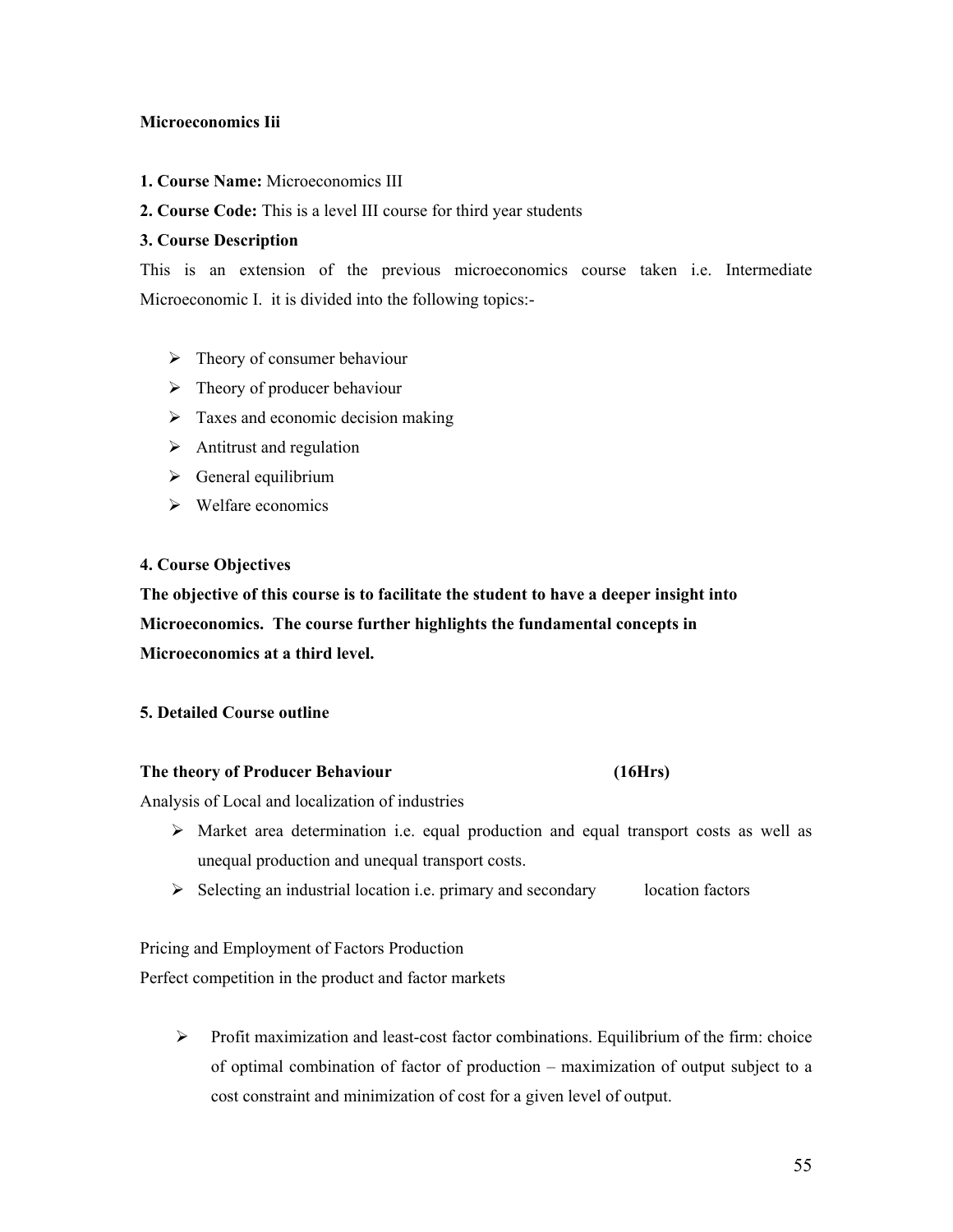#### **Microeconomics Iii**

**1. Course Name:** Microeconomics III

### **2. Course Code:** This is a level III course for third year students

#### **3. Course Description**

This is an extension of the previous microeconomics course taken i.e. Intermediate Microeconomic I. it is divided into the following topics:-

- $\triangleright$  Theory of consumer behaviour
- $\triangleright$  Theory of producer behaviour
- $\triangleright$  Taxes and economic decision making
- $\triangleright$  Antitrust and regulation
- $\triangleright$  General equilibrium
- $\triangleright$  Welfare economics

#### **4. Course Objectives**

**The objective of this course is to facilitate the student to have a deeper insight into Microeconomics. The course further highlights the fundamental concepts in Microeconomics at a third level.**

#### **5. Detailed Course outline**

#### **The theory of Producer Behaviour (16Hrs)**

Analysis of Local and localization of industries

- $\triangleright$  Market area determination i.e. equal production and equal transport costs as well as unequal production and unequal transport costs.
- $\triangleright$  Selecting an industrial location i.e. primary and secondary location factors

Pricing and Employment of Factors Production

Perfect competition in the product and factor markets

 $\triangleright$  Profit maximization and least-cost factor combinations. Equilibrium of the firm: choice of optimal combination of factor of production – maximization of output subject to a cost constraint and minimization of cost for a given level of output.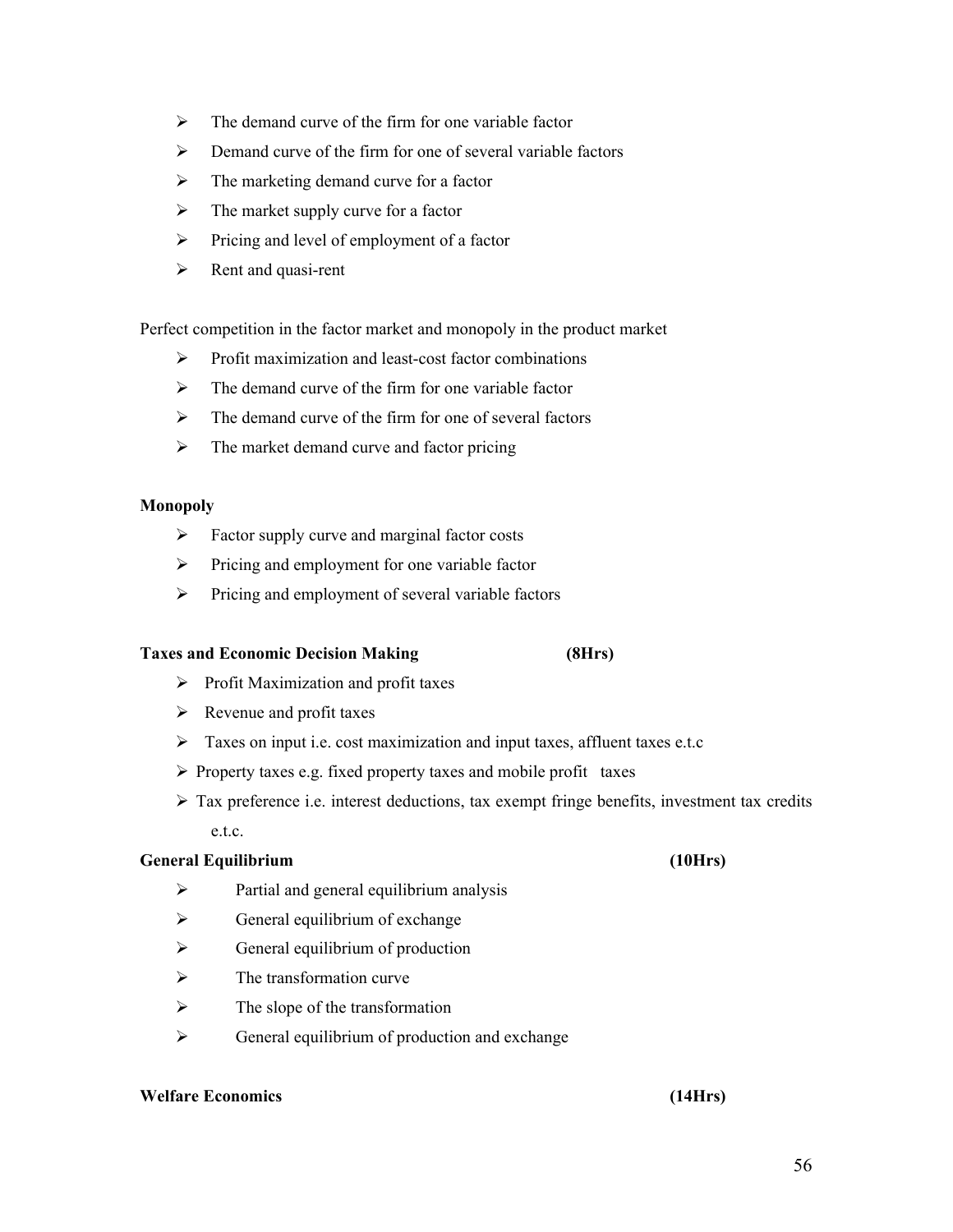- $\triangleright$  The demand curve of the firm for one variable factor
- $\triangleright$  Demand curve of the firm for one of several variable factors
- $\triangleright$  The marketing demand curve for a factor
- $\triangleright$  The market supply curve for a factor
- $\triangleright$  Pricing and level of employment of a factor
- $\triangleright$  Rent and quasi-rent

Perfect competition in the factor market and monopoly in the product market

- $\triangleright$  Profit maximization and least-cost factor combinations
- $\triangleright$  The demand curve of the firm for one variable factor
- $\triangleright$  The demand curve of the firm for one of several factors
- $\triangleright$  The market demand curve and factor pricing

#### **Monopoly**

- $\triangleright$  Factor supply curve and marginal factor costs
- $\triangleright$  Pricing and employment for one variable factor
- $\triangleright$  Pricing and employment of several variable factors

#### **Taxes and Economic Decision Making (8Hrs)**

- $\triangleright$  Profit Maximization and profit taxes
- $\triangleright$  Revenue and profit taxes
- $\triangleright$  Taxes on input i.e. cost maximization and input taxes, affluent taxes e.t.c
- $\triangleright$  Property taxes e.g. fixed property taxes and mobile profit taxes
- $\triangleright$  Tax preference i.e. interest deductions, tax exempt fringe benefits, investment tax credits e.t.c.

#### **General Equilibrium (10Hrs)**

- $\triangleright$  Partial and general equilibrium analysis
- $\triangleright$  General equilibrium of exchange
- $\triangleright$  General equilibrium of production
- $\triangleright$  The transformation curve
- $\triangleright$  The slope of the transformation
- $\triangleright$  General equilibrium of production and exchange

### **Welfare Economics (14Hrs)**

#### 56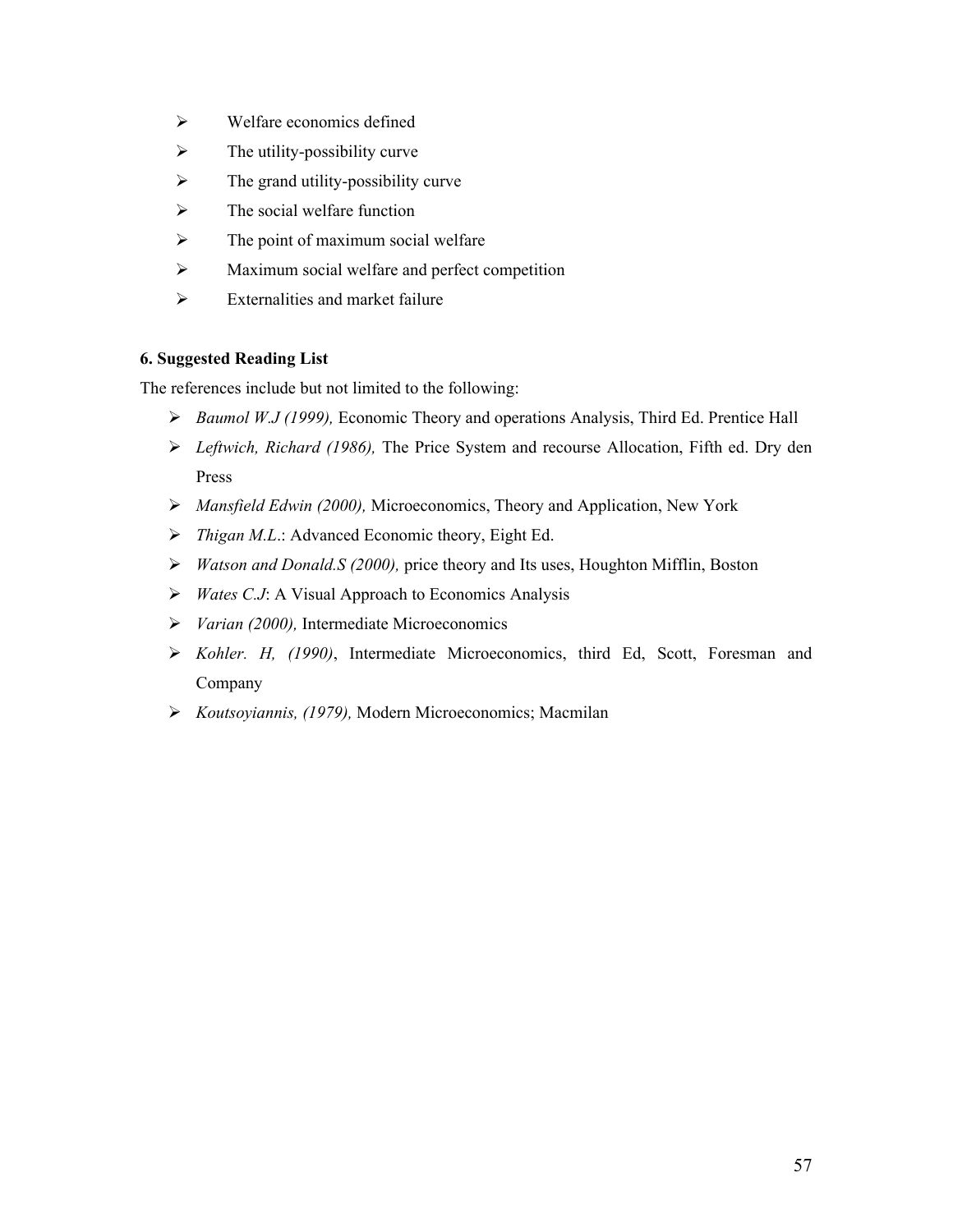- $\triangleright$  Welfare economics defined
- $\triangleright$  The utility-possibility curve
- $\triangleright$  The grand utility-possibility curve
- $\triangleright$  The social welfare function
- $\triangleright$  The point of maximum social welfare
- Maximum social welfare and perfect competition
- $\triangleright$  Externalities and market failure

#### **6. Suggested Reading List**

The references include but not limited to the following:

- *Baumol W.J (1999),* Economic Theory and operations Analysis, Third Ed. Prentice Hall
- *Leftwich, Richard (1986),* The Price System and recourse Allocation, Fifth ed. Dry den Press
- *Mansfield Edwin (2000),* Microeconomics, Theory and Application, New York
- *Thigan M.L*.: Advanced Economic theory, Eight Ed.
- *Watson and Donald.S (2000),* price theory and Its uses, Houghton Mifflin, Boston
- *Wates C.J*: A Visual Approach to Economics Analysis
- *Varian (2000),* Intermediate Microeconomics
- *Kohler. H, (1990)*, Intermediate Microeconomics, third Ed, Scott, Foresman and Company
- *Koutsoyiannis, (1979),* Modern Microeconomics; Macmilan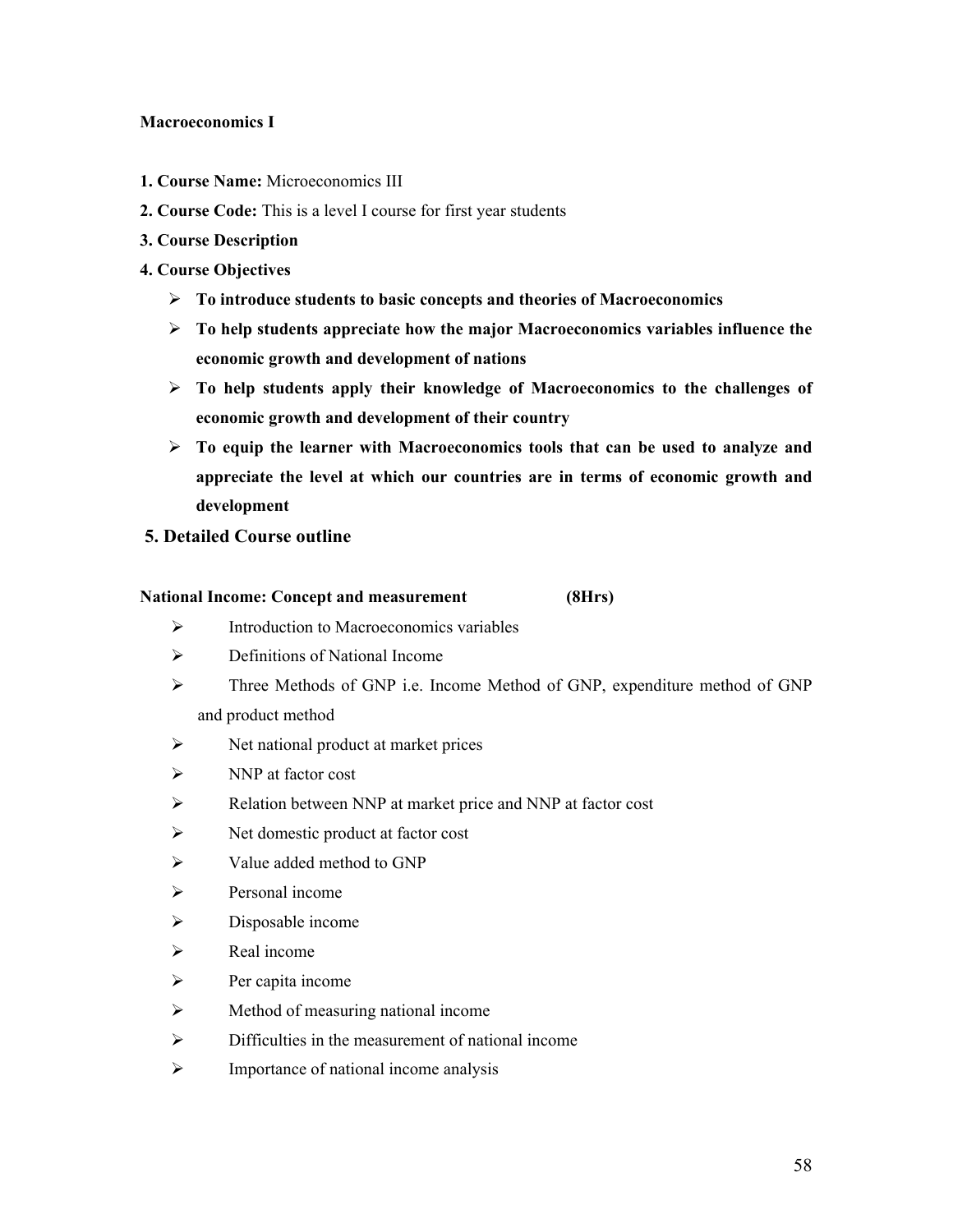#### **Macroeconomics I**

- **1. Course Name:** Microeconomics III
- **2. Course Code:** This is a level I course for first year students
- **3. Course Description**
- **4. Course Objectives**
	- **To introduce students to basic concepts and theories of Macroeconomics**
	- **To help students appreciate how the major Macroeconomics variables influence the economic growth and development of nations**
	- **To help students apply their knowledge of Macroeconomics to the challenges of economic growth and development of their country**
	- **To equip the learner with Macroeconomics tools that can be used to analyze and appreciate the level at which our countries are in terms of economic growth and development**
- **5. Detailed Course outline**

#### **National Income: Concept and measurement (8Hrs)**

- $\triangleright$  Introduction to Macroeconomics variables
- $\triangleright$  Definitions of National Income
- Three Methods of GNP i.e. Income Method of GNP, expenditure method of GNP and product method
- $\triangleright$  Net national product at market prices
- $\triangleright$  NNP at factor cost
- Relation between NNP at market price and NNP at factor cost
- $\triangleright$  Net domestic product at factor cost
- $\triangleright$  Value added method to GNP
- $\triangleright$  Personal income
- $\triangleright$  Disposable income
- $\triangleright$  Real income
- $\triangleright$  Per capita income
- $\triangleright$  Method of measuring national income
- $\triangleright$  Difficulties in the measurement of national income
- $\triangleright$  Importance of national income analysis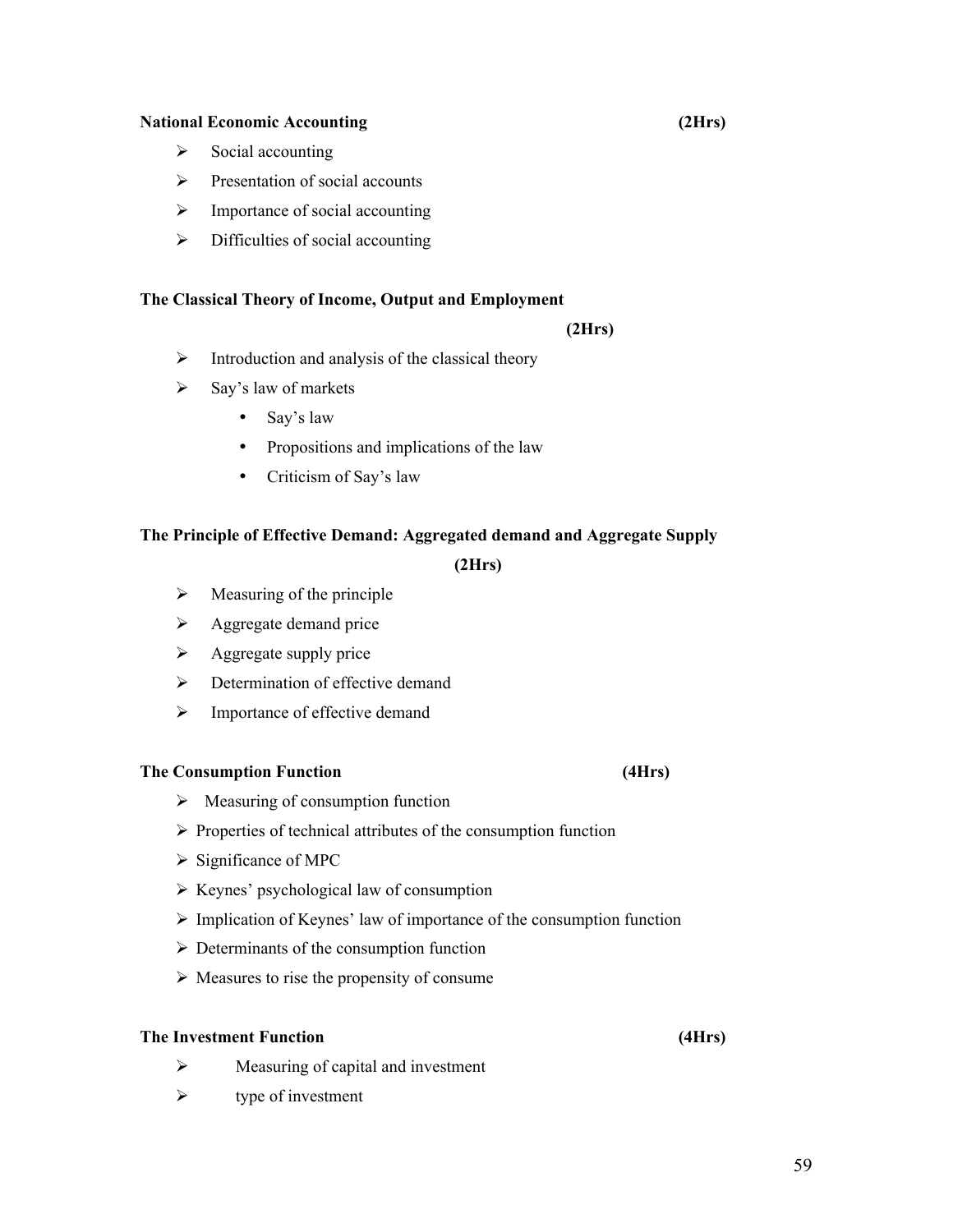#### **National Economic Accounting (2Hrs)**

- $\triangleright$  Social accounting
- $\triangleright$  Presentation of social accounts
- $\triangleright$  Importance of social accounting
- $\triangleright$  Difficulties of social accounting

#### **The Classical Theory of Income, Output and Employment**

#### **(2Hrs)**

- $\triangleright$  Introduction and analysis of the classical theory
- $\triangleright$  Say's law of markets
	- Say's law
	- Propositions and implications of the law
	- Criticism of Say's law

#### **The Principle of Effective Demand: Aggregated demand and Aggregate Supply**

#### **(2Hrs)**

- $\triangleright$  Measuring of the principle
- $\triangleright$  Aggregate demand price
- $\triangleright$  Aggregate supply price
- $\triangleright$  Determination of effective demand
- $\triangleright$  Importance of effective demand

#### **The Consumption Function (4Hrs)**

- $\triangleright$  Measuring of consumption function
- $\triangleright$  Properties of technical attributes of the consumption function
- $\triangleright$  Significance of MPC
- $\triangleright$  Keynes' psychological law of consumption
- $\triangleright$  Implication of Keynes' law of importance of the consumption function
- $\triangleright$  Determinants of the consumption function
- $\triangleright$  Measures to rise the propensity of consume

#### **The Investment Function (4Hrs)**

- $\triangleright$  Measuring of capital and investment
- $\triangleright$  type of investment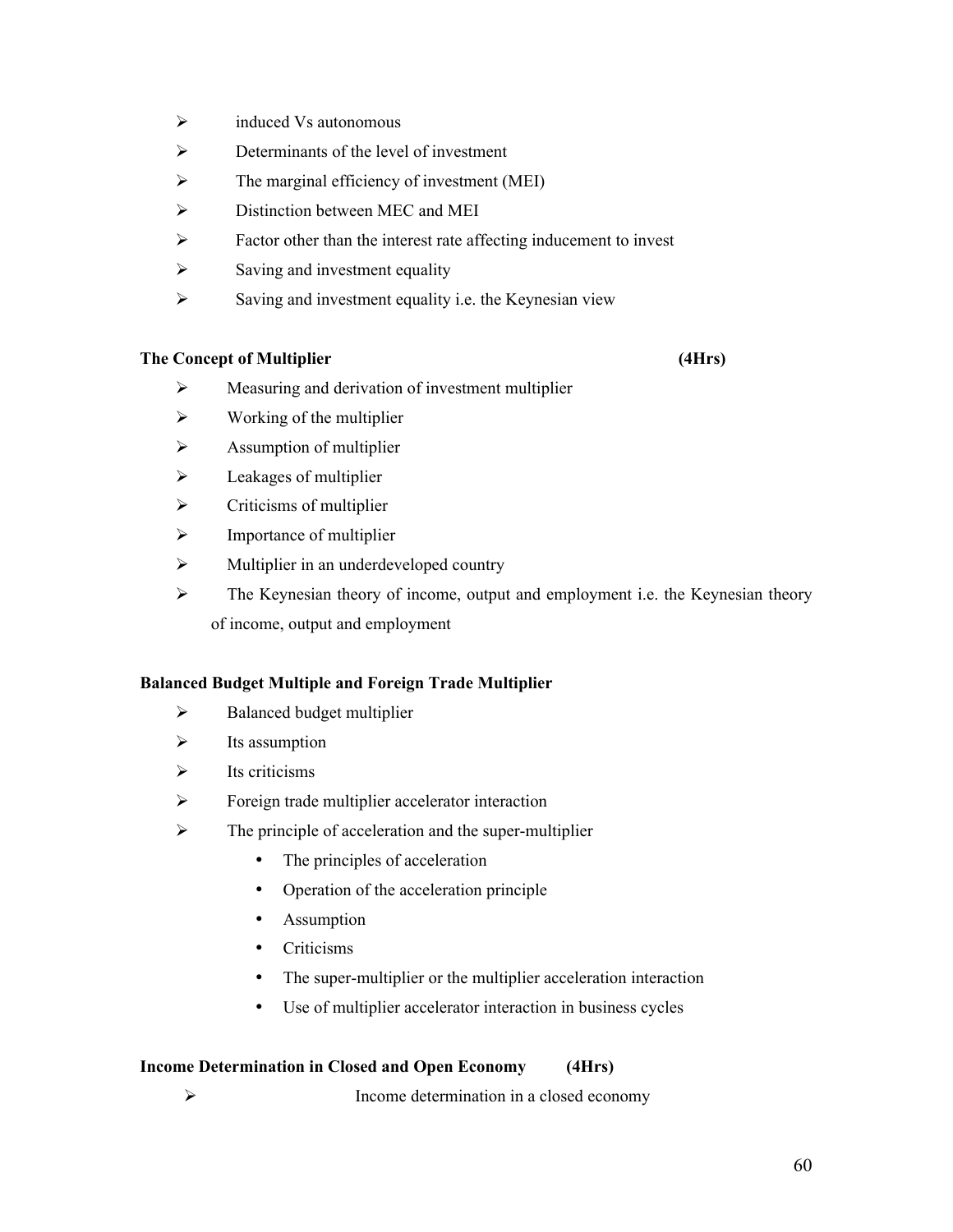- $\triangleright$  induced Vs autonomous
- $\triangleright$  Determinants of the level of investment
- $\triangleright$  The marginal efficiency of investment (MEI)
- $\triangleright$  Distinction between MEC and MEI
- $\triangleright$  Factor other than the interest rate affecting inducement to invest
- $\triangleright$  Saving and investment equality
- $\triangleright$  Saving and investment equality i.e. the Keynesian view

#### **The Concept of Multiplier (4Hrs)**

- $\triangleright$  Measuring and derivation of investment multiplier
- $\triangleright$  Working of the multiplier
- $\triangleright$  Assumption of multiplier
- $\triangleright$  Leakages of multiplier
- $\triangleright$  Criticisms of multiplier
- $\triangleright$  Importance of multiplier
- $\triangleright$  Multiplier in an underdeveloped country
- $\triangleright$  The Keynesian theory of income, output and employment i.e. the Keynesian theory of income, output and employment

#### **Balanced Budget Multiple and Foreign Trade Multiplier**

- $\triangleright$  Balanced budget multiplier
- $\triangleright$  Its assumption
- $\triangleright$  Its criticisms
- $\triangleright$  Foreign trade multiplier accelerator interaction
- $\triangleright$  The principle of acceleration and the super-multiplier
	- The principles of acceleration
	- Operation of the acceleration principle
	- Assumption
	- Criticisms
	- The super-multiplier or the multiplier acceleration interaction
	- Use of multiplier accelerator interaction in business cycles

#### **Income Determination in Closed and Open Economy (4Hrs)**

Income determination in a closed economy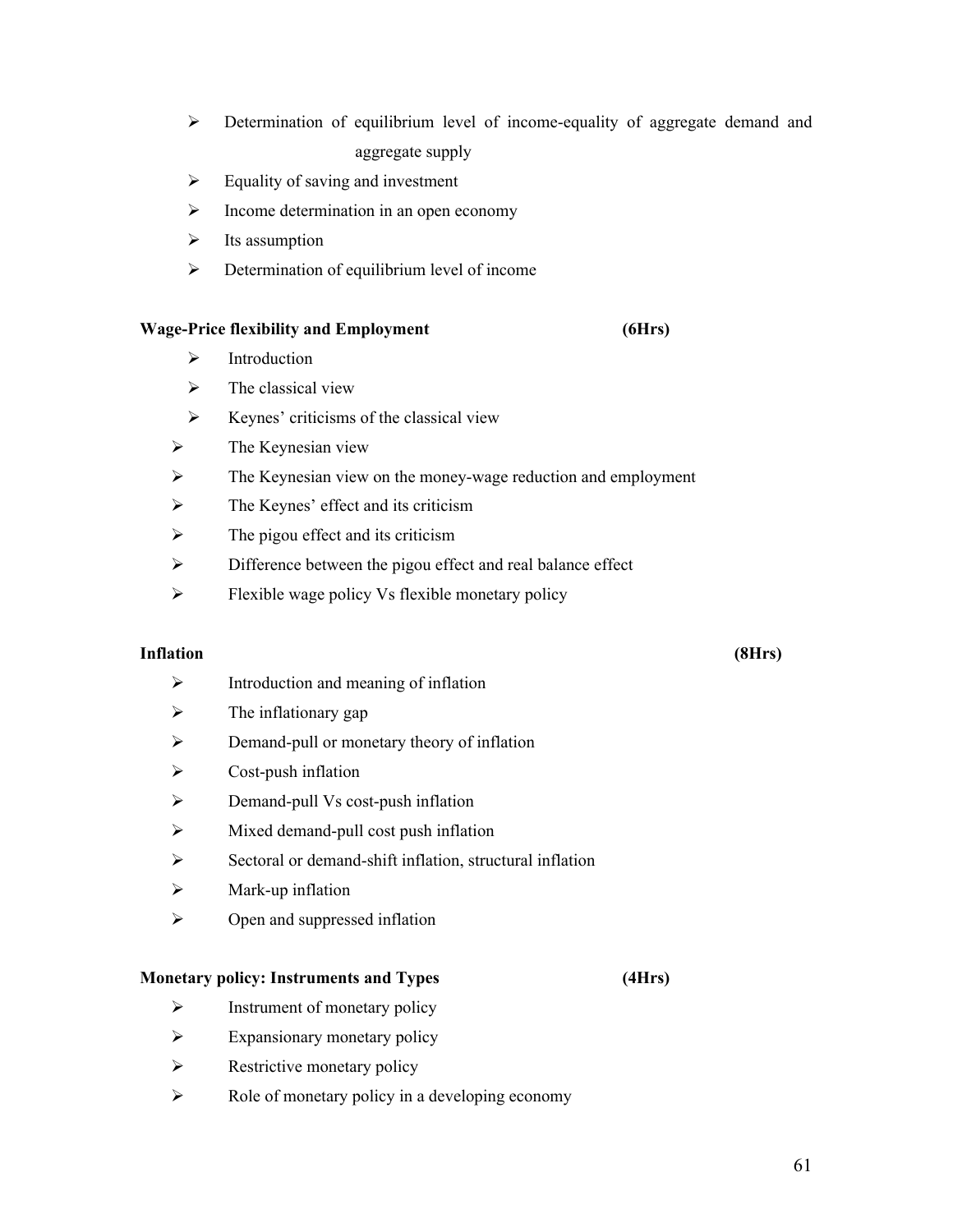- Determination of equilibrium level of income-equality of aggregate demand and aggregate supply
- $\triangleright$  Equality of saving and investment
- $\triangleright$  Income determination in an open economy
- $\triangleright$  Its assumption
- $\triangleright$  Determination of equilibrium level of income

#### **Wage-Price flexibility and Employment (6Hrs)**

- $\triangleright$  Introduction
- $\triangleright$  The classical view
- $\triangleright$  Keynes' criticisms of the classical view
- $\triangleright$  The Keynesian view
- $\triangleright$  The Keynesian view on the money-wage reduction and employment
- $\triangleright$  The Keynes' effect and its criticism
- $\triangleright$  The pigou effect and its criticism
- $\triangleright$  Difference between the pigou effect and real balance effect
- $\triangleright$  Flexible wage policy Vs flexible monetary policy

#### **Inflation (8Hrs)**

- $\triangleright$  Introduction and meaning of inflation
- $\triangleright$  The inflationary gap
- $\triangleright$  Demand-pull or monetary theory of inflation
- $\triangleright$  Cost-push inflation
- $\triangleright$  Demand-pull Vs cost-push inflation
- $\triangleright$  Mixed demand-pull cost push inflation
- $\triangleright$  Sectoral or demand-shift inflation, structural inflation
- $\triangleright$  Mark-up inflation
- $\triangleright$  Open and suppressed inflation

#### **Monetary policy: Instruments and Types (4Hrs)**

- $\triangleright$  Instrument of monetary policy
- $\triangleright$  Expansionary monetary policy
- $\triangleright$  Restrictive monetary policy
- $\triangleright$  Role of monetary policy in a developing economy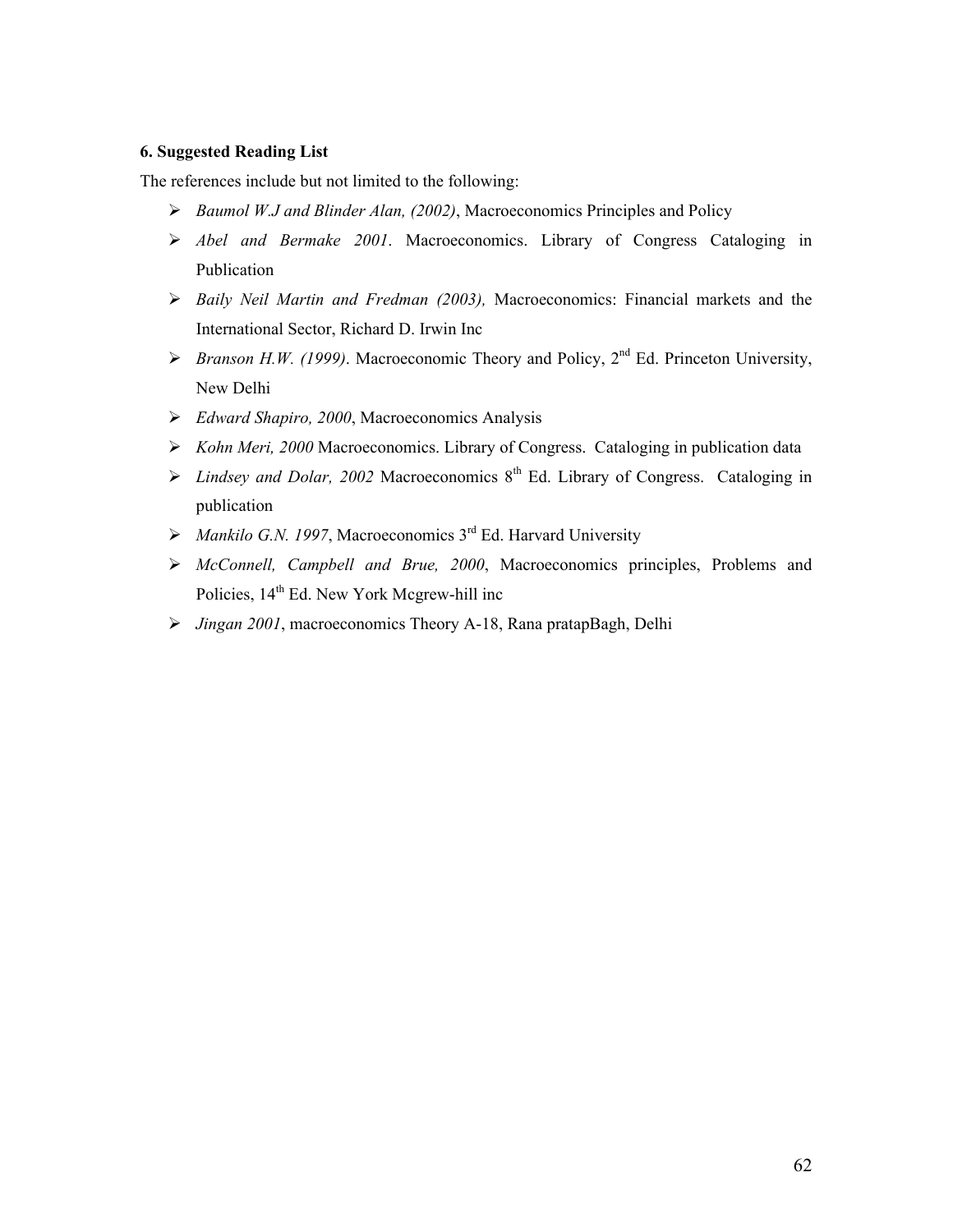#### **6. Suggested Reading List**

The references include but not limited to the following:

- *Baumol W.J and Blinder Alan, (2002)*, Macroeconomics Principles and Policy
- *Abel and Bermake 2001*. Macroeconomics. Library of Congress Cataloging in Publication
- *Baily Neil Martin and Fredman (2003),* Macroeconomics: Financial markets and the International Sector, Richard D. Irwin Inc
- $\triangleright$  *Branson H.W. (1999)*. Macroeconomic Theory and Policy, 2<sup>nd</sup> Ed. Princeton University, New Delhi
- *Edward Shapiro, 2000*, Macroeconomics Analysis
- *Kohn Meri, 2000* Macroeconomics. Library of Congress. Cataloging in publication data
- $\triangleright$  *Lindsey and Dolar, 2002* Macroeconomics 8<sup>th</sup> Ed. Library of Congress. Cataloging in publication
- *Mankilo G.N. 1997*, Macroeconomics 3rd Ed. Harvard University
- *McConnell, Campbell and Brue, 2000*, Macroeconomics principles, Problems and Policies,  $14<sup>th</sup>$  Ed. New York Mcgrew-hill inc
- *Jingan 2001*, macroeconomics Theory A-18, Rana pratapBagh, Delhi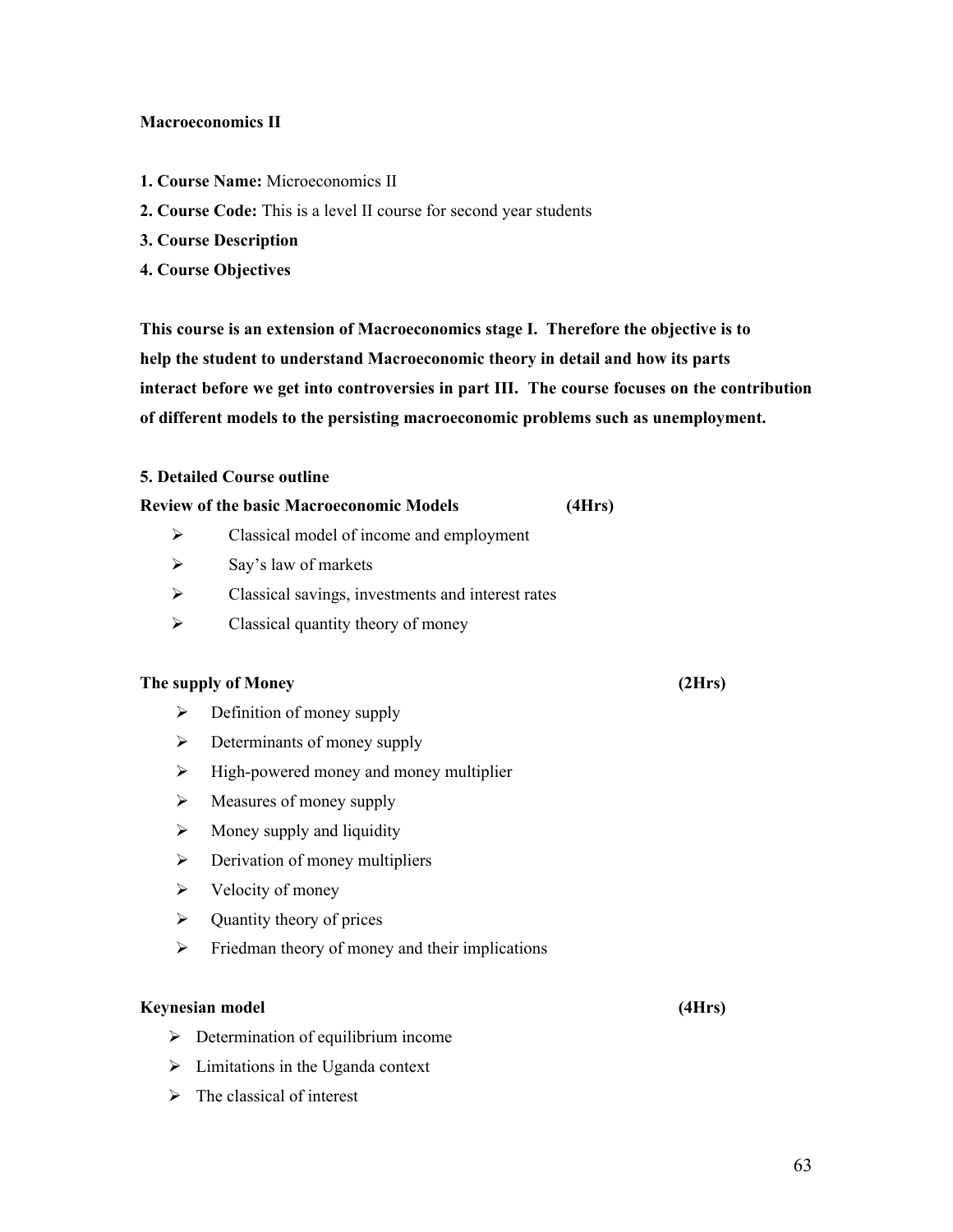#### **Macroeconomics II**

- **1. Course Name:** Microeconomics II
- **2. Course Code:** This is a level II course for second year students
- **3. Course Description**
- **4. Course Objectives**

**This course is an extension of Macroeconomics stage I. Therefore the objective is to help the student to understand Macroeconomic theory in detail and how its parts interact before we get into controversies in part III. The course focuses on the contribution of different models to the persisting macroeconomic problems such as unemployment.**

#### **5. Detailed Course outline**

|                       | <b>Review of the basic Macroeconomic Models</b>   | (4Hrs) |        |
|-----------------------|---------------------------------------------------|--------|--------|
| ➤                     | Classical model of income and employment          |        |        |
| $\blacktriangleright$ | Say's law of markets                              |        |        |
| ➤                     | Classical savings, investments and interest rates |        |        |
| ➤                     | Classical quantity theory of money                |        |        |
|                       | The supply of Money                               |        | (2Hrs) |
| ➤                     | Definition of money supply                        |        |        |
| ➤                     | Determinants of money supply                      |        |        |
| $\blacktriangleright$ | High-powered money and money multiplier           |        |        |
| ➤                     | Measures of money supply                          |        |        |
| ➤                     | Money supply and liquidity                        |        |        |
| ➤                     | Derivation of money multipliers                   |        |        |
| $\blacktriangleright$ | Velocity of money                                 |        |        |
| ➤                     | Quantity theory of prices                         |        |        |
| $\blacktriangleright$ | Friedman theory of money and their implications   |        |        |
|                       |                                                   |        |        |

#### **Keynesian model (4Hrs)**

- $\triangleright$  Determination of equilibrium income
- $\triangleright$  Limitations in the Uganda context
- $\triangleright$  The classical of interest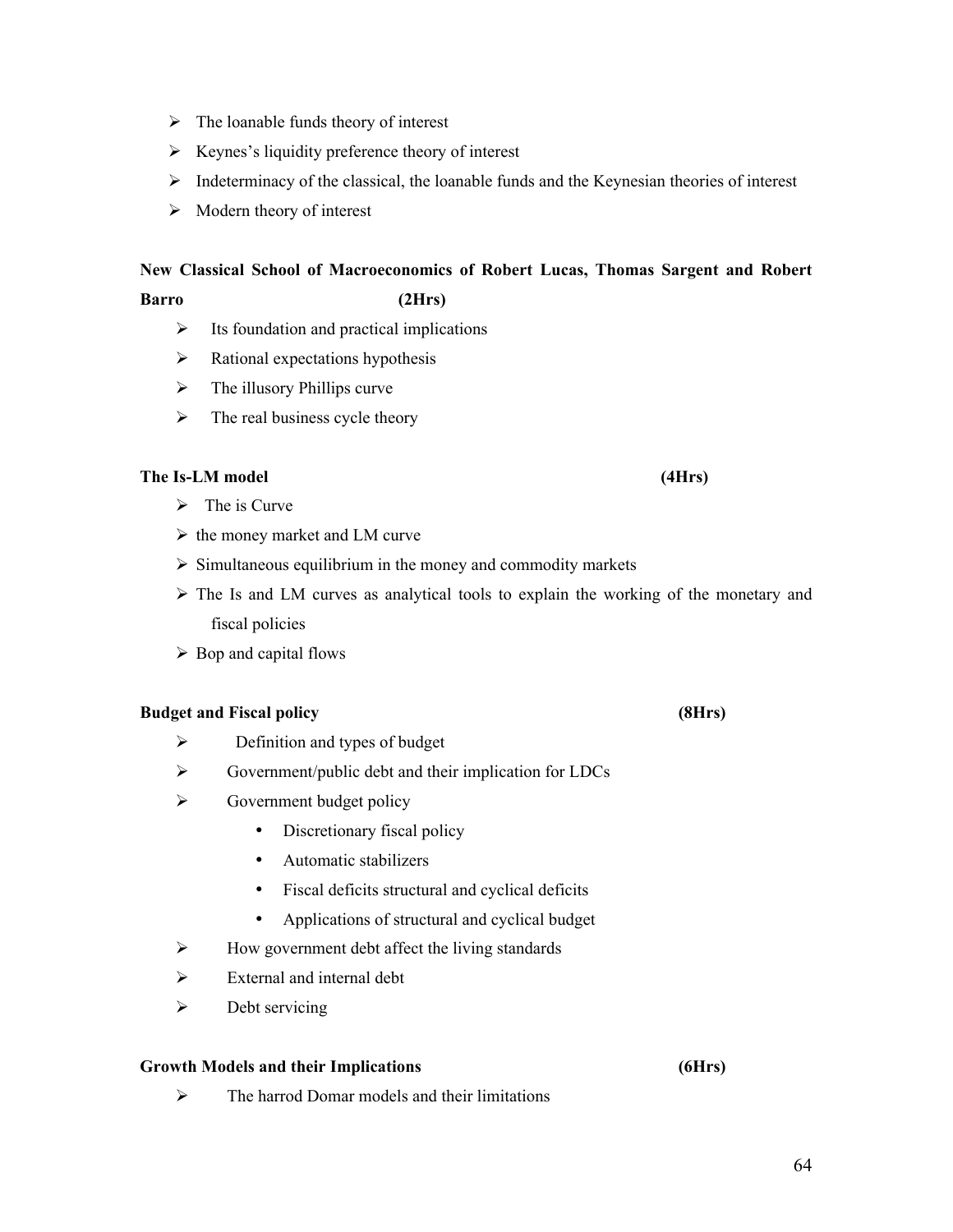- $\triangleright$  The loanable funds theory of interest
- $\triangleright$  Keynes's liquidity preference theory of interest
- Indeterminacy of the classical, the loanable funds and the Keynesian theories of interest
- $\triangleright$  Modern theory of interest

## **New Classical School of Macroeconomics of Robert Lucas, Thomas Sargent and Robert Barro (2Hrs)**

- $\triangleright$  Its foundation and practical implications
- $\triangleright$  Rational expectations hypothesis
- $\triangleright$  The illusory Phillips curve
- $\triangleright$  The real business cycle theory

### **The Is-LM model (4Hrs)**

- $\triangleright$  The is Curve
- $\triangleright$  the money market and LM curve
- $\triangleright$  Simultaneous equilibrium in the money and commodity markets
- $\triangleright$  The Is and LM curves as analytical tools to explain the working of the monetary and fiscal policies
- $\triangleright$  Bop and capital flows

### **Budget and Fiscal policy (8Hrs)**

- $\triangleright$  Definition and types of budget
- $\triangleright$  Government/public debt and their implication for LDCs
- $\triangleright$  Government budget policy
	- Discretionary fiscal policy
	- Automatic stabilizers
	- Fiscal deficits structural and cyclical deficits
	- Applications of structural and cyclical budget
- $\triangleright$  How government debt affect the living standards
- $\triangleright$  External and internal debt
- $\triangleright$  Debt servicing

### **Growth Models and their Implications (6Hrs)**

 $\triangleright$  The harrod Domar models and their limitations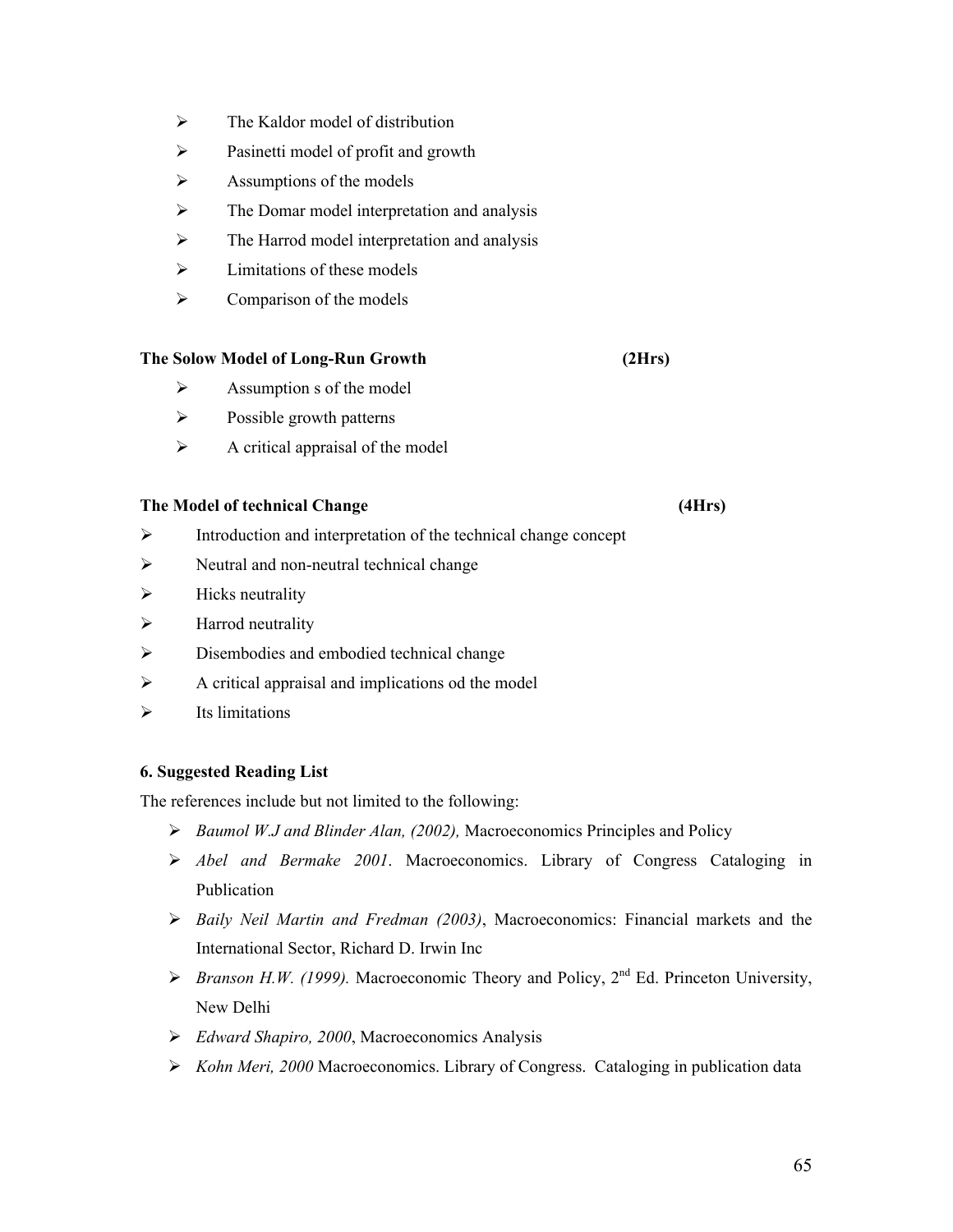- $\triangleright$  The Kaldor model of distribution
- $\triangleright$  Pasinetti model of profit and growth
- $\triangleright$  Assumptions of the models
- $\triangleright$  The Domar model interpretation and analysis
- $\triangleright$  The Harrod model interpretation and analysis
- $\triangleright$  Limitations of these models
- $\triangleright$  Comparison of the models

#### **The Solow Model of Long-Run Growth (2Hrs)**

- $\triangleright$  Assumption s of the model
- $\triangleright$  Possible growth patterns
- $\triangleright$  A critical appraisal of the model

#### **The Model of technical Change (4Hrs)**

- Introduction and interpretation of the technical change concept
- $\triangleright$  Neutral and non-neutral technical change
- $\triangleright$  Hicks neutrality
- $\triangleright$  Harrod neutrality
- $\triangleright$  Disembodies and embodied technical change
- $\triangleright$  A critical appraisal and implications od the model
- $\triangleright$  Its limitations

#### **6. Suggested Reading List**

The references include but not limited to the following:

- *Baumol W.J and Blinder Alan, (2002),* Macroeconomics Principles and Policy
- *Abel and Bermake 2001*. Macroeconomics. Library of Congress Cataloging in Publication
- *Baily Neil Martin and Fredman (2003)*, Macroeconomics: Financial markets and the International Sector, Richard D. Irwin Inc
- $\triangleright$  *Branson H.W. (1999).* Macroeconomic Theory and Policy, 2<sup>nd</sup> Ed. Princeton University, New Delhi
- *Edward Shapiro, 2000*, Macroeconomics Analysis
- *Kohn Meri, 2000* Macroeconomics. Library of Congress. Cataloging in publication data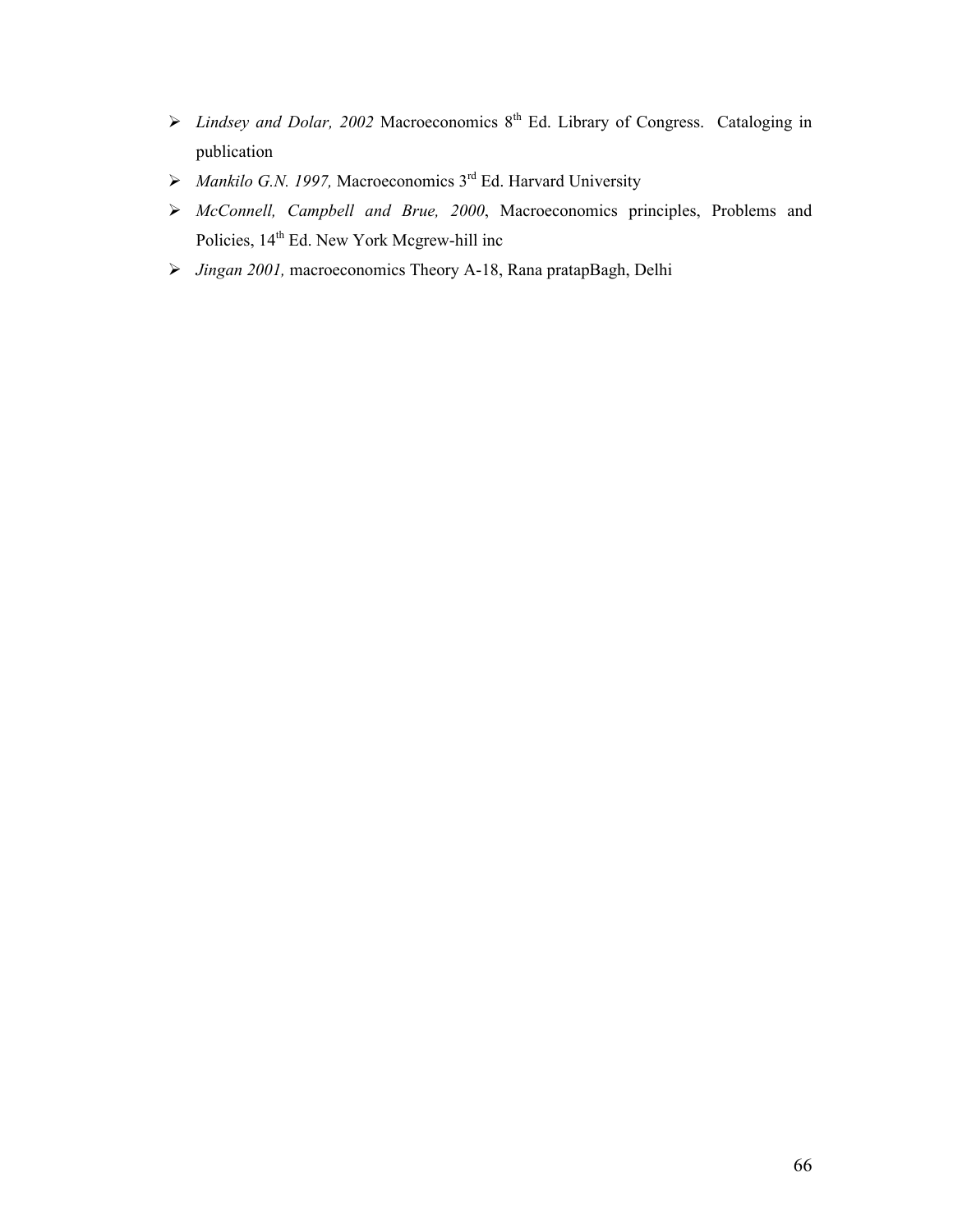- $\triangleright$  *Lindsey and Dolar, 2002* Macroeconomics 8<sup>th</sup> Ed. Library of Congress. Cataloging in publication
- $\triangleright$  *Mankilo G.N. 1997,* Macroeconomics 3<sup>rd</sup> Ed. Harvard University
- *McConnell, Campbell and Brue, 2000*, Macroeconomics principles, Problems and Policies, 14<sup>th</sup> Ed. New York Mcgrew-hill inc
- *Jingan 2001,* macroeconomics Theory A-18, Rana pratapBagh, Delhi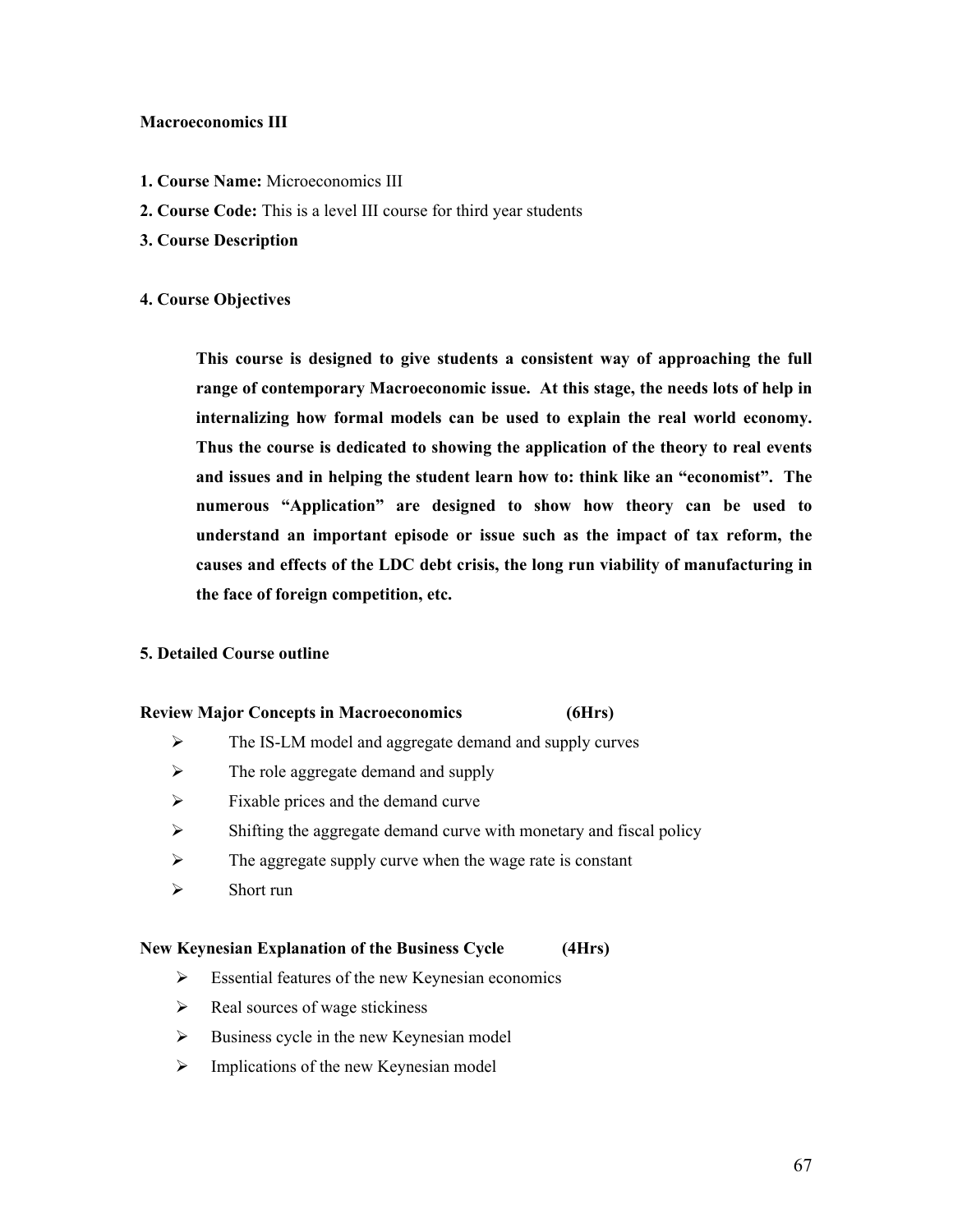#### **Macroeconomics III**

- **1. Course Name:** Microeconomics III
- **2. Course Code:** This is a level III course for third year students
- **3. Course Description**

#### **4. Course Objectives**

**This course is designed to give students a consistent way of approaching the full range of contemporary Macroeconomic issue. At this stage, the needs lots of help in internalizing how formal models can be used to explain the real world economy. Thus the course is dedicated to showing the application of the theory to real events and issues and in helping the student learn how to: think like an "economist". The numerous "Application" are designed to show how theory can be used to understand an important episode or issue such as the impact of tax reform, the causes and effects of the LDC debt crisis, the long run viability of manufacturing in the face of foreign competition, etc.**

#### **5. Detailed Course outline**

#### **Review Major Concepts in Macroeconomics (6Hrs)**

- $\triangleright$  The IS-LM model and aggregate demand and supply curves
- $\triangleright$  The role aggregate demand and supply
- $\triangleright$  Fixable prices and the demand curve
- $\triangleright$  Shifting the aggregate demand curve with monetary and fiscal policy
- $\triangleright$  The aggregate supply curve when the wage rate is constant
- $\triangleright$  Short run

#### **New Keynesian Explanation of the Business Cycle (4Hrs)**

- $\triangleright$  Essential features of the new Keynesian economics
- $\triangleright$  Real sources of wage stickiness
- $\triangleright$  Business cycle in the new Keynesian model
- $\triangleright$  Implications of the new Keynesian model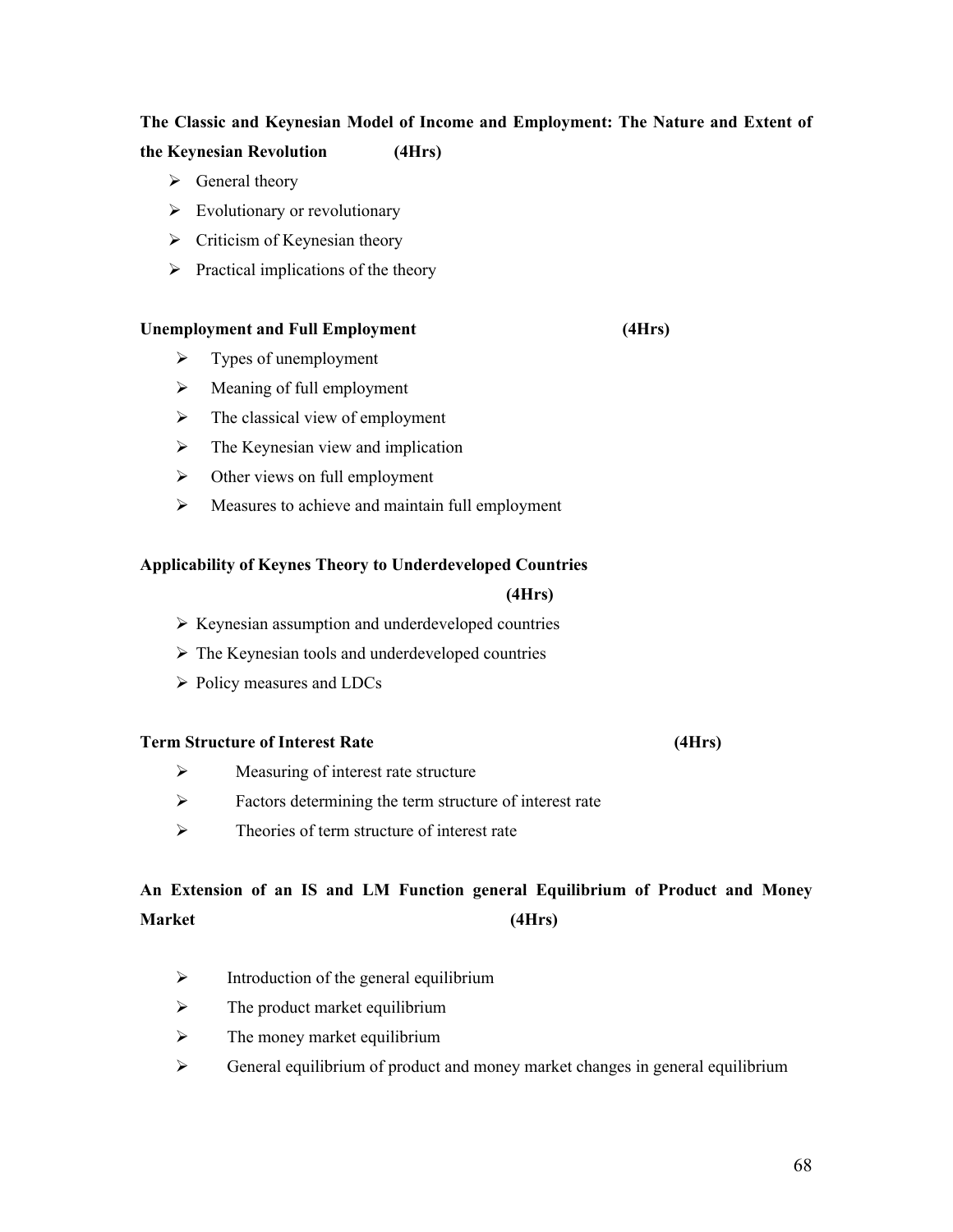## **The Classic and Keynesian Model of Income and Employment: The Nature and Extent of**

### **the Keynesian Revolution (4Hrs)**

- $\triangleright$  General theory
- $\triangleright$  Evolutionary or revolutionary
- $\triangleright$  Criticism of Keynesian theory
- $\triangleright$  Practical implications of the theory

#### **Unemployment and Full Employment (4Hrs)**

- $\triangleright$  Types of unemployment
- $\triangleright$  Meaning of full employment
- $\triangleright$  The classical view of employment
- $\triangleright$  The Keynesian view and implication
- $\triangleright$  Other views on full employment
- $\triangleright$  Measures to achieve and maintain full employment

#### **Applicability of Keynes Theory to Underdeveloped Countries**

#### **(4Hrs)**

- $\triangleright$  Keynesian assumption and underdeveloped countries
- $\triangleright$  The Keynesian tools and underdeveloped countries
- $\triangleright$  Policy measures and LDCs

### **Term Structure of Interest Rate (4Hrs)**

- $\triangleright$  Measuring of interest rate structure
- $\triangleright$  Factors determining the term structure of interest rate
- $\triangleright$  Theories of term structure of interest rate

## **An Extension of an IS and LM Function general Equilibrium of Product and Money Market (4Hrs)**

- $\triangleright$  Introduction of the general equilibrium
- $\triangleright$  The product market equilibrium
- $\triangleright$  The money market equilibrium
- General equilibrium of product and money market changes in general equilibrium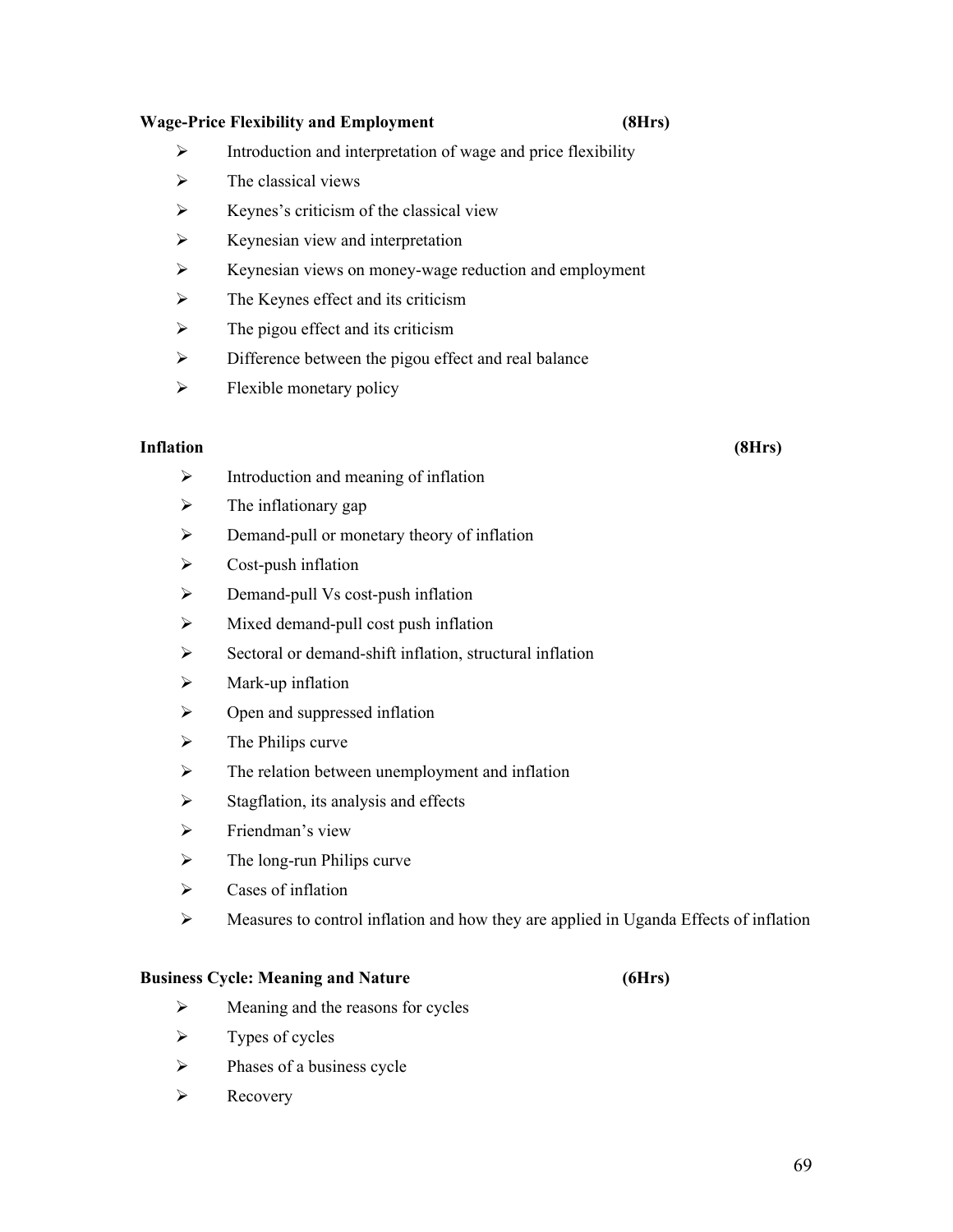#### **Wage-Price Flexibility and Employment (8Hrs)**

- $\triangleright$  Introduction and interpretation of wage and price flexibility
- $\triangleright$  The classical views
- $\triangleright$  Keynes's criticism of the classical view
- $\triangleright$  Keynesian view and interpretation
- $\triangleright$  Keynesian views on money-wage reduction and employment
- $\triangleright$  The Keynes effect and its criticism
- $\triangleright$  The pigou effect and its criticism
- $\triangleright$  Difference between the pigou effect and real balance
- $\triangleright$  Flexible monetary policy

#### **Inflation (8Hrs)**

- $\triangleright$  Introduction and meaning of inflation
- $\triangleright$  The inflationary gap
- **EXECUTE:** Demand-pull or monetary theory of inflation
- $\triangleright$  Cost-push inflation
- $\triangleright$  Demand-pull Vs cost-push inflation
- $\triangleright$  Mixed demand-pull cost push inflation
- $\triangleright$  Sectoral or demand-shift inflation, structural inflation
- $\triangleright$  Mark-up inflation
- $\triangleright$  Open and suppressed inflation
- $\triangleright$  The Philips curve
- $\triangleright$  The relation between unemployment and inflation
- $\triangleright$  Stagflation, its analysis and effects
- $\triangleright$  Friendman's view
- $\triangleright$  The long-run Philips curve
- $\triangleright$  Cases of inflation
- $\triangleright$  Measures to control inflation and how they are applied in Uganda Effects of inflation

#### **Business Cycle: Meaning and Nature (6Hrs)**

- $\triangleright$  Meaning and the reasons for cycles
- $\triangleright$  Types of cycles
- $\triangleright$  Phases of a business cycle
- $\triangleright$  Recovery

### 69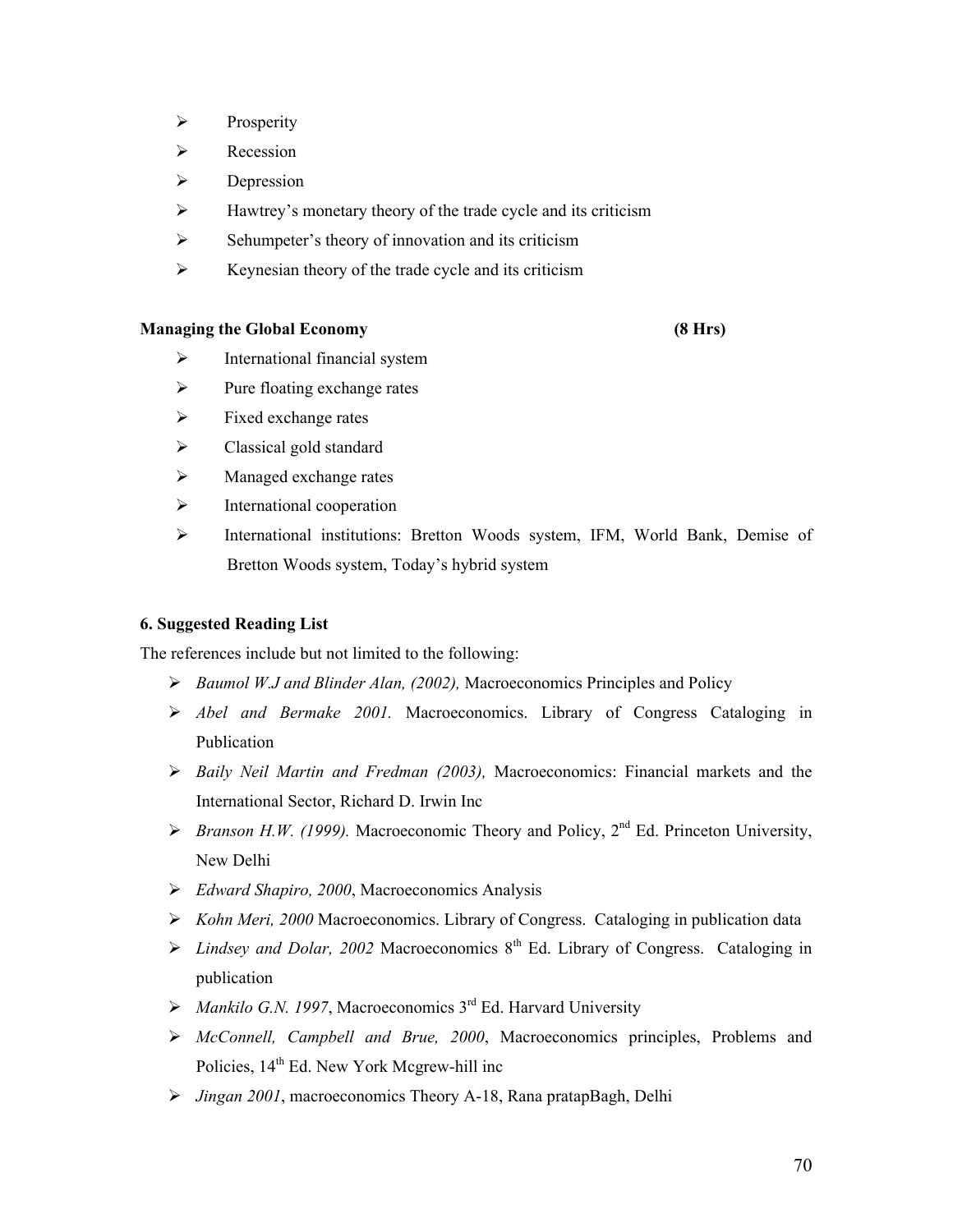- $\triangleright$  Prosperity
- Recession
- $\triangleright$  Depression
- $\triangleright$  Hawtrey's monetary theory of the trade cycle and its criticism
- $\triangleright$  Sehumpeter's theory of innovation and its criticism
- $\triangleright$  Keynesian theory of the trade cycle and its criticism

#### **Managing the Global Economy (8 Hrs)**

- $\triangleright$  International financial system
- $\triangleright$  Pure floating exchange rates
- $\triangleright$  Fixed exchange rates
- $\triangleright$  Classical gold standard
- $\triangleright$  Managed exchange rates
- $\triangleright$  International cooperation
- International institutions: Bretton Woods system, IFM, World Bank, Demise of Bretton Woods system, Today's hybrid system

#### **6. Suggested Reading List**

The references include but not limited to the following:

- *Baumol W.J and Blinder Alan, (2002),* Macroeconomics Principles and Policy
- *Abel and Bermake 2001.* Macroeconomics. Library of Congress Cataloging in Publication
- *Baily Neil Martin and Fredman (2003),* Macroeconomics: Financial markets and the International Sector, Richard D. Irwin Inc
- *Franson H.W. (1999).* Macroeconomic Theory and Policy,  $2^{nd}$  Ed. Princeton University, New Delhi
- *Edward Shapiro, 2000*, Macroeconomics Analysis
- *Kohn Meri, 2000* Macroeconomics. Library of Congress. Cataloging in publication data
- $\triangleright$  *Lindsey and Dolar, 2002* Macroeconomics 8<sup>th</sup> Ed. Library of Congress. Cataloging in publication
- $\triangleright$  *Mankilo G.N. 1997*, Macroeconomics 3<sup>rd</sup> Ed. Harvard University
- *McConnell, Campbell and Brue, 2000*, Macroeconomics principles, Problems and Policies,  $14<sup>th</sup>$  Ed. New York Mcgrew-hill inc
- *Jingan 2001*, macroeconomics Theory A-18, Rana pratapBagh, Delhi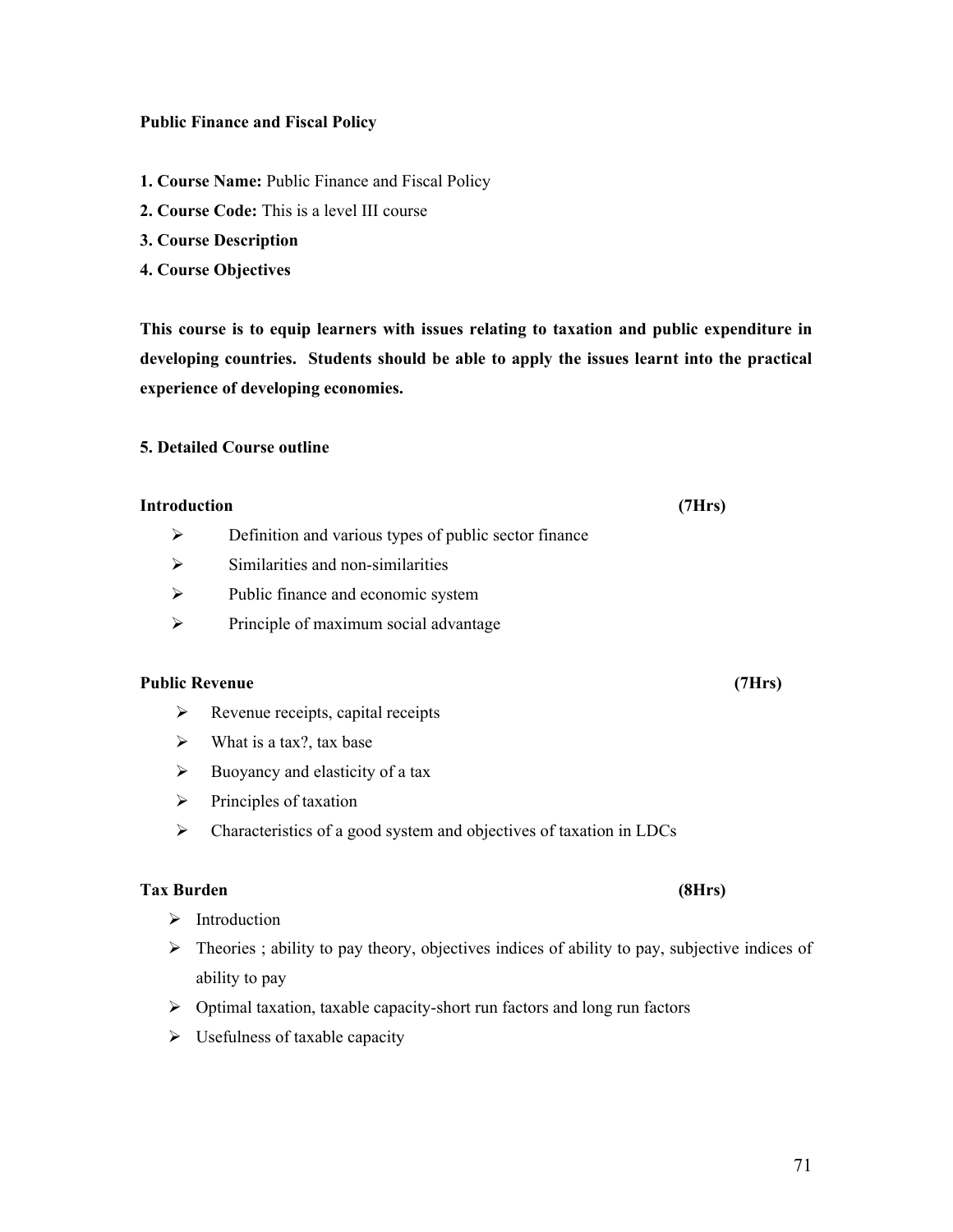#### **Public Finance and Fiscal Policy**

- **1. Course Name:** Public Finance and Fiscal Policy
- **2. Course Code:** This is a level III course
- **3. Course Description**
- **4. Course Objectives**

**This course is to equip learners with issues relating to taxation and public expenditure in developing countries. Students should be able to apply the issues learnt into the practical experience of developing economies.**

#### **5. Detailed Course outline**

#### **Introduction (7Hrs)**

- $\triangleright$  Definition and various types of public sector finance
- $\triangleright$  Similarities and non-similarities
- $\triangleright$  Public finance and economic system
- $\triangleright$  Principle of maximum social advantage

#### **Public Revenue (7Hrs)**

- $\triangleright$  Revenue receipts, capital receipts
- $\triangleright$  What is a tax?, tax base
- $\triangleright$  Buoyancy and elasticity of a tax
- $\triangleright$  Principles of taxation
- Characteristics of a good system and objectives of taxation in LDCs

#### **Tax Burden (8Hrs)**

- > Introduction
- $\triangleright$  Theories; ability to pay theory, objectives indices of ability to pay, subjective indices of ability to pay
- $\triangleright$  Optimal taxation, taxable capacity-short run factors and long run factors
- $\triangleright$  Usefulness of taxable capacity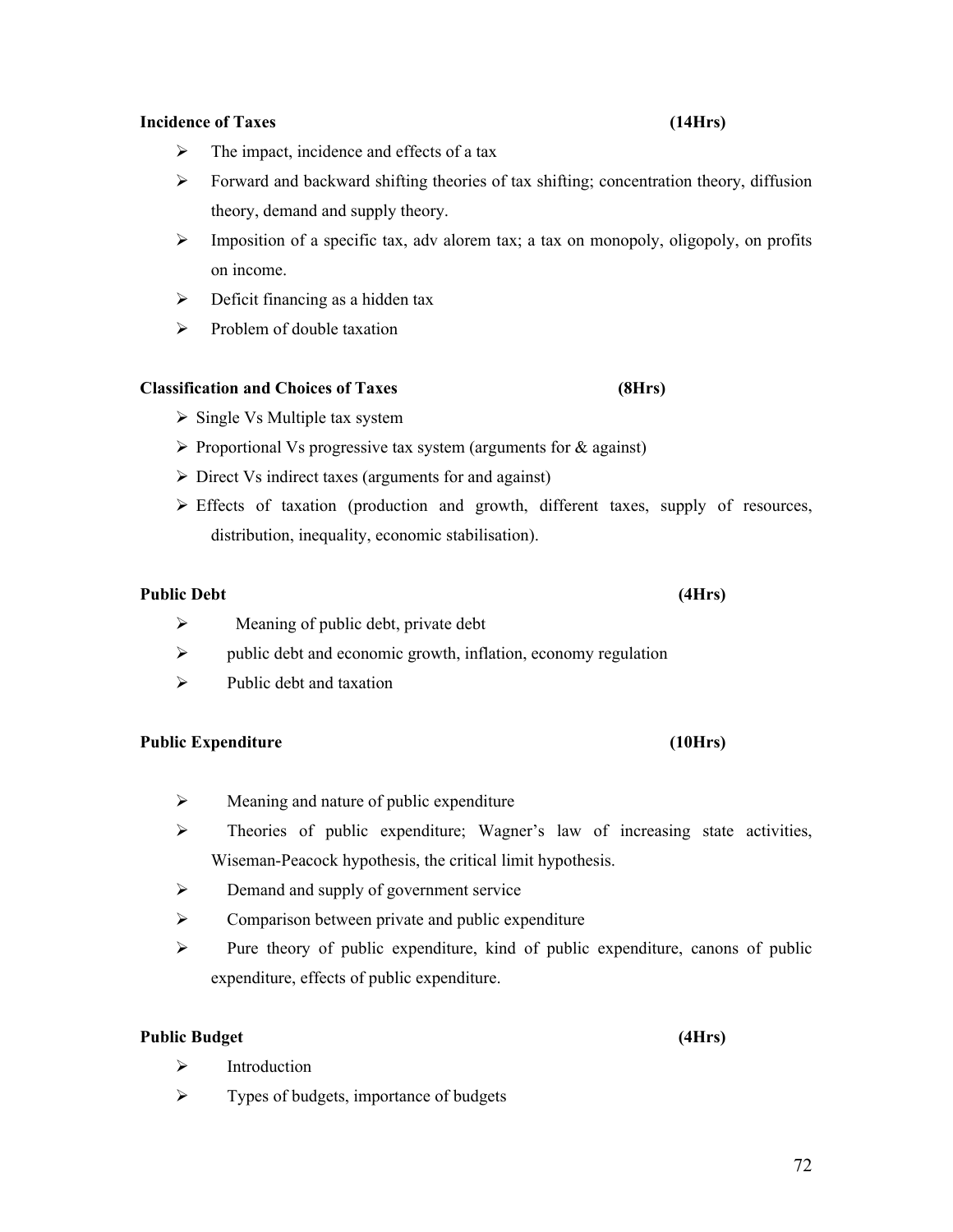## **Incidence of Taxes (14Hrs)**

- $\triangleright$  The impact, incidence and effects of a tax
- Forward and backward shifting theories of tax shifting; concentration theory, diffusion theory, demand and supply theory.
- $\triangleright$  Imposition of a specific tax, adv alorem tax; a tax on monopoly, oligopoly, on profits on income.
- $\triangleright$  Deficit financing as a hidden tax
- $\triangleright$  Problem of double taxation

## **Classification and Choices of Taxes (8Hrs)**

- $\triangleright$  Single Vs Multiple tax system
- $\triangleright$  Proportional Vs progressive tax system (arguments for  $\&$  against)
- $\triangleright$  Direct Vs indirect taxes (arguments for and against)
- $\triangleright$  Effects of taxation (production and growth, different taxes, supply of resources, distribution, inequality, economic stabilisation).

## **Public Debt (4Hrs)**

- $\triangleright$  Meaning of public debt, private debt
- $\triangleright$  public debt and economic growth, inflation, economy regulation
- $\triangleright$  Public debt and taxation

## **Public Expenditure (10Hrs)**

- $\triangleright$  Meaning and nature of public expenditure
- $\triangleright$  Theories of public expenditure; Wagner's law of increasing state activities, Wiseman-Peacock hypothesis, the critical limit hypothesis.
- $\triangleright$  Demand and supply of government service
- $\triangleright$  Comparison between private and public expenditure
- $\triangleright$  Pure theory of public expenditure, kind of public expenditure, canons of public expenditure, effects of public expenditure.

## **Public Budget (4Hrs)**

- $\triangleright$  Introduction
- $\triangleright$  Types of budgets, importance of budgets

72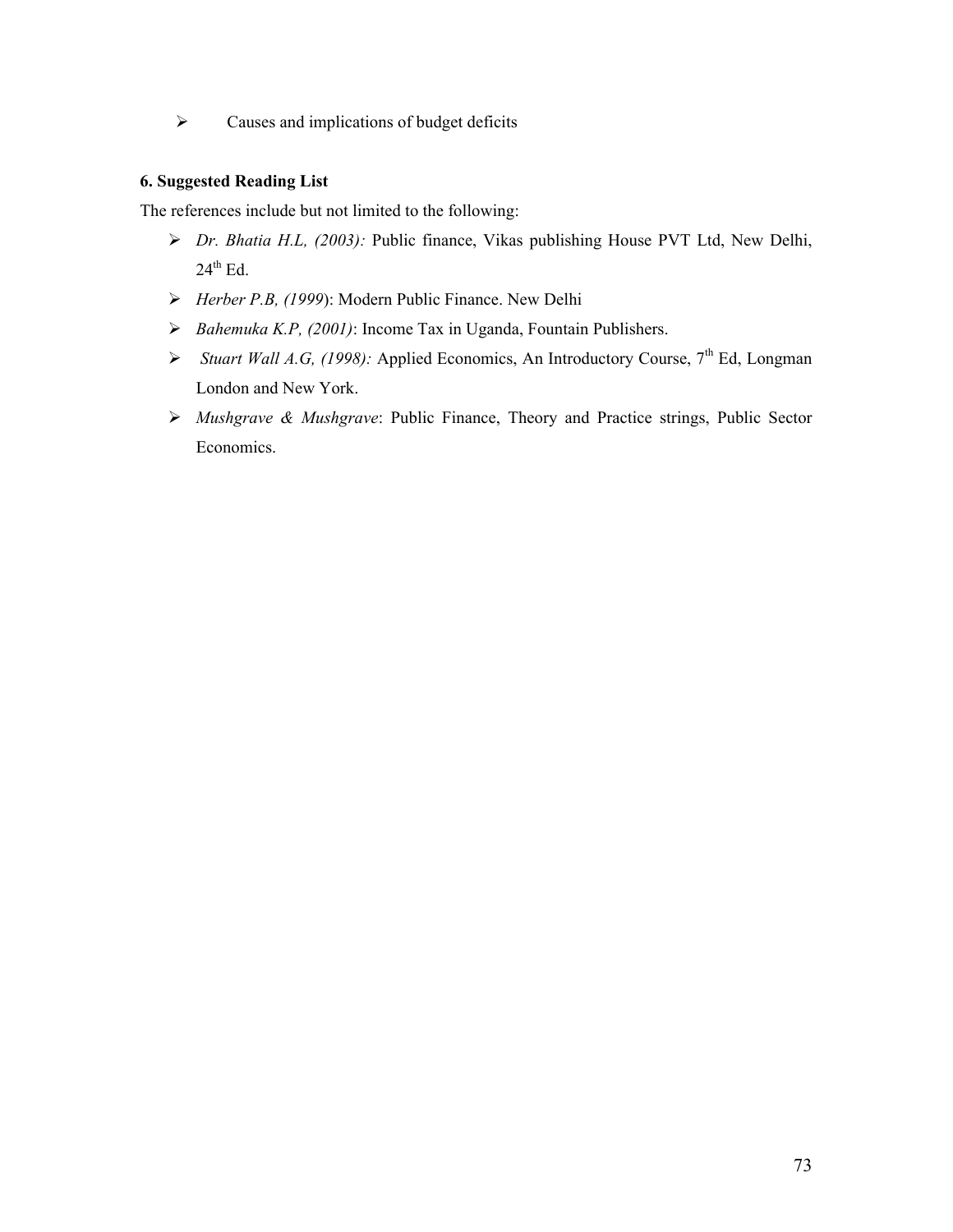$\triangleright$  Causes and implications of budget deficits

## **6. Suggested Reading List**

The references include but not limited to the following:

- *Dr. Bhatia H.L, (2003):* Public finance, Vikas publishing House PVT Ltd, New Delhi,  $24<sup>th</sup>$  Ed.
- *Herber P.B, (1999*): Modern Public Finance. New Delhi
- *Bahemuka K.P, (2001)*: Income Tax in Uganda, Fountain Publishers.
- > *Stuart Wall A.G, (1998):* Applied Economics, An Introductory Course, 7<sup>th</sup> Ed, Longman London and New York.
- *Mushgrave & Mushgrave*: Public Finance, Theory and Practice strings, Public Sector Economics.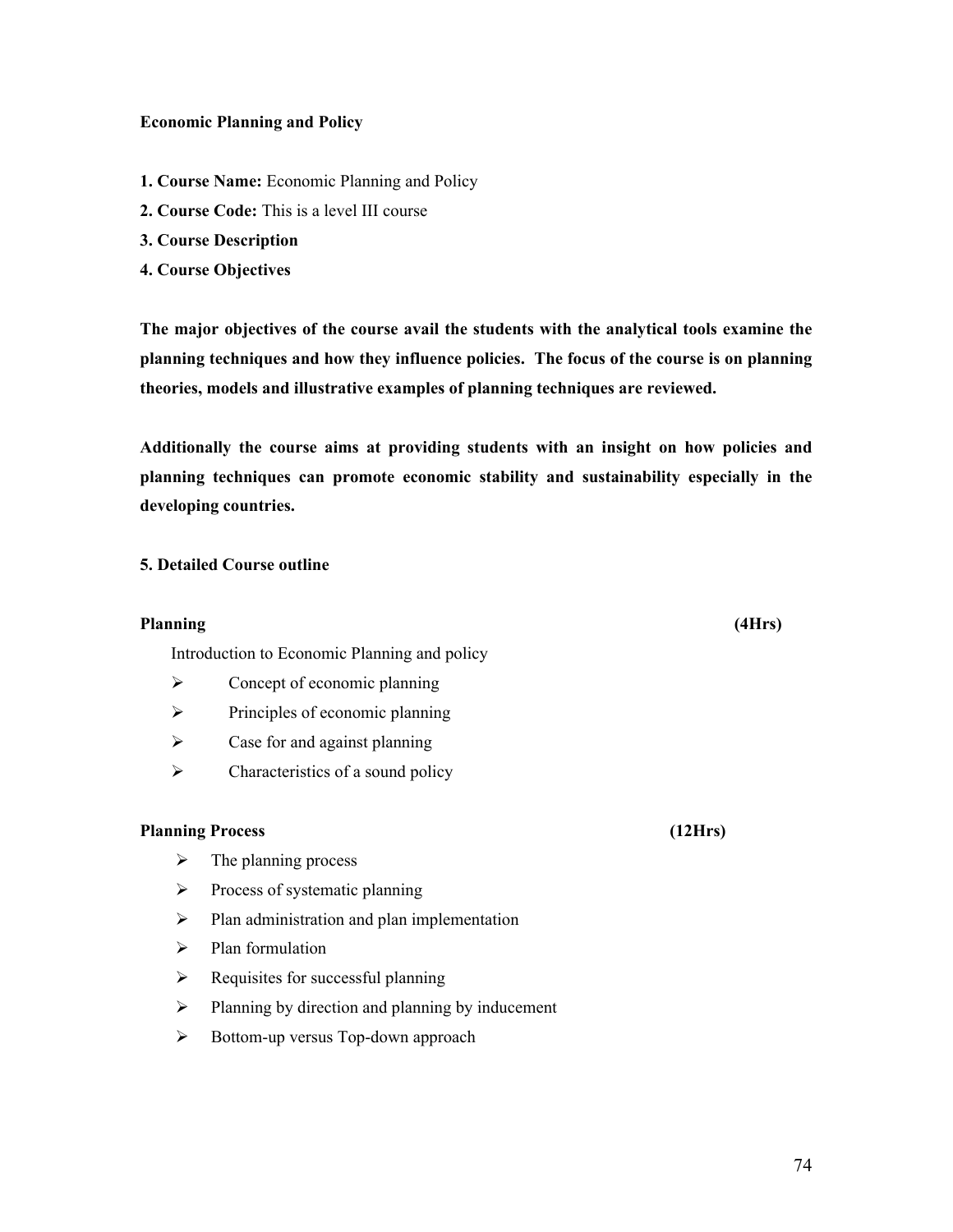### **Economic Planning and Policy**

- **1. Course Name:** Economic Planning and Policy
- **2. Course Code:** This is a level III course
- **3. Course Description**
- **4. Course Objectives**

**The major objectives of the course avail the students with the analytical tools examine the planning techniques and how they influence policies. The focus of the course is on planning theories, models and illustrative examples of planning techniques are reviewed.**

**Additionally the course aims at providing students with an insight on how policies and planning techniques can promote economic stability and sustainability especially in the developing countries.** 

## **5. Detailed Course outline**

#### **Planning (4Hrs)**

Introduction to Economic Planning and policy

- $\triangleright$  Concept of economic planning
- $\triangleright$  Principles of economic planning
- $\triangleright$  Case for and against planning
- $\triangleright$  Characteristics of a sound policy

## **Planning Process (12Hrs)**

- $\triangleright$  The planning process
- $\triangleright$  Process of systematic planning
- $\triangleright$  Plan administration and plan implementation
- $\triangleright$  Plan formulation
- $\triangleright$  Requisites for successful planning
- $\triangleright$  Planning by direction and planning by inducement
- $\triangleright$  Bottom-up versus Top-down approach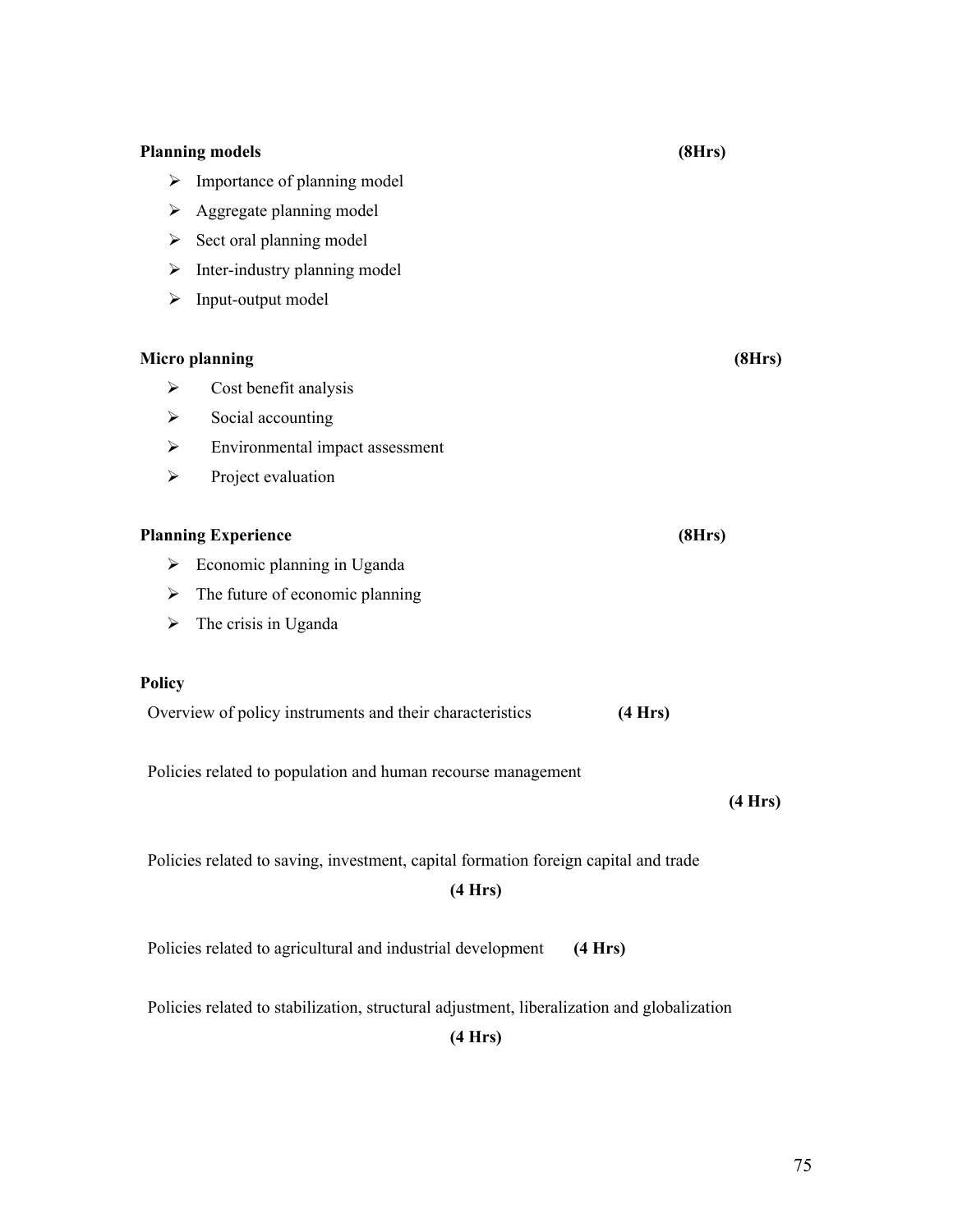| Importance of planning model<br>➤                                                   |  |  |  |  |  |
|-------------------------------------------------------------------------------------|--|--|--|--|--|
|                                                                                     |  |  |  |  |  |
| Aggregate planning model<br>➤                                                       |  |  |  |  |  |
| Sect oral planning model<br>➤                                                       |  |  |  |  |  |
| Inter-industry planning model<br>➤                                                  |  |  |  |  |  |
| Input-output model<br>➤                                                             |  |  |  |  |  |
|                                                                                     |  |  |  |  |  |
| <b>Micro planning</b><br>(8Hrs)                                                     |  |  |  |  |  |
| Cost benefit analysis<br>➤                                                          |  |  |  |  |  |
| Social accounting<br>➤                                                              |  |  |  |  |  |
| Environmental impact assessment<br>➤                                                |  |  |  |  |  |
| Project evaluation<br>$\blacktriangleright$                                         |  |  |  |  |  |
|                                                                                     |  |  |  |  |  |
| <b>Planning Experience</b><br>(8Hrs)                                                |  |  |  |  |  |
| Economic planning in Uganda<br>➤                                                    |  |  |  |  |  |
| The future of economic planning<br>➤                                                |  |  |  |  |  |
| The crisis in Uganda<br>≻                                                           |  |  |  |  |  |
|                                                                                     |  |  |  |  |  |
| <b>Policy</b>                                                                       |  |  |  |  |  |
| Overview of policy instruments and their characteristics<br>(4 Hrs)                 |  |  |  |  |  |
|                                                                                     |  |  |  |  |  |
| Policies related to population and human recourse management                        |  |  |  |  |  |
| (4 Hrs)                                                                             |  |  |  |  |  |
|                                                                                     |  |  |  |  |  |
| Policies related to saving, investment, capital formation foreign capital and trade |  |  |  |  |  |
| (4 Hrs)                                                                             |  |  |  |  |  |
|                                                                                     |  |  |  |  |  |
| Policies related to agricultural and industrial development<br>(4 Hrs)              |  |  |  |  |  |
|                                                                                     |  |  |  |  |  |

Policies related to stabilization, structural adjustment, liberalization and globalization

**(4 Hrs)**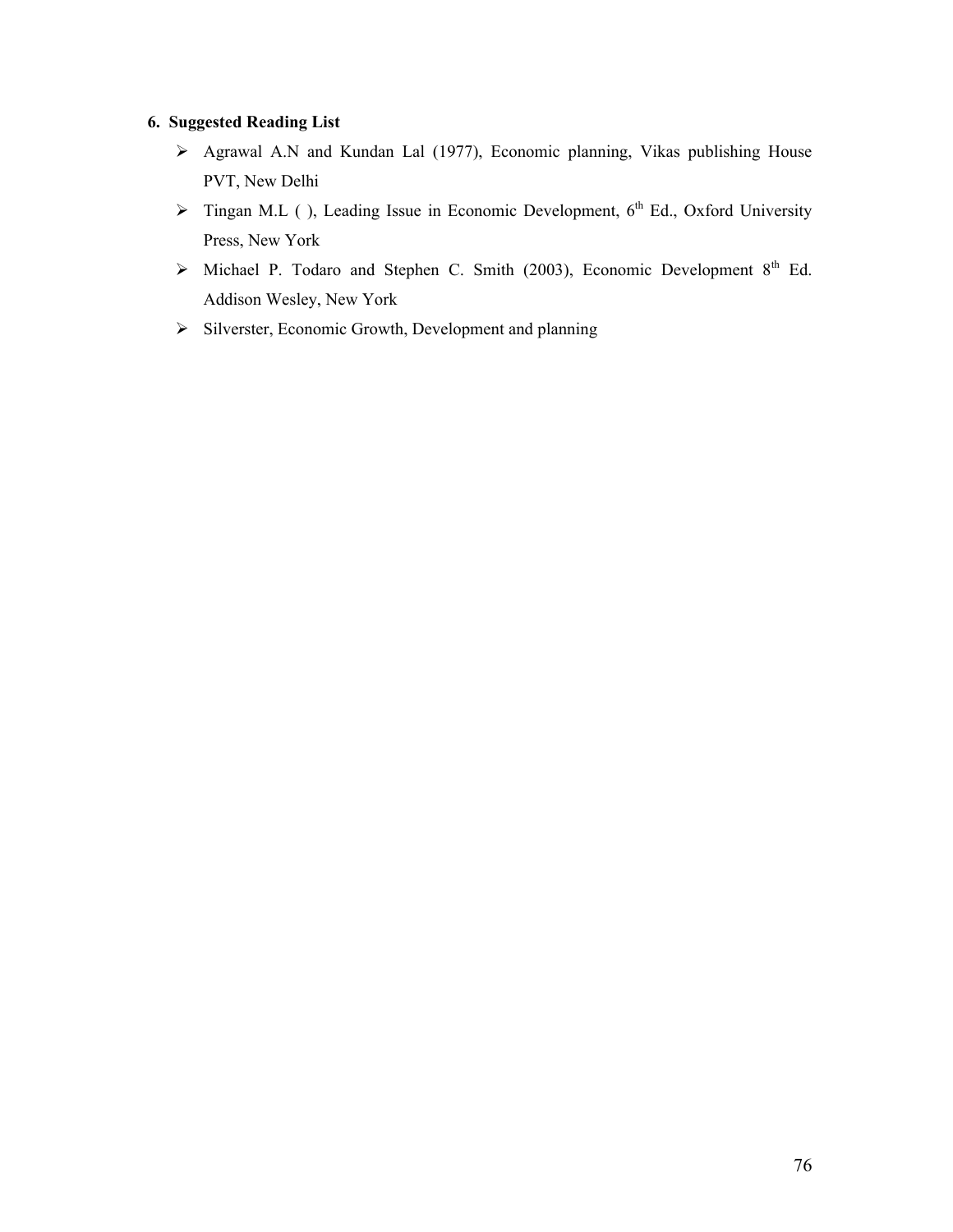# **6. Suggested Reading List**

- Agrawal A.N and Kundan Lal (1977), Economic planning, Vikas publishing House PVT, New Delhi
- $\triangleright$  Tingan M.L ( ), Leading Issue in Economic Development, 6<sup>th</sup> Ed., Oxford University Press, New York
- $\triangleright$  Michael P. Todaro and Stephen C. Smith (2003), Economic Development 8<sup>th</sup> Ed. Addison Wesley, New York
- $\triangleright$  Silverster, Economic Growth, Development and planning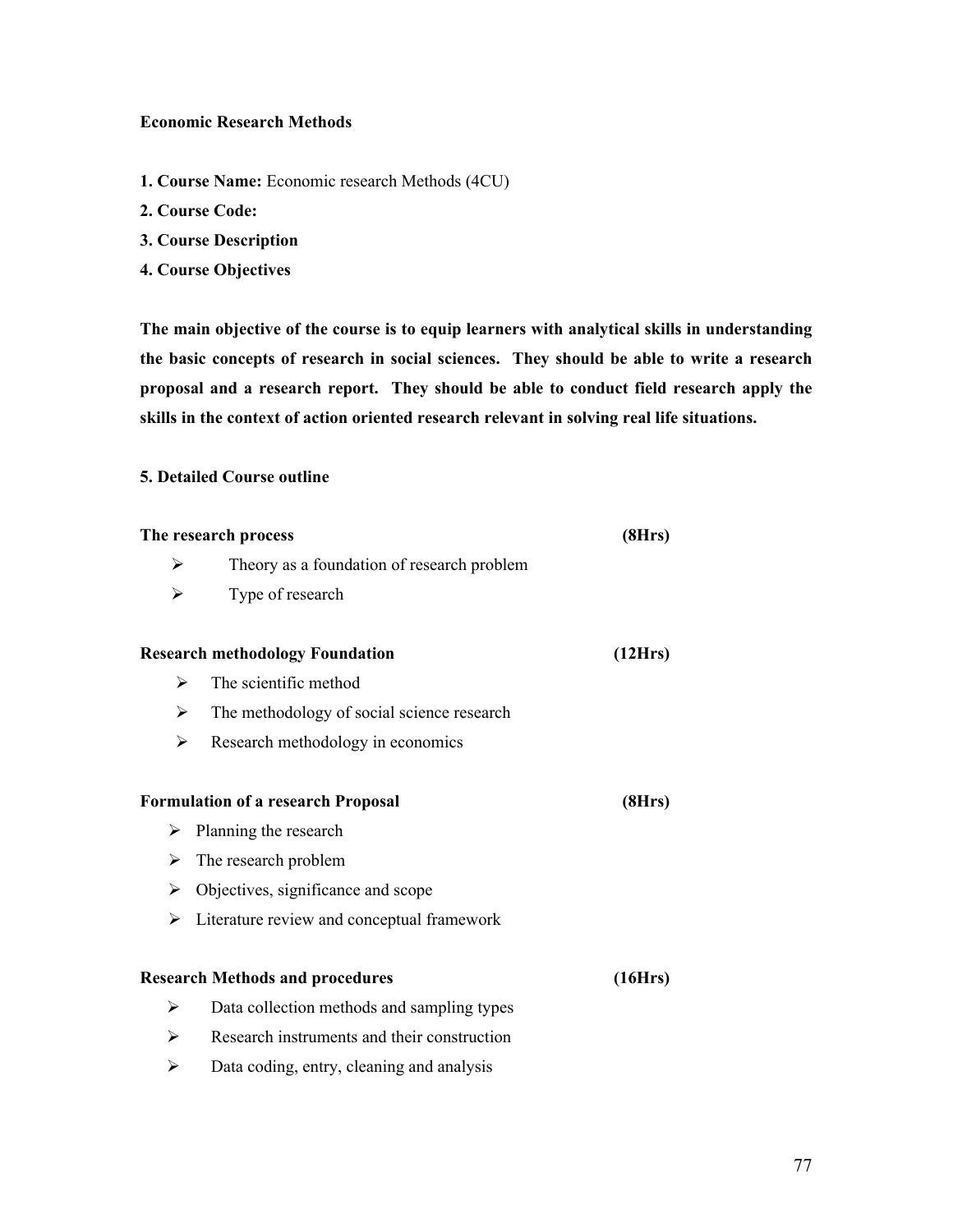### **Economic Research Methods**

- **1. Course Name:** Economic research Methods (4CU)
- **2. Course Code:**
- **3. Course Description**
- **4. Course Objectives**

**The main objective of the course is to equip learners with analytical skills in understanding the basic concepts of research in social sciences. They should be able to write a research proposal and a research report. They should be able to conduct field research apply the skills in the context of action oriented research relevant in solving real life situations.** 

## **5. Detailed Course outline**

| The research process | (8Hrs)                                      |         |
|----------------------|---------------------------------------------|---------|
| ⋗                    | Theory as a foundation of research problem  |         |
| ➤                    | Type of research                            |         |
|                      | <b>Research methodology Foundation</b>      | (12Hrs) |
| ➤                    | The scientific method                       |         |
| ➤                    | The methodology of social science research  |         |
| ➤                    | Research methodology in economics           |         |
|                      | <b>Formulation of a research Proposal</b>   | (8Hrs)  |
| ➤                    | Planning the research                       |         |
| ➤                    | The research problem                        |         |
| ➤                    | Objectives, significance and scope          |         |
| ➤                    | Literature review and conceptual framework  |         |
|                      | <b>Research Methods and procedures</b>      | (16Hrs) |
| ≻                    | Data collection methods and sampling types  |         |
| ➤                    | Research instruments and their construction |         |
| ≻                    | Data coding, entry, cleaning and analysis   |         |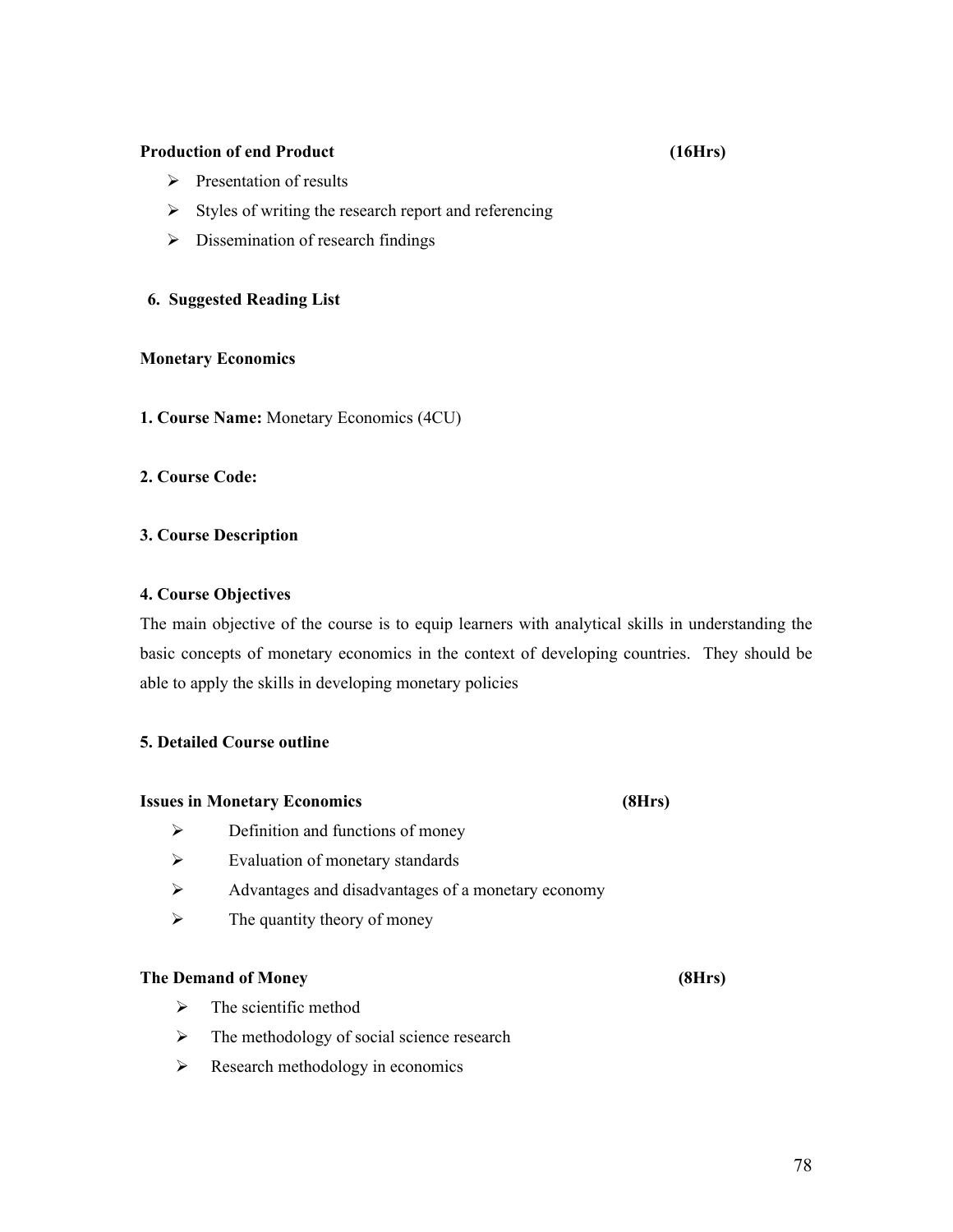### **Production of end Product (16Hrs)**

- $\triangleright$  Presentation of results
- $\triangleright$  Styles of writing the research report and referencing
- $\triangleright$  Dissemination of research findings

## **6. Suggested Reading List**

## **Monetary Economics**

**1. Course Name:** Monetary Economics (4CU)

## **2. Course Code:**

## **3. Course Description**

## **4. Course Objectives**

The main objective of the course is to equip learners with analytical skills in understanding the basic concepts of monetary economics in the context of developing countries. They should be able to apply the skills in developing monetary policies

## **5. Detailed Course outline**

### **Issues in Monetary Economics (8Hrs)**

- 
- $\triangleright$  Definition and functions of money
- $\triangleright$  Evaluation of monetary standards
- Advantages and disadvantages of a monetary economy
- $\triangleright$  The quantity theory of money

## **The Demand of Money (8Hrs)**

- $\triangleright$  The scientific method
- $\triangleright$  The methodology of social science research
- $\triangleright$  Research methodology in economics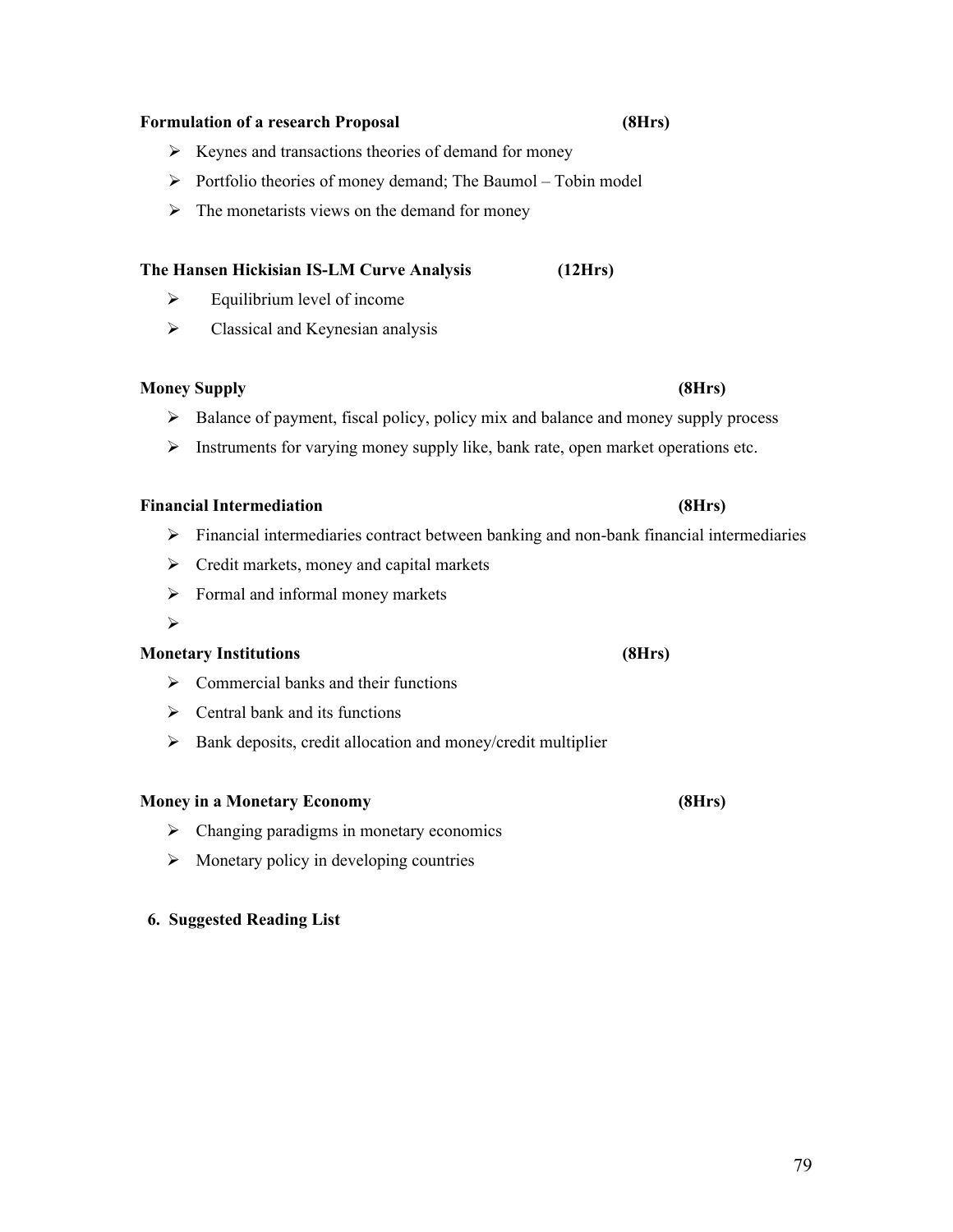## **Formulation of a research Proposal (8Hrs)**

- $\triangleright$  Keynes and transactions theories of demand for money
- $\triangleright$  Portfolio theories of money demand; The Baumol Tobin model
- $\triangleright$  The monetarists views on the demand for money

# **The Hansen Hickisian IS-LM Curve Analysis (12Hrs)**

- $\triangleright$  Equilibrium level of income
- $\triangleright$  Classical and Keynesian analysis

## **Money Supply (8Hrs)**

- $\triangleright$  Balance of payment, fiscal policy, policy mix and balance and money supply process
- $\triangleright$  Instruments for varying money supply like, bank rate, open market operations etc.

# **Financial Intermediation (8Hrs)**

- $\triangleright$  Financial intermediaries contract between banking and non-bank financial intermediaries
- $\triangleright$  Credit markets, money and capital markets
- $\triangleright$  Formal and informal money markets
- $\blacktriangleright$

# **Monetary Institutions (8Hrs)**

- $\triangleright$  Commercial banks and their functions
- $\triangleright$  Central bank and its functions
- $\triangleright$  Bank deposits, credit allocation and money/credit multiplier

## **Money in a Monetary Economy (8Hrs)**

- $\triangleright$  Changing paradigms in monetary economics
- $\triangleright$  Monetary policy in developing countries

## **6. Suggested Reading List**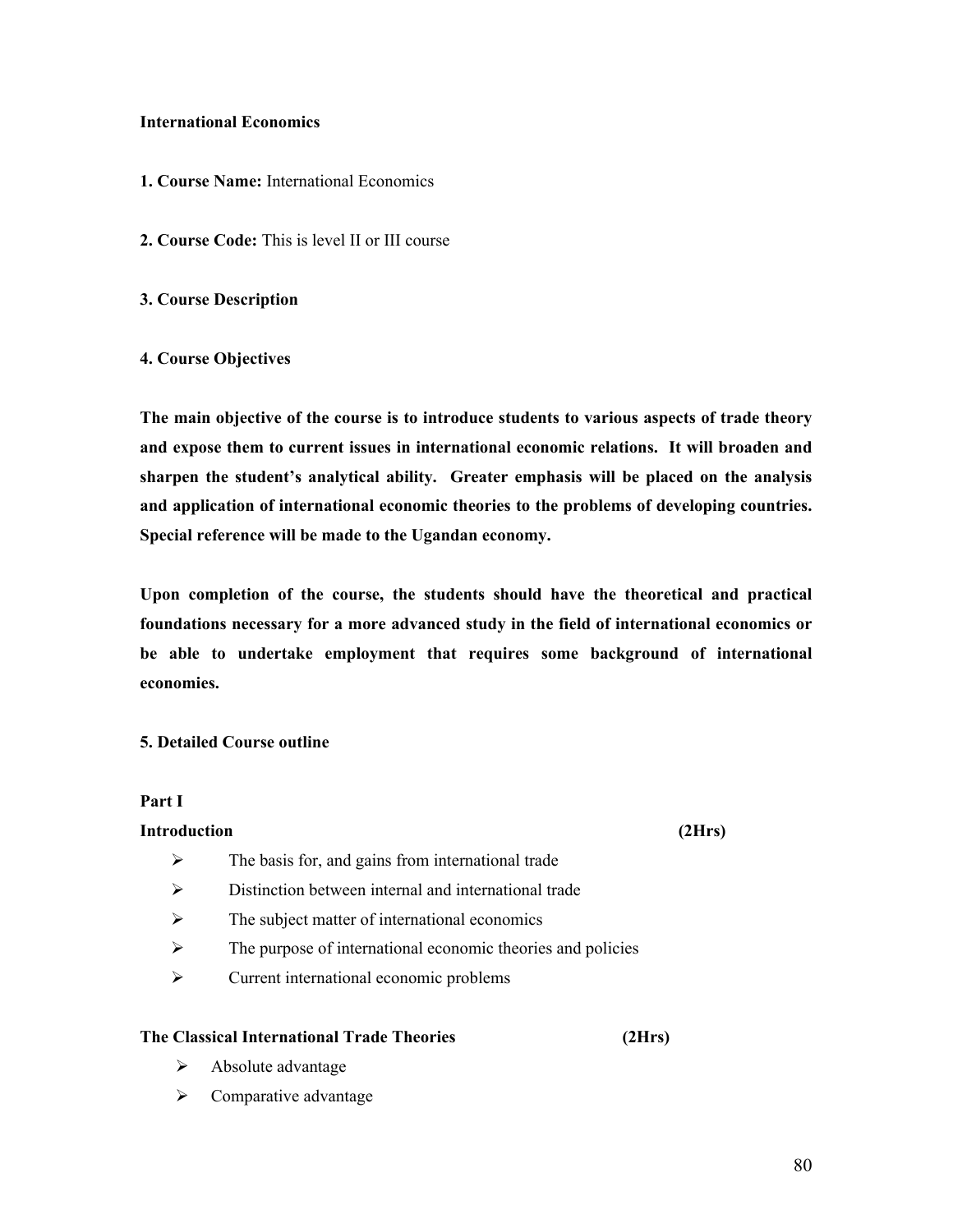### **International Economics**

- **1. Course Name:** International Economics
- **2. Course Code:** This is level II or III course
- **3. Course Description**

### **4. Course Objectives**

**The main objective of the course is to introduce students to various aspects of trade theory and expose them to current issues in international economic relations. It will broaden and sharpen the student's analytical ability. Greater emphasis will be placed on the analysis and application of international economic theories to the problems of developing countries. Special reference will be made to the Ugandan economy.**

**Upon completion of the course, the students should have the theoretical and practical foundations necessary for a more advanced study in the field of international economics or be able to undertake employment that requires some background of international economies.**

#### **5. Detailed Course outline**

#### **Part I**

### **Introduction (2Hrs)**

- $\triangleright$  The basis for, and gains from international trade
- Distinction between internal and international trade
- $\triangleright$  The subject matter of international economics
- $\triangleright$  The purpose of international economic theories and policies
- Current international economic problems

### **The Classical International Trade Theories (2Hrs)**

- $\triangleright$  Absolute advantage
- $\triangleright$  Comparative advantage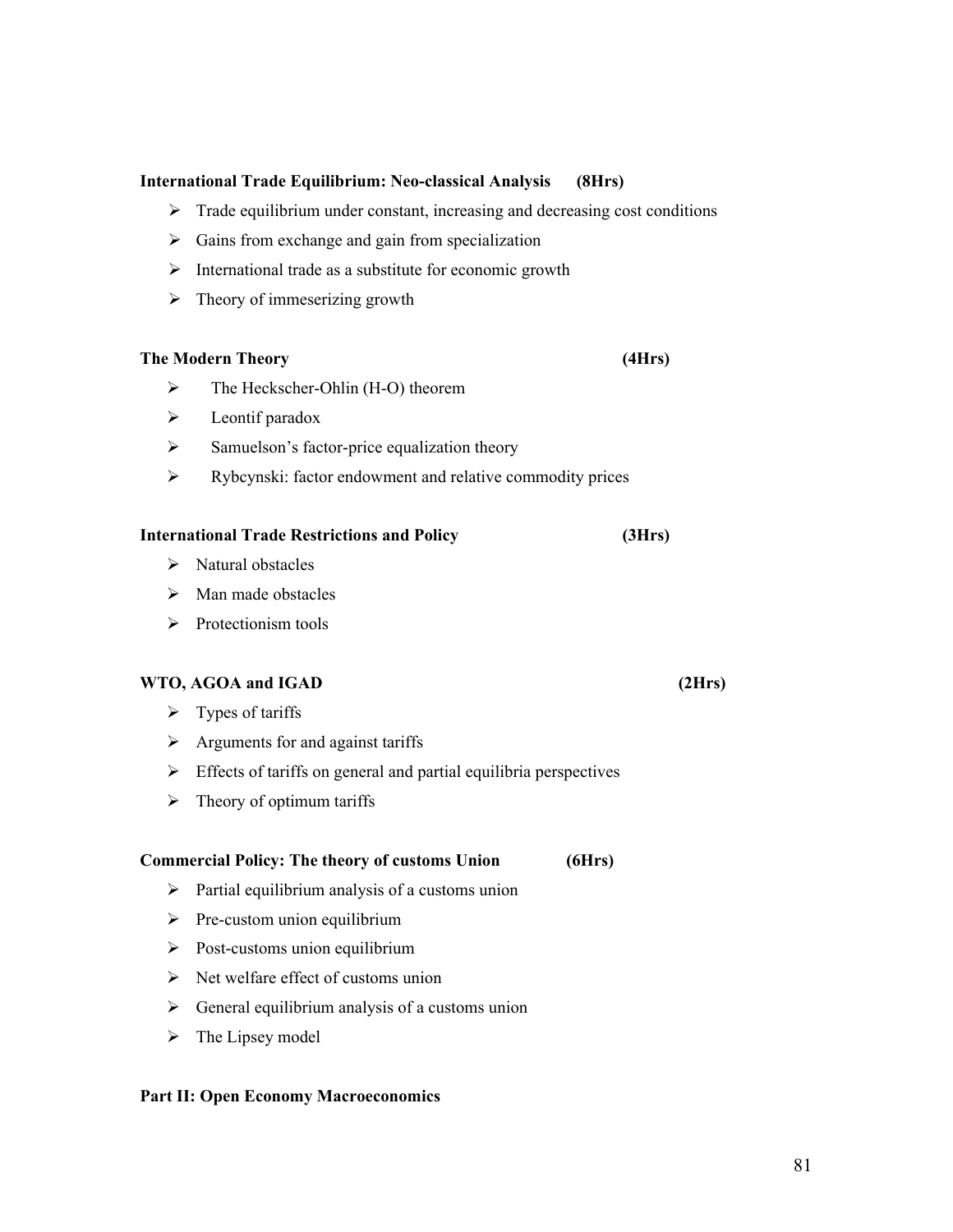## **International Trade Equilibrium: Neo-classical Analysis (8Hrs)**

- $\triangleright$  Trade equilibrium under constant, increasing and decreasing cost conditions
- $\triangleright$  Gains from exchange and gain from specialization
- $\triangleright$  International trade as a substitute for economic growth
- $\triangleright$  Theory of immeserizing growth

#### **The Modern Theory (4Hrs)**

- $\triangleright$  The Heckscher-Ohlin (H-O) theorem
- $\triangleright$  Leontif paradox
- $\triangleright$  Samuelson's factor-price equalization theory
- Rybcynski: factor endowment and relative commodity prices

#### **International Trade Restrictions and Policy (3Hrs)**

- $\triangleright$  Natural obstacles
- $\triangleright$  Man made obstacles
- $\triangleright$  Protectionism tools

#### **WTO, AGOA and IGAD (2Hrs)**

- $\triangleright$  Types of tariffs
- $\triangleright$  Arguments for and against tariffs
- $\triangleright$  Effects of tariffs on general and partial equilibria perspectives
- $\triangleright$  Theory of optimum tariffs

#### **Commercial Policy: The theory of customs Union (6Hrs)**

- $\triangleright$  Partial equilibrium analysis of a customs union
- $\triangleright$  Pre-custom union equilibrium
- $\triangleright$  Post-customs union equilibrium
- $\triangleright$  Net welfare effect of customs union
- $\triangleright$  General equilibrium analysis of a customs union
- $\triangleright$  The Lipsey model

#### **Part II: Open Economy Macroeconomics**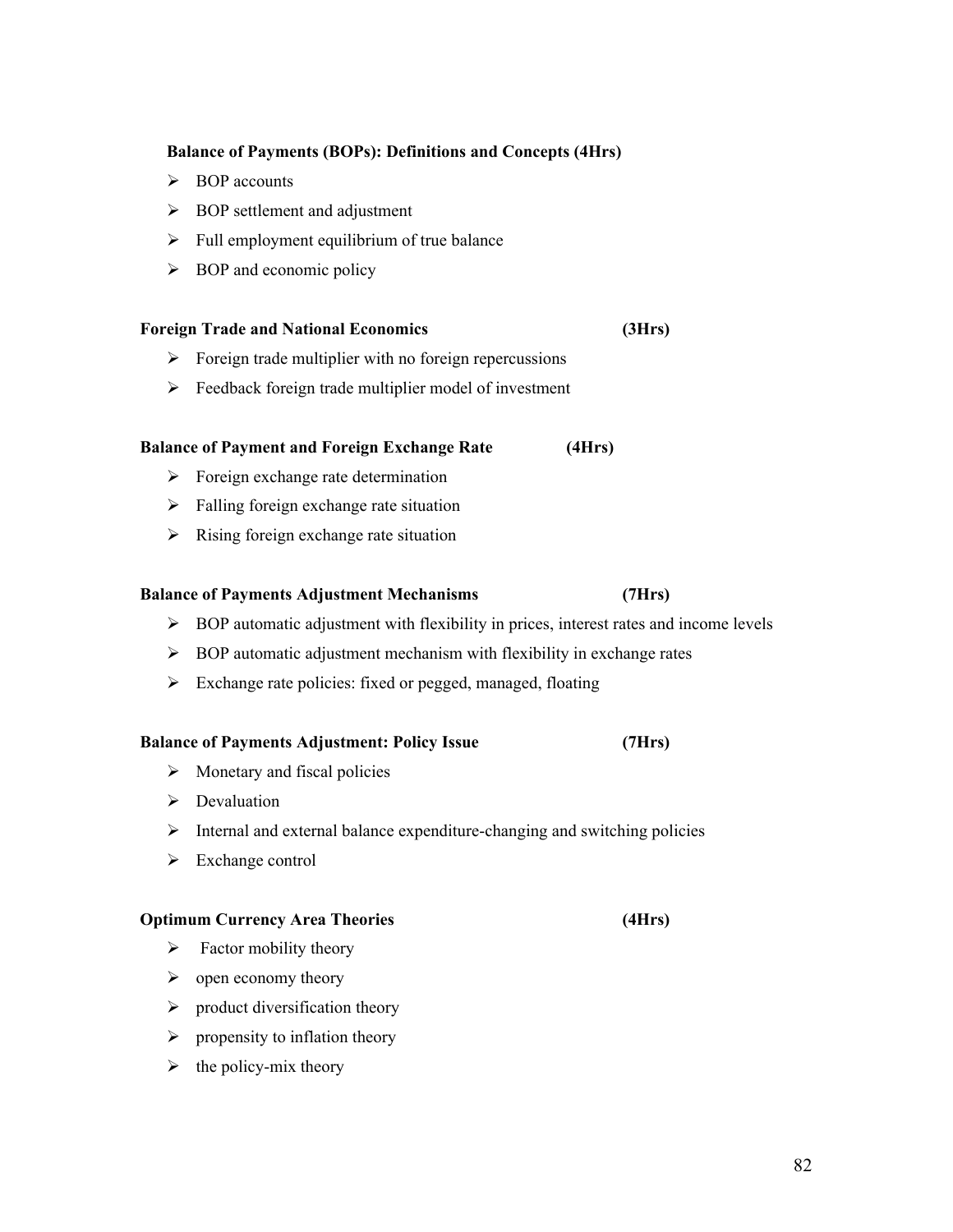# **Balance of Payments (BOPs): Definitions and Concepts (4Hrs)**

- **►** BOP accounts
- $\triangleright$  BOP settlement and adjustment
- $\triangleright$  Full employment equilibrium of true balance
- $\triangleright$  BOP and economic policy

# **Foreign Trade and National Economics (3Hrs)**

- $\triangleright$  Foreign trade multiplier with no foreign repercussions
- $\triangleright$  Feedback foreign trade multiplier model of investment

# **Balance of Payment and Foreign Exchange Rate (4Hrs)**

- $\triangleright$  Foreign exchange rate determination
- $\triangleright$  Falling foreign exchange rate situation
- $\triangleright$  Rising foreign exchange rate situation

## **Balance of Payments Adjustment Mechanisms (7Hrs)**

- $\triangleright$  BOP automatic adjustment with flexibility in prices, interest rates and income levels
- $\triangleright$  BOP automatic adjustment mechanism with flexibility in exchange rates
- $\triangleright$  Exchange rate policies: fixed or pegged, managed, floating

## **Balance of Payments Adjustment: Policy Issue (7Hrs)**

- $\triangleright$  Monetary and fiscal policies
- $\triangleright$  Devaluation
- $\triangleright$  Internal and external balance expenditure-changing and switching policies
- $\triangleright$  Exchange control

## **Optimum Currency Area Theories (4Hrs)**

- $\triangleright$  Factor mobility theory
- $\triangleright$  open economy theory
- $\triangleright$  product diversification theory
- $\triangleright$  propensity to inflation theory
- $\triangleright$  the policy-mix theory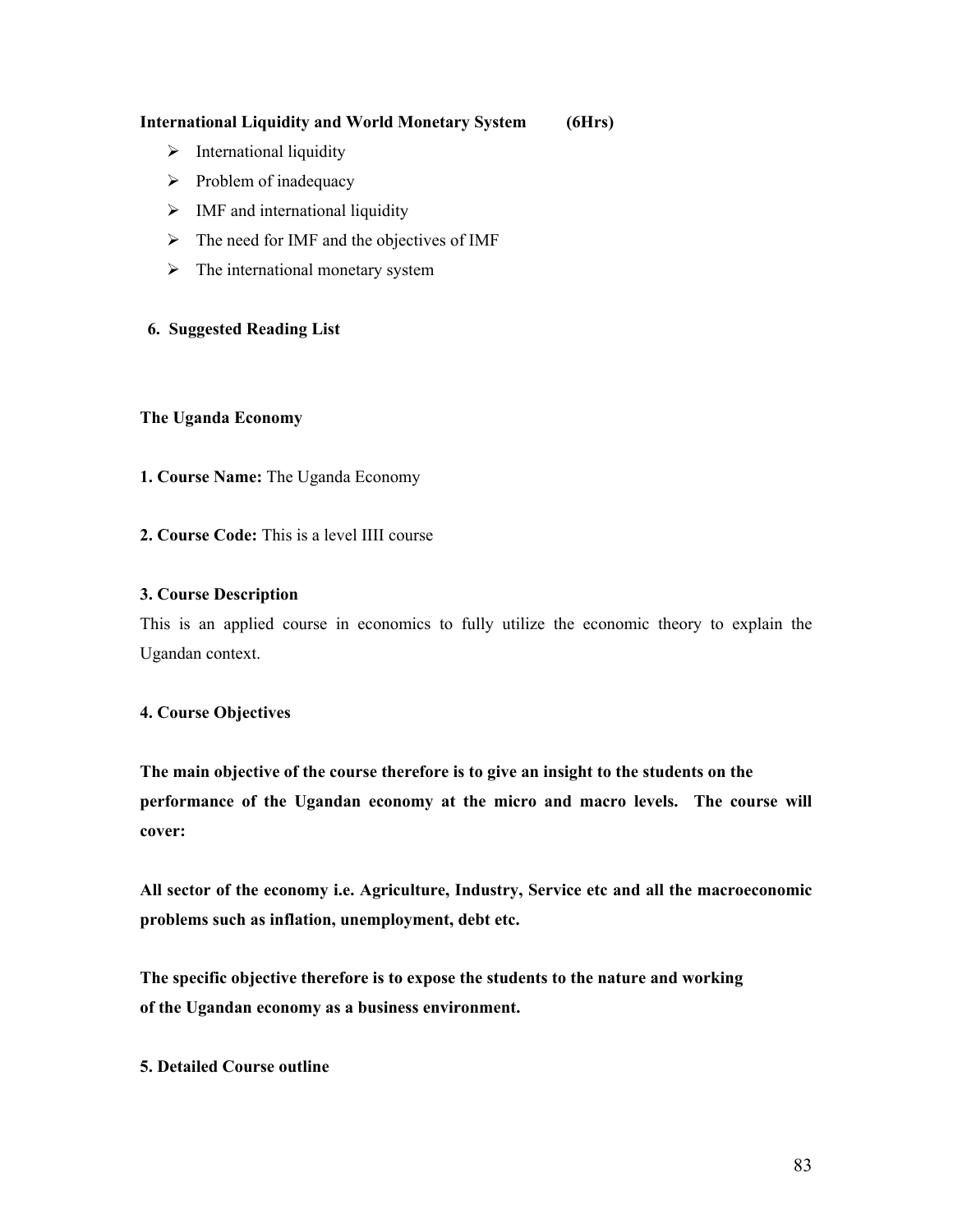## **International Liquidity and World Monetary System (6Hrs)**

- $\triangleright$  International liquidity
- $\triangleright$  Problem of inadequacy
- $\triangleright$  IMF and international liquidity
- $\triangleright$  The need for IMF and the objectives of IMF
- $\triangleright$  The international monetary system

## **6. Suggested Reading List**

## **The Uganda Economy**

- **1. Course Name:** The Uganda Economy
- **2. Course Code:** This is a level IIII course

## **3. Course Description**

This is an applied course in economics to fully utilize the economic theory to explain the Ugandan context.

## **4. Course Objectives**

**The main objective of the course therefore is to give an insight to the students on the performance of the Ugandan economy at the micro and macro levels. The course will cover:**

**All sector of the economy i.e. Agriculture, Industry, Service etc and all the macroeconomic problems such as inflation, unemployment, debt etc.**

**The specific objective therefore is to expose the students to the nature and working of the Ugandan economy as a business environment.**

## **5. Detailed Course outline**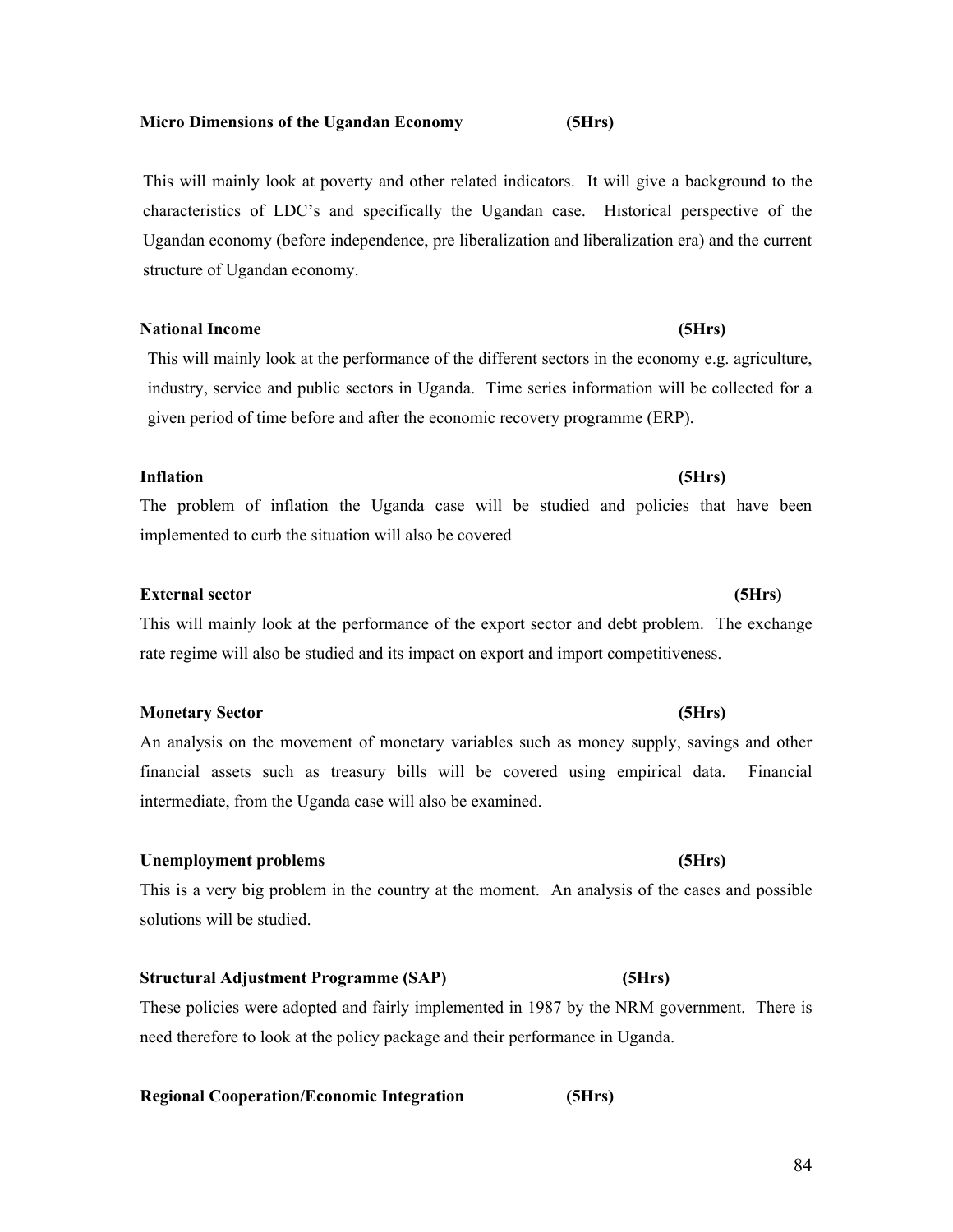## **Micro Dimensions of the Ugandan Economy (5Hrs)**

This will mainly look at poverty and other related indicators. It will give a background to the characteristics of LDC's and specifically the Ugandan case. Historical perspective of the Ugandan economy (before independence, pre liberalization and liberalization era) and the current structure of Ugandan economy.

## **National Income (5Hrs)**

This will mainly look at the performance of the different sectors in the economy e.g. agriculture, industry, service and public sectors in Uganda. Time series information will be collected for a given period of time before and after the economic recovery programme (ERP).

# **Inflation (5Hrs)**

The problem of inflation the Uganda case will be studied and policies that have been implemented to curb the situation will also be covered

# **External sector (5Hrs)**

This will mainly look at the performance of the export sector and debt problem. The exchange rate regime will also be studied and its impact on export and import competitiveness.

## **Monetary Sector (5Hrs)**

An analysis on the movement of monetary variables such as money supply, savings and other financial assets such as treasury bills will be covered using empirical data. Financial intermediate, from the Uganda case will also be examined.

## **Unemployment problems (5Hrs)**

This is a very big problem in the country at the moment. An analysis of the cases and possible solutions will be studied.

# **Structural Adjustment Programme (SAP) (5Hrs)**

These policies were adopted and fairly implemented in 1987 by the NRM government. There is need therefore to look at the policy package and their performance in Uganda.

# **Regional Cooperation/Economic Integration (5Hrs)**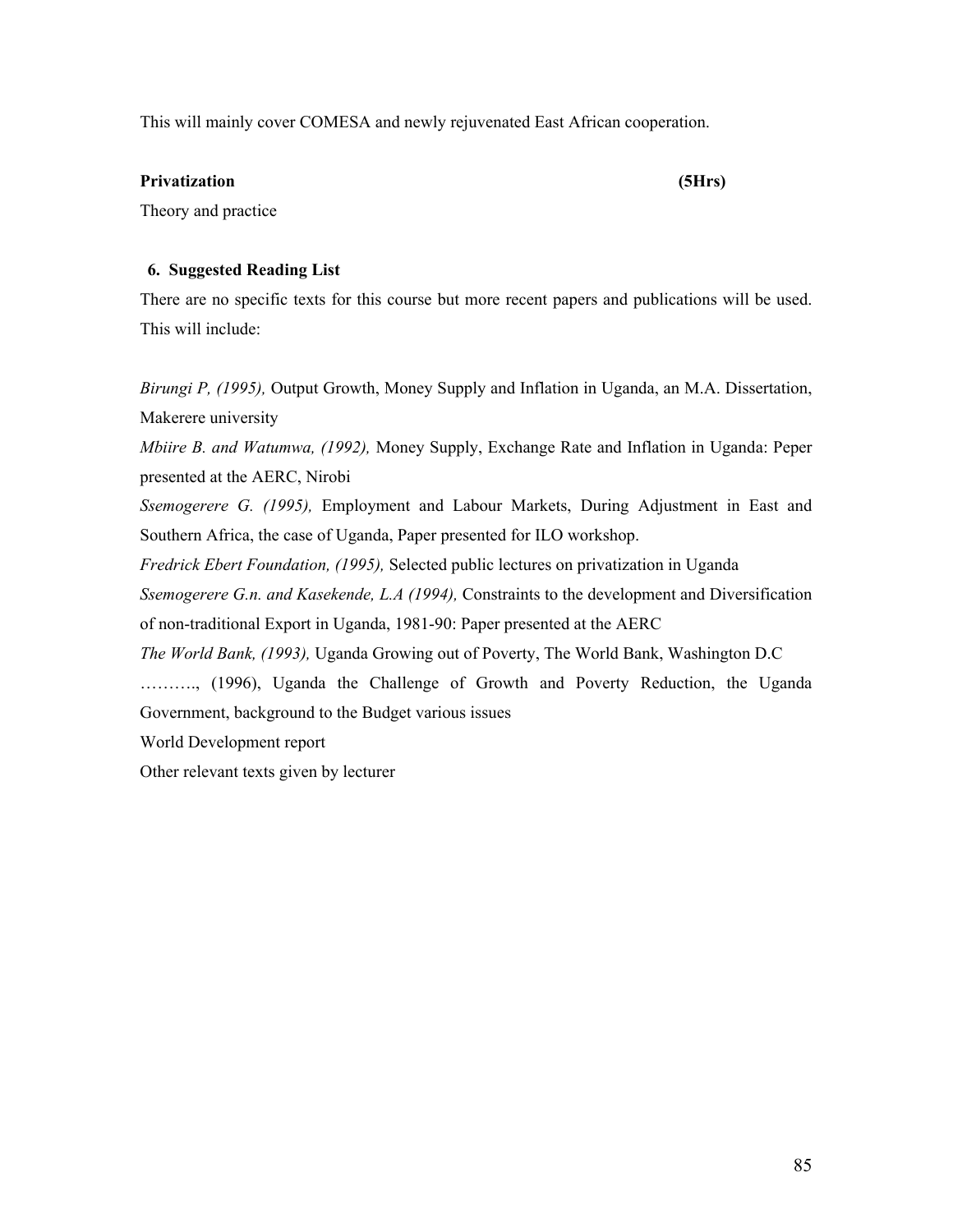This will mainly cover COMESA and newly rejuvenated East African cooperation.

### **Privatization (5Hrs)**

Theory and practice

### **6. Suggested Reading List**

There are no specific texts for this course but more recent papers and publications will be used. This will include:

*Birungi P, (1995),* Output Growth, Money Supply and Inflation in Uganda, an M.A. Dissertation, Makerere university

*Mbiire B. and Watumwa, (1992),* Money Supply, Exchange Rate and Inflation in Uganda: Peper presented at the AERC, Nirobi

*Ssemogerere G. (1995),* Employment and Labour Markets, During Adjustment in East and Southern Africa, the case of Uganda, Paper presented for ILO workshop.

*Fredrick Ebert Foundation, (1995),* Selected public lectures on privatization in Uganda

*Ssemogerere G.n. and Kasekende, L.A (1994),* Constraints to the development and Diversification of non-traditional Export in Uganda, 1981-90: Paper presented at the AERC

*The World Bank, (1993),* Uganda Growing out of Poverty, The World Bank, Washington D.C

………., (1996), Uganda the Challenge of Growth and Poverty Reduction, the Uganda Government, background to the Budget various issues

World Development report

Other relevant texts given by lecturer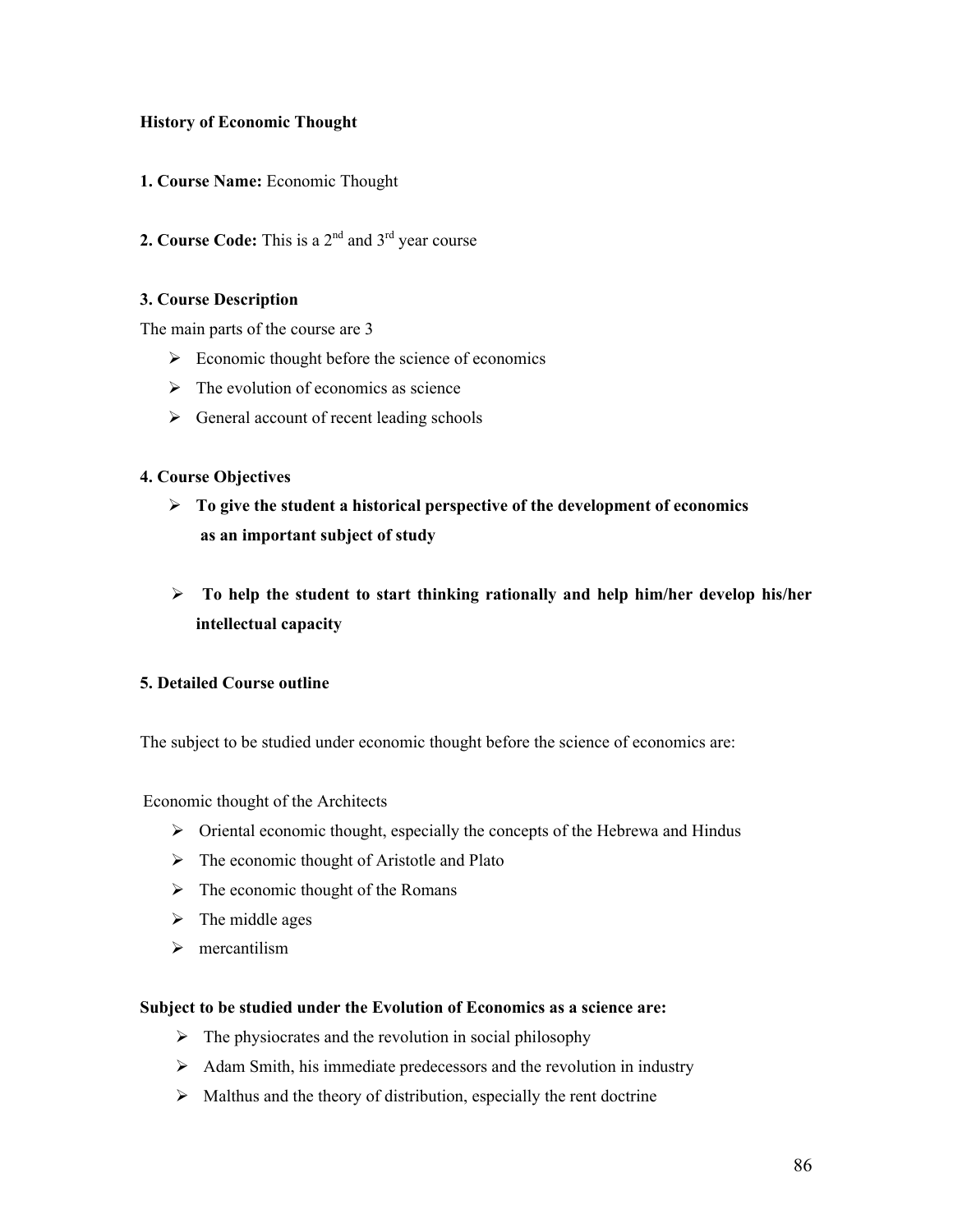## **History of Economic Thought**

- **1. Course Name:** Economic Thought
- **2. Course Code:** This is a  $2<sup>nd</sup>$  and  $3<sup>rd</sup>$  year course

## **3. Course Description**

The main parts of the course are 3

- $\triangleright$  Economic thought before the science of economics
- $\triangleright$  The evolution of economics as science
- $\triangleright$  General account of recent leading schools

### **4. Course Objectives**

- **To give the student a historical perspective of the development of economics as an important subject of study**
- **To help the student to start thinking rationally and help him/her develop his/her intellectual capacity**

## **5. Detailed Course outline**

The subject to be studied under economic thought before the science of economics are:

Economic thought of the Architects

- $\triangleright$  Oriental economic thought, especially the concepts of the Hebrewa and Hindus
- $\triangleright$  The economic thought of Aristotle and Plato
- $\triangleright$  The economic thought of the Romans
- $\triangleright$  The middle ages
- $\triangleright$  mercantilism

#### **Subject to be studied under the Evolution of Economics as a science are:**

- $\triangleright$  The physiocrates and the revolution in social philosophy
- $\triangleright$  Adam Smith, his immediate predecessors and the revolution in industry
- $\triangleright$  Malthus and the theory of distribution, especially the rent doctrine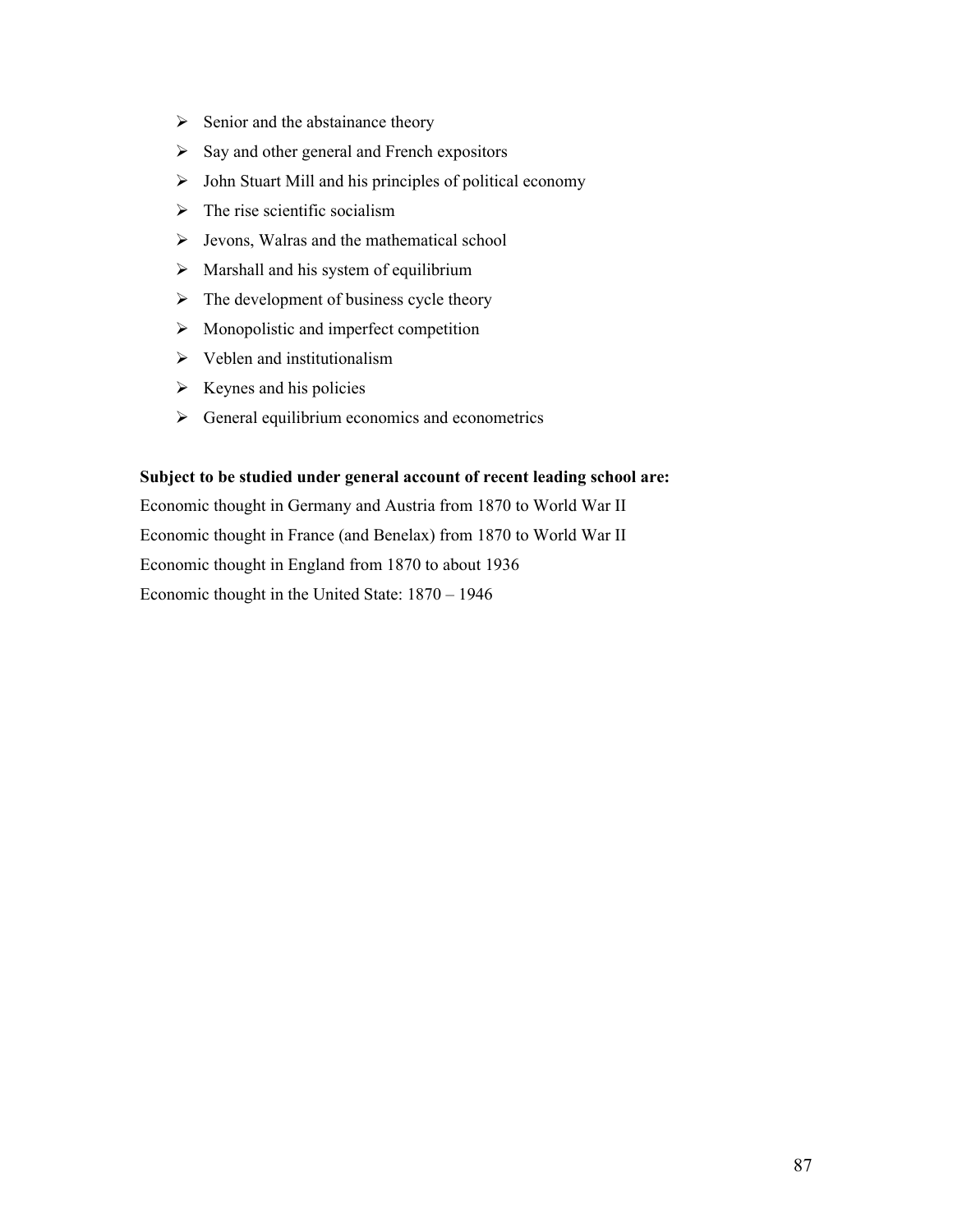- $\triangleright$  Senior and the abstainance theory
- $\triangleright$  Say and other general and French expositors
- $\triangleright$  John Stuart Mill and his principles of political economy
- $\triangleright$  The rise scientific socialism
- $\triangleright$  Jevons, Walras and the mathematical school
- $\triangleright$  Marshall and his system of equilibrium
- $\triangleright$  The development of business cycle theory
- $\triangleright$  Monopolistic and imperfect competition
- $\triangleright$  Veblen and institutionalism
- $\triangleright$  Keynes and his policies
- $\triangleright$  General equilibrium economics and econometrics

## **Subject to be studied under general account of recent leading school are:**

Economic thought in Germany and Austria from 1870 to World War II Economic thought in France (and Benelax) from 1870 to World War II Economic thought in England from 1870 to about 1936 Economic thought in the United State: 1870 – 1946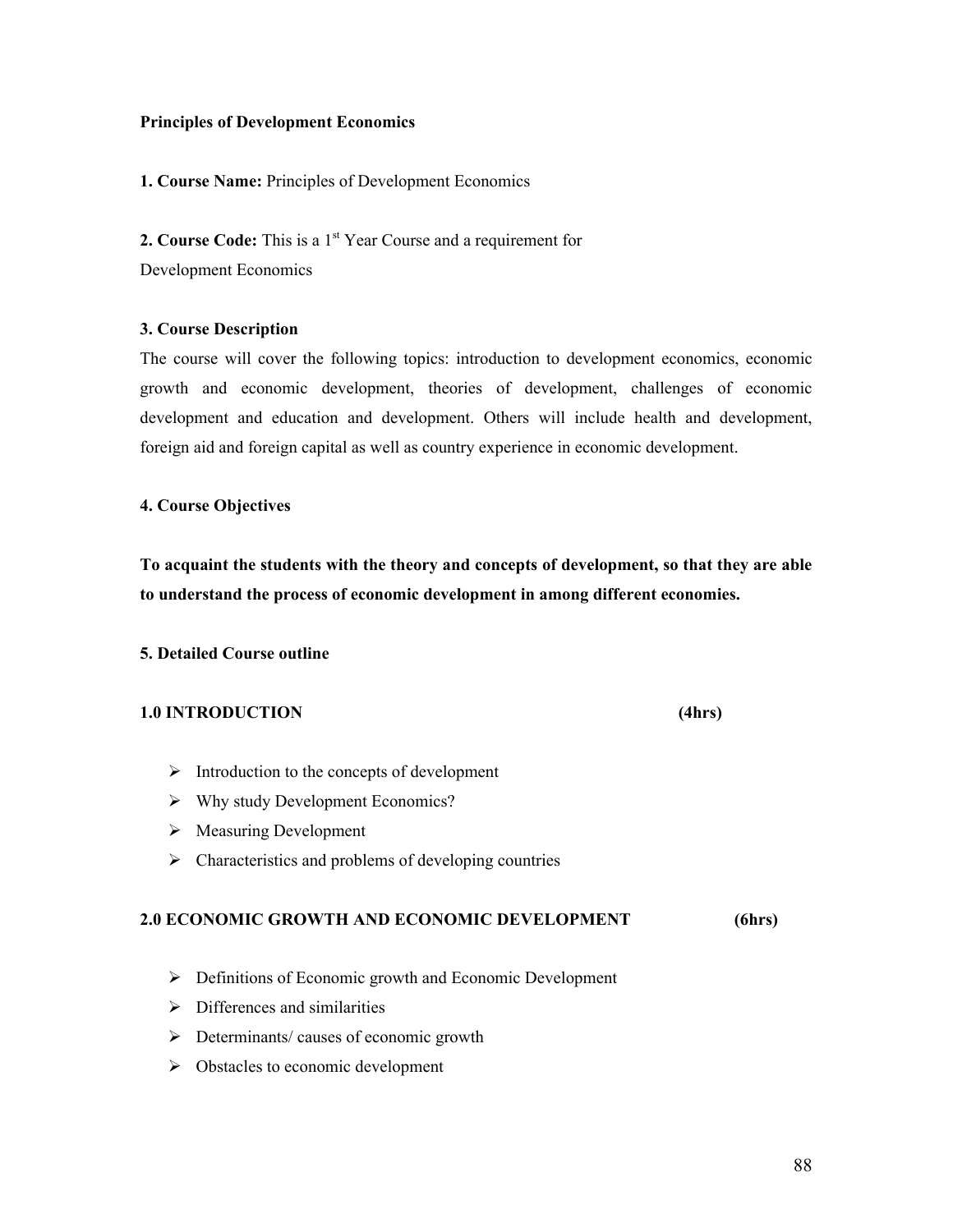### **Principles of Development Economics**

## **1. Course Name:** Principles of Development Economics

**2. Course Code:** This is a 1<sup>st</sup> Year Course and a requirement for Development Economics

### **3. Course Description**

The course will cover the following topics: introduction to development economics, economic growth and economic development, theories of development, challenges of economic development and education and development. Others will include health and development, foreign aid and foreign capital as well as country experience in economic development.

### **4. Course Objectives**

**To acquaint the students with the theory and concepts of development, so that they are able to understand the process of economic development in among different economies.** 

### **5. Detailed Course outline**

## **1.0 INTRODUCTION (4hrs)**

- $\triangleright$  Introduction to the concepts of development
- $\triangleright$  Why study Development Economics?
- $\triangleright$  Measuring Development
- $\triangleright$  Characteristics and problems of developing countries

#### **2.0 ECONOMIC GROWTH AND ECONOMIC DEVELOPMENT (6hrs)**

- **EXECUTE:** Definitions of Economic growth and Economic Development
- $\triangleright$  Differences and similarities
- $\triangleright$  Determinants/ causes of economic growth
- $\triangleright$  Obstacles to economic development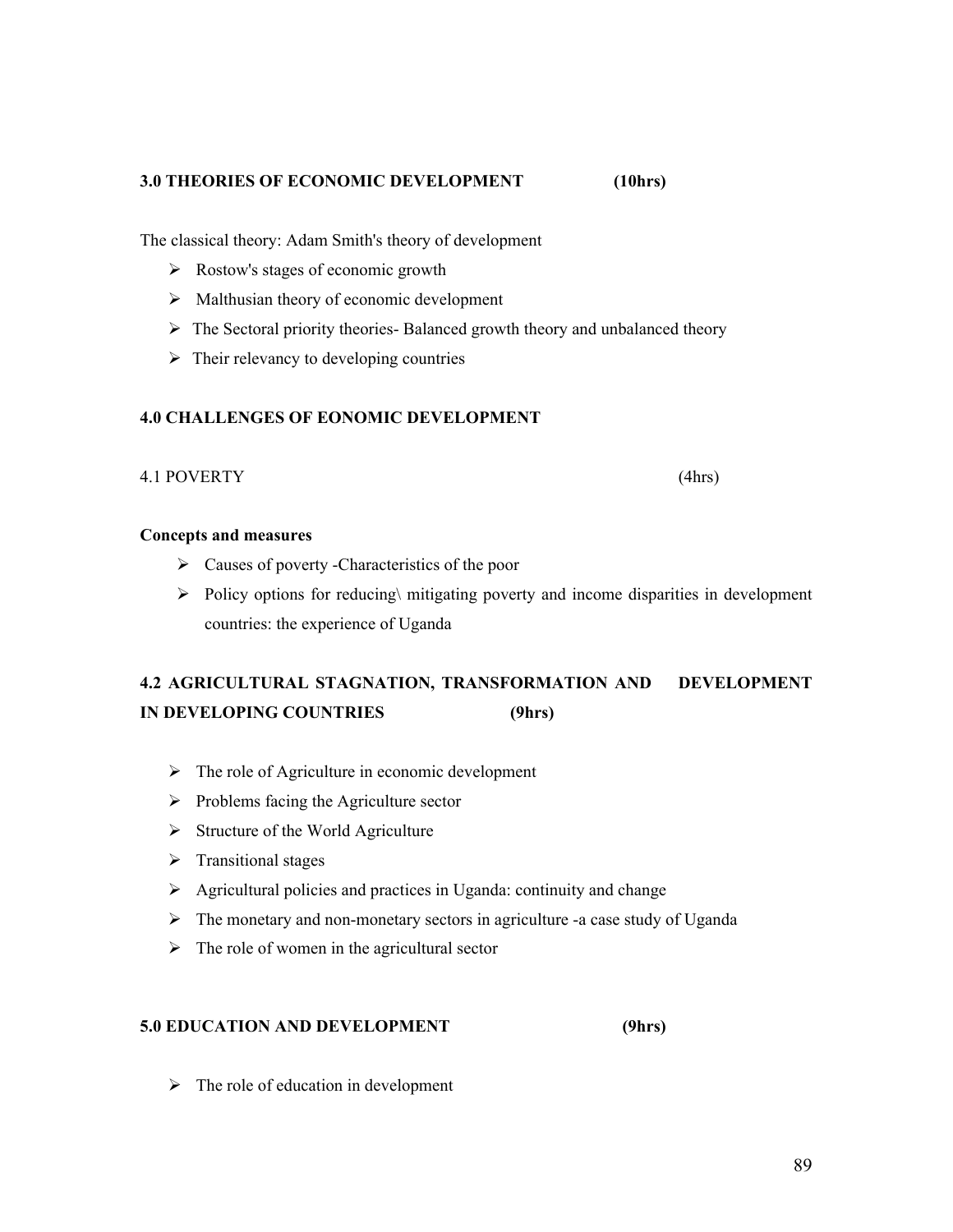## **3.0 THEORIES OF ECONOMIC DEVELOPMENT (10hrs)**

The classical theory: Adam Smith's theory of development

- $\triangleright$  Rostow's stages of economic growth
- $\triangleright$  Malthusian theory of economic development
- $\triangleright$  The Sectoral priority theories- Balanced growth theory and unbalanced theory
- $\triangleright$  Their relevancy to developing countries

## **4.0 CHALLENGES OF EONOMIC DEVELOPMENT**

#### 4.1 POVERTY (4hrs)

#### **Concepts and measures**

- $\triangleright$  Causes of poverty -Characteristics of the poor
- $\triangleright$  Policy options for reducing initigating poverty and income disparities in development countries: the experience of Uganda

# **4.2 AGRICULTURAL STAGNATION, TRANSFORMATION AND DEVELOPMENT IN DEVELOPING COUNTRIES (9hrs)**

- $\triangleright$  The role of Agriculture in economic development
- $\triangleright$  Problems facing the Agriculture sector
- $\triangleright$  Structure of the World Agriculture
- $\triangleright$  Transitional stages
- $\triangleright$  Agricultural policies and practices in Uganda: continuity and change
- $\triangleright$  The monetary and non-monetary sectors in agriculture -a case study of Uganda
- $\triangleright$  The role of women in the agricultural sector

## **5.0 EDUCATION AND DEVELOPMENT (9hrs)**

 $\triangleright$  The role of education in development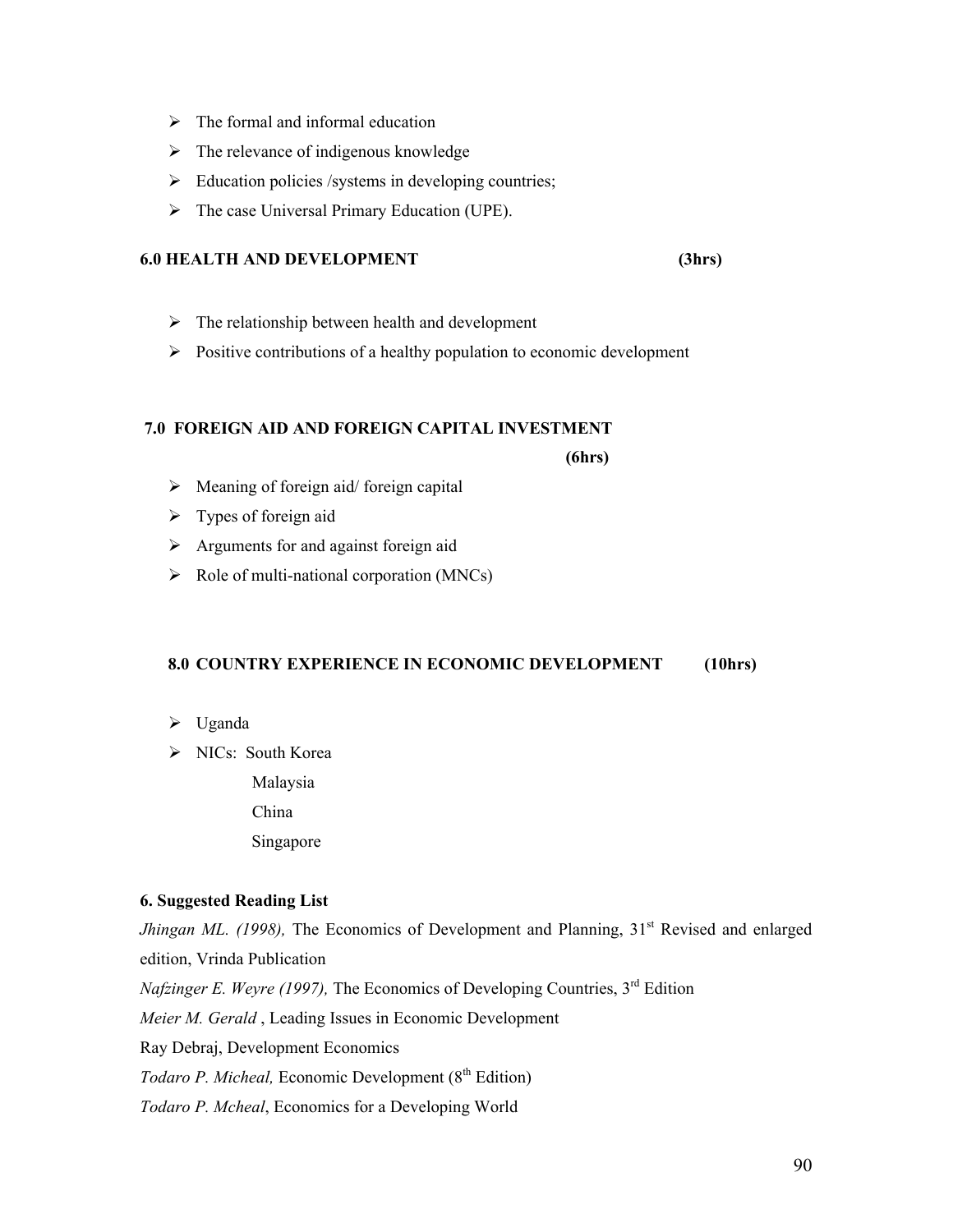- $\triangleright$  The formal and informal education
- $\triangleright$  The relevance of indigenous knowledge
- $\triangleright$  Education policies /systems in developing countries;
- $\triangleright$  The case Universal Primary Education (UPE).

#### **6.0 HEALTH AND DEVELOPMENT (3hrs)**

- $\triangleright$  The relationship between health and development
- $\triangleright$  Positive contributions of a healthy population to economic development

### **7.0 FOREIGN AID AND FOREIGN CAPITAL INVESTMENT**

 **(6hrs)**

- $\triangleright$  Meaning of foreign aid/ foreign capital
- $\triangleright$  Types of foreign aid
- $\triangleright$  Arguments for and against foreign aid
- $\triangleright$  Role of multi-national corporation (MNCs)

## **8.0 COUNTRY EXPERIENCE IN ECONOMIC DEVELOPMENT (10hrs)**

- $\triangleright$  Uganda
- > NICs: South Korea

Malaysia

China

Singapore

### **6. Suggested Reading List**

*Jhingan ML. (1998)*, The Economics of Development and Planning, 31<sup>st</sup> Revised and enlarged edition, Vrinda Publication *Nafzinger E. Weyre (1997), The Economics of Developing Countries, 3<sup>rd</sup> Edition Meier M. Gerald* , Leading Issues in Economic Development Ray Debraj, Development Economics *Todaro P. Micheal, Economic Development* (8<sup>th</sup> Edition) *Todaro P. Mcheal*, Economics for a Developing World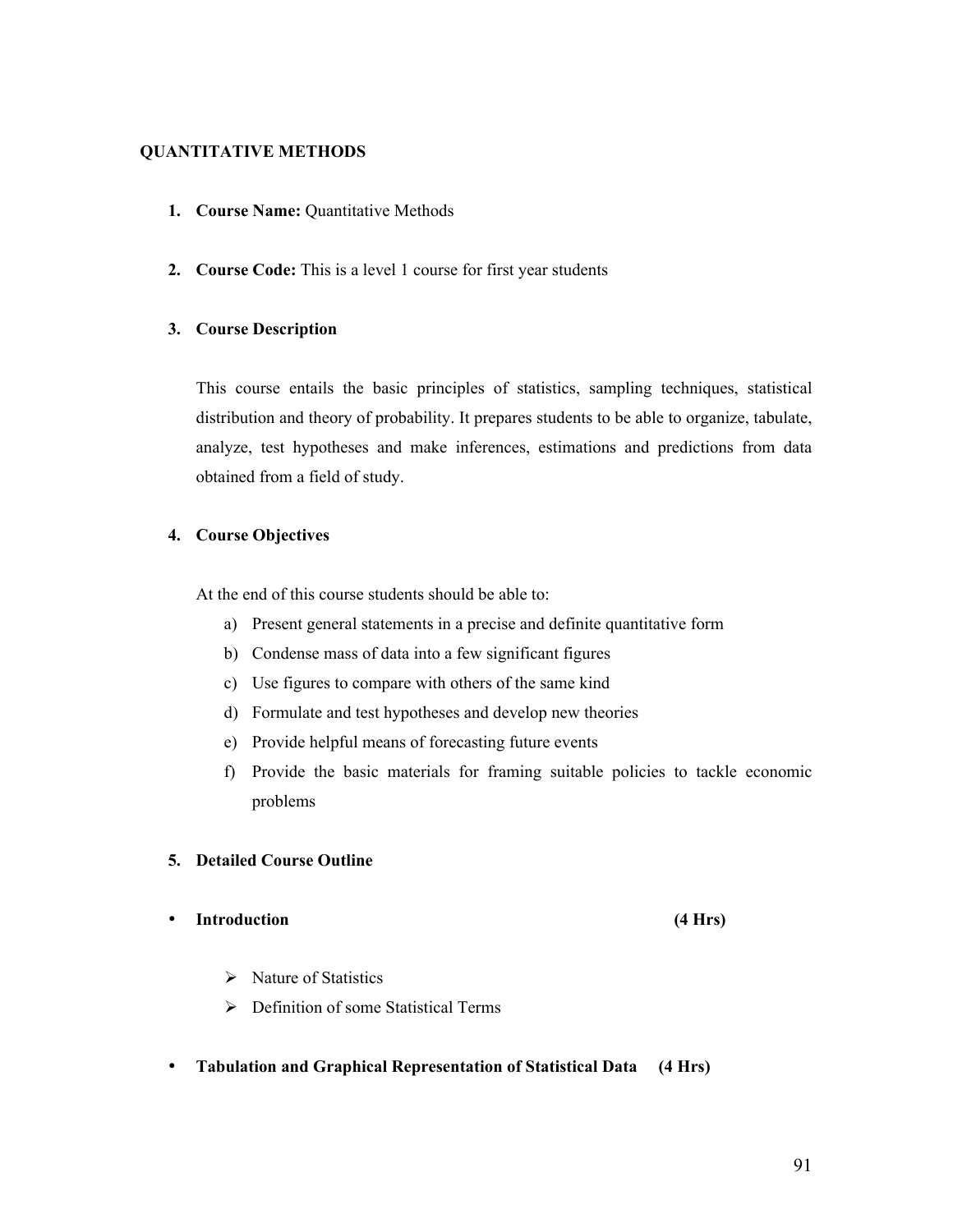## **QUANTITATIVE METHODS**

- **1. Course Name:** Quantitative Methods
- **2. Course Code:** This is a level 1 course for first year students

## **3. Course Description**

This course entails the basic principles of statistics, sampling techniques, statistical distribution and theory of probability. It prepares students to be able to organize, tabulate, analyze, test hypotheses and make inferences, estimations and predictions from data obtained from a field of study.

## **4. Course Objectives**

At the end of this course students should be able to:

- a) Present general statements in a precise and definite quantitative form
- b) Condense mass of data into a few significant figures
- c) Use figures to compare with others of the same kind
- d) Formulate and test hypotheses and develop new theories
- e) Provide helpful means of forecasting future events
- f) Provide the basic materials for framing suitable policies to tackle economic problems

## **5. Detailed Course Outline**

## • **Introduction (4 Hrs)**

- $\triangleright$  Nature of Statistics
- Definition of some Statistical Terms
- **Tabulation and Graphical Representation of Statistical Data (4 Hrs)**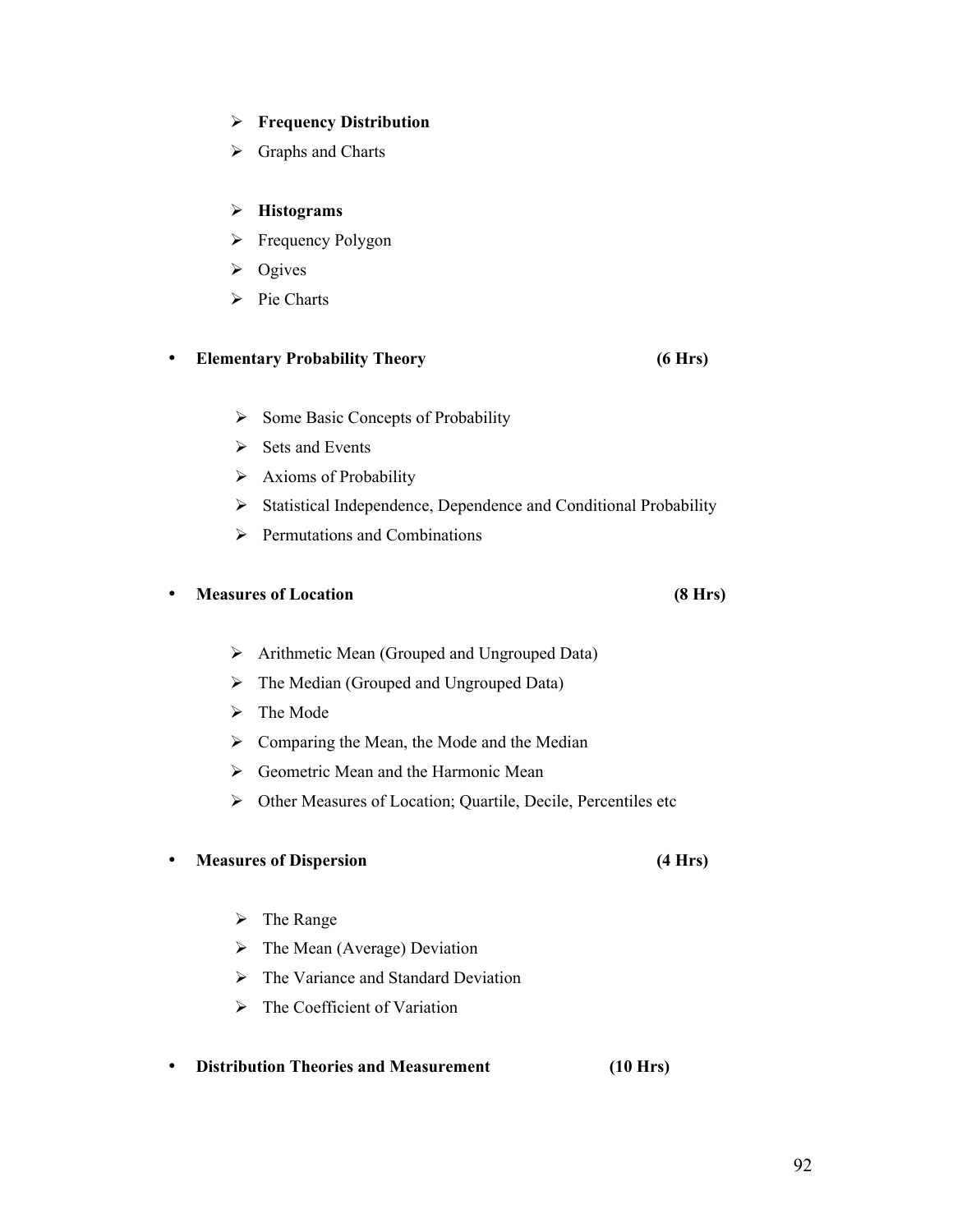## **Frequency Distribution**

 $\triangleright$  Graphs and Charts

## **Histograms**

- $\triangleright$  Frequency Polygon
- $\triangleright$  Ogives
- $\triangleright$  Pie Charts

## • **Elementary Probability Theory (6 Hrs)**

- $\triangleright$  Some Basic Concepts of Probability
- $\triangleright$  Sets and Events
- $\triangleright$  Axioms of Probability
- > Statistical Independence, Dependence and Conditional Probability
- $\triangleright$  Permutations and Combinations

## • **Measures of Location (8 Hrs)**

- Arithmetic Mean (Grouped and Ungrouped Data)
- $\triangleright$  The Median (Grouped and Ungrouped Data)
- $\triangleright$  The Mode
- $\triangleright$  Comparing the Mean, the Mode and the Median
- $\triangleright$  Geometric Mean and the Harmonic Mean
- $\triangleright$  Other Measures of Location; Quartile, Decile, Percentiles etc

## • **Measures of Dispersion (4 Hrs)**

- $\triangleright$  The Range
- $\triangleright$  The Mean (Average) Deviation
- $\triangleright$  The Variance and Standard Deviation
- $\triangleright$  The Coefficient of Variation
- **Distribution Theories and Measurement (10 Hrs)**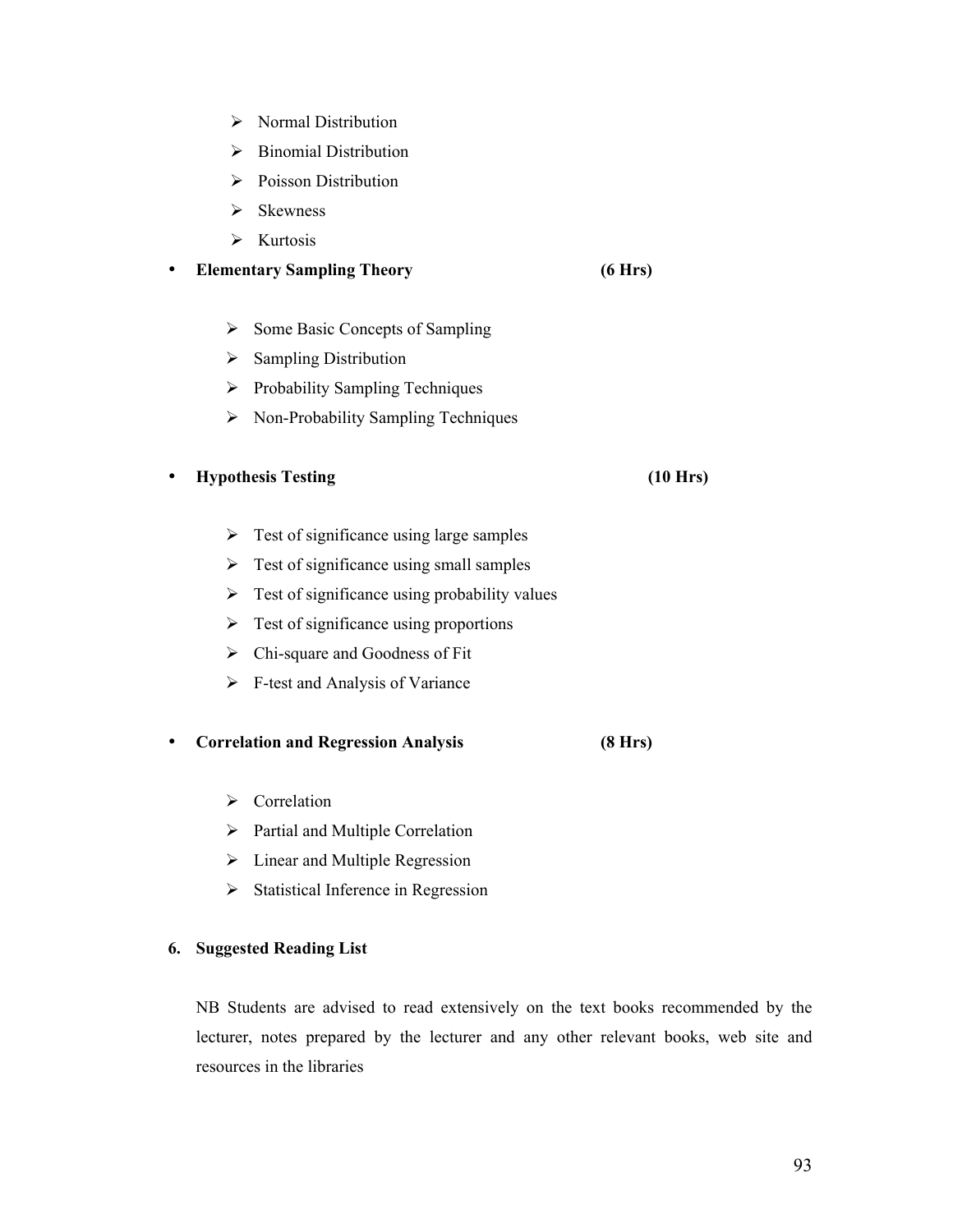- $\triangleright$  Normal Distribution
- $\triangleright$  Binomial Distribution
- $\triangleright$  Poisson Distribution
- $\triangleright$  Skewness
- $\triangleright$  Kurtosis

### • **Elementary Sampling Theory (6 Hrs)**

- $\triangleright$  Some Basic Concepts of Sampling
- $\triangleright$  Sampling Distribution
- $\triangleright$  Probability Sampling Techniques
- $\triangleright$  Non-Probability Sampling Techniques

### • **Hypothesis Testing (10 Hrs)**

- $\triangleright$  Test of significance using large samples
- $\triangleright$  Test of significance using small samples
- $\triangleright$  Test of significance using probability values
- $\triangleright$  Test of significance using proportions
- $\triangleright$  Chi-square and Goodness of Fit
- $\triangleright$  F-test and Analysis of Variance

#### • **Correlation and Regression Analysis (8 Hrs)**

- $\triangleright$  Correlation
- $\triangleright$  Partial and Multiple Correlation
- $\triangleright$  Linear and Multiple Regression
- $\triangleright$  Statistical Inference in Regression

## **6. Suggested Reading List**

NB Students are advised to read extensively on the text books recommended by the lecturer, notes prepared by the lecturer and any other relevant books, web site and resources in the libraries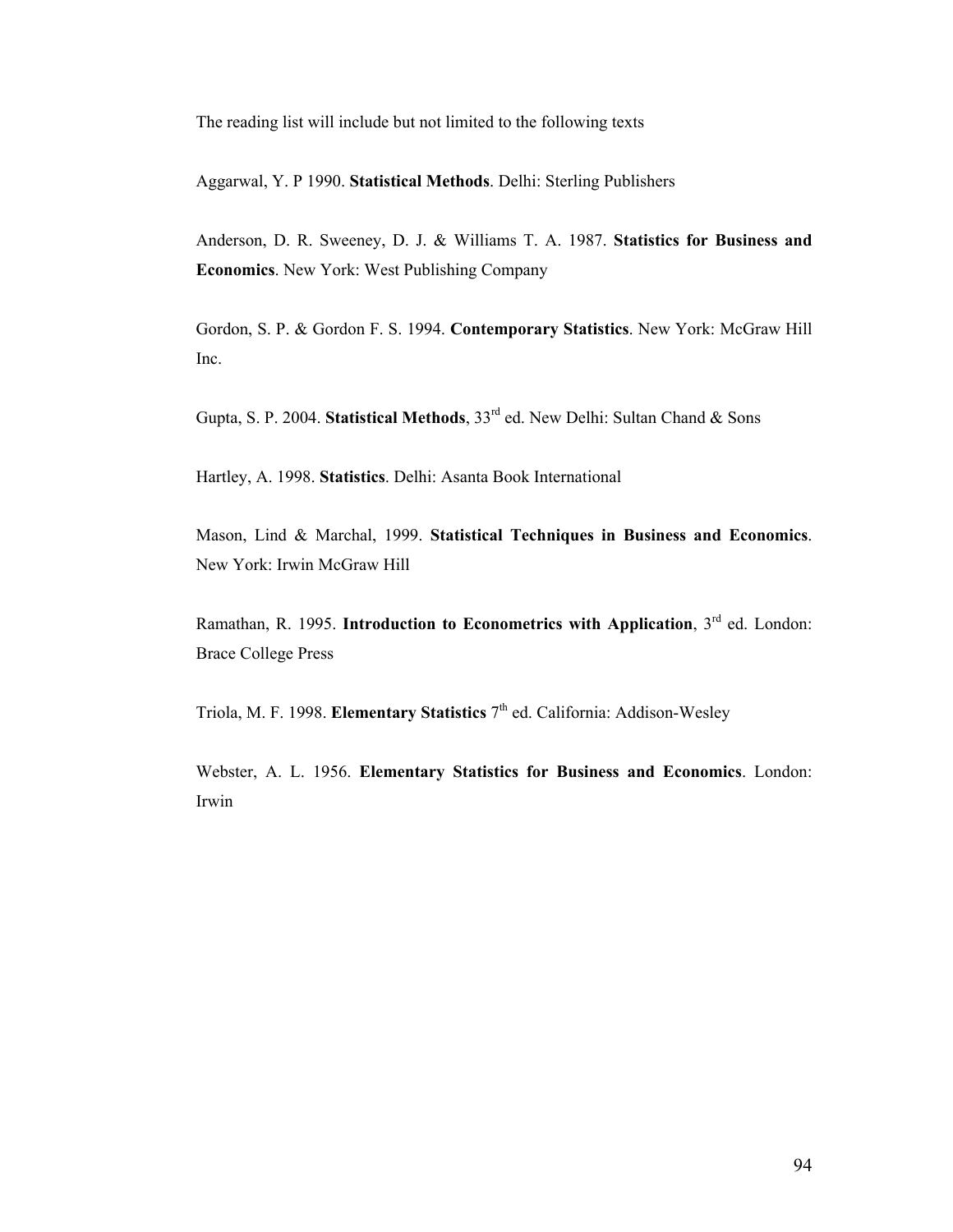The reading list will include but not limited to the following texts

Aggarwal, Y. P 1990. **Statistical Methods**. Delhi: Sterling Publishers

Anderson, D. R. Sweeney, D. J. & Williams T. A. 1987. **Statistics for Business and Economics**. New York: West Publishing Company

Gordon, S. P. & Gordon F. S. 1994. **Contemporary Statistics**. New York: McGraw Hill Inc.

Gupta, S. P. 2004. **Statistical Methods**, 33<sup>rd</sup> ed. New Delhi: Sultan Chand & Sons

Hartley, A. 1998. **Statistics**. Delhi: Asanta Book International

Mason, Lind & Marchal, 1999. **Statistical Techniques in Business and Economics**. New York: Irwin McGraw Hill

Ramathan, R. 1995. **Introduction to Econometrics with Application**, 3<sup>rd</sup> ed. London: Brace College Press

Triola, M. F. 1998. **Elementary Statistics** 7<sup>th</sup> ed. California: Addison-Wesley

Webster, A. L. 1956. **Elementary Statistics for Business and Economics**. London: Irwin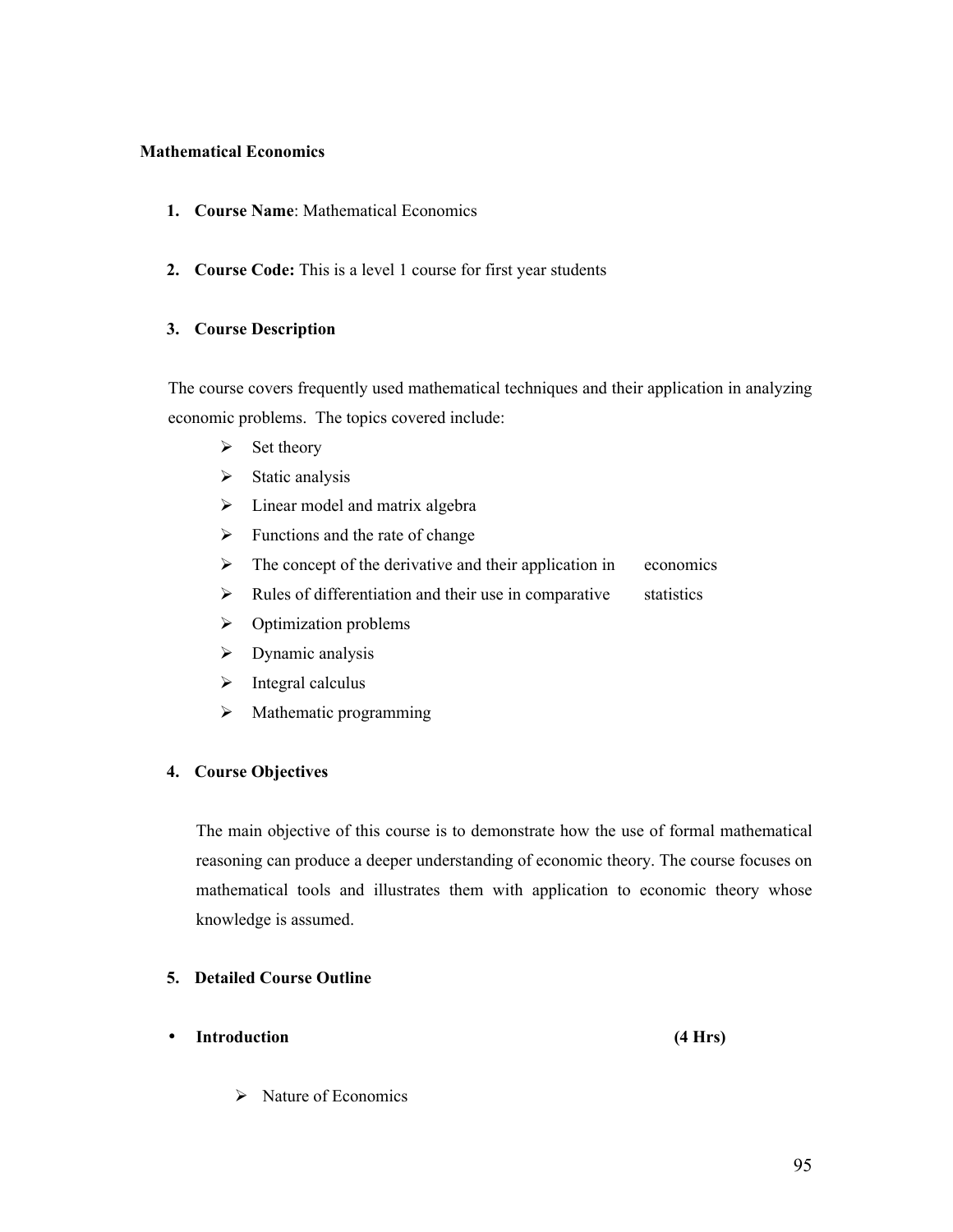## **Mathematical Economics**

- **1. Course Name**: Mathematical Economics
- **2. Course Code:** This is a level 1 course for first year students

## **3. Course Description**

The course covers frequently used mathematical techniques and their application in analyzing economic problems. The topics covered include:

- $\triangleright$  Set theory
- $\triangleright$  Static analysis
- $\triangleright$  Linear model and matrix algebra
- $\triangleright$  Functions and the rate of change
- $\triangleright$  The concept of the derivative and their application in economics
- $\triangleright$  Rules of differentiation and their use in comparative statistics
- $\triangleright$  Optimization problems
- $\triangleright$  Dynamic analysis
- $\triangleright$  Integral calculus
- $\triangleright$  Mathematic programming

## **4. Course Objectives**

The main objective of this course is to demonstrate how the use of formal mathematical reasoning can produce a deeper understanding of economic theory. The course focuses on mathematical tools and illustrates them with application to economic theory whose knowledge is assumed.

## **5. Detailed Course Outline**

• **Introduction (4 Hrs)**

 $\triangleright$  Nature of Economics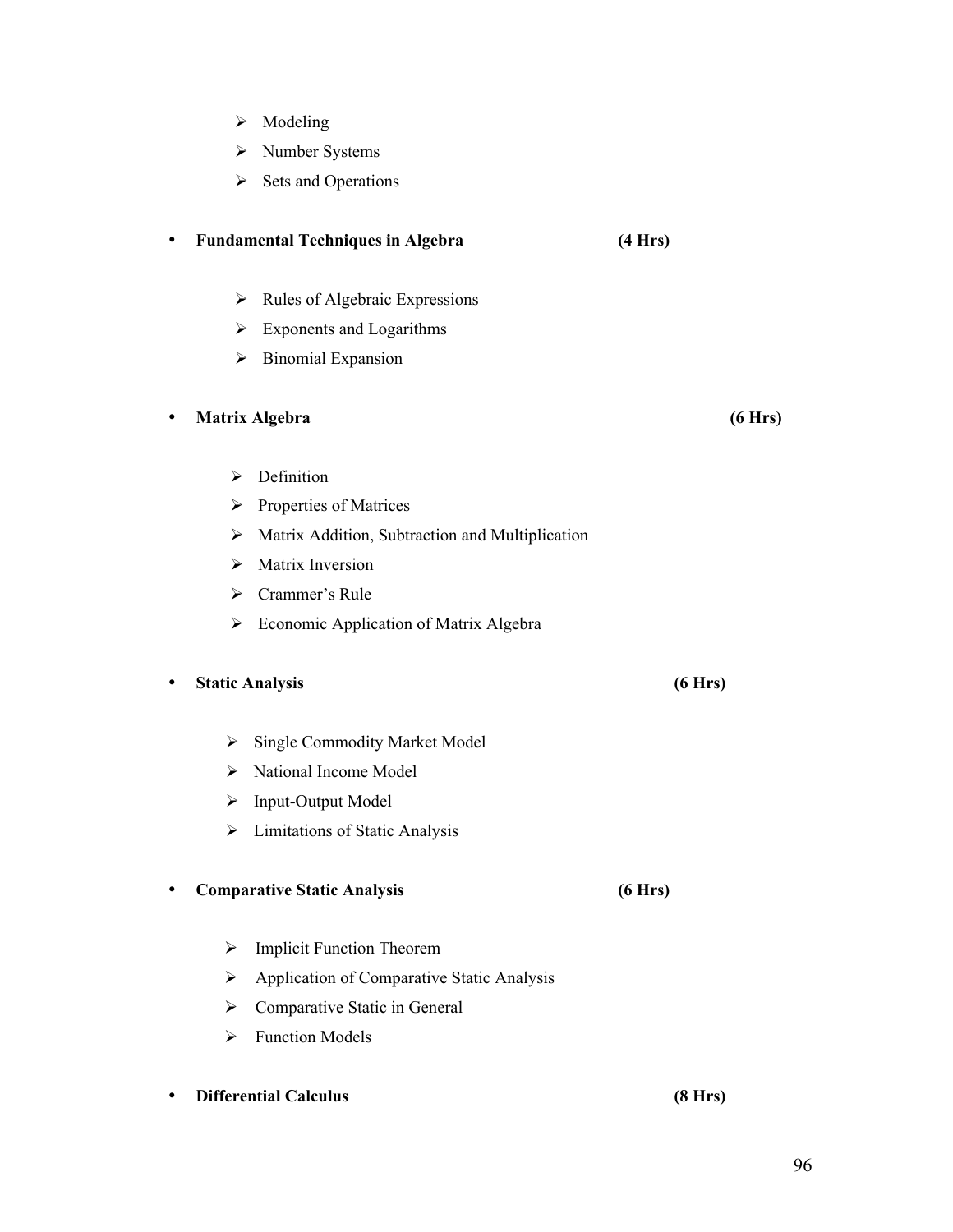- $\triangleright$  Modeling
- Number Systems
- $\triangleright$  Sets and Operations

## • **Fundamental Techniques in Algebra (4 Hrs)**

- $\triangleright$  Rules of Algebraic Expressions
- $\triangleright$  Exponents and Logarithms
- $\triangleright$  Binomial Expansion

## • **Matrix Algebra (6 Hrs)**

- $\triangleright$  Definition
- $\triangleright$  Properties of Matrices
- $\triangleright$  Matrix Addition, Subtraction and Multiplication
- $\triangleright$  Matrix Inversion
- Crammer's Rule
- $\triangleright$  Economic Application of Matrix Algebra

## • **Static Analysis (6 Hrs)**

# $\triangleright$  Single Commodity Market Model

- > National Income Model
- $\triangleright$  Input-Output Model
- $\triangleright$  Limitations of Static Analysis

## • **Comparative Static Analysis (6 Hrs)**

- > Implicit Function Theorem
- $\triangleright$  Application of Comparative Static Analysis
- $\triangleright$  Comparative Static in General
- $\triangleright$  Function Models

# • **Differential Calculus (8 Hrs)**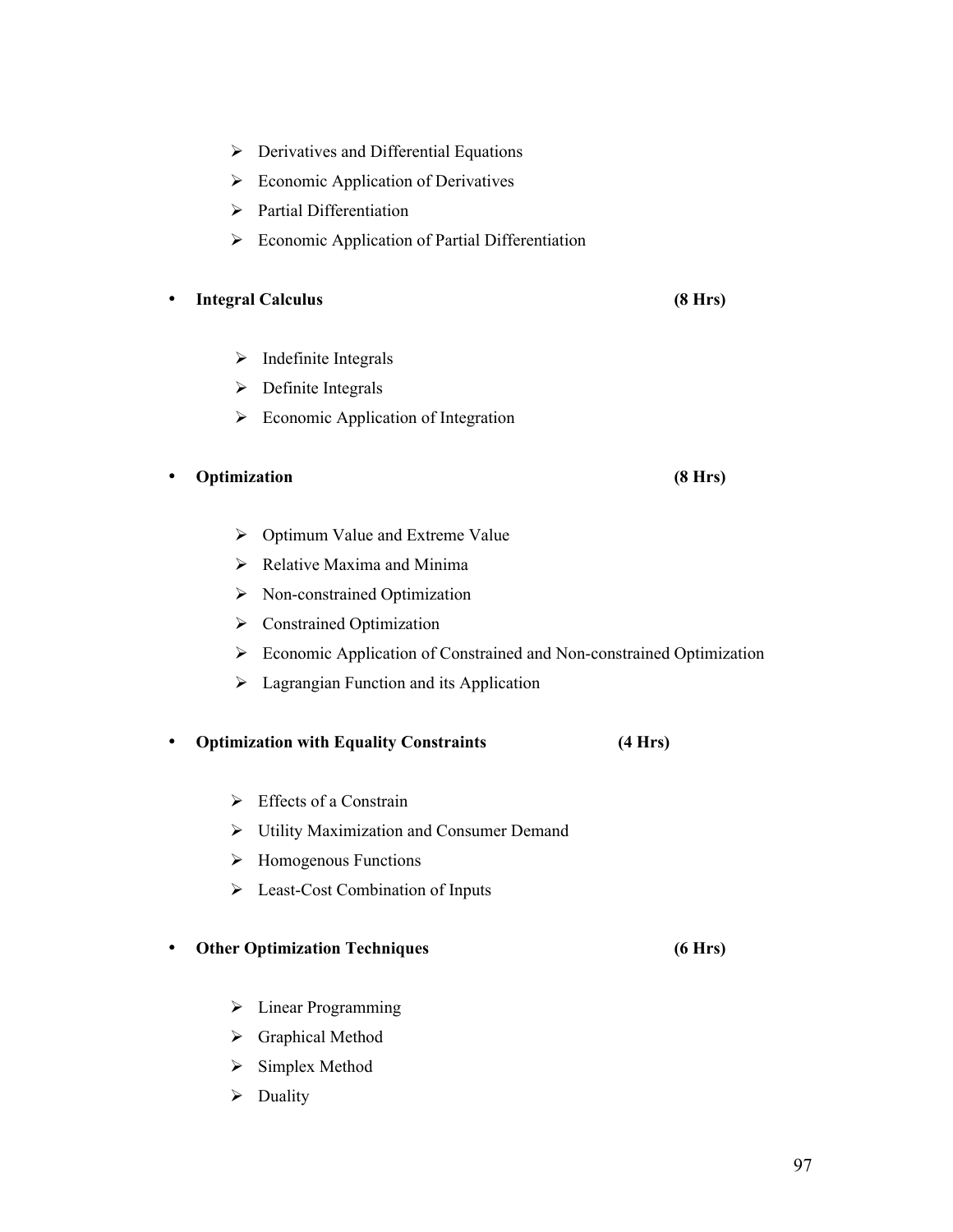• **Integral Calculus (8 Hrs)**  $\triangleright$  Indefinite Integrals  $\triangleright$  Definite Integrals  $\triangleright$  Economic Application of Integration • **Optimization (8 Hrs)**  $\triangleright$  Optimum Value and Extreme Value  $\triangleright$  Relative Maxima and Minima > Non-constrained Optimization Constrained Optimization Economic Application of Constrained and Non-constrained Optimization  $\triangleright$  Lagrangian Function and its Application  $\triangleright$  Effects of a Constrain Utility Maximization and Consumer Demand  $\triangleright$  Homogenous Functions **Executive Cost Combination of Inputs** • **Other Optimization Techniques (6 Hrs)** > Linear Programming Graphical Method  $\triangleright$  Simplex Method  $\triangleright$  Duality

- $\triangleright$  Derivatives and Differential Equations
- $\triangleright$  Economic Application of Derivatives
- $\triangleright$  Partial Differentiation
- $\triangleright$  Economic Application of Partial Differentiation

#### • **Optimization with Equality Constraints (4 Hrs)**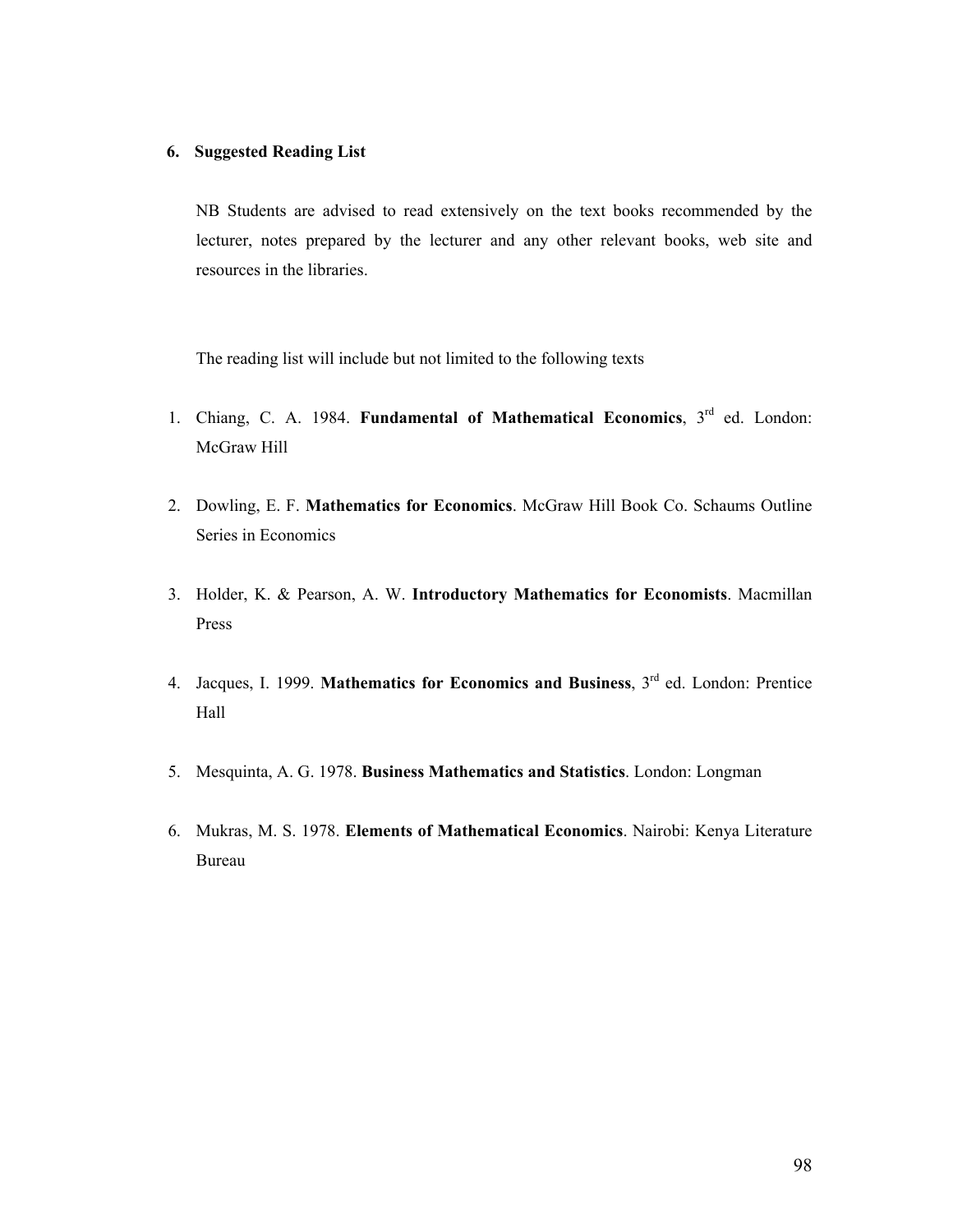#### **6. Suggested Reading List**

NB Students are advised to read extensively on the text books recommended by the lecturer, notes prepared by the lecturer and any other relevant books, web site and resources in the libraries.

The reading list will include but not limited to the following texts

- 1. Chiang, C. A. 1984. **Fundamental of Mathematical Economics**, 3rd ed. London: McGraw Hill
- 2. Dowling, E. F. **Mathematics for Economics**. McGraw Hill Book Co. Schaums Outline Series in Economics
- 3. Holder, K. & Pearson, A. W. **Introductory Mathematics for Economists**. Macmillan Press
- 4. Jacques, I. 1999. **Mathematics for Economics and Business**, 3rd ed. London: Prentice Hall
- 5. Mesquinta, A. G. 1978. **Business Mathematics and Statistics**. London: Longman
- 6. Mukras, M. S. 1978. **Elements of Mathematical Economics**. Nairobi: Kenya Literature Bureau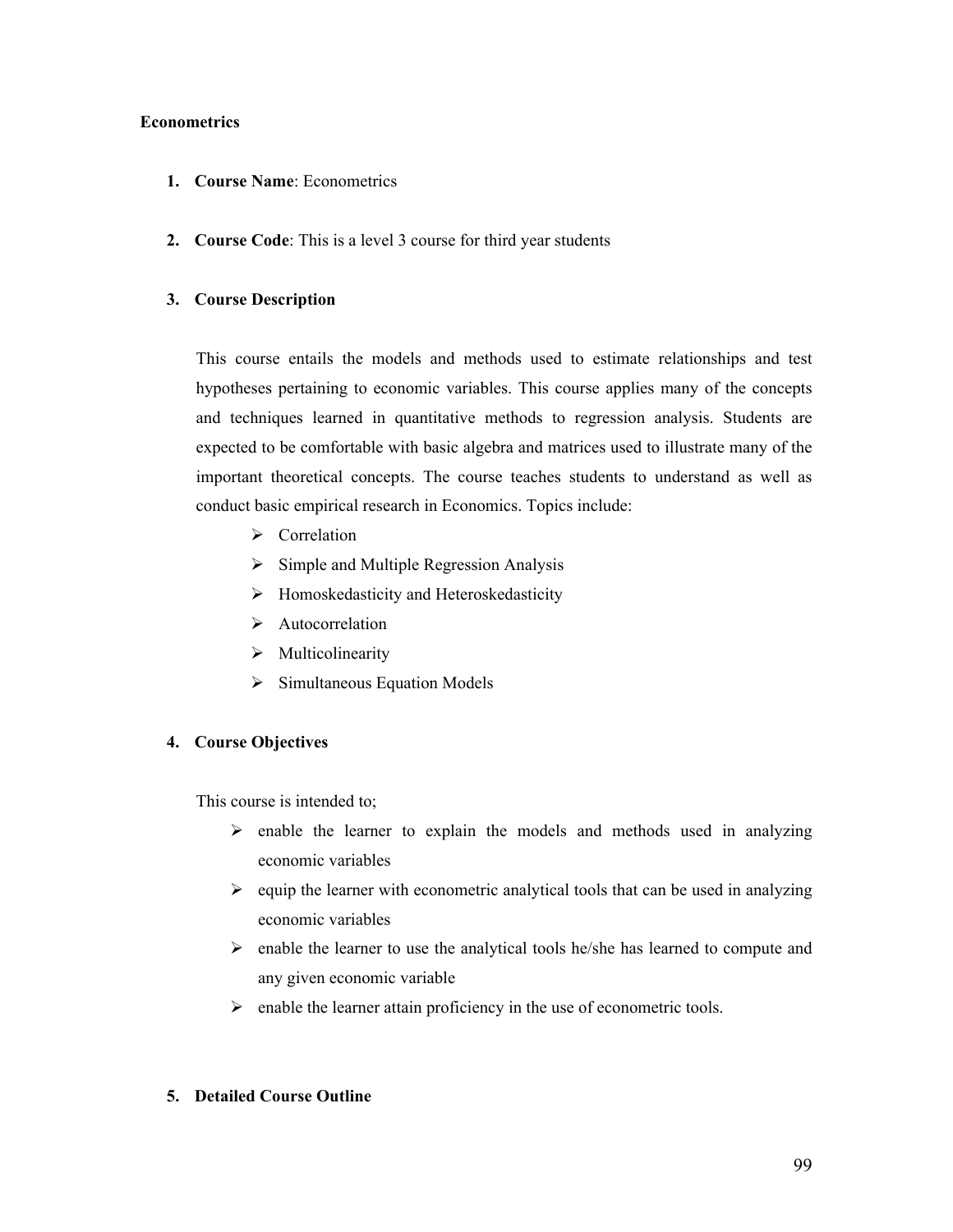### **Econometrics**

- **1. Course Name**: Econometrics
- **2. Course Code**: This is a level 3 course for third year students

## **3. Course Description**

This course entails the models and methods used to estimate relationships and test hypotheses pertaining to economic variables. This course applies many of the concepts and techniques learned in quantitative methods to regression analysis. Students are expected to be comfortable with basic algebra and matrices used to illustrate many of the important theoretical concepts. The course teaches students to understand as well as conduct basic empirical research in Economics. Topics include:

- $\triangleright$  Correlation
- $\triangleright$  Simple and Multiple Regression Analysis
- $\triangleright$  Homoskedasticity and Heteroskedasticity
- $\triangleright$  Autocorrelation
- $\triangleright$  Multicolinearity
- $\triangleright$  Simultaneous Equation Models

## **4. Course Objectives**

This course is intended to;

- $\triangleright$  enable the learner to explain the models and methods used in analyzing economic variables
- $\geq$  equip the learner with econometric analytical tools that can be used in analyzing economic variables
- $\triangleright$  enable the learner to use the analytical tools he/she has learned to compute and any given economic variable
- $\triangleright$  enable the learner attain proficiency in the use of econometric tools.

## **5. Detailed Course Outline**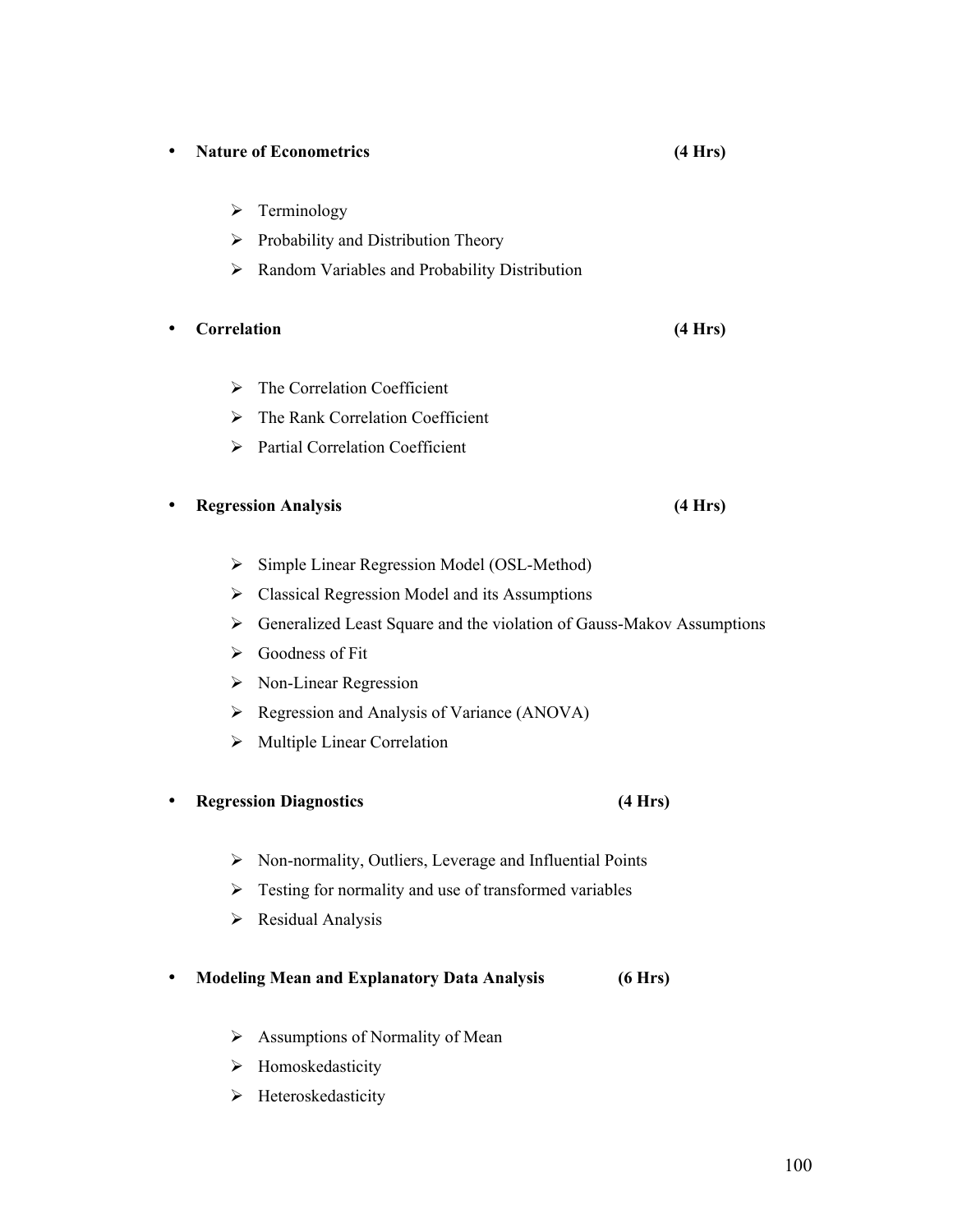# • **Nature of Econometrics (4 Hrs)**

- $\triangleright$  Terminology
- $\triangleright$  Probability and Distribution Theory
- $\triangleright$  Random Variables and Probability Distribution

## • **Correlation (4 Hrs)**

- $\triangleright$  The Correlation Coefficient
- The Rank Correlation Coefficient
- $\triangleright$  Partial Correlation Coefficient

## • **Regression Analysis (4 Hrs)**

- $\triangleright$  Simple Linear Regression Model (OSL-Method)
- $\triangleright$  Classical Regression Model and its Assumptions
- Generalized Least Square and the violation of Gauss-Makov Assumptions
- $\triangleright$  Goodness of Fit
- ▶ Non-Linear Regression
- $\triangleright$  Regression and Analysis of Variance (ANOVA)
- $\triangleright$  Multiple Linear Correlation

## • **Regression Diagnostics (4 Hrs)**

- $\triangleright$  Non-normality, Outliers, Leverage and Influential Points
- $\triangleright$  Testing for normality and use of transformed variables
- $\triangleright$  Residual Analysis
- **Modeling Mean and Explanatory Data Analysis (6 Hrs)**
	- $\triangleright$  Assumptions of Normality of Mean
	- > Homoskedasticity
	- ▶ Heteroskedasticity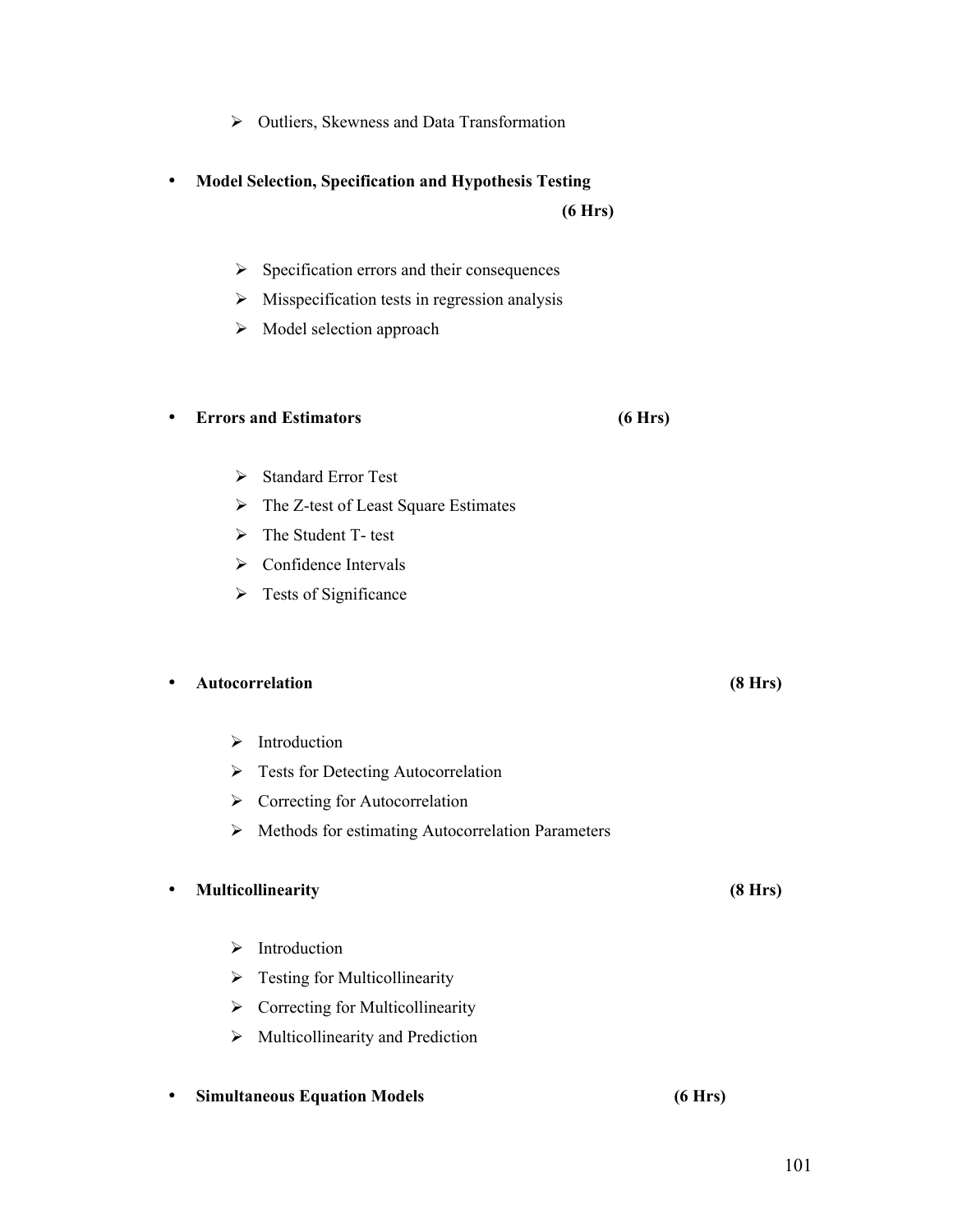## $\triangleright$  Outliers, Skewness and Data Transformation

• **Model Selection, Specification and Hypothesis Testing** 

 $\triangleright$  Specification errors and their consequences

- $\triangleright$  Misspecification tests in regression analysis
- $\triangleright$  Model selection approach

### • **Errors and Estimators (6 Hrs)**

- Standard Error Test
- $\triangleright$  The Z-test of Least Square Estimates
- > The Student T- test
- $\triangleright$  Confidence Intervals
- $\triangleright$  Tests of Significance

## • **Autocorrelation (8 Hrs)**

- $\triangleright$  Introduction
- $\triangleright$  Tests for Detecting Autocorrelation
- $\triangleright$  Correcting for Autocorrelation
- $\triangleright$  Methods for estimating Autocorrelation Parameters

## • **Multicollinearity (8 Hrs)**

- $\triangleright$  Introduction
- $\triangleright$  Testing for Multicollinearity
- $\triangleright$  Correcting for Multicollinearity
- $\triangleright$  Multicollinearity and Prediction
- **Simultaneous Equation Models (6 Hrs)**

 **(6 Hrs)**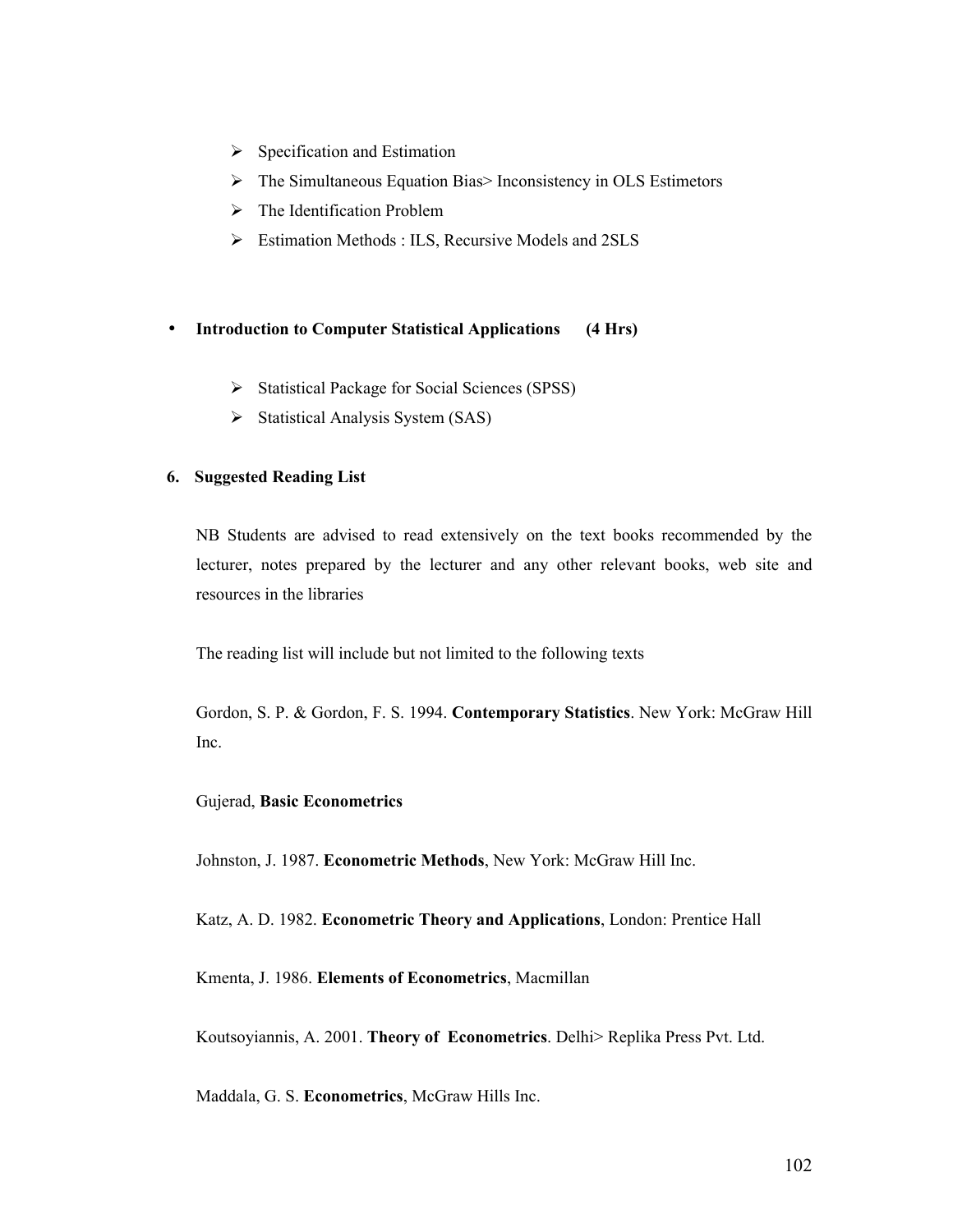- $\triangleright$  Specification and Estimation
- $\triangleright$  The Simultaneous Equation Bias > Inconsistency in OLS Estimetors
- $\triangleright$  The Identification Problem
- $\triangleright$  Estimation Methods : ILS, Recursive Models and 2SLS

## • **Introduction to Computer Statistical Applications (4 Hrs)**

- Statistical Package for Social Sciences (SPSS)
- $\triangleright$  Statistical Analysis System (SAS)

### **6. Suggested Reading List**

NB Students are advised to read extensively on the text books recommended by the lecturer, notes prepared by the lecturer and any other relevant books, web site and resources in the libraries

The reading list will include but not limited to the following texts

Gordon, S. P. & Gordon, F. S. 1994. **Contemporary Statistics**. New York: McGraw Hill Inc.

#### Gujerad, **Basic Econometrics**

Johnston, J. 1987. **Econometric Methods**, New York: McGraw Hill Inc.

Katz, A. D. 1982. **Econometric Theory and Applications**, London: Prentice Hall

Kmenta, J. 1986. **Elements of Econometrics**, Macmillan

Koutsoyiannis, A. 2001. **Theory of Econometrics**. Delhi> Replika Press Pvt. Ltd.

Maddala, G. S. **Econometrics**, McGraw Hills Inc.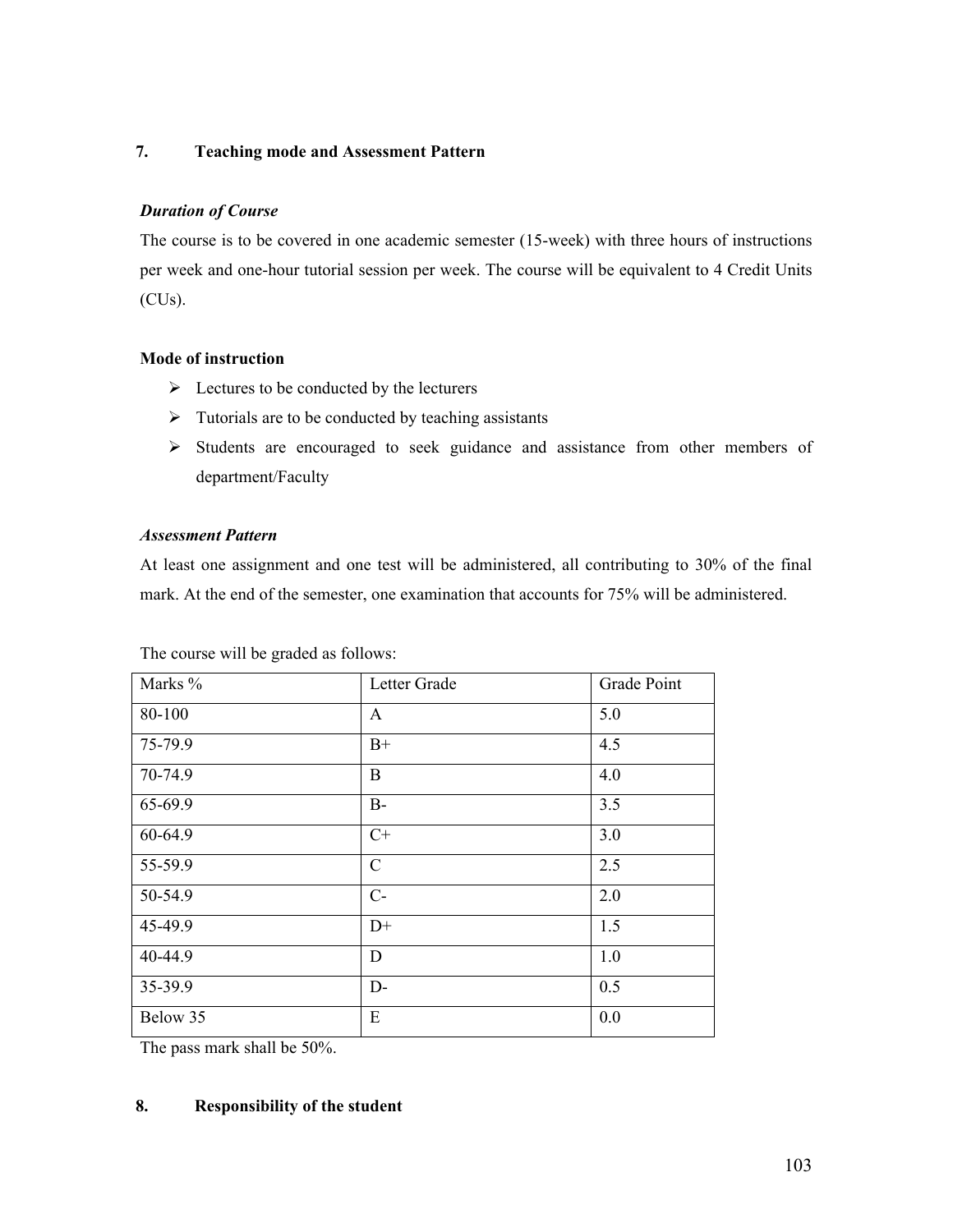## **7. Teaching mode and Assessment Pattern**

# *Duration of Course*

The course is to be covered in one academic semester (15-week) with three hours of instructions per week and one-hour tutorial session per week. The course will be equivalent to 4 Credit Units (CUs).

# **Mode of instruction**

- $\triangleright$  Lectures to be conducted by the lecturers
- $\triangleright$  Tutorials are to be conducted by teaching assistants
- Students are encouraged to seek guidance and assistance from other members of department/Faculty

## *Assessment Pattern*

At least one assignment and one test will be administered, all contributing to 30% of the final mark. At the end of the semester, one examination that accounts for 75% will be administered.

| Marks %  | Letter Grade  | Grade Point |
|----------|---------------|-------------|
| 80-100   | A             | 5.0         |
| 75-79.9  | $B+$          | 4.5         |
| 70-74.9  | $\mathbf B$   | 4.0         |
| 65-69.9  | $B-$          | 3.5         |
| 60-64.9  | $C+$          | 3.0         |
| 55-59.9  | $\mathcal{C}$ | 2.5         |
| 50-54.9  | $C-$          | 2.0         |
| 45-49.9  | $D+$          | 1.5         |
| 40-44.9  | D             | $1.0\,$     |
| 35-39.9  | $D-$          | 0.5         |
| Below 35 | E             | 0.0         |

The course will be graded as follows:

The pass mark shall be 50%.

## **8. Responsibility of the student**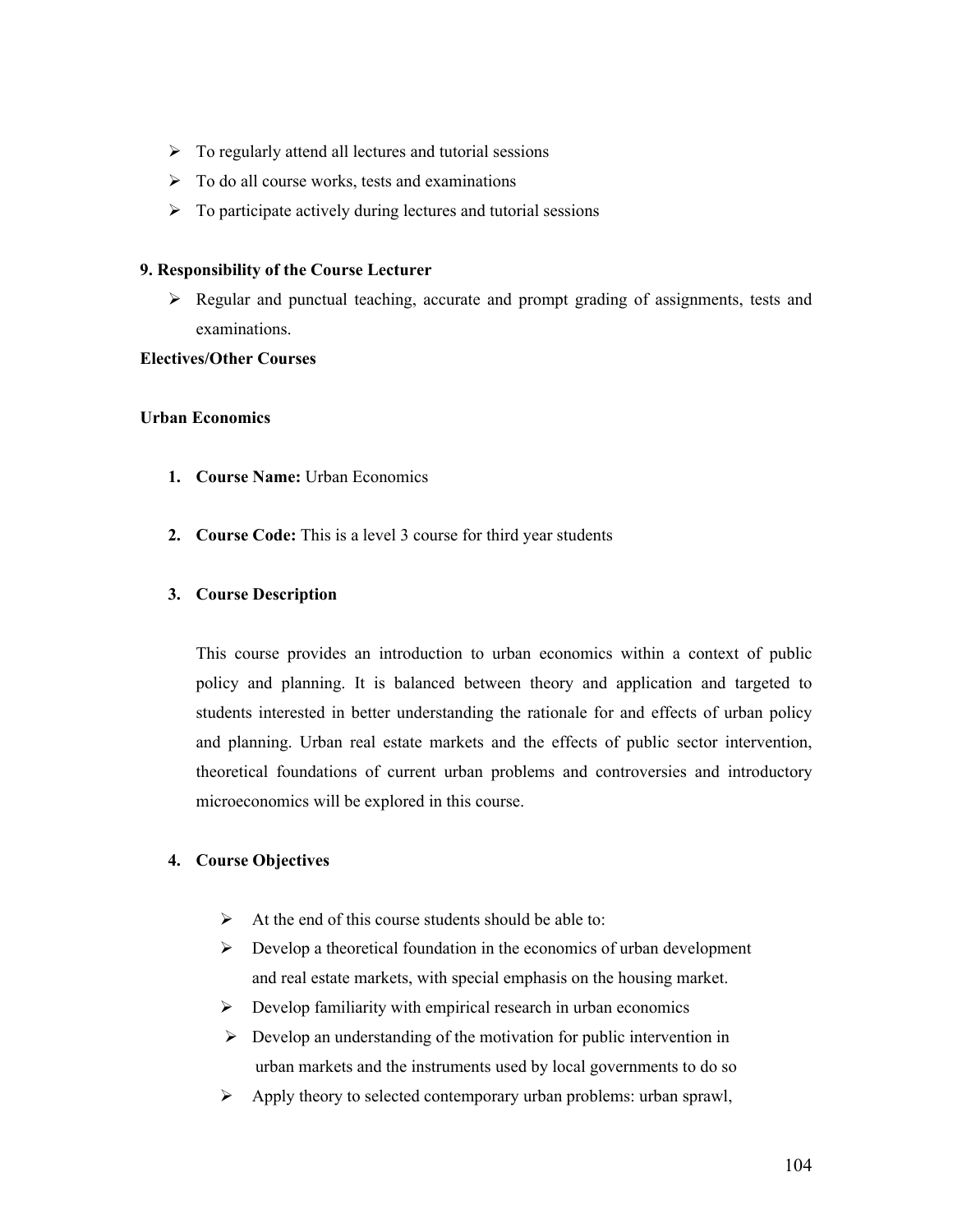- $\triangleright$  To regularly attend all lectures and tutorial sessions
- $\triangleright$  To do all course works, tests and examinations
- $\triangleright$  To participate actively during lectures and tutorial sessions

#### **9. Responsibility of the Course Lecturer**

 Regular and punctual teaching, accurate and prompt grading of assignments, tests and examinations.

## **Electives/Other Courses**

### **Urban Economics**

- **1. Course Name:** Urban Economics
- **2. Course Code:** This is a level 3 course for third year students

## **3. Course Description**

This course provides an introduction to urban economics within a context of public policy and planning. It is balanced between theory and application and targeted to students interested in better understanding the rationale for and effects of urban policy and planning. Urban real estate markets and the effects of public sector intervention, theoretical foundations of current urban problems and controversies and introductory microeconomics will be explored in this course.

## **4. Course Objectives**

- $\triangleright$  At the end of this course students should be able to:
- $\triangleright$  Develop a theoretical foundation in the economics of urban development and real estate markets, with special emphasis on the housing market.
- $\triangleright$  Develop familiarity with empirical research in urban economics
- $\triangleright$  Develop an understanding of the motivation for public intervention in urban markets and the instruments used by local governments to do so
- $\triangleright$  Apply theory to selected contemporary urban problems: urban sprawl,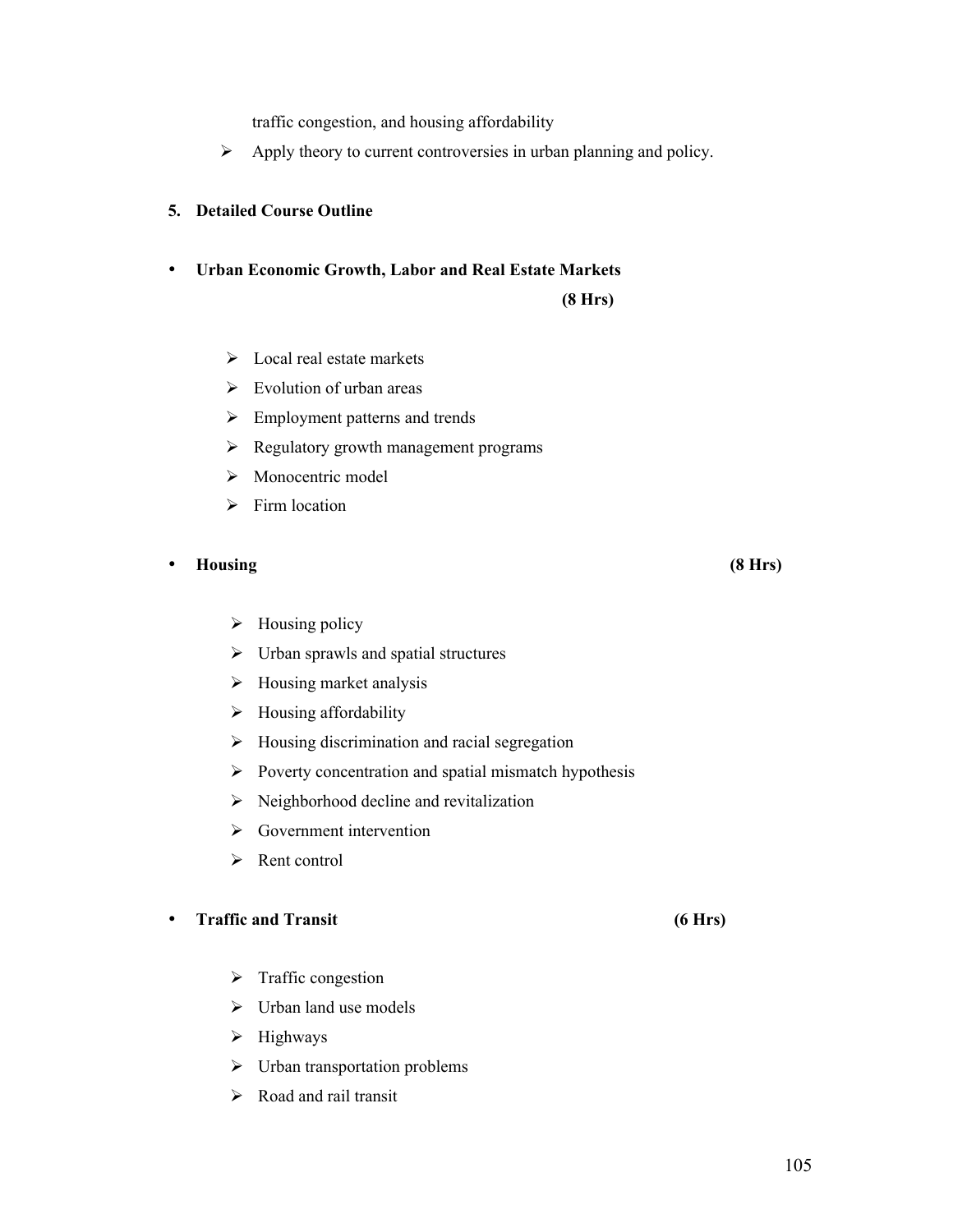traffic congestion, and housing affordability

 $\triangleright$  Apply theory to current controversies in urban planning and policy.

### **5. Detailed Course Outline**

• **Urban Economic Growth, Labor and Real Estate Markets** 

#### **(8 Hrs)**

- $\triangleright$  Local real estate markets
- $\triangleright$  Evolution of urban areas
- $\triangleright$  Employment patterns and trends
- $\triangleright$  Regulatory growth management programs
- > Monocentric model
- $\triangleright$  Firm location
- **Housing (8 Hrs)**
	- $\triangleright$  Housing policy
	- $\triangleright$  Urban sprawls and spatial structures
	- $\triangleright$  Housing market analysis
	- $\triangleright$  Housing affordability
	- $\triangleright$  Housing discrimination and racial segregation
	- $\triangleright$  Poverty concentration and spatial mismatch hypothesis
	- $\triangleright$  Neighborhood decline and revitalization
	- $\triangleright$  Government intervention
	- $\triangleright$  Rent control

# • **Traffic and Transit (6 Hrs)**

- $\triangleright$  Traffic congestion
- $\triangleright$  Urban land use models
- $\triangleright$  Highways
- $\triangleright$  Urban transportation problems
- $\triangleright$  Road and rail transit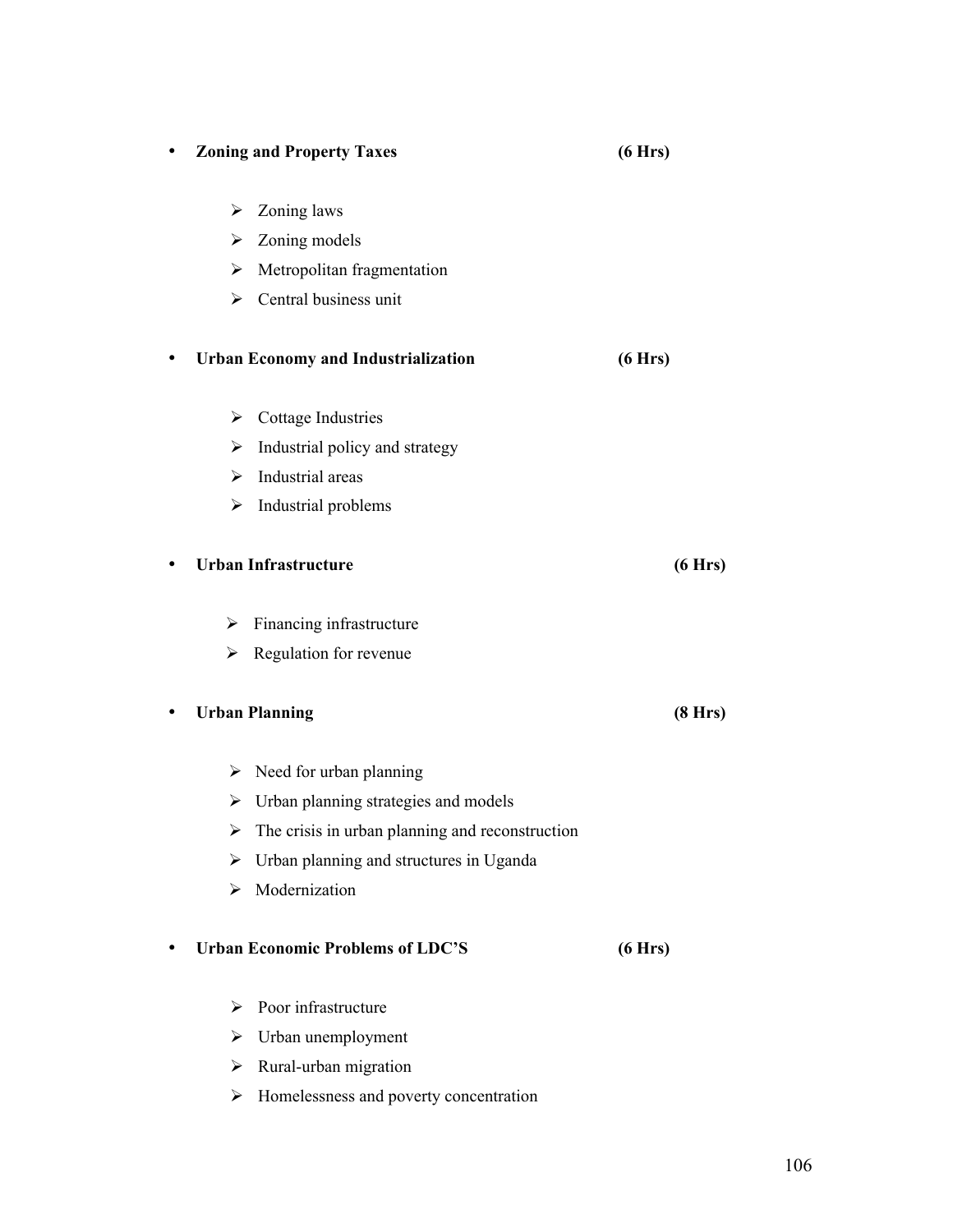| $\bullet$ |   | <b>Zoning and Property Taxes</b>                                 | (6 Hrs) |
|-----------|---|------------------------------------------------------------------|---------|
|           | ➤ | Zoning laws                                                      |         |
|           | ≻ | Zoning models                                                    |         |
|           | ➤ | Metropolitan fragmentation                                       |         |
|           |   | $\triangleright$ Central business unit                           |         |
| $\bullet$ |   | <b>Urban Economy and Industrialization</b>                       | (6 Hrs) |
|           | ➤ | Cottage Industries                                               |         |
|           | ➤ | Industrial policy and strategy                                   |         |
|           | ≻ | Industrial areas                                                 |         |
|           | ≻ | Industrial problems                                              |         |
| ٠         |   | <b>Urban Infrastructure</b>                                      | (6 Hrs) |
|           | ➤ | Financing infrastructure                                         |         |
|           | ➤ | Regulation for revenue                                           |         |
| $\bullet$ |   | <b>Urban Planning</b>                                            | (8 Hrs) |
|           |   | $\triangleright$ Need for urban planning                         |         |
|           |   | $\triangleright$ Urban planning strategies and models            |         |
|           |   | $\triangleright$ The crisis in urban planning and reconstruction |         |
|           | ⋗ | Urban planning and structures in Uganda                          |         |
|           | ➤ | Modernization                                                    |         |
|           |   | <b>Urban Economic Problems of LDC'S</b>                          | (6 Hrs) |
|           | ⋗ | Poor infrastructure                                              |         |
|           | ➤ | Urban unemployment                                               |         |
|           |   | $\triangleright$ Rural-urban migration                           |         |

> Homelessness and poverty concentration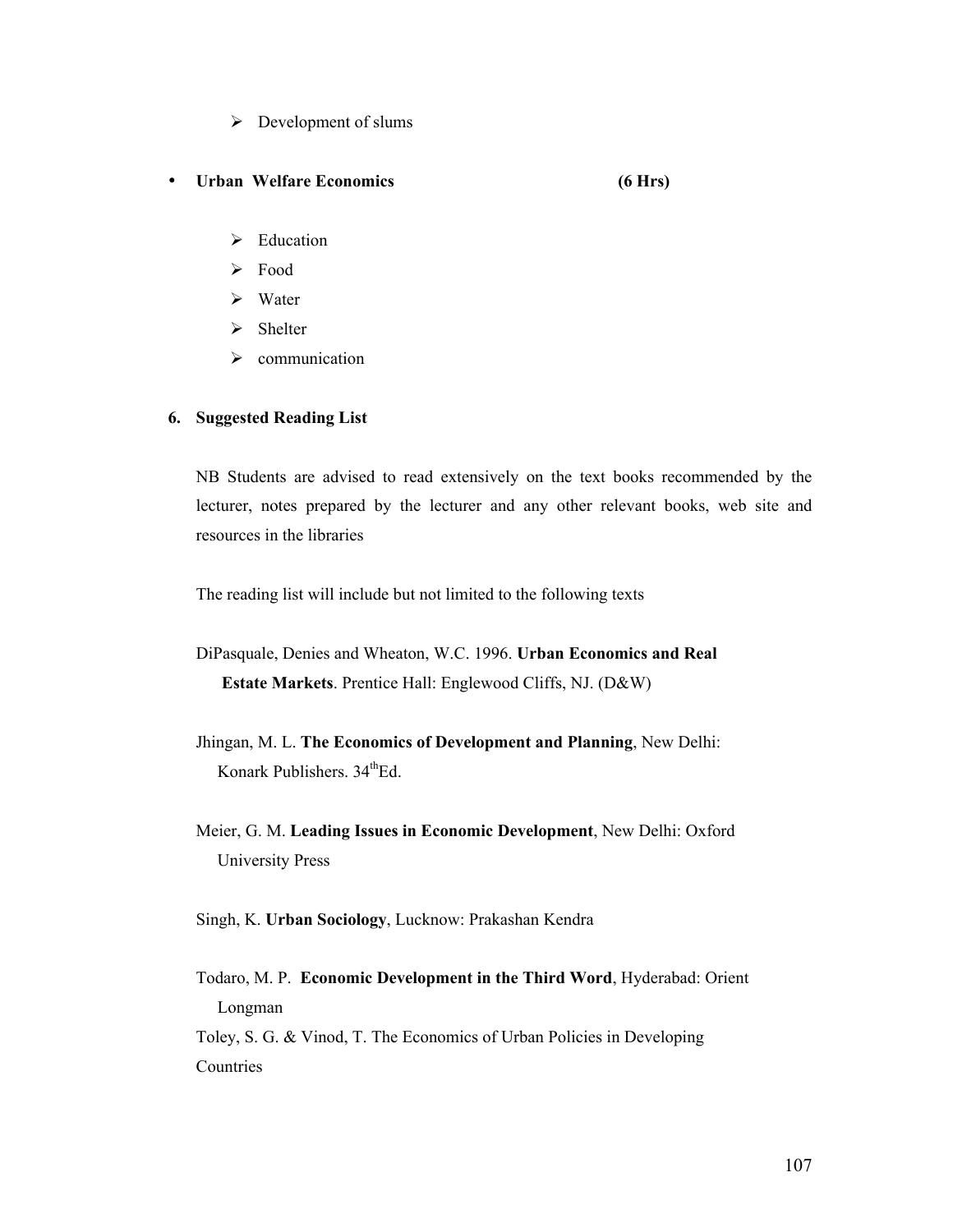- $\triangleright$  Development of slums
- **Urban Welfare Economics (6 Hrs)**
	- $\triangleright$  Education
	- > Food
	- $\triangleright$  Water
	- $\triangleright$  Shelter
	- $\triangleright$  communication

### **6. Suggested Reading List**

NB Students are advised to read extensively on the text books recommended by the lecturer, notes prepared by the lecturer and any other relevant books, web site and resources in the libraries

The reading list will include but not limited to the following texts

- DiPasquale, Denies and Wheaton, W.C. 1996. **Urban Economics and Real Estate Markets**. Prentice Hall: Englewood Cliffs, NJ. (D&W)
- Jhingan, M. L. **The Economics of Development and Planning**, New Delhi: Konark Publishers.  $34^{\text{th}}$ Ed.
- Meier, G. M. **Leading Issues in Economic Development**, New Delhi: Oxford University Press
- Singh, K. **Urban Sociology**, Lucknow: Prakashan Kendra
- Todaro, M. P. **Economic Development in the Third Word**, Hyderabad: Orient Longman

Toley, S. G. & Vinod, T. The Economics of Urban Policies in Developing Countries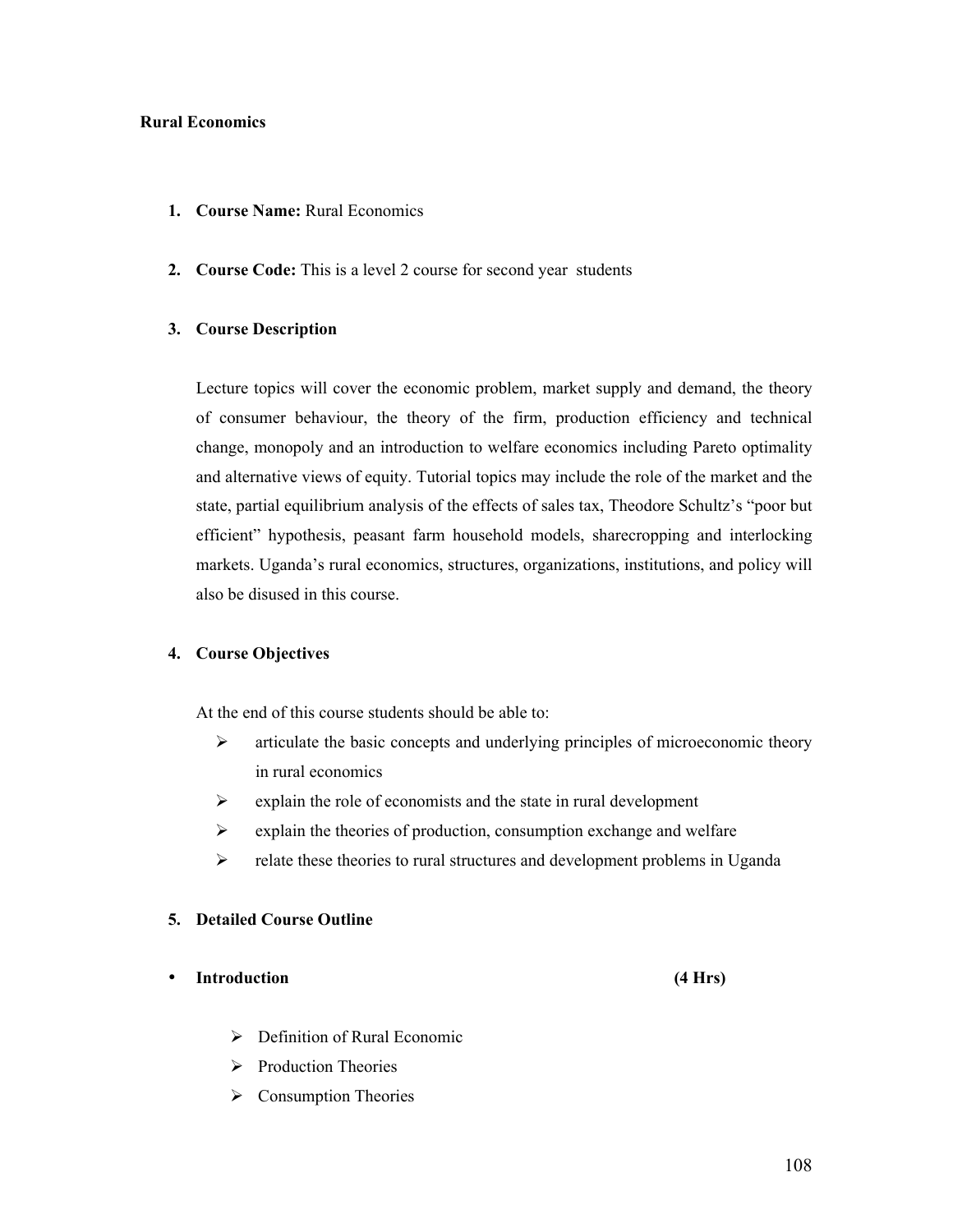#### **Rural Economics**

- **1. Course Name:** Rural Economics
- **2. Course Code:** This is a level 2 course for second year students

## **3. Course Description**

Lecture topics will cover the economic problem, market supply and demand, the theory of consumer behaviour, the theory of the firm, production efficiency and technical change, monopoly and an introduction to welfare economics including Pareto optimality and alternative views of equity. Tutorial topics may include the role of the market and the state, partial equilibrium analysis of the effects of sales tax, Theodore Schultz's "poor but efficient" hypothesis, peasant farm household models, sharecropping and interlocking markets. Uganda's rural economics, structures, organizations, institutions, and policy will also be disused in this course.

#### **4. Course Objectives**

At the end of this course students should be able to:

- $\triangleright$  articulate the basic concepts and underlying principles of microeconomic theory in rural economics
- $\triangleright$  explain the role of economists and the state in rural development
- $\triangleright$  explain the theories of production, consumption exchange and welfare
- $\triangleright$  relate these theories to rural structures and development problems in Uganda

### **5. Detailed Course Outline**

- **Introduction (4 Hrs)**
	-
	- $\triangleright$  Definition of Rural Economic
	- $\triangleright$  Production Theories
	- $\triangleright$  Consumption Theories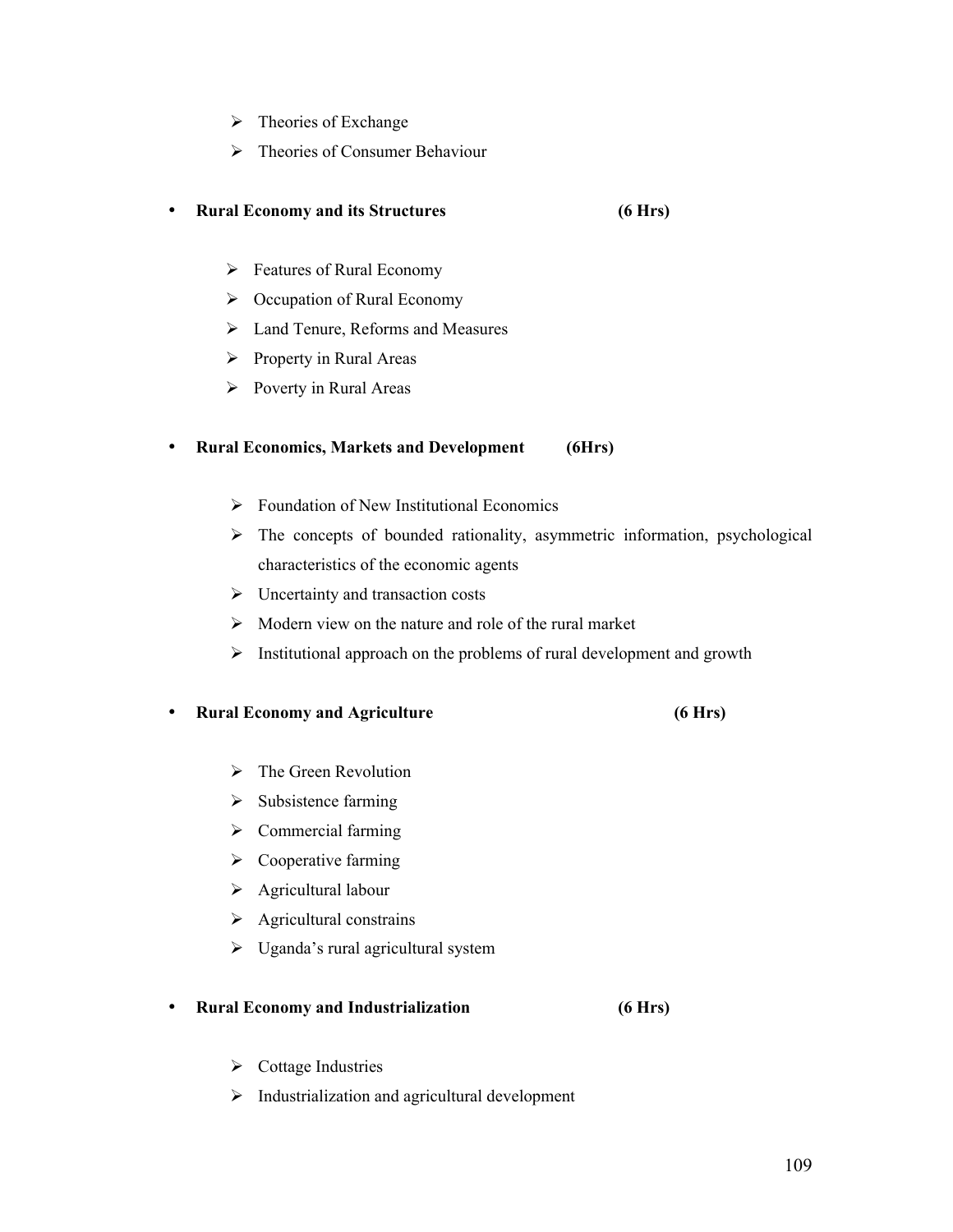- $\triangleright$  Theories of Exchange
- > Theories of Consumer Behaviour

## • **Rural Economy and its Structures (6 Hrs)**

- $\triangleright$  Features of Rural Economy
- $\triangleright$  Occupation of Rural Economy
- Land Tenure, Reforms and Measures
- $\triangleright$  Property in Rural Areas
- $\triangleright$  Poverty in Rural Areas

## • **Rural Economics, Markets and Development (6Hrs)**

- $\triangleright$  Foundation of New Institutional Economics
- $\triangleright$  The concepts of bounded rationality, asymmetric information, psychological characteristics of the economic agents
- $\triangleright$  Uncertainty and transaction costs
- $\triangleright$  Modern view on the nature and role of the rural market
- $\triangleright$  Institutional approach on the problems of rural development and growth

## • **Rural Economy and Agriculture (6 Hrs)**

- $\triangleright$  The Green Revolution
- $\triangleright$  Subsistence farming
- $\triangleright$  Commercial farming
- $\triangleright$  Cooperative farming
- $\triangleright$  Agricultural labour
- $\triangleright$  Agricultural constrains
- $\triangleright$  Uganda's rural agricultural system

## • **Rural Economy and Industrialization (6 Hrs)**

- $\triangleright$  Cottage Industries
- $\triangleright$  Industrialization and agricultural development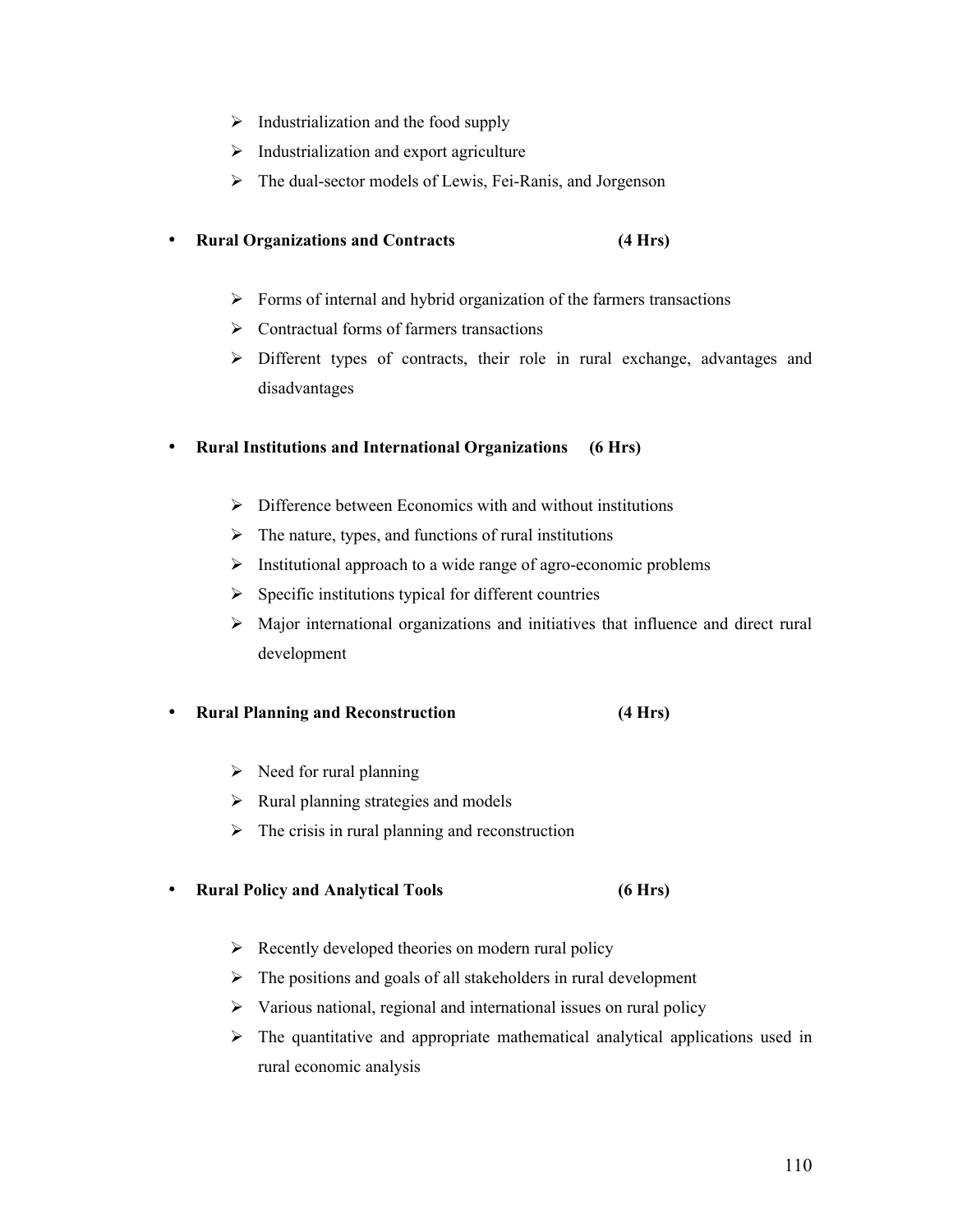- $\triangleright$  Industrialization and the food supply
- $\triangleright$  Industrialization and export agriculture
- $\triangleright$  The dual-sector models of Lewis, Fei-Ranis, and Jorgenson

## • **Rural Organizations and Contracts (4 Hrs)**

- $\triangleright$  Forms of internal and hybrid organization of the farmers transactions
- $\triangleright$  Contractual forms of farmers transactions
- Different types of contracts, their role in rural exchange, advantages and disadvantages

## • **Rural Institutions and International Organizations (6 Hrs)**

- $\triangleright$  Difference between Economics with and without institutions
- $\triangleright$  The nature, types, and functions of rural institutions
- $\triangleright$  Institutional approach to a wide range of agro-economic problems
- $\triangleright$  Specific institutions typical for different countries
- $\triangleright$  Major international organizations and initiatives that influence and direct rural development

## • **Rural Planning and Reconstruction (4 Hrs)**

- $\triangleright$  Need for rural planning
- $\triangleright$  Rural planning strategies and models
- $\triangleright$  The crisis in rural planning and reconstruction

## • **Rural Policy and Analytical Tools (6 Hrs)**

- $\triangleright$  Recently developed theories on modern rural policy
- $\triangleright$  The positions and goals of all stakeholders in rural development
- $\triangleright$  Various national, regional and international issues on rural policy
- $\triangleright$  The quantitative and appropriate mathematical analytical applications used in rural economic analysis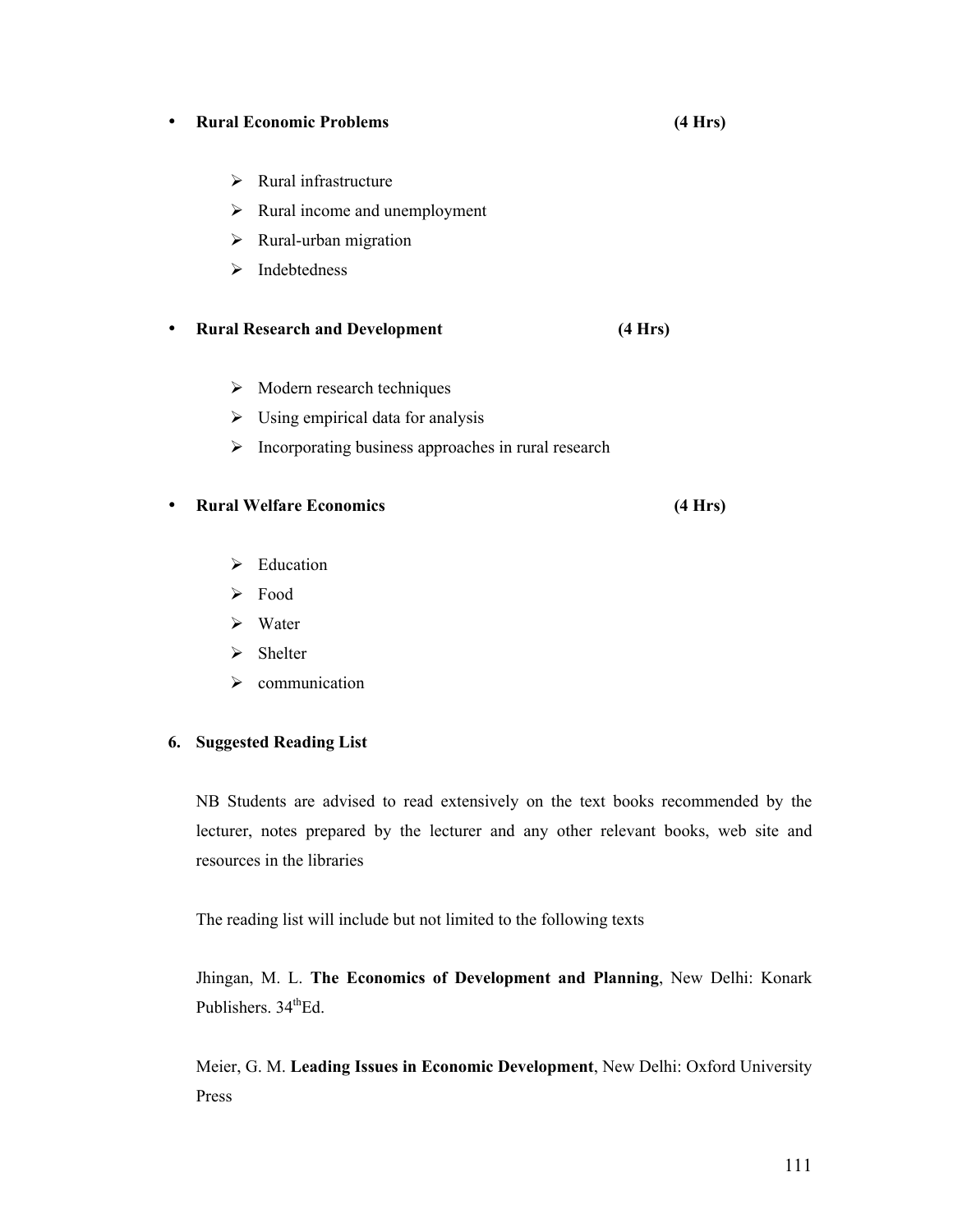## • **Rural Economic Problems (4 Hrs)**

- $\triangleright$  Rural infrastructure
- $\triangleright$  Rural income and unemployment
- $\triangleright$  Rural-urban migration
- $\triangleright$  Indebtedness

# • **Rural Research and Development (4 Hrs)**

- $\triangleright$  Modern research techniques
- $\triangleright$  Using empirical data for analysis
- $\triangleright$  Incorporating business approaches in rural research

## • **Rural Welfare Economics (4 Hrs)**

- $\blacktriangleright$  Education
- $\triangleright$  Food
- $\triangleright$  Water
- $\triangleright$  Shelter
- $\triangleright$  communication

# **6. Suggested Reading List**

NB Students are advised to read extensively on the text books recommended by the lecturer, notes prepared by the lecturer and any other relevant books, web site and resources in the libraries

The reading list will include but not limited to the following texts

Jhingan, M. L. **The Economics of Development and Planning**, New Delhi: Konark Publishers. 34<sup>th</sup>Ed.

Meier, G. M. **Leading Issues in Economic Development**, New Delhi: Oxford University Press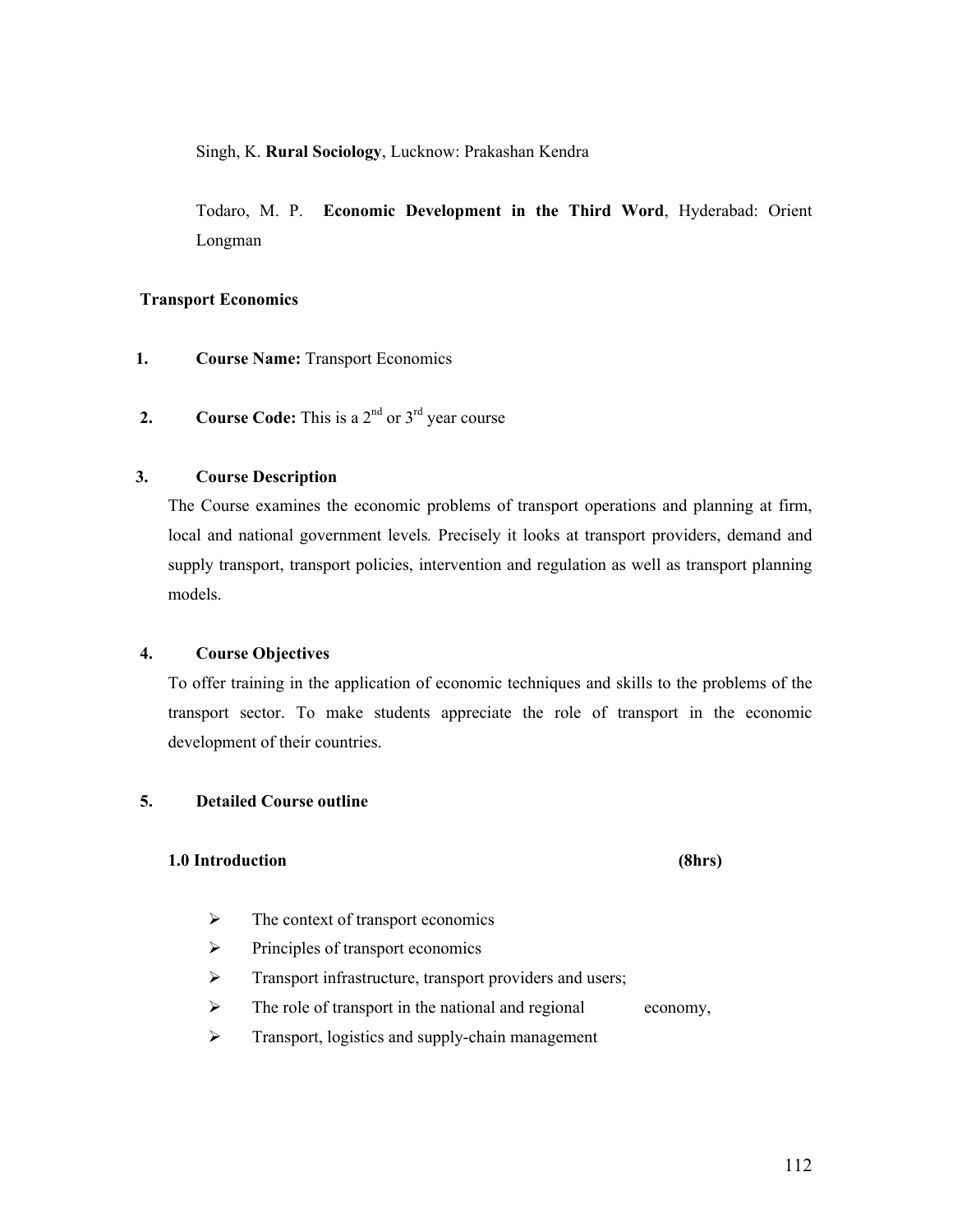Singh, K. **Rural Sociology**, Lucknow: Prakashan Kendra

Todaro, M. P. **Economic Development in the Third Word**, Hyderabad: Orient Longman

## **Transport Economics**

- **1. Course Name:** Transport Economics
- **2. Course Code:** This is a  $2^{nd}$  or  $3^{rd}$  year course

## **3. Course Description**

The Course examines the economic problems of transport operations and planning at firm, local and national government levels*.* Precisely it looks at transport providers, demand and supply transport, transport policies, intervention and regulation as well as transport planning models.

#### **4. Course Objectives**

To offer training in the application of economic techniques and skills to the problems of the transport sector. To make students appreciate the role of transport in the economic development of their countries.

### **5. Detailed Course outline**

## **1.0 Introduction (8hrs)**

- $\triangleright$  The context of transport economics
- $\triangleright$  Principles of transport economics
- > Transport infrastructure, transport providers and users;

 $\triangleright$  The role of transport in the national and regional economy,

 $\triangleright$  Transport, logistics and supply-chain management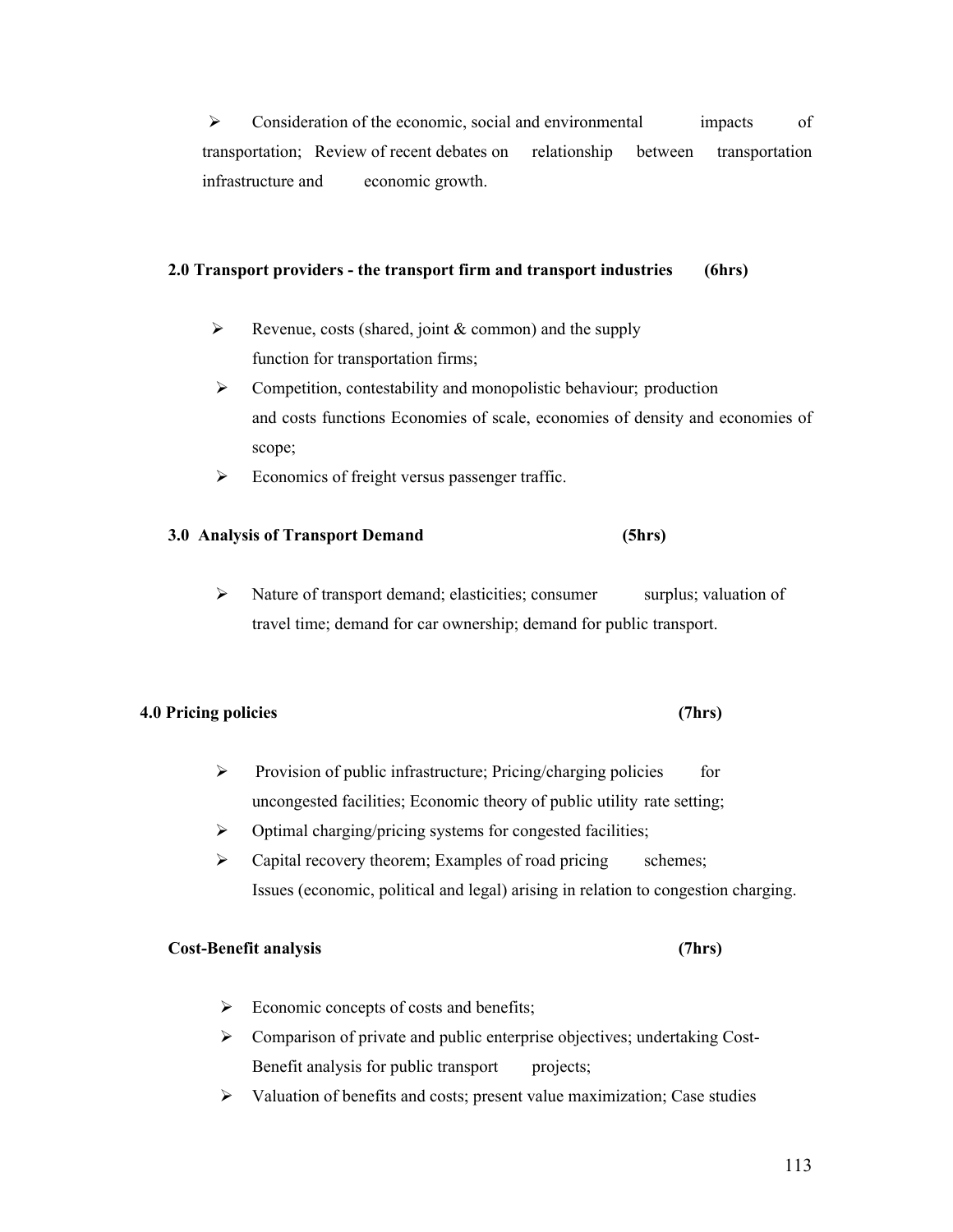$\triangleright$  Consideration of the economic, social and environmental impacts of transportation; Review of recent debates on relationship between transportation infrastructure and economic growth.

## **2.0 Transport providers - the transport firm and transport industries (6hrs)**

- Exercise Revenue, costs (shared, joint  $&$  common) and the supply function for transportation firms;
- $\triangleright$  Competition, contestability and monopolistic behaviour; production and costs functions Economies of scale, economies of density and economies of scope;
- $\triangleright$  Economics of freight versus passenger traffic.

## **3.0 Analysis of Transport Demand (5hrs)**

 $\triangleright$  Nature of transport demand; elasticities; consumer surplus; valuation of travel time; demand for car ownership; demand for public transport.

#### **4.0 Pricing policies (7hrs)**

- $\triangleright$  Provision of public infrastructure; Pricing/charging policies for uncongested facilities; Economic theory of public utility rate setting;
- $\triangleright$  Optimal charging/pricing systems for congested facilities;
- $\triangleright$  Capital recovery theorem; Examples of road pricing schemes; Issues (economic, political and legal) arising in relation to congestion charging.

#### **Cost-Benefit analysis (7hrs)**

- $\triangleright$  Economic concepts of costs and benefits;
- $\triangleright$  Comparison of private and public enterprise objectives; undertaking Cost-Benefit analysis for public transport projects;
- $\triangleright$  Valuation of benefits and costs; present value maximization; Case studies

# 113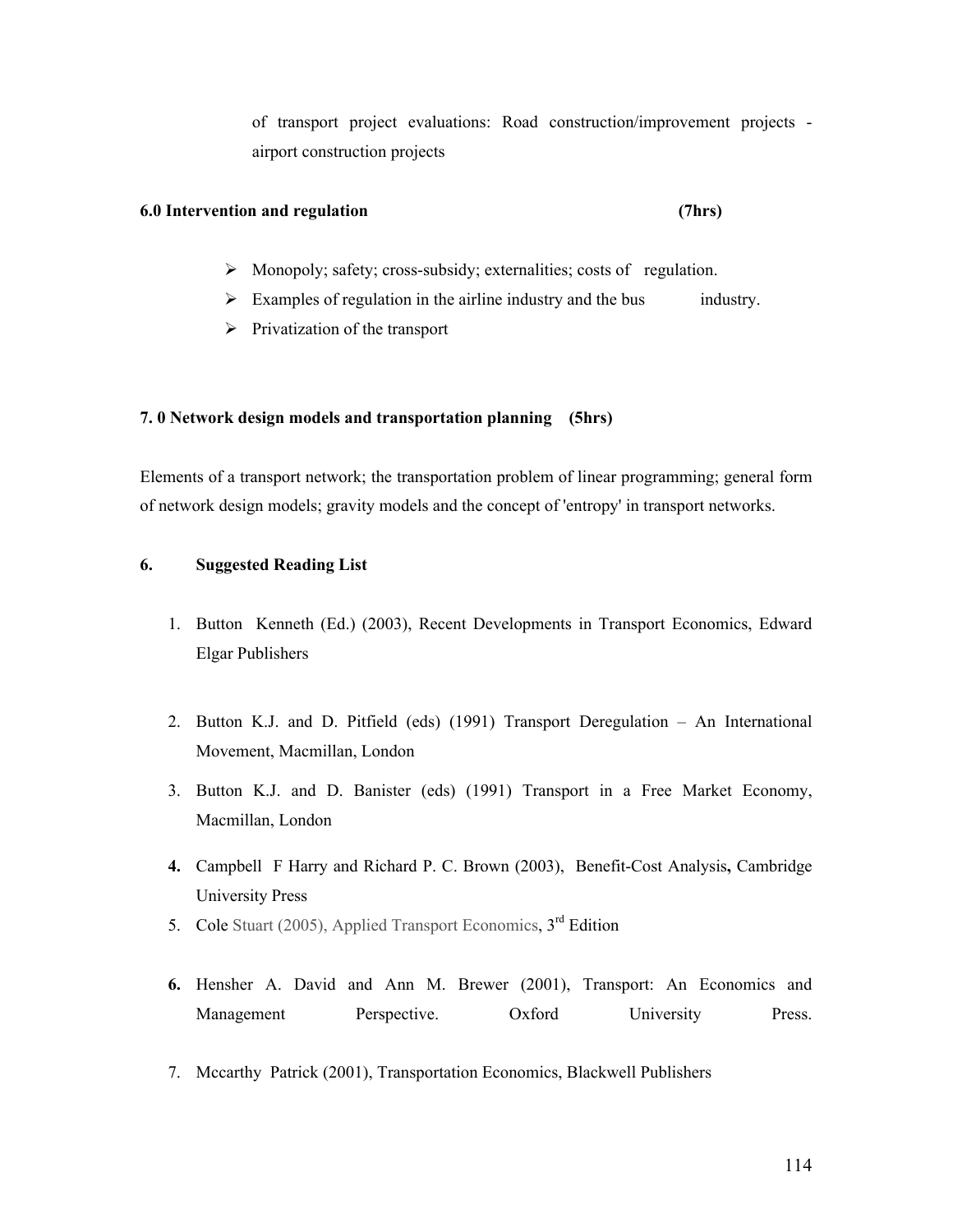of transport project evaluations: Road construction/improvement projects airport construction projects

#### **6.0 Intervention and regulation (7hrs)**

- $\triangleright$  Monopoly; safety; cross-subsidy; externalities; costs of regulation.
- $\triangleright$  Examples of regulation in the airline industry and the bus industry.
- $\triangleright$  Privatization of the transport

### **7. 0 Network design models and transportation planning (5hrs)**

Elements of a transport network; the transportation problem of linear programming; general form of network design models; gravity models and the concept of 'entropy' in transport networks.

## **6. Suggested Reading List**

- 1. Button Kenneth (Ed.) (2003), Recent Developments in Transport Economics, Edward Elgar Publishers
- 2. Button K.J. and D. Pitfield (eds) (1991) Transport Deregulation An International Movement, Macmillan, London
- 3. Button K.J. and D. Banister (eds) (1991) Transport in a Free Market Economy, Macmillan, London
- **4.** CampbellF Harry and Richard P. C. Brown (2003), Benefit-Cost Analysis**,** Cambridge University Press
- 5. Cole Stuart (2005), Applied Transport Economics,  $3<sup>rd</sup>$  Edition
- **6.** Hensher A. David and Ann M. Brewer (2001), Transport: An Economics and Management Perspective. Oxford University Press.
- 7. Mccarthy Patrick (2001), Transportation Economics, Blackwell Publishers